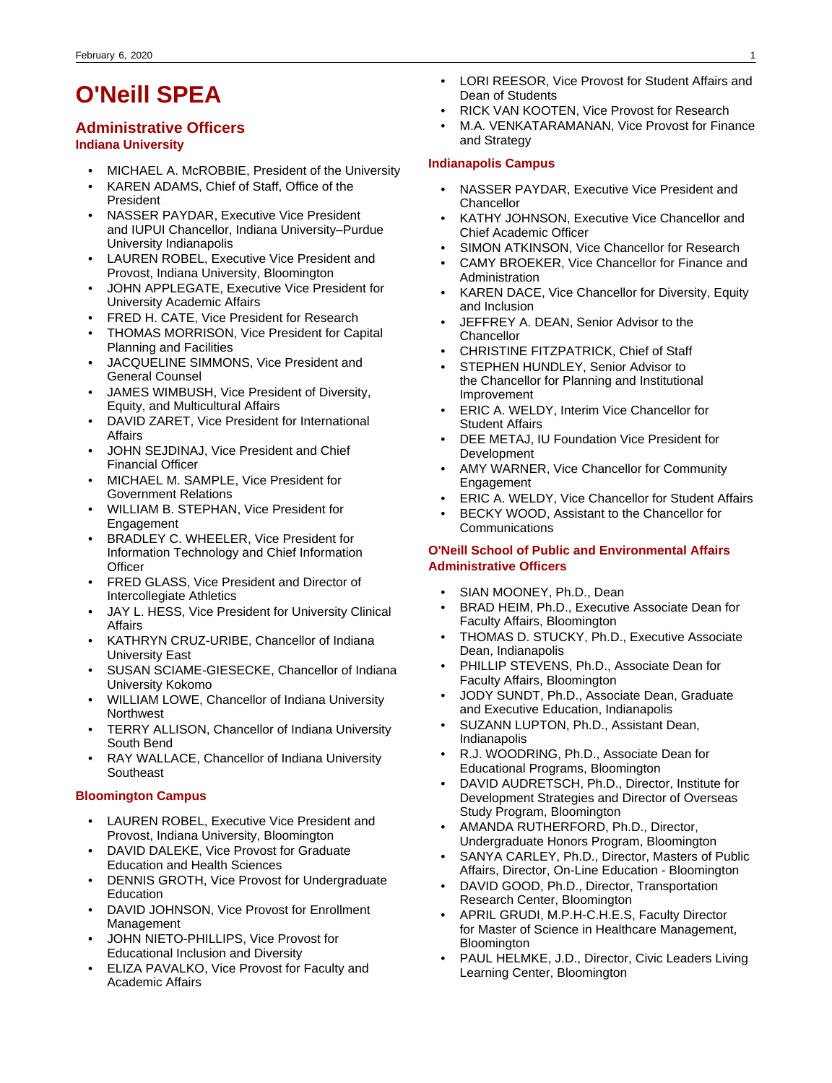# **O'Neill SPEA**

# **Administrative Officers**

### **Indiana University**

- MICHAEL A. McROBBIE, President of the University
- KAREN ADAMS, Chief of Staff, Office of the President
- NASSER PAYDAR, Executive Vice President and IUPUI Chancellor, Indiana University–Purdue University Indianapolis
- LAUREN ROBEL, Executive Vice President and Provost, Indiana University, Bloomington
- JOHN APPLEGATE, Executive Vice President for University Academic Affairs
- FRED H. CATE, Vice President for Research
- THOMAS MORRISON, Vice President for Capital Planning and Facilities
- JACQUELINE SIMMONS, Vice President and General Counsel
- JAMES WIMBUSH, Vice President of Diversity, Equity, and Multicultural Affairs
- DAVID ZARET, Vice President for International **Affairs**
- JOHN SEJDINAJ, Vice President and Chief Financial Officer
- MICHAEL M. SAMPLE, Vice President for Government Relations
- WILLIAM B. STEPHAN, Vice President for Engagement
- BRADLEY C. WHEELER, Vice President for Information Technology and Chief Information **Officer**
- FRED GLASS, Vice President and Director of Intercollegiate Athletics
- JAY L. HESS, Vice President for University Clinical Affairs
- KATHRYN CRUZ-URIBE, Chancellor of Indiana University East
- SUSAN SCIAME-GIESECKE, Chancellor of Indiana University Kokomo
- WILLIAM LOWE, Chancellor of Indiana University **Northwest**
- TERRY ALLISON, Chancellor of Indiana University South Bend
- RAY WALLACE, Chancellor of Indiana University **Southeast**

### **Bloomington Campus**

- LAUREN ROBEL, Executive Vice President and Provost, Indiana University, Bloomington
- DAVID DALEKE, Vice Provost for Graduate Education and Health Sciences
- DENNIS GROTH, Vice Provost for Undergraduate **Education**
- DAVID JOHNSON, Vice Provost for Enrollment Management
- JOHN NIETO-PHILLIPS, Vice Provost for Educational Inclusion and Diversity
- ELIZA PAVALKO, Vice Provost for Faculty and Academic Affairs
- LORI REESOR, Vice Provost for Student Affairs and Dean of Students
- RICK VAN KOOTEN, Vice Provost for Research
- M.A. VENKATARAMANAN, Vice Provost for Finance and Strategy

### **Indianapolis Campus**

- NASSER PAYDAR, Executive Vice President and **Chancellor**
- KATHY JOHNSON, Executive Vice Chancellor and Chief Academic Officer
- SIMON ATKINSON, Vice Chancellor for Research
- CAMY BROEKER, Vice Chancellor for Finance and Administration
- KAREN DACE, Vice Chancellor for Diversity, Equity and Inclusion
- JEFFREY A. DEAN, Senior Advisor to the **Chancellor**
- CHRISTINE FITZPATRICK, Chief of Staff
- STEPHEN HUNDLEY, Senior Advisor to the Chancellor for Planning and Institutional Improvement
- ERIC A. WELDY, Interim Vice Chancellor for Student Affairs
- DEE METAJ, IU Foundation Vice President for Development
- AMY WARNER, Vice Chancellor for Community Engagement
- ERIC A. WELDY, Vice Chancellor for Student Affairs
- BECKY WOOD, Assistant to the Chancellor for **Communications**

### **O'Neill School of Public and Environmental Affairs Administrative Officers**

- SIAN MOONEY, Ph.D., Dean
- BRAD HEIM, Ph.D., Executive Associate Dean for Faculty Affairs, Bloomington
- THOMAS D. STUCKY, Ph.D., Executive Associate Dean, Indianapolis
- PHILLIP STEVENS, Ph.D., Associate Dean for Faculty Affairs, Bloomington
- JODY SUNDT, Ph.D., Associate Dean, Graduate and Executive Education, Indianapolis
- SUZANN LUPTON, Ph.D., Assistant Dean, Indianapolis
- R.J. WOODRING, Ph.D., Associate Dean for Educational Programs, Bloomington
- DAVID AUDRETSCH, Ph.D., Director, Institute for Development Strategies and Director of Overseas Study Program, Bloomington
- AMANDA RUTHERFORD, Ph.D., Director, Undergraduate Honors Program, Bloomington
- SANYA CARLEY, Ph.D., Director, Masters of Public Affairs, Director, On-Line Education - Bloomington
- DAVID GOOD, Ph.D., Director, Transportation Research Center, Bloomington
- APRIL GRUDI, M.P.H-C.H.E.S, Faculty Director for Master of Science in Healthcare Management, **Bloomington**
- PAUL HELMKE, J.D., Director, Civic Leaders Living Learning Center, Bloomington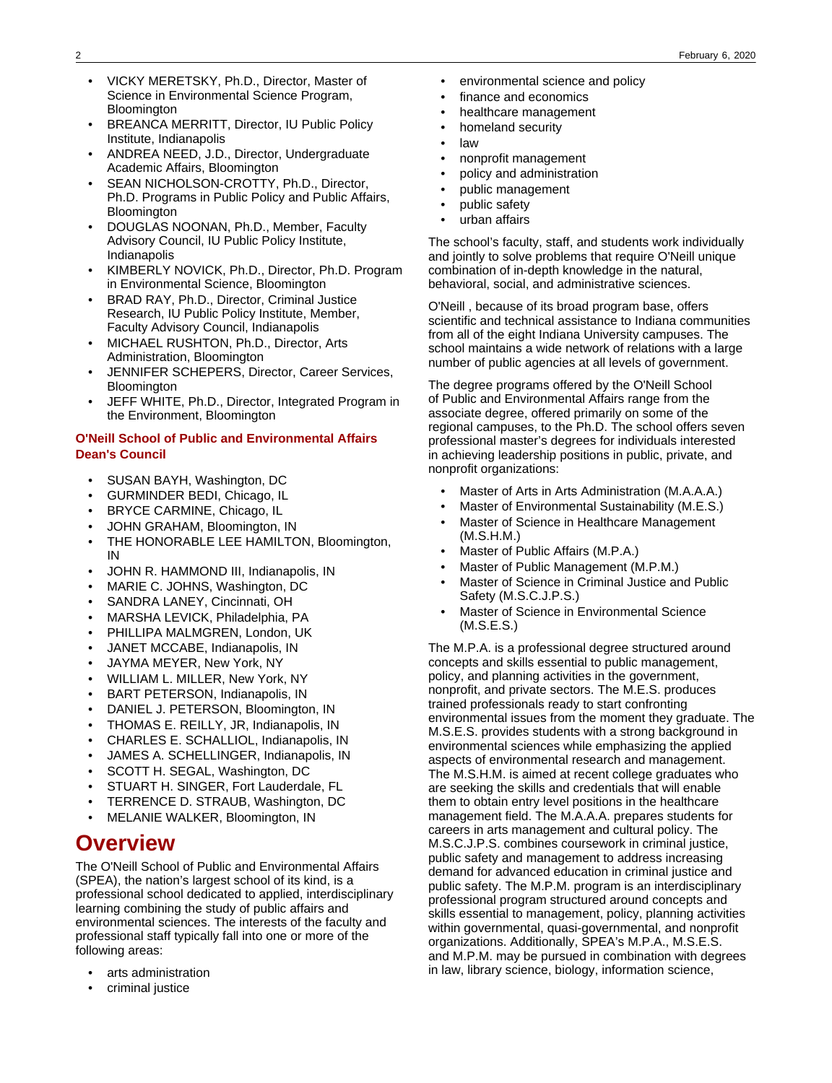- VICKY MERETSKY, Ph.D., Director, Master of Science in Environmental Science Program, **Bloomington**
- BREANCA MERRITT, Director, IU Public Policy Institute, Indianapolis
- ANDREA NEED, J.D., Director, Undergraduate Academic Affairs, Bloomington
- SEAN NICHOLSON-CROTTY, Ph.D., Director, Ph.D. Programs in Public Policy and Public Affairs, Bloomington
- DOUGLAS NOONAN, Ph.D., Member, Faculty Advisory Council, IU Public Policy Institute, Indianapolis
- KIMBERLY NOVICK, Ph.D., Director, Ph.D. Program in Environmental Science, Bloomington
- BRAD RAY, Ph.D., Director, Criminal Justice Research, IU Public Policy Institute, Member, Faculty Advisory Council, Indianapolis
- MICHAEL RUSHTON, Ph.D., Director, Arts Administration, Bloomington
- JENNIFER SCHEPERS, Director, Career Services, **Bloomington**
- JEFF WHITE, Ph.D., Director, Integrated Program in the Environment, Bloomington

### **O'Neill School of Public and Environmental Affairs Dean's Council**

- SUSAN BAYH, Washington, DC
- GURMINDER BEDI, Chicago, IL
- BRYCE CARMINE, Chicago, IL
- JOHN GRAHAM, Bloomington, IN
- THE HONORABLE LEE HAMILTON, Bloomington, IN
- JOHN R. HAMMOND III, Indianapolis, IN
- MARIE C. JOHNS, Washington, DC
- SANDRA LANEY, Cincinnati, OH
- MARSHA LEVICK, Philadelphia, PA
- PHILLIPA MALMGREN, London, UK
- JANET MCCABE, Indianapolis, IN
- JAYMA MEYER, New York, NY
- WILLIAM L. MILLER, New York, NY
- BART PETERSON, Indianapolis, IN
- DANIEL J. PETERSON, Bloomington, IN
- THOMAS E. REILLY, JR, Indianapolis, IN
- CHARLES E. SCHALLIOL, Indianapolis, IN
- JAMES A. SCHELLINGER, Indianapolis, IN
- SCOTT H. SEGAL, Washington, DC
- STUART H. SINGER, Fort Lauderdale, FL
- TERRENCE D. STRAUB, Washington, DC
- MELANIE WALKER, Bloomington, IN

# **Overview**

The O'Neill School of Public and Environmental Affairs (SPEA), the nation's largest school of its kind, is a professional school dedicated to applied, interdisciplinary learning combining the study of public affairs and environmental sciences. The interests of the faculty and professional staff typically fall into one or more of the following areas:

- arts administration
- criminal justice
- environmental science and policy
- finance and economics
- healthcare management
- homeland security
- law
- nonprofit management
- policy and administration
- public management
- public safety
- urban affairs

The school's faculty, staff, and students work individually and jointly to solve problems that require O'Neill unique combination of in-depth knowledge in the natural, behavioral, social, and administrative sciences.

O'Neill , because of its broad program base, offers scientific and technical assistance to Indiana communities from all of the eight Indiana University campuses. The school maintains a wide network of relations with a large number of public agencies at all levels of government.

The degree programs offered by the O'Neill School of Public and Environmental Affairs range from the associate degree, offered primarily on some of the regional campuses, to the Ph.D. The school offers seven professional master's degrees for individuals interested in achieving leadership positions in public, private, and nonprofit organizations:

- Master of Arts in Arts Administration (M.A.A.A.)
- Master of Environmental Sustainability (M.E.S.)
- Master of Science in Healthcare Management (M.S.H.M.)
- Master of Public Affairs (M.P.A.)
- Master of Public Management (M.P.M.)
- Master of Science in Criminal Justice and Public Safety (M.S.C.J.P.S.)
- Master of Science in Environmental Science (M.S.E.S.)

The M.P.A. is a professional degree structured around concepts and skills essential to public management, policy, and planning activities in the government, nonprofit, and private sectors. The M.E.S. produces trained professionals ready to start confronting environmental issues from the moment they graduate. The M.S.E.S. provides students with a strong background in environmental sciences while emphasizing the applied aspects of environmental research and management. The M.S.H.M. is aimed at recent college graduates who are seeking the skills and credentials that will enable them to obtain entry level positions in the healthcare management field. The M.A.A.A. prepares students for careers in arts management and cultural policy. The M.S.C.J.P.S. combines coursework in criminal justice, public safety and management to address increasing demand for advanced education in criminal justice and public safety. The M.P.M. program is an interdisciplinary professional program structured around concepts and skills essential to management, policy, planning activities within governmental, quasi-governmental, and nonprofit organizations. Additionally, SPEA's M.P.A., M.S.E.S. and M.P.M. may be pursued in combination with degrees in law, library science, biology, information science,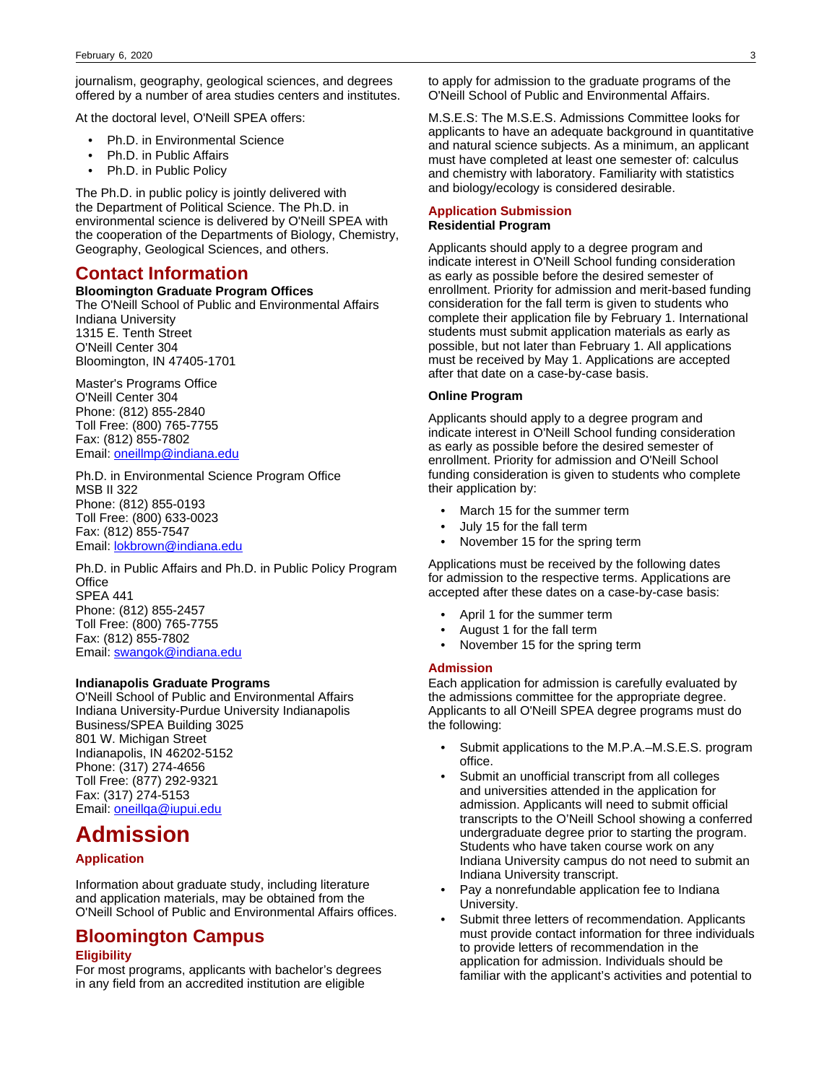journalism, geography, geological sciences, and degrees offered by a number of area studies centers and institutes.

At the doctoral level, O'Neill SPEA offers:

- Ph.D. in Environmental Science
- Ph.D. in Public Affairs
- Ph.D. in Public Policy

The Ph.D. in public policy is jointly delivered with the Department of Political Science. The Ph.D. in environmental science is delivered by O'Neill SPEA with the cooperation of the Departments of Biology, Chemistry, Geography, Geological Sciences, and others.

### **Contact Information**

#### **Bloomington Graduate Program Offices**

The O'Neill School of Public and Environmental Affairs Indiana University 1315 E. Tenth Street

O'Neill Center 304 Bloomington, IN 47405-1701

Master's Programs Office O'Neill Center 304 Phone: (812) 855-2840 Toll Free: (800) 765-7755 Fax: (812) 855-7802 Email: [oneillmp@indiana.edu](mailto:)

Ph.D. in Environmental Science Program Office MSB II 322 Phone: (812) 855-0193 Toll Free: (800) 633-0023 Fax: (812) 855-7547 Email: [lokbrown@indiana.edu](mailto:%20lokbrown@indiana.edu)

Ph.D. in Public Affairs and Ph.D. in Public Policy Program **Office** SPEA 441 Phone: (812) 855-2457 Toll Free: (800) 765-7755 Fax: (812) 855-7802 Email: [swangok@indiana.edu](mailto:%20swangok@indiana.edu)

#### **Indianapolis Graduate Programs**

O'Neill School of Public and Environmental Affairs Indiana University-Purdue University Indianapolis Business/SPEA Building 3025 801 W. Michigan Street Indianapolis, IN 46202-5152 Phone: (317) 274-4656 Toll Free: (877) 292-9321 Fax: (317) 274-5153 Email: [oneillqa@iupui.edu](mailto:%20oneillqa@iupui.edu)

## **Admission**

### **Application**

Information about graduate study, including literature and application materials, may be obtained from the O'Neill School of Public and Environmental Affairs offices.

# **Bloomington Campus**

### **Eligibility**

For most programs, applicants with bachelor's degrees in any field from an accredited institution are eligible

to apply for admission to the graduate programs of the O'Neill School of Public and Environmental Affairs.

M.S.E.S: The M.S.E.S. Admissions Committee looks for applicants to have an adequate background in quantitative and natural science subjects. As a minimum, an applicant must have completed at least one semester of: calculus and chemistry with laboratory. Familiarity with statistics and biology/ecology is considered desirable.

#### **Application Submission Residential Program**

Applicants should apply to a degree program and indicate interest in O'Neill School funding consideration as early as possible before the desired semester of enrollment. Priority for admission and merit-based funding consideration for the fall term is given to students who complete their application file by February 1. International students must submit application materials as early as possible, but not later than February 1. All applications must be received by May 1. Applications are accepted after that date on a case-by-case basis.

#### **Online Program**

Applicants should apply to a degree program and indicate interest in O'Neill School funding consideration as early as possible before the desired semester of enrollment. Priority for admission and O'Neill School funding consideration is given to students who complete their application by:

- March 15 for the summer term
- July 15 for the fall term
- November 15 for the spring term

Applications must be received by the following dates for admission to the respective terms. Applications are accepted after these dates on a case-by-case basis:

- April 1 for the summer term
- August 1 for the fall term
- November 15 for the spring term

#### **Admission**

Each application for admission is carefully evaluated by the admissions committee for the appropriate degree. Applicants to all O'Neill SPEA degree programs must do the following:

- Submit applications to the M.P.A.–M.S.E.S. program office.
- Submit an unofficial transcript from all colleges and universities attended in the application for admission. Applicants will need to submit official transcripts to the O'Neill School showing a conferred undergraduate degree prior to starting the program. Students who have taken course work on any Indiana University campus do not need to submit an Indiana University transcript.
- Pay a nonrefundable application fee to Indiana University.
- Submit three letters of recommendation. Applicants must provide contact information for three individuals to provide letters of recommendation in the application for admission. Individuals should be familiar with the applicant's activities and potential to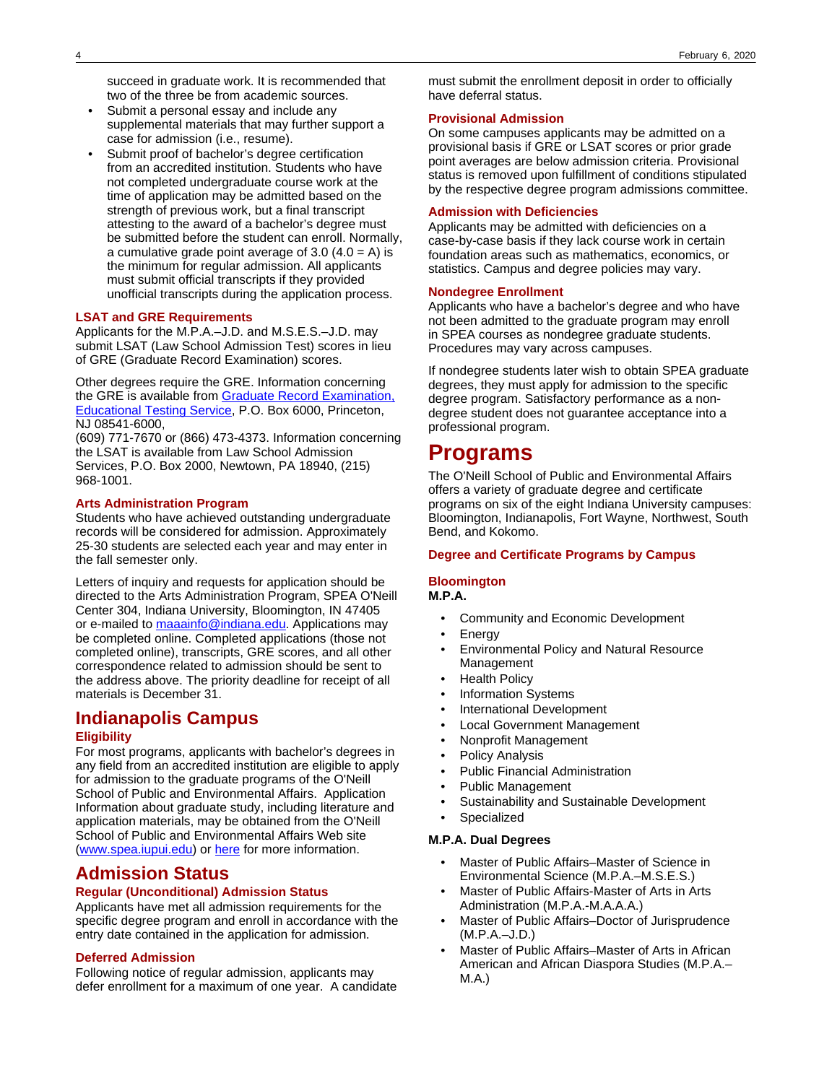succeed in graduate work. It is recommended that two of the three be from academic sources.

- Submit a personal essay and include any supplemental materials that may further support a case for admission (i.e., resume).
- Submit proof of bachelor's degree certification from an accredited institution. Students who have not completed undergraduate course work at the time of application may be admitted based on the strength of previous work, but a final transcript attesting to the award of a bachelor's degree must be submitted before the student can enroll. Normally, a cumulative grade point average of  $3.0$  (4.0 = A) is the minimum for regular admission. All applicants must submit official transcripts if they provided unofficial transcripts during the application process.

#### **LSAT and GRE Requirements**

Applicants for the M.P.A.–J.D. and M.S.E.S.–J.D. may submit LSAT (Law School Admission Test) scores in lieu of GRE (Graduate Record Examination) scores.

Other degrees require the GRE. Information concerning the GRE is available from [Graduate Record Examination,](http://www.gre.org) [Educational Testing Service,](http://www.gre.org) P.O. Box 6000, Princeton, NJ 08541-6000,

(609) 771-7670 or (866) 473-4373. Information concerning the LSAT is available from Law School Admission Services, P.O. Box 2000, Newtown, PA 18940, (215) 968-1001.

### **Arts Administration Program**

Students who have achieved outstanding undergraduate records will be considered for admission. Approximately 25-30 students are selected each year and may enter in the fall semester only.

Letters of inquiry and requests for application should be directed to the Arts Administration Program, SPEA O'Neill Center 304, Indiana University, Bloomington, IN 47405 or e-mailed to [maaainfo@indiana.edu](mailto:maaainfo@indiana.edu). Applications may be completed online. Completed applications (those not completed online), transcripts, GRE scores, and all other correspondence related to admission should be sent to the address above. The priority deadline for receipt of all materials is December 31.

# **Indianapolis Campus**

### **Eligibility**

For most programs, applicants with bachelor's degrees in any field from an accredited institution are eligible to apply for admission to the graduate programs of the O'Neill School of Public and Environmental Affairs. Application Information about graduate study, including literature and application materials, may be obtained from the O'Neill School of Public and Environmental Affairs Web site ([www.spea.iupui.edu\)](http://www.spea.iupui.edu/) or [here](http://bulletins.iu.edu/iupui/2014-2016/schools/spea/admission/graduate.shtml) for more information.

## **Admission Status**

### **Regular (Unconditional) Admission Status**

Applicants have met all admission requirements for the specific degree program and enroll in accordance with the entry date contained in the application for admission.

### **Deferred Admission**

Following notice of regular admission, applicants may defer enrollment for a maximum of one year. A candidate

must submit the enrollment deposit in order to officially have deferral status.

#### **Provisional Admission**

On some campuses applicants may be admitted on a provisional basis if GRE or LSAT scores or prior grade point averages are below admission criteria. Provisional status is removed upon fulfillment of conditions stipulated by the respective degree program admissions committee.

### **Admission with Deficiencies**

Applicants may be admitted with deficiencies on a case-by-case basis if they lack course work in certain foundation areas such as mathematics, economics, or statistics. Campus and degree policies may vary.

### **Nondegree Enrollment**

Applicants who have a bachelor's degree and who have not been admitted to the graduate program may enroll in SPEA courses as nondegree graduate students. Procedures may vary across campuses.

If nondegree students later wish to obtain SPEA graduate degrees, they must apply for admission to the specific degree program. Satisfactory performance as a nondegree student does not guarantee acceptance into a professional program.

# **Programs**

The O'Neill School of Public and Environmental Affairs offers a variety of graduate degree and certificate programs on six of the eight Indiana University campuses: Bloomington, Indianapolis, Fort Wayne, Northwest, South Bend, and Kokomo.

### **Degree and Certificate Programs by Campus**

## **Bloomington**

**M.P.A.**

- Community and Economic Development
- **Energy**
- Environmental Policy and Natural Resource Management
- **Health Policy**
- Information Systems
- International Development
- **Local Government Management**
- Nonprofit Management
- Policy Analysis
- Public Financial Administration
- Public Management
- Sustainability and Sustainable Development
- **Specialized**

#### **M.P.A. Dual Degrees**

- Master of Public Affairs–Master of Science in Environmental Science (M.P.A.–M.S.E.S.)
- Master of Public Affairs-Master of Arts in Arts Administration (M.P.A.-M.A.A.A.)
- Master of Public Affairs–Doctor of Jurisprudence (M.P.A.–J.D.)
- Master of Public Affairs–Master of Arts in African American and African Diaspora Studies (M.P.A.– M.A.)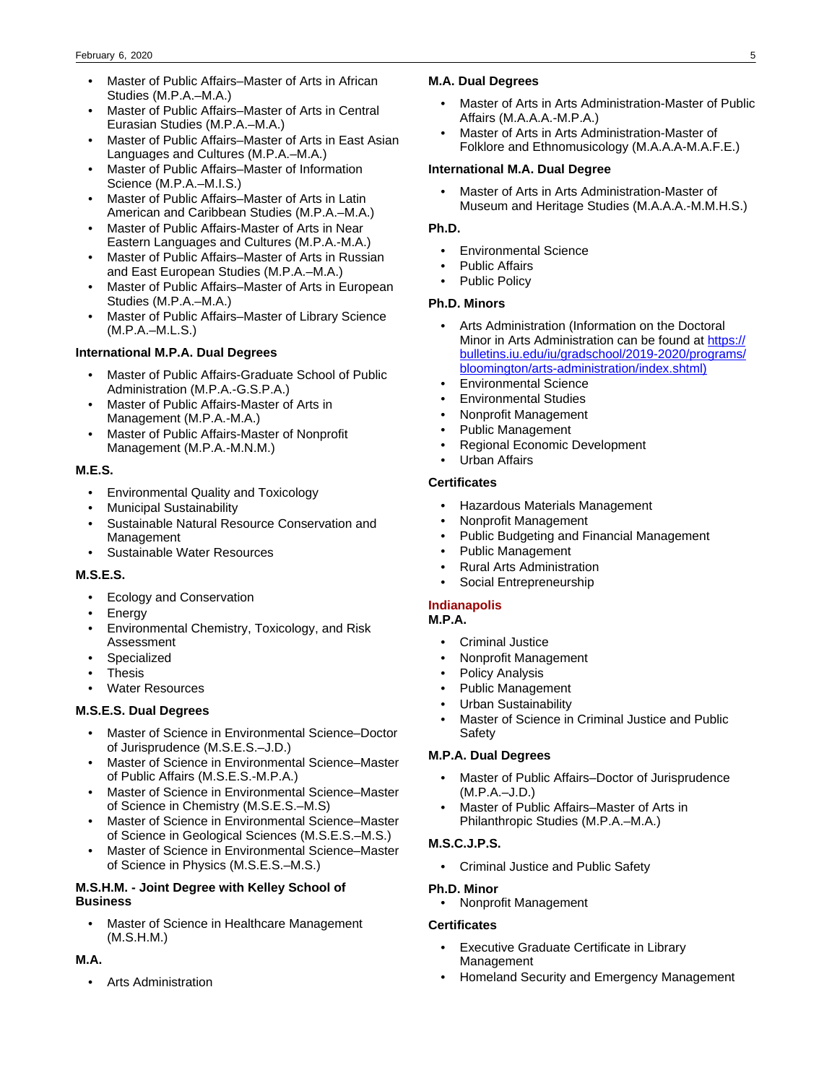- Master of Public Affairs–Master of Arts in African Studies (M.P.A.–M.A.)
- Master of Public Affairs–Master of Arts in Central Eurasian Studies (M.P.A.–M.A.)
- Master of Public Affairs–Master of Arts in East Asian Languages and Cultures (M.P.A.–M.A.)
- Master of Public Affairs–Master of Information Science (M.P.A.–M.I.S.)
- Master of Public Affairs–Master of Arts in Latin American and Caribbean Studies (M.P.A.–M.A.)
- Master of Public Affairs-Master of Arts in Near Eastern Languages and Cultures (M.P.A.-M.A.)
- Master of Public Affairs–Master of Arts in Russian and East European Studies (M.P.A.–M.A.)
- Master of Public Affairs–Master of Arts in European Studies (M.P.A.–M.A.)
- Master of Public Affairs–Master of Library Science (M.P.A.–M.L.S.)

### **International M.P.A. Dual Degrees**

- Master of Public Affairs-Graduate School of Public Administration (M.P.A.-G.S.P.A.)
- Master of Public Affairs-Master of Arts in Management (M.P.A.-M.A.)
- Master of Public Affairs-Master of Nonprofit Management (M.P.A.-M.N.M.)

### **M.E.S.**

- Environmental Quality and Toxicology
- Municipal Sustainability
- Sustainable Natural Resource Conservation and Management
- Sustainable Water Resources

### **M.S.E.S.**

- Ecology and Conservation
- **Energy**
- Environmental Chemistry, Toxicology, and Risk Assessment
- **Specialized**
- **Thesis**
- Water Resources

### **M.S.E.S. Dual Degrees**

- Master of Science in Environmental Science–Doctor of Jurisprudence (M.S.E.S.–J.D.)
- Master of Science in Environmental Science–Master of Public Affairs (M.S.E.S.-M.P.A.)
- Master of Science in Environmental Science–Master of Science in Chemistry (M.S.E.S.–M.S)
- Master of Science in Environmental Science–Master of Science in Geological Sciences (M.S.E.S.–M.S.)
- Master of Science in Environmental Science–Master of Science in Physics (M.S.E.S.–M.S.)

### **M.S.H.M. - Joint Degree with Kelley School of Business**

• Master of Science in Healthcare Management (M.S.H.M.)

### **M.A.**

• Arts Administration

### **M.A. Dual Degrees**

- Master of Arts in Arts Administration-Master of Public Affairs (M.A.A.A.-M.P.A.)
- Master of Arts in Arts Administration-Master of Folklore and Ethnomusicology (M.A.A.A-M.A.F.E.)

### **International M.A. Dual Degree**

• Master of Arts in Arts Administration-Master of Museum and Heritage Studies (M.A.A.A.-M.M.H.S.)

### **Ph.D.**

- Environmental Science
- Public Affairs
- Public Policy

### **Ph.D. Minors**

- Arts Administration (Information on the Doctoral Minor in Arts Administration can be found at [https://](https://bulletins.iu.edu/iu/gradschool/2019-2020/programs/bloomington/arts-administration/index.shtml) [bulletins.iu.edu/iu/gradschool/2019-2020/programs/](https://bulletins.iu.edu/iu/gradschool/2019-2020/programs/bloomington/arts-administration/index.shtml) [bloomington/arts-administration/index.shtml\)](https://bulletins.iu.edu/iu/gradschool/2019-2020/programs/bloomington/arts-administration/index.shtml)
- Environmental Science
- Environmental Studies
- Nonprofit Management
- Public Management
- Regional Economic Development
- Urban Affairs

### **Certificates**

- Hazardous Materials Management
- Nonprofit Management
- Public Budgeting and Financial Management
- Public Management
- Rural Arts Administration
- Social Entrepreneurship

### **Indianapolis**

### **M.P.A.**

- Criminal Justice
- Nonprofit Management
- Policy Analysis
- Public Management
- Urban Sustainability
- Master of Science in Criminal Justice and Public Safety

### **M.P.A. Dual Degrees**

- Master of Public Affairs–Doctor of Jurisprudence (M.P.A.–J.D.)
- Master of Public Affairs–Master of Arts in Philanthropic Studies (M.P.A.–M.A.)

### **M.S.C.J.P.S.**

• Criminal Justice and Public Safety

### **Ph.D. Minor**

• Nonprofit Management

### **Certificates**

- Executive Graduate Certificate in Library Management
- Homeland Security and Emergency Management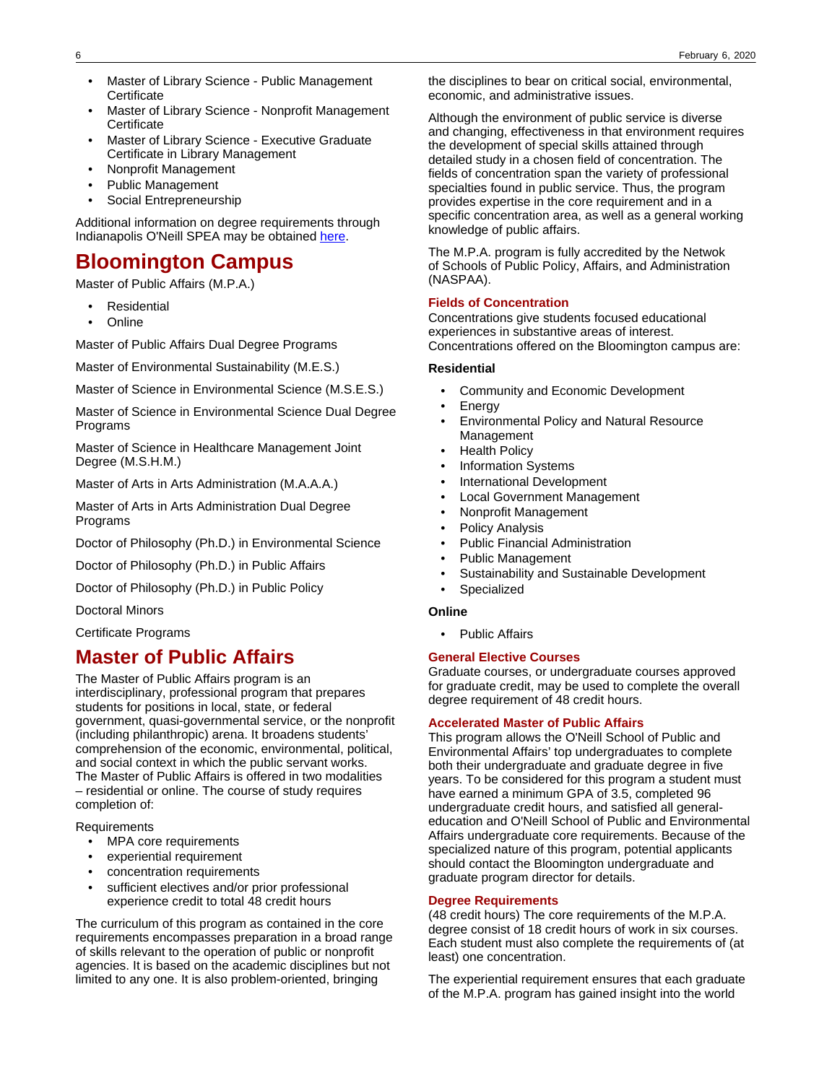- Master of Library Science Public Management **Certificate**
- Master of Library Science Nonprofit Management **Certificate**
- Master of Library Science Executive Graduate Certificate in Library Management
- Nonprofit Management
- Public Management
- Social Entrepreneurship

Additional information on degree requirements through Indianapolis O'Neill SPEA may be obtained [here.](http://bulletins.iu.edu/iupui/2014-2016/schools/spea/graduate/index.shtml#http://bulletins.iu.edu/iupui/2014-2016/schools/spea/graduate/index.shtml)

# **Bloomington Campus**

Master of Public Affairs (M.P.A.)

- **Residential**
- **Online**

Master of Public Affairs Dual Degree Programs

Master of Environmental Sustainability (M.E.S.)

Master of Science in Environmental Science (M.S.E.S.)

Master of Science in Environmental Science Dual Degree Programs

Master of Science in Healthcare Management Joint Degree (M.S.H.M.)

Master of Arts in Arts Administration (M.A.A.A.)

Master of Arts in Arts Administration Dual Degree Programs

Doctor of Philosophy (Ph.D.) in Environmental Science

Doctor of Philosophy (Ph.D.) in Public Affairs

Doctor of Philosophy (Ph.D.) in Public Policy

Doctoral Minors

Certificate Programs

## **Master of Public Affairs**

The Master of Public Affairs program is an interdisciplinary, professional program that prepares students for positions in local, state, or federal government, quasi-governmental service, or the nonprofit (including philanthropic) arena. It broadens students' comprehension of the economic, environmental, political, and social context in which the public servant works. The Master of Public Affairs is offered in two modalities – residential or online. The course of study requires completion of:

**Requirements** 

- MPA core requirements
- experiential requirement
- concentration requirements
- sufficient electives and/or prior professional experience credit to total 48 credit hours

The curriculum of this program as contained in the core requirements encompasses preparation in a broad range of skills relevant to the operation of public or nonprofit agencies. It is based on the academic disciplines but not limited to any one. It is also problem-oriented, bringing

the disciplines to bear on critical social, environmental, economic, and administrative issues.

Although the environment of public service is diverse and changing, effectiveness in that environment requires the development of special skills attained through detailed study in a chosen field of concentration. The fields of concentration span the variety of professional specialties found in public service. Thus, the program provides expertise in the core requirement and in a specific concentration area, as well as a general working knowledge of public affairs.

The M.P.A. program is fully accredited by the Netwok of Schools of Public Policy, Affairs, and Administration (NASPAA).

### **Fields of Concentration**

Concentrations give students focused educational experiences in substantive areas of interest. Concentrations offered on the Bloomington campus are:

#### **Residential**

- Community and Economic Development
- **Energy**
- Environmental Policy and Natural Resource Management
- Health Policy
- Information Systems
- International Development
- Local Government Management
- Nonprofit Management
- Policy Analysis
- Public Financial Administration
- Public Management
- Sustainability and Sustainable Development
- **Specialized**

#### **Online**

• Public Affairs

### **General Elective Courses**

Graduate courses, or undergraduate courses approved for graduate credit, may be used to complete the overall degree requirement of 48 credit hours.

### **Accelerated Master of Public Affairs**

This program allows the O'Neill School of Public and Environmental Affairs' top undergraduates to complete both their undergraduate and graduate degree in five years. To be considered for this program a student must have earned a minimum GPA of 3.5, completed 96 undergraduate credit hours, and satisfied all generaleducation and O'Neill School of Public and Environmental Affairs undergraduate core requirements. Because of the specialized nature of this program, potential applicants should contact the Bloomington undergraduate and graduate program director for details.

#### **Degree Requirements**

(48 credit hours) The core requirements of the M.P.A. degree consist of 18 credit hours of work in six courses. Each student must also complete the requirements of (at least) one concentration.

The experiential requirement ensures that each graduate of the M.P.A. program has gained insight into the world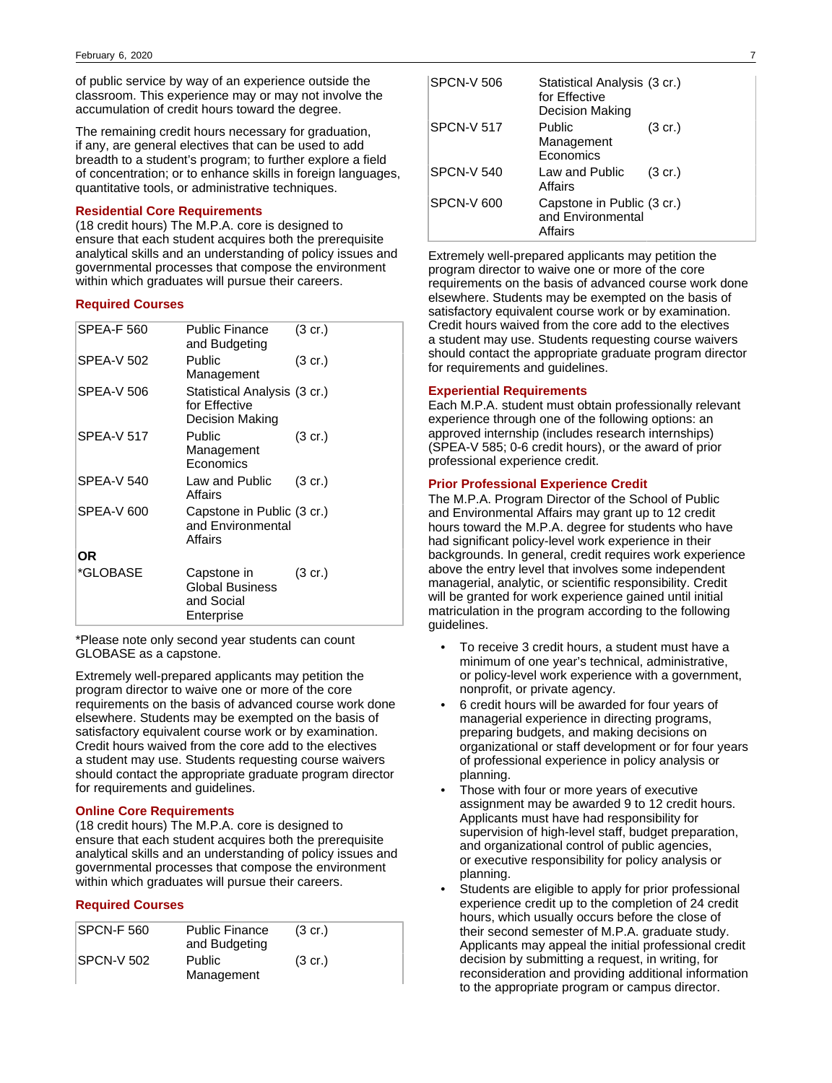of public service by way of an experience outside the classroom. This experience may or may not involve the accumulation of credit hours toward the degree.

The remaining credit hours necessary for graduation, if any, are general electives that can be used to add breadth to a student's program; to further explore a field of concentration; or to enhance skills in foreign languages, quantitative tools, or administrative techniques.

### **Residential Core Requirements**

(18 credit hours) The M.P.A. core is designed to ensure that each student acquires both the prerequisite analytical skills and an understanding of policy issues and governmental processes that compose the environment within which graduates will pursue their careers.

### **Required Courses**

| <b>SPEA-F 560</b> | <b>Public Finance</b><br>and Budgeting                            | $(3 \text{ cr.})$ |
|-------------------|-------------------------------------------------------------------|-------------------|
| <b>SPEA-V 502</b> | Public<br>Management                                              | $(3 \text{ cr.})$ |
| SPEA-V 506        | Statistical Analysis (3 cr.)<br>for Effective<br>Decision Making  |                   |
| <b>SPEA-V 517</b> | Public<br>Management<br>Economics                                 | (3 cr.)           |
| <b>SPEA-V 540</b> | Law and Public<br>Affairs                                         | $(3 \text{ cr.})$ |
| <b>SPEA-V 600</b> | Capstone in Public (3 cr.)<br>and Environmental<br>Affairs        |                   |
| ΟR                |                                                                   |                   |
| *GLOBASE          | Capstone in<br><b>Global Business</b><br>and Social<br>Enterprise | (3 cr.)           |

\*Please note only second year students can count GLOBASE as a capstone.

Extremely well-prepared applicants may petition the program director to waive one or more of the core requirements on the basis of advanced course work done elsewhere. Students may be exempted on the basis of satisfactory equivalent course work or by examination. Credit hours waived from the core add to the electives a student may use. Students requesting course waivers should contact the appropriate graduate program director for requirements and guidelines.

### **Online Core Requirements**

(18 credit hours) The M.P.A. core is designed to ensure that each student acquires both the prerequisite analytical skills and an understanding of policy issues and governmental processes that compose the environment within which graduates will pursue their careers.

### **Required Courses**

| <b>SPCN-F 560</b>  | <b>Public Finance</b><br>and Budgeting | $(3 \text{ cr.})$ |
|--------------------|----------------------------------------|-------------------|
| <b>ISPCN-V 502</b> | Public<br>Management                   | $(3 \text{ cr.})$ |

| <b>SPCN-V 506</b> | Statistical Analysis (3 cr.)<br>for Effective<br>Decision Making |                   |
|-------------------|------------------------------------------------------------------|-------------------|
| SPCN-V 517        | Public<br>Management<br>Economics                                | (3 cr.)           |
| <b>SPCN-V 540</b> | Law and Public<br>Affairs                                        | $(3 \text{ cr.})$ |
| SPCN-V 600        | Capstone in Public (3 cr.)<br>and Environmental<br>Affairs       |                   |

Extremely well-prepared applicants may petition the program director to waive one or more of the core requirements on the basis of advanced course work done elsewhere. Students may be exempted on the basis of satisfactory equivalent course work or by examination. Credit hours waived from the core add to the electives a student may use. Students requesting course waivers should contact the appropriate graduate program director for requirements and guidelines.

#### **Experiential Requirements**

Each M.P.A. student must obtain professionally relevant experience through one of the following options: an approved internship (includes research internships) (SPEA-V 585; 0-6 credit hours), or the award of prior professional experience credit.

#### **Prior Professional Experience Credit**

The M.P.A. Program Director of the School of Public and Environmental Affairs may grant up to 12 credit hours toward the M.P.A. degree for students who have had significant policy-level work experience in their backgrounds. In general, credit requires work experience above the entry level that involves some independent managerial, analytic, or scientific responsibility. Credit will be granted for work experience gained until initial matriculation in the program according to the following guidelines.

- To receive 3 credit hours, a student must have a minimum of one year's technical, administrative, or policy-level work experience with a government, nonprofit, or private agency.
- 6 credit hours will be awarded for four years of managerial experience in directing programs, preparing budgets, and making decisions on organizational or staff development or for four years of professional experience in policy analysis or planning.
- Those with four or more years of executive assignment may be awarded 9 to 12 credit hours. Applicants must have had responsibility for supervision of high-level staff, budget preparation, and organizational control of public agencies, or executive responsibility for policy analysis or planning.
- Students are eligible to apply for prior professional experience credit up to the completion of 24 credit hours, which usually occurs before the close of their second semester of M.P.A. graduate study. Applicants may appeal the initial professional credit decision by submitting a request, in writing, for reconsideration and providing additional information to the appropriate program or campus director.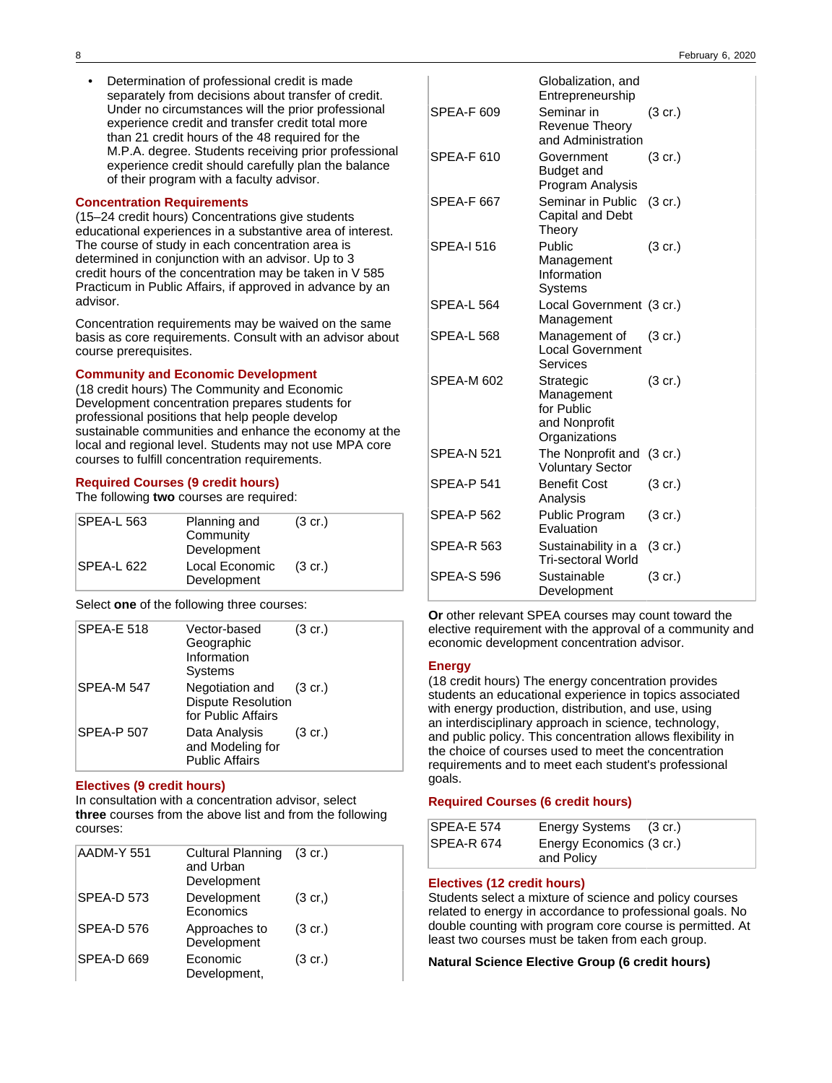• Determination of professional credit is made separately from decisions about transfer of credit. Under no circumstances will the prior professional experience credit and transfer credit total more than 21 credit hours of the 48 required for the M.P.A. degree. Students receiving prior professional experience credit should carefully plan the balance of their program with a faculty advisor.

#### **Concentration Requirements**

(15–24 credit hours) Concentrations give students educational experiences in a substantive area of interest. The course of study in each concentration area is determined in conjunction with an advisor. Up to 3 credit hours of the concentration may be taken in V 585 Practicum in Public Affairs, if approved in advance by an advisor.

Concentration requirements may be waived on the same basis as core requirements. Consult with an advisor about course prerequisites.

#### **Community and Economic Development**

(18 credit hours) The Community and Economic Development concentration prepares students for professional positions that help people develop sustainable communities and enhance the economy at the local and regional level. Students may not use MPA core courses to fulfill concentration requirements.

#### **Required Courses (9 credit hours)**

The following **two** courses are required:

| SPEA-L 563 | Planning and<br>Community<br>Development | $(3 \text{ cr.})$ |
|------------|------------------------------------------|-------------------|
| SPEA-L 622 | Local Economic<br>Development            | $(3 \text{ cr.})$ |

Select **one** of the following three courses:

| <b>SPEA-E 518</b> | Vector-based<br>Geographic<br>Information<br><b>Systems</b>                | $(3 \text{ cr.})$ |
|-------------------|----------------------------------------------------------------------------|-------------------|
| SPEA-M 547        | Negotiation and (3 cr.)<br><b>Dispute Resolution</b><br>for Public Affairs |                   |
| <b>SPEA-P 507</b> | Data Analysis<br>and Modeling for<br><b>Public Affairs</b>                 | $(3 \text{ cr.})$ |

#### **Electives (9 credit hours)**

In consultation with a concentration advisor, select **three** courses from the above list and from the following courses:

| AADM-Y 551        | Cultural Planning (3 cr.)<br>and Urban<br>Development |                   |
|-------------------|-------------------------------------------------------|-------------------|
| <b>SPEA-D 573</b> | Development<br>Economics                              | $(3 \text{ cr.})$ |
| SPEA-D 576        | Approaches to<br>Development                          | $(3 \text{ cr.})$ |
| SPEA-D 669        | Economic<br>Development,                              | $(3 \text{ cr.})$ |

|                   | Globalization, and<br>Entrepreneurship                                  |                   |
|-------------------|-------------------------------------------------------------------------|-------------------|
| SPEA-F 609        | Seminar in<br><b>Revenue Theory</b><br>and Administration               | $(3 \text{ cr.})$ |
| SPEA-F 610        | Government<br>Budget and<br>Program Analysis                            | (3 cr.)           |
| <b>SPEA-F 667</b> | Seminar in Public<br>Capital and Debt<br>Theory                         | $(3 \text{ cr.})$ |
| <b>SPEA-I 516</b> | Public<br>Management<br>Information<br>Systems                          | $(3 \text{ cr.})$ |
| SPEA-L 564        | Local Government (3 cr.)<br>Management                                  |                   |
| SPEA-L 568        | Management of<br><b>Local Government</b><br>Services                    | (3 cr.)           |
| SPEA-M 602        | Strategic<br>Management<br>for Public<br>and Nonprofit<br>Organizations | $(3 \text{ cr.})$ |
| SPEA-N 521        | The Nonprofit and<br><b>Voluntary Sector</b>                            | $(3 \text{ cr.})$ |
| <b>SPEA-P 541</b> | <b>Benefit Cost</b><br>Analysis                                         | (3 cr.)           |
| <b>SPEA-P 562</b> | Public Program<br>Evaluation                                            | $(3 \text{ cr.})$ |
| <b>SPEA-R 563</b> | Sustainability in a<br><b>Tri-sectoral World</b>                        | $(3 \text{ cr.})$ |
| <b>SPEA-S 596</b> | Sustainable<br>Development                                              | $(3 \text{ cr.})$ |

**Or** other relevant SPEA courses may count toward the elective requirement with the approval of a community and economic development concentration advisor.

#### **Energy**

(18 credit hours) The energy concentration provides students an educational experience in topics associated with energy production, distribution, and use, using an interdisciplinary approach in science, technology, and public policy. This concentration allows flexibility in the choice of courses used to meet the concentration requirements and to meet each student's professional goals.

#### **Required Courses (6 credit hours)**

| SPEA-E 574 | Energy Systems (3 cr.)                 |  |
|------------|----------------------------------------|--|
| SPEA-R 674 | Energy Economics (3 cr.)<br>and Policy |  |

### **Electives (12 credit hours)**

Students select a mixture of science and policy courses related to energy in accordance to professional goals. No double counting with program core course is permitted. At least two courses must be taken from each group.

### **Natural Science Elective Group (6 credit hours)**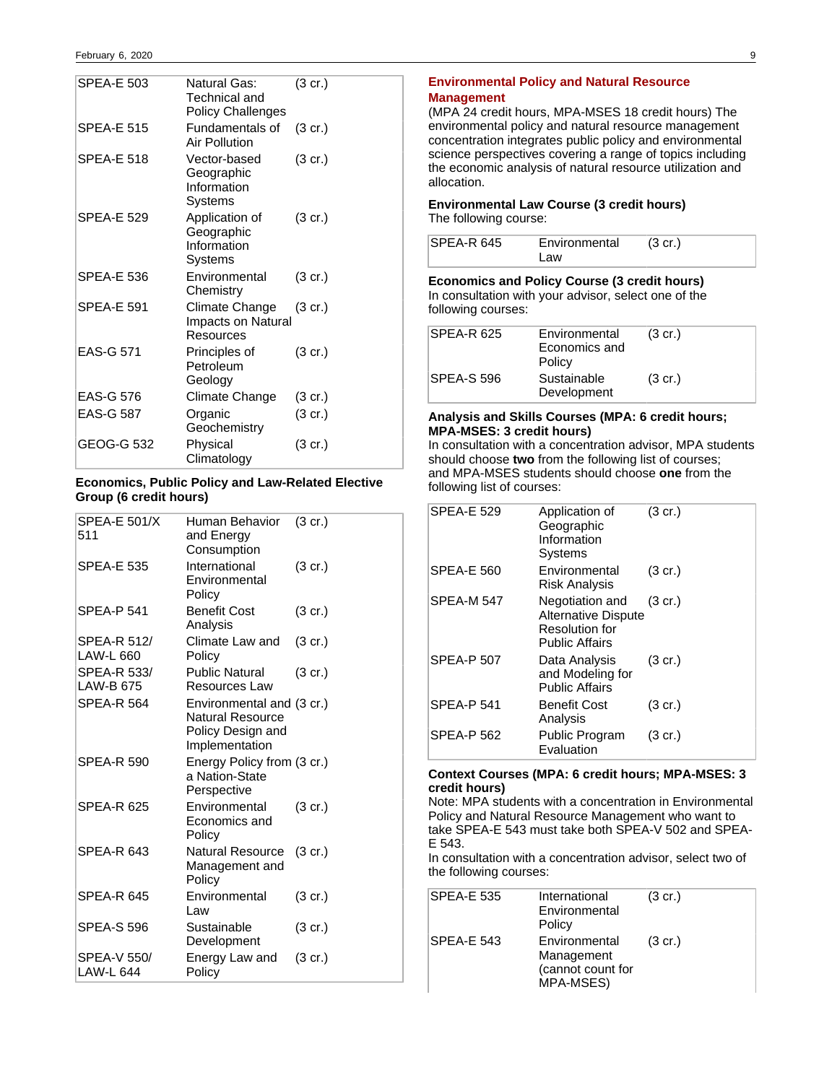| SPFA-F 503        | Natural Gas:<br>Technical and<br><b>Policy Challenges</b> | $(3 \text{ cr.})$ |
|-------------------|-----------------------------------------------------------|-------------------|
| <b>SPEA-E 515</b> | Fundamentals of<br>Air Pollution                          | (3 cr.)           |
| <b>SPEA-E 518</b> | Vector-based<br>Geographic<br>Information<br>Systems      | $(3 \text{ cr.})$ |
| <b>SPEA-E 529</b> | Application of<br>Geographic<br>Information<br>Systems    | $(3 \text{ cr.})$ |
| <b>SPEA-E 536</b> | Environmental<br>Chemistry                                | $(3 \text{ cr.})$ |
| <b>SPEA-E 591</b> | Climate Change<br>Impacts on Natural<br>Resources         | $(3 \text{ cr.})$ |
| <b>EAS-G 571</b>  | Principles of<br>Petroleum<br>Geology                     | $(3 \text{ cr.})$ |
| <b>EAS-G 576</b>  | Climate Change                                            | $(3 \text{ cr.})$ |
| <b>EAS-G 587</b>  | Organic<br>Geochemistry                                   | $(3 \text{ cr.})$ |
| GEOG-G 532        | Physical<br>Climatology                                   | $(3 \text{ cr.})$ |

### **Economics, Public Policy and Law-Related Elective Group (6 credit hours)**

| SPEA-E 501/X<br>511                    | Human Behavior<br>and Energy<br>Consumption                                                 | (3 cr.)           |
|----------------------------------------|---------------------------------------------------------------------------------------------|-------------------|
| <b>SPEA-E 535</b>                      | International<br>Environmental<br>Policy                                                    | $(3 \text{ cr.})$ |
| SPEA-P 541                             | <b>Benefit Cost</b><br>Analysis                                                             | $(3 \text{ cr.})$ |
| <b>SPEA-R 512/</b><br><b>LAW-L 660</b> | Climate Law and<br>Policy                                                                   | $(3 \text{ cr.})$ |
| SPEA-R 533/<br>LAW-B 675               | <b>Public Natural</b><br>Resources Law                                                      | $(3 \text{ cr.})$ |
| SPEA-R 564                             | Environmental and (3 cr.)<br><b>Natural Resource</b><br>Policy Design and<br>Implementation |                   |
| SPEA-R 590                             | Energy Policy from (3 cr.)<br>a Nation-State<br>Perspective                                 |                   |
| SPFA-R 625                             | Environmental<br>Economics and<br>Policy                                                    | (3 cr.)           |
| SPFA-R 643                             | <b>Natural Resource</b><br>Management and<br>Policy                                         | (3 cr.)           |
| SPEA-R 645                             | Environmental<br>Law                                                                        | $(3 \text{ cr.})$ |
| <b>SPEA-S 596</b>                      | Sustainable<br>Development                                                                  | $(3 \text{ cr.})$ |
| <b>SPEA-V 550/</b><br><b>LAW-L 644</b> | Energy Law and<br>Policy                                                                    | $(3 \text{ cr.})$ |

### **Environmental Policy and Natural Resource Management**

(MPA 24 credit hours, MPA-MSES 18 credit hours) The environmental policy and natural resource management concentration integrates public policy and environmental science perspectives covering a range of topics including the economic analysis of natural resource utilization and allocation.

#### **Environmental Law Course (3 credit hours)** The following course:

| SPEA-R 645 | Environmental | $(3 \text{ cr.})$ |  |
|------------|---------------|-------------------|--|
|            | Law           |                   |  |

**Economics and Policy Course (3 credit hours)** In consultation with your advisor, select one of the following courses:

| SPEA-R 625 | Environmental<br>Economics and<br>Policy | $(3 \text{ cr.})$ |
|------------|------------------------------------------|-------------------|
| SPEA-S 596 | Sustainable<br>Development               | $(3 \text{ cr.})$ |

### **Analysis and Skills Courses (MPA: 6 credit hours; MPA-MSES: 3 credit hours)**

In consultation with a concentration advisor, MPA students should choose **two** from the following list of courses; and MPA-MSES students should choose **one** from the following list of courses:

| <b>SPEA-E 529</b> | Application of<br>Geographic<br>Information<br>Systems                            | $(3 \text{ cr.})$ |
|-------------------|-----------------------------------------------------------------------------------|-------------------|
| <b>SPEA-E 560</b> | Environmental<br><b>Risk Analysis</b>                                             | $(3 \text{ cr.})$ |
| <b>SPEA-M 547</b> | Negotiation and<br>Alternative Dispute<br>Resolution for<br><b>Public Affairs</b> | $(3 \text{ cr.})$ |
| <b>SPEA-P 507</b> | Data Analysis<br>and Modeling for<br><b>Public Affairs</b>                        | $(3 \text{ cr.})$ |
| <b>SPEA-P 541</b> | Benefit Cost<br>Analysis                                                          | $(3 \text{ cr.})$ |
| <b>SPEA-P 562</b> | Public Program<br>Evaluation                                                      | $(3 \text{ cr.})$ |

### **Context Courses (MPA: 6 credit hours; MPA-MSES: 3 credit hours)**

Note: MPA students with a concentration in Environmental Policy and Natural Resource Management who want to take SPEA-E 543 must take both SPEA-V 502 and SPEA-E 543.

In consultation with a concentration advisor, select two of the following courses:

| SPEA-E 535 | International<br>Environmental<br>Policy                      | $(3 \text{ cr.})$ |
|------------|---------------------------------------------------------------|-------------------|
| SPEA-E 543 | Environmental<br>Management<br>(cannot count for<br>MPA-MSES) | $(3 \text{ cr.})$ |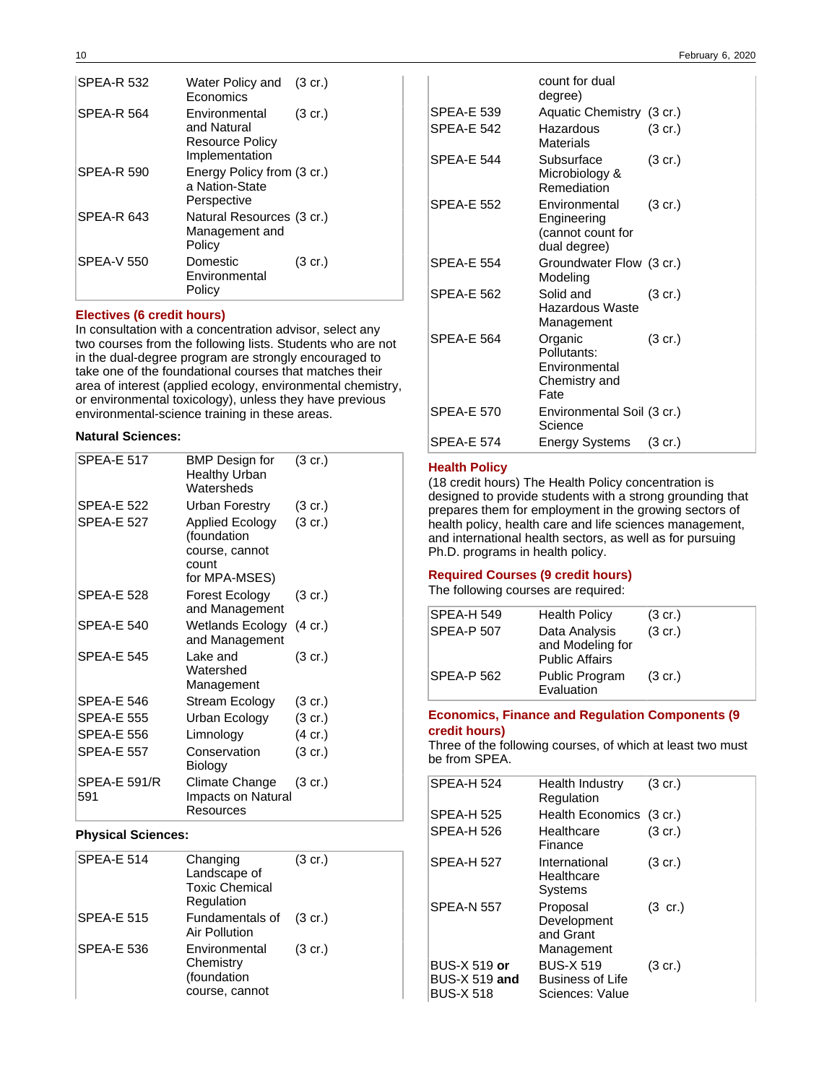| <b>SPEA-R 532</b> | Water Policy and (3 cr.)<br>Economics                             |                   |
|-------------------|-------------------------------------------------------------------|-------------------|
| <b>SPEA-R 564</b> | Environmental<br>and Natural<br>Resource Policy<br>Implementation | $(3 \text{ cr.})$ |
| <b>SPEA-R 590</b> | Energy Policy from (3 cr.)<br>a Nation-State<br>Perspective       |                   |
| SPEA-R 643        | Natural Resources (3 cr.)<br>Management and<br>Policy             |                   |
| <b>SPEA-V 550</b> | Domestic<br>Environmental<br>Policy                               | $(3 \text{ cr.})$ |

### **Electives (6 credit hours)**

In consultation with a concentration advisor, select any two courses from the following lists. Students who are not in the dual-degree program are strongly encouraged to take one of the foundational courses that matches their area of interest (applied ecology, environmental chemistry, or environmental toxicology), unless they have previous environmental-science training in these areas.

#### **Natural Sciences:**

| <b>SPEA-E 517</b>          | <b>BMP</b> Design for<br><b>Healthy Urban</b><br>Watersheds                       | $(3 \text{ cr.})$ |
|----------------------------|-----------------------------------------------------------------------------------|-------------------|
| <b>SPEA-E 522</b>          | Urban Forestry                                                                    | $(3 \text{ cr.})$ |
| <b>SPEA-E 527</b>          | <b>Applied Ecology</b><br>(foundation<br>course, cannot<br>count<br>for MPA-MSES) | $(3 \text{ cr.})$ |
| <b>SPEA-E 528</b>          | Forest Ecology<br>and Management                                                  | (3 cr.)           |
| <b>SPEA-E 540</b>          | Wetlands Ecology<br>and Management                                                | $(4 \text{ cr.})$ |
| <b>SPEA-E 545</b>          | Lake and<br>Watershed<br>Management                                               | (3 cr.)           |
| SPEA-E 546                 | Stream Ecology                                                                    | (3 cr.)           |
| <b>SPEA-E 555</b>          | Urban Ecology                                                                     | $(3 \text{ cr.})$ |
| <b>SPEA-E 556</b>          | Limnology                                                                         | (4 cr.)           |
| <b>SPEA-E 557</b>          | Conservation<br>Biology                                                           | $(3 \text{ cr.})$ |
| <b>SPEA-E 591/R</b><br>591 | Climate Change<br>Impacts on Natural<br>Resources                                 | $(3 \text{ cr.})$ |

### **Physical Sciences:**

| <b>SPEA-E 514</b> | Changing<br>Landscape of<br><b>Toxic Chemical</b><br>Regulation | $(3 \text{ cr.})$ |
|-------------------|-----------------------------------------------------------------|-------------------|
| <b>SPEA-E 515</b> | Fundamentals of<br><b>Air Pollution</b>                         | $(3 \text{ cr.})$ |
| <b>SPEA-E 536</b> | Environmental<br>Chemistry<br>(foundation<br>course, cannot     | $(3 \text{ cr.})$ |

|                   | count for dual<br>degree)                                         |                   |
|-------------------|-------------------------------------------------------------------|-------------------|
| <b>SPEA-E 539</b> | Aquatic Chemistry (3 cr.)                                         |                   |
| <b>SPEA-E 542</b> | Hazardous<br>Materials                                            | $(3 \text{ cr.})$ |
| SPEA-E 544        | Subsurface<br>Microbiology &<br>Remediation                       | $(3 \text{ cr.})$ |
| <b>SPEA-E 552</b> | Environmental<br>Engineering<br>(cannot count for<br>dual degree) | $(3 \text{ cr.})$ |
| <b>SPEA-E 554</b> | Groundwater Flow (3 cr.)<br>Modeling                              |                   |
| <b>SPEA-E 562</b> | Solid and<br>Hazardous Waste<br>Management                        | $(3 \text{ cr.})$ |
| <b>SPEA-E 564</b> | Organic<br>Pollutants:<br>Environmental<br>Chemistry and<br>Fate  | $(3 \text{ cr.})$ |
| <b>SPEA-E 570</b> | Environmental Soil (3 cr.)<br>Science                             |                   |
| <b>SPEA-E 574</b> | Energy Systems                                                    | $(3 \text{ cr.})$ |

#### **Health Policy**

(18 credit hours) The Health Policy concentration is designed to provide students with a strong grounding that prepares them for employment in the growing sectors of health policy, health care and life sciences management, and international health sectors, as well as for pursuing Ph.D. programs in health policy.

### **Required Courses (9 credit hours)**

The following courses are required:

| SPEA-H 549        | <b>Health Policy</b>                                       | $(3 \text{ cr.})$ |
|-------------------|------------------------------------------------------------|-------------------|
| <b>SPEA-P 507</b> | Data Analysis<br>and Modeling for<br><b>Public Affairs</b> | $(3$ cr.)         |
| <b>SPEA-P 562</b> | Public Program<br>Evaluation                               | $(3 \text{ cr.})$ |

### **Economics, Finance and Regulation Components (9 credit hours)**

Three of the following courses, of which at least two must be from SPEA.

| SPEA-H 524                                                      | Health Industry<br>Regulation                                  | $(3 \text{ cr.})$ |
|-----------------------------------------------------------------|----------------------------------------------------------------|-------------------|
| <b>SPEA-H 525</b>                                               | Health Economics (3 cr.)                                       |                   |
| <b>SPEA-H 526</b>                                               | Healthcare<br>Finance                                          | $(3 \text{ cr.})$ |
| <b>SPEA-H 527</b>                                               | International<br>Healthcare<br>Systems                         | $(3 \text{ cr.})$ |
| <b>SPEA-N 557</b>                                               | Proposal<br>Development<br>and Grant<br>Management             | $(3 \text{ cr.})$ |
| <b>BUS-X 519 or</b><br><b>BUS-X 519 and</b><br><b>BUS-X 518</b> | <b>BUS-X 519</b><br><b>Business of Life</b><br>Sciences: Value | $(3 \text{ cr.})$ |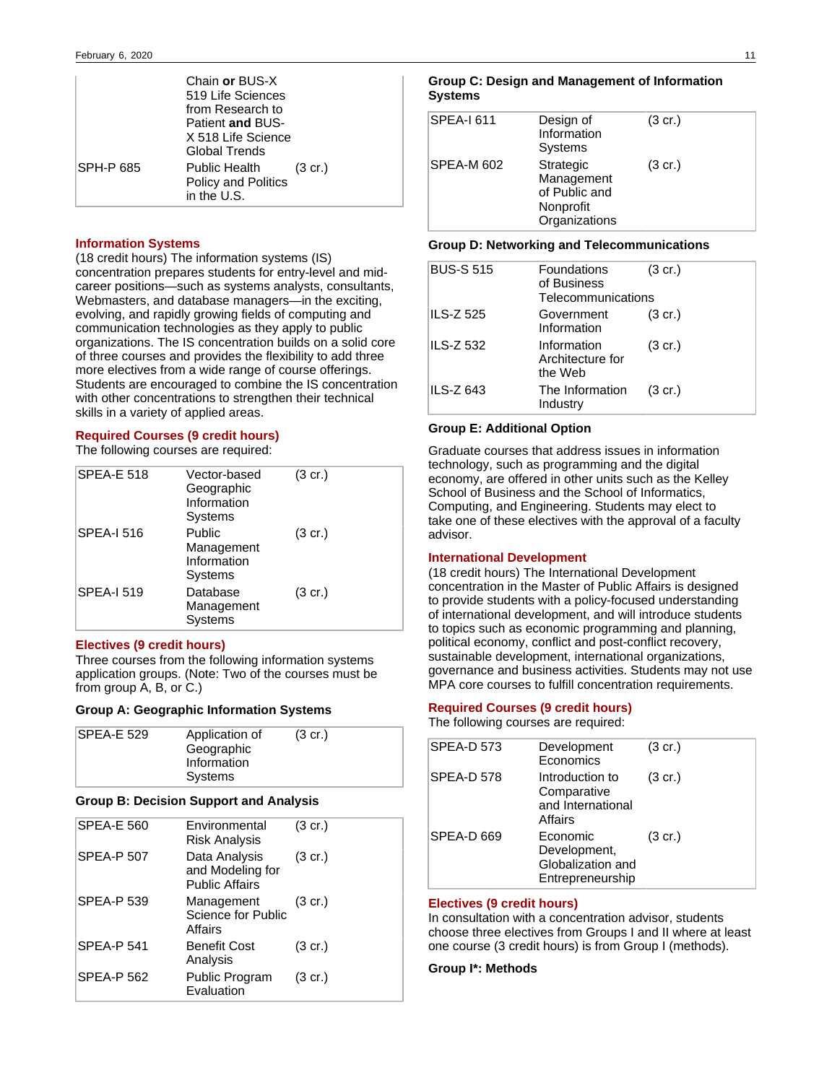|           | Chain or BUS-X<br>519 Life Sciences<br>from Research to<br>Patient and BUS-<br>X 518 Life Science<br>Global Trends |                   |
|-----------|--------------------------------------------------------------------------------------------------------------------|-------------------|
| SPH-P 685 | Public Health<br><b>Policy and Politics</b><br>in the U.S.                                                         | $(3 \text{ cr.})$ |

#### **Information Systems**

(18 credit hours) The information systems (IS) concentration prepares students for entry-level and midcareer positions—such as systems analysts, consultants, Webmasters, and database managers—in the exciting, evolving, and rapidly growing fields of computing and communication technologies as they apply to public organizations. The IS concentration builds on a solid core of three courses and provides the flexibility to add three more electives from a wide range of course offerings. Students are encouraged to combine the IS concentration with other concentrations to strengthen their technical skills in a variety of applied areas.

#### **Required Courses (9 credit hours)**

The following courses are required:

| <b>SPEA-E 518</b> | Vector-based<br>Geographic<br>Information<br>Systems | $(3 \text{ cr.})$ |
|-------------------|------------------------------------------------------|-------------------|
| <b>SPEA-I 516</b> | Public<br>Management<br>Information<br>Systems       | $(3 \text{ cr.})$ |
| <b>SPEA-I 519</b> | Database<br>Management<br>Systems                    | $(3 \text{ cr.})$ |

#### **Electives (9 credit hours)**

Three courses from the following information systems application groups. (Note: Two of the courses must be from group A, B, or C.)

#### **Group A: Geographic Information Systems**

| SPEA-E 529 | Application of<br>Geographic | $(3 \text{ cr.})$ |
|------------|------------------------------|-------------------|
|            | Information                  |                   |
|            | Systems                      |                   |

#### **Group B: Decision Support and Analysis**

| <b>SPEA-E 560</b> | Environmental<br><b>Risk Analysis</b>                      | $(3 \text{ cr.})$ |
|-------------------|------------------------------------------------------------|-------------------|
| <b>SPEA-P 507</b> | Data Analysis<br>and Modeling for<br><b>Public Affairs</b> | $(3 \text{ cr.})$ |
| <b>SPEA-P 539</b> | Management<br>Science for Public<br>Affairs                | $(3 \text{ cr.})$ |
| <b>SPEA-P 541</b> | <b>Benefit Cost</b><br>Analysis                            | $(3 \text{ cr.})$ |
| <b>SPEA-P 562</b> | Public Program<br>Evaluation                               | $(3 \text{ cr.})$ |

#### **Group C: Design and Management of Information Systems**

| SPEA-I 611 | Design of<br>Information<br>Systems                                    | $(3 \text{ cr.})$ |  |
|------------|------------------------------------------------------------------------|-------------------|--|
| SPEA-M 602 | Strategic<br>Management<br>of Public and<br>Nonprofit<br>Organizations | $(3 \text{ cr.})$ |  |

#### **Group D: Networking and Telecommunications**

| <b>BUS-S 515</b> | <b>Foundations</b><br>of Business<br>Telecommunications | $(3 \text{ cr.})$ |
|------------------|---------------------------------------------------------|-------------------|
| <b>ILS-Z 525</b> | Government<br>Information                               | $(3 \text{ cr.})$ |
| <b>ILS-Z 532</b> | Information<br>Architecture for<br>the Web              | $(3 \text{ cr.})$ |
| ILS-Z 643        | The Information<br>Industry                             | $(3 \text{ cr.})$ |

#### **Group E: Additional Option**

Graduate courses that address issues in information technology, such as programming and the digital economy, are offered in other units such as the Kelley School of Business and the School of Informatics, Computing, and Engineering. Students may elect to take one of these electives with the approval of a faculty advisor.

#### **International Development**

(18 credit hours) The International Development concentration in the Master of Public Affairs is designed to provide students with a policy-focused understanding of international development, and will introduce students to topics such as economic programming and planning, political economy, conflict and post-conflict recovery, sustainable development, international organizations, governance and business activities. Students may not use MPA core courses to fulfill concentration requirements.

#### **Required Courses (9 credit hours)**

The following courses are required:

| <b>SPEA-D 573</b> | Development<br>Economics                                          | $(3 \text{ cr.})$ |
|-------------------|-------------------------------------------------------------------|-------------------|
| SPEA-D 578        | Introduction to<br>Comparative<br>and International<br>Affairs    | $(3 \text{ cr.})$ |
| SPEA-D 669        | Economic<br>Development,<br>Globalization and<br>Entrepreneurship | $(3 \text{ cr.})$ |

#### **Electives (9 credit hours)**

In consultation with a concentration advisor, students choose three electives from Groups I and II where at least one course (3 credit hours) is from Group I (methods).

### **Group I\*: Methods**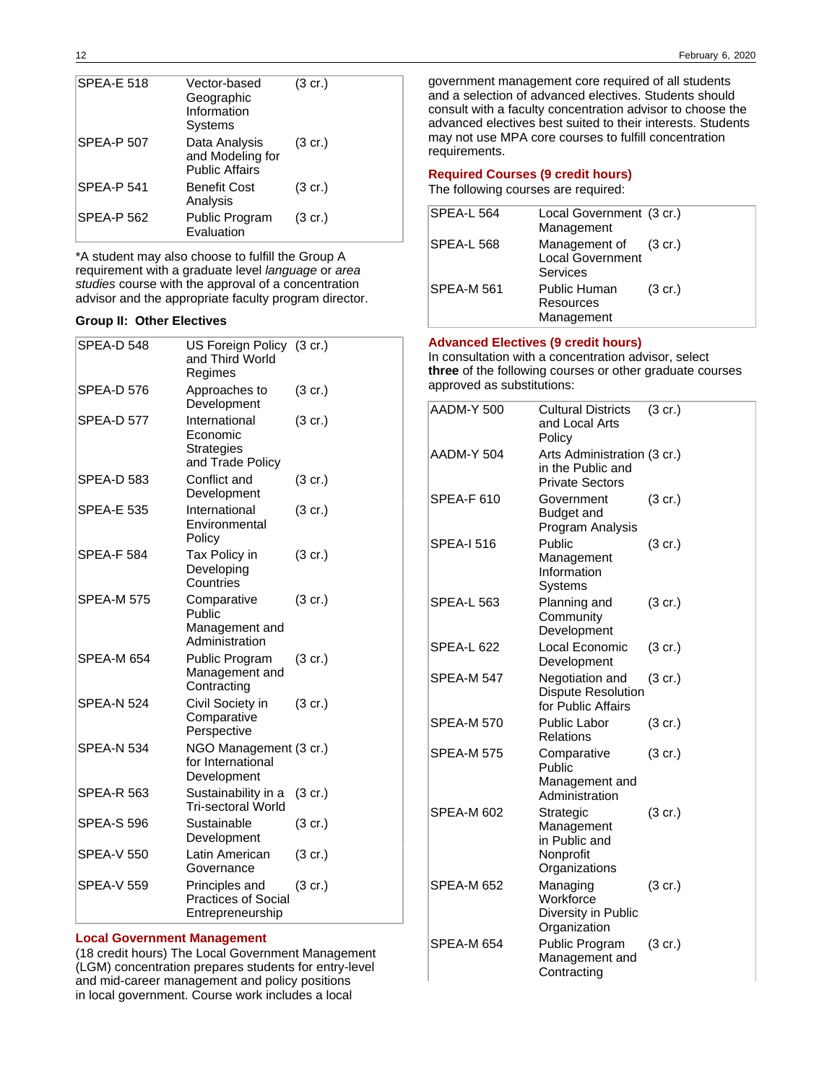| <b>SPEA-E 518</b> | Vector-based<br>Geographic<br>Information<br>Systems       | $(3 \text{ cr.})$ |
|-------------------|------------------------------------------------------------|-------------------|
| <b>SPEA-P 507</b> | Data Analysis<br>and Modeling for<br><b>Public Affairs</b> | $(3 \text{ cr.})$ |
| SPEA-P 541        | <b>Benefit Cost</b><br>Analysis                            | $(3 \text{ cr.})$ |
| <b>SPEA-P 562</b> | Public Program<br>Evaluation                               | $(3 \text{ cr.})$ |

\*A student may also choose to fulfill the Group A requirement with a graduate level language or area studies course with the approval of a concentration advisor and the appropriate faculty program director.

#### **Group II: Other Electives**

| SPEA-D 548        | US Foreign Policy (3 cr.)<br>and Third World<br>Regimes            |                   |
|-------------------|--------------------------------------------------------------------|-------------------|
| <b>SPEA-D 576</b> | Approaches to<br>Development                                       | $(3 \text{ cr.})$ |
| <b>SPEA-D 577</b> | International<br>Economic<br><b>Strategies</b><br>and Trade Policy | $(3 \text{ cr.})$ |
| <b>SPEA-D 583</b> | Conflict and<br>Development                                        | $(3 \text{ cr.})$ |
| <b>SPEA-E 535</b> | International<br>Environmental<br>Policy                           | $(3 \text{ cr.})$ |
| <b>SPEA-F 584</b> | Tax Policy in<br>Developing<br>Countries                           | $(3 \text{ cr.})$ |
| <b>SPEA-M 575</b> | Comparative<br>Public<br>Management and<br>Administration          | $(3 \text{ cr.})$ |
| SPEA-M 654        | Public Program<br>Management and<br>Contracting                    | $(3 \text{ cr.})$ |
| <b>SPEA-N 524</b> | Civil Society in<br>Comparative<br>Perspective                     | $(3 \text{ cr.})$ |
| <b>SPEA-N 534</b> | NGO Management (3 cr.)<br>for International<br>Development         |                   |
| <b>SPEA-R 563</b> | Sustainability in a<br><b>Tri-sectoral World</b>                   | $(3 \text{ cr.})$ |
| <b>SPEA-S 596</b> | Sustainable<br>Development                                         | $(3 \text{ cr.})$ |
| <b>SPEA-V 550</b> | Latin American<br>Governance                                       | $(3 \text{ cr.})$ |
| <b>SPEA-V 559</b> | Principles and<br><b>Practices of Social</b><br>Entrepreneurship   | $(3 \text{ cr.})$ |

### **Local Government Management**

(18 credit hours) The Local Government Management (LGM) concentration prepares students for entry-level and mid-career management and policy positions in local government. Course work includes a local

government management core required of all students and a selection of advanced electives. Students should consult with a faculty concentration advisor to choose the advanced electives best suited to their interests. Students may not use MPA core courses to fulfill concentration requirements.

### **Required Courses (9 credit hours)**

The following courses are required:

| SPEA-L 564        | Local Government (3 cr.)<br>Management                              |                   |
|-------------------|---------------------------------------------------------------------|-------------------|
| <b>SPEA-L 568</b> | Management of (3 cr.)<br><b>Local Government</b><br><b>Services</b> |                   |
| <b>SPEA-M 561</b> | Public Human<br>Resources<br>Management                             | $(3 \text{ cr.})$ |

#### **Advanced Electives (9 credit hours)**

In consultation with a concentration advisor, select **three** of the following courses or other graduate courses approved as substitutions:

| AADM-Y 500        | <b>Cultural Districts</b><br>and Local Arts<br>Policy                      | (3 cr.)           |
|-------------------|----------------------------------------------------------------------------|-------------------|
| AADM-Y 504        | Arts Administration (3 cr.)<br>in the Public and<br><b>Private Sectors</b> |                   |
| SPEA-F 610        | Government<br>Budget and<br>Program Analysis                               | $(3 \text{ cr.})$ |
| <b>SPEA-I 516</b> | Public<br>Management<br>Information<br>Systems                             | $(3 \text{ cr.})$ |
| <b>SPEA-L 563</b> | Planning and<br>Community<br>Development                                   | $(3 \text{ cr.})$ |
| <b>SPEA-L 622</b> | Local Economic<br>Development                                              | (3 cr.)           |
| <b>SPEA-M 547</b> | Negotiation and<br><b>Dispute Resolution</b><br>for Public Affairs         | $(3 \text{ cr.})$ |
| <b>SPEA-M 570</b> | Public Labor<br>Relations                                                  | $(3 \text{ cr.})$ |
| <b>SPEA-M 575</b> | Comparative<br>Public<br>Management and<br>Administration                  | $(3 \text{ cr.})$ |
| <b>SPEA-M 602</b> | Strategic<br>Management<br>in Public and<br>Nonprofit<br>Organizations     | $(3 \text{ cr.})$ |
| SPEA-M 652        | Managing<br>Workforce<br>Diversity in Public<br>Organization               | (3 cr.)           |
| SPEA-M 654        | Public Program<br>Management and<br>Contracting                            | $(3 \text{ cr.})$ |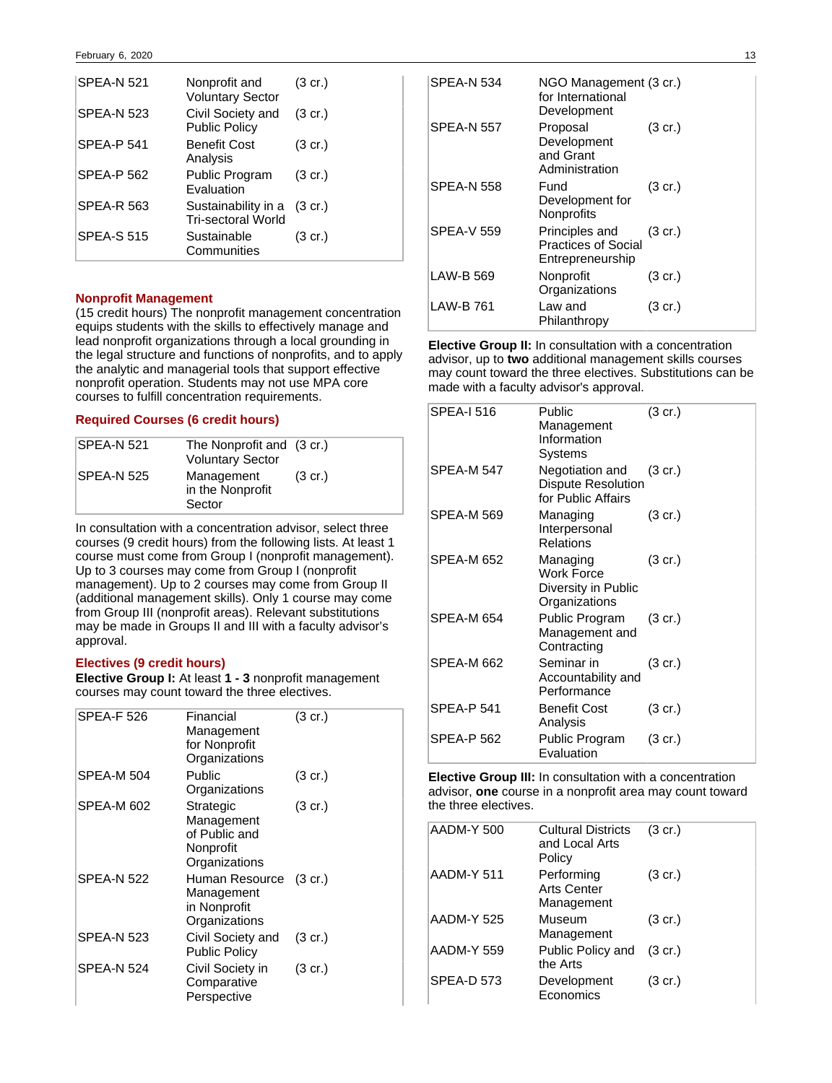| <b>SPEA-N 521</b> | Nonprofit and<br><b>Voluntary Sector</b>                 | (3 cr.)           |
|-------------------|----------------------------------------------------------|-------------------|
| <b>SPEA-N 523</b> | Civil Society and<br><b>Public Policy</b>                | $(3 \text{ cr.})$ |
| <b>SPEA-P 541</b> | <b>Benefit Cost</b><br>Analysis                          | $(3 \text{ cr.})$ |
| SPEA-P 562        | Public Program<br>Evaluation                             | $(3 \text{ cr.})$ |
| <b>SPEA-R 563</b> | Sustainability in a (3 cr.)<br><b>Tri-sectoral World</b> |                   |
| <b>SPEA-S 515</b> | Sustainable<br>Communities                               | (3 cr.)           |

#### **Nonprofit Management**

(15 credit hours) The nonprofit management concentration equips students with the skills to effectively manage and lead nonprofit organizations through a local grounding in the legal structure and functions of nonprofits, and to apply the analytic and managerial tools that support effective nonprofit operation. Students may not use MPA core courses to fulfill concentration requirements.

### **Required Courses (6 credit hours)**

| SPEA-N 521 | The Nonprofit and (3 cr.)<br><b>Voluntary Sector</b> |                   |
|------------|------------------------------------------------------|-------------------|
| SPEA-N 525 | Management<br>in the Nonprofit<br>Sector             | $(3 \text{ cr.})$ |

In consultation with a concentration advisor, select three courses (9 credit hours) from the following lists. At least 1 course must come from Group I (nonprofit management). Up to 3 courses may come from Group I (nonprofit management). Up to 2 courses may come from Group II (additional management skills). Only 1 course may come from Group III (nonprofit areas). Relevant substitutions may be made in Groups II and III with a faculty advisor's approval.

### **Electives (9 credit hours)**

**Elective Group I:** At least **1 - 3** nonprofit management courses may count toward the three electives.

| <b>SPEA-F 526</b> | Financial<br>Management<br>for Nonprofit<br>Organizations              | $(3 \text{ cr.})$ |
|-------------------|------------------------------------------------------------------------|-------------------|
| SPEA-M 504        | Public<br>Organizations                                                | $(3 \text{ cr.})$ |
| SPEA-M 602        | Strategic<br>Management<br>of Public and<br>Nonprofit<br>Organizations | $(3 \text{ cr.})$ |
| <b>SPEA-N 522</b> | Human Resource<br>Management<br>in Nonprofit<br>Organizations          | $(3 \text{ cr.})$ |
| <b>SPEA-N 523</b> | Civil Society and<br><b>Public Policy</b>                              | $(3 \text{ cr.})$ |
| <b>SPEA-N 524</b> | Civil Society in<br>Comparative<br>Perspective                         | $(3 \text{ cr.})$ |

| <b>SPEA-N 534</b> | NGO Management (3 cr.)<br>for International<br>Development       |                   |
|-------------------|------------------------------------------------------------------|-------------------|
| SPEA-N 557        | Proposal<br>Development<br>and Grant<br>Administration           | $(3 \text{ cr.})$ |
| SPEA-N 558        | Fund<br>Development for<br>Nonprofits                            | $(3 \text{ cr.})$ |
| <b>SPEA-V 559</b> | Principles and<br><b>Practices of Social</b><br>Entrepreneurship | $(3 \text{ cr.})$ |
| LAW-B 569         | Nonprofit<br>Organizations                                       | $(3 \text{ cr.})$ |
| <b>LAW-B761</b>   | Law and<br>Philanthropy                                          | $(3 \text{ cr.})$ |

**Elective Group II:** In consultation with a concentration advisor, up to **two** additional management skills courses may count toward the three electives. Substitutions can be made with a faculty advisor's approval.

| <b>SPEA-I 516</b> | Public<br>Management<br>Information<br>Systems                        | $(3 \text{ cr.})$ |
|-------------------|-----------------------------------------------------------------------|-------------------|
| <b>SPEA-M 547</b> | Negotiation and<br><b>Dispute Resolution</b><br>for Public Affairs    | $(3 \text{ cr.})$ |
| <b>SPEA-M 569</b> | Managing<br>Interpersonal<br>Relations                                | $(3 \text{ cr.})$ |
| <b>SPEA-M 652</b> | Managing<br><b>Work Force</b><br>Diversity in Public<br>Organizations | $(3 \text{ cr.})$ |
| SPEA-M 654        | Public Program<br>Management and<br>Contracting                       | $(3 \text{ cr.})$ |
| SPEA-M 662        | Seminar in<br>Accountability and<br>Performance                       | $(3 \text{ cr.})$ |
| <b>SPEA-P 541</b> | <b>Benefit Cost</b><br>Analysis                                       | $(3 \text{ cr.})$ |
| <b>SPEA-P 562</b> | Public Program<br>Evaluation                                          | $(3 \text{ cr.})$ |

**Elective Group III:** In consultation with a concentration advisor, **one** course in a nonprofit area may count toward the three electives.

| AADM-Y 500        | <b>Cultural Districts</b><br>and Local Arts<br>Policy | $(3 \text{ cr.})$ |
|-------------------|-------------------------------------------------------|-------------------|
| AADM-Y 511        | Performing<br><b>Arts Center</b><br>Management        | $(3 \text{ cr.})$ |
| AADM-Y 525        | Museum<br>Management                                  | $(3 \text{ cr.})$ |
| AADM-Y 559        | Public Policy and<br>the Arts                         | $(3 \text{ cr.})$ |
| <b>SPEA-D 573</b> | Development<br>Economics                              | $(3 \text{ cr.})$ |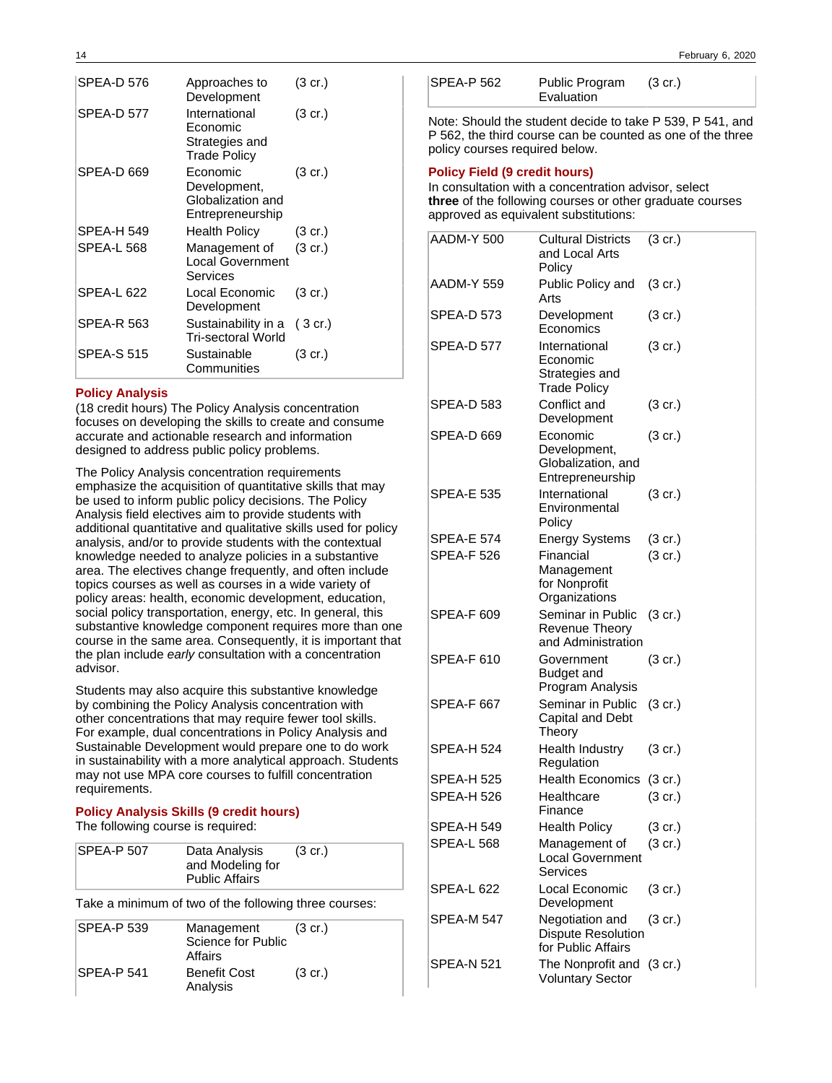| <b>SPEA-D 576</b> | Approaches to<br>Development                                       | $(3 \text{ cr.})$ |
|-------------------|--------------------------------------------------------------------|-------------------|
| SPEA-D 577        | International<br>Economic<br>Strategies and<br><b>Trade Policy</b> | $(3 \text{ cr.})$ |
| SPEA-D 669        | Economic<br>Development,<br>Globalization and<br>Entrepreneurship  | $(3 \text{ cr.})$ |
| <b>SPEA-H 549</b> | Health Policy                                                      | (3 cr.)           |
| <b>SPEA-L 568</b> | Management of<br><b>Local Government</b><br>Services               | $(3 \text{ cr.})$ |
| <b>SPEA-L 622</b> | Local Economic<br>Development                                      | $(3 \text{ cr.})$ |
| <b>SPEA-R 563</b> | Sustainability in a<br>Tri-sectoral World                          | $(3 \text{ cr.})$ |
| <b>SPEA-S 515</b> | Sustainable<br>Communities                                         | (3 cr.)           |

### **Policy Analysis**

(18 credit hours) The Policy Analysis concentration focuses on developing the skills to create and consume accurate and actionable research and information designed to address public policy problems.

The Policy Analysis concentration requirements emphasize the acquisition of quantitative skills that may be used to inform public policy decisions. The Policy Analysis field electives aim to provide students with additional quantitative and qualitative skills used for policy analysis, and/or to provide students with the contextual knowledge needed to analyze policies in a substantive area. The electives change frequently, and often include topics courses as well as courses in a wide variety of policy areas: health, economic development, education, social policy transportation, energy, etc. In general, this substantive knowledge component requires more than one course in the same area. Consequently, it is important that the plan include early consultation with a concentration advisor.

Students may also acquire this substantive knowledge by combining the Policy Analysis concentration with other concentrations that may require fewer tool skills. For example, dual concentrations in Policy Analysis and Sustainable Development would prepare one to do work in sustainability with a more analytical approach. Students may not use MPA core courses to fulfill concentration requirements.

#### **Policy Analysis Skills (9 credit hours)** The following course is required:

Take a minimum of two of the following three courses:

| <b>SPEA-P 539</b> | Management<br>Science for Public<br>Affairs | $(3 \text{ cr.})$ |
|-------------------|---------------------------------------------|-------------------|
| SPEA-P 541        | <b>Benefit Cost</b><br>Analysis             | $(3 \text{ cr.})$ |

| $SPEA-P 562$ | Public Program | $(3 \text{ cr.})$ |
|--------------|----------------|-------------------|
|              | Evaluation     |                   |

Note: Should the student decide to take P 539, P 541, and P 562, the third course can be counted as one of the three policy courses required below.

#### **Policy Field (9 credit hours)**

In consultation with a concentration advisor, select **three** of the following courses or other graduate courses approved as equivalent substitutions:

| AADM-Y 500        | <b>Cultural Districts</b><br>and Local Arts<br>Policy              | $(3 \text{ cr.})$ |
|-------------------|--------------------------------------------------------------------|-------------------|
| AADM-Y 559        | Public Policy and<br>Arts                                          | $(3 \text{ cr.})$ |
| SPEA-D 573        | Development<br>Economics                                           | $(3 \text{ cr.})$ |
| SPEA-D 577        | International<br>Economic<br>Strategies and<br><b>Trade Policy</b> | $(3 \text{ cr.})$ |
| <b>SPEA-D 583</b> | Conflict and<br>Development                                        | $(3 \text{ cr.})$ |
| SPEA-D 669        | Economic<br>Development,<br>Globalization, and<br>Entrepreneurship | $(3 \text{ cr.})$ |
| <b>SPEA-E 535</b> | International<br>Environmental<br>Policy                           | $(3 \text{ cr.})$ |
| <b>SPEA-E 574</b> | <b>Energy Systems</b>                                              | $(3 \text{ cr.})$ |
| SPEA-F 526        | Financial<br>Management<br>for Nonprofit<br>Organizations          | $(3 \text{ cr.})$ |
| <b>SPEA-F 609</b> | Seminar in Public<br>Revenue Theory<br>and Administration          | $(3 \text{ cr.})$ |
| SPEA-F 610        | Government<br>Budget and<br>Program Analysis                       | $(3 \text{ cr.})$ |
| SPEA-F 667        | Seminar in Public<br>Capital and Debt<br>Theory                    | $(3 \text{ cr.})$ |
| SPEA-H 524        | Health Industry<br>Regulation                                      | $(3 \text{ cr.})$ |
| <b>SPEA-H 525</b> | <b>Health Economics</b>                                            | $(3 \text{ cr.})$ |
| <b>SPEA-H 526</b> | Healthcare<br>Finance                                              | $(3$ cr.)         |
| SPEA-H 549        | <b>Health Policy</b>                                               | $(3 \text{ cr.})$ |
| <b>SPEA-L 568</b> | Management of<br>Local Government<br>Services                      | $(3 \text{ cr.})$ |
| SPEA-L 622        | Local Economic<br>Development                                      | $(3 \text{ cr.})$ |
| <b>SPEA-M 547</b> | Negotiation and<br><b>Dispute Resolution</b><br>for Public Affairs | $(3 \text{ cr.})$ |
| <b>SPEA-N 521</b> | The Nonprofit and (3 cr.)<br><b>Voluntary Sector</b>               |                   |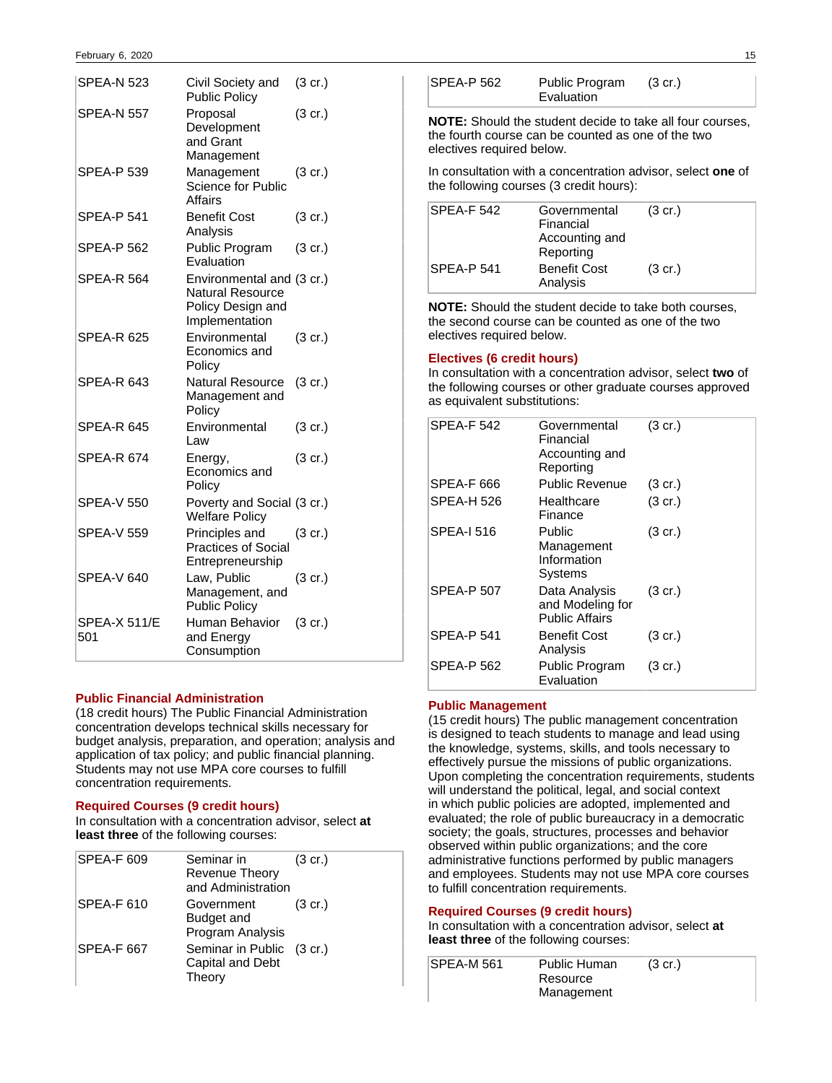| <b>SPEA-N 523</b>          | Civil Society and<br><b>Public Policy</b>                                                   | $(3 \text{ cr.})$ |
|----------------------------|---------------------------------------------------------------------------------------------|-------------------|
| SPEA-N 557                 | Proposal<br>Development<br>and Grant<br>Management                                          | $(3 \text{ cr.})$ |
| <b>SPEA-P 539</b>          | Management<br>Science for Public<br>Affairs                                                 | $(3 \text{ cr.})$ |
| <b>SPEA-P 541</b>          | Benefit Cost<br>Analysis                                                                    | $(3 \text{ cr.})$ |
| SPEA-P 562                 | Public Program<br>Evaluation                                                                | $(3 \text{ cr.})$ |
| <b>SPEA-R 564</b>          | Environmental and (3 cr.)<br><b>Natural Resource</b><br>Policy Design and<br>Implementation |                   |
| SPEA-R 625                 | Environmental<br>Economics and<br>Policy                                                    | $(3 \text{ cr.})$ |
| SPEA-R 643                 | <b>Natural Resource</b><br>Management and<br>Policy                                         | $(3 \text{ cr.})$ |
| SPEA-R 645                 | Environmental<br>Law                                                                        | $(3 \text{ cr.})$ |
| SPEA-R 674                 | Energy,<br>Economics and<br>Policy                                                          | $(3 \text{ cr.})$ |
| <b>SPEA-V 550</b>          | Poverty and Social (3 cr.)<br><b>Welfare Policy</b>                                         |                   |
| <b>SPEA-V 559</b>          | Principles and<br><b>Practices of Social</b><br>Entrepreneurship                            | $(3 \text{ cr.})$ |
| <b>SPEA-V 640</b>          | Law, Public<br>Management, and<br><b>Public Policy</b>                                      | $(3 \text{ cr.})$ |
| <b>SPEA-X 511/E</b><br>501 | Human Behavior<br>and Energy<br>Consumption                                                 | $(3 \text{ cr.})$ |

### **Public Financial Administration**

(18 credit hours) The Public Financial Administration concentration develops technical skills necessary for budget analysis, preparation, and operation; analysis and application of tax policy; and public financial planning. Students may not use MPA core courses to fulfill concentration requirements.

### **Required Courses (9 credit hours)**

In consultation with a concentration advisor, select **at least three** of the following courses:

| <b>SPEA-F 609</b> | Seminar in<br>Revenue Theory<br>and Administration      | $(3 \text{ cr.})$ |
|-------------------|---------------------------------------------------------|-------------------|
| SPEA-F 610        | Government<br>Budget and<br>Program Analysis            | $(3 \text{ cr.})$ |
| <b>SPEA-F 667</b> | Seminar in Public (3 cr.)<br>Capital and Debt<br>Theory |                   |

| <b>SPEA-P 562</b> | Public Program | $(3 \text{ cr.})$ |
|-------------------|----------------|-------------------|
|                   | Evaluation     |                   |

**NOTE:** Should the student decide to take all four courses, the fourth course can be counted as one of the two electives required below.

In consultation with a concentration advisor, select **one** of the following courses (3 credit hours):

| SPEA-F 542        | Governmental<br>Financial<br>Accounting and<br>Reporting | $(3 \text{ cr.})$ |
|-------------------|----------------------------------------------------------|-------------------|
| <b>SPEA-P 541</b> | <b>Benefit Cost</b><br>Analysis                          | $(3 \text{ cr.})$ |

**NOTE:** Should the student decide to take both courses, the second course can be counted as one of the two electives required below.

### **Electives (6 credit hours)**

In consultation with a concentration advisor, select **two** of the following courses or other graduate courses approved as equivalent substitutions:

| <b>SPEA-F 542</b> | Governmental<br>Financial<br>Accounting and<br>Reporting   | $(3 \text{ cr.})$ |
|-------------------|------------------------------------------------------------|-------------------|
| SPEA-F 666        | <b>Public Revenue</b>                                      | $(3 \text{ cr.})$ |
| SPEA-H 526        | Healthcare<br>Finance                                      | $(3 \text{ cr.})$ |
| <b>SPEA-I 516</b> | Public<br>Management<br>Information<br>Systems             | $(3 \text{ cr.})$ |
| SPEA-P 507        | Data Analysis<br>and Modeling for<br><b>Public Affairs</b> | $(3 \text{ cr.})$ |
| <b>SPEA-P 541</b> | <b>Benefit Cost</b><br>Analysis                            | $(3 \text{ cr.})$ |
| <b>SPEA-P 562</b> | Public Program<br>Evaluation                               | $(3 \text{ cr.})$ |

### **Public Management**

(15 credit hours) The public management concentration is designed to teach students to manage and lead using the knowledge, systems, skills, and tools necessary to effectively pursue the missions of public organizations. Upon completing the concentration requirements, students will understand the political, legal, and social context in which public policies are adopted, implemented and evaluated; the role of public bureaucracy in a democratic society; the goals, structures, processes and behavior observed within public organizations; and the core administrative functions performed by public managers and employees. Students may not use MPA core courses to fulfill concentration requirements.

### **Required Courses (9 credit hours)**

In consultation with a concentration advisor, select **at least three** of the following courses:

| <b>SPEA-M561</b> | Public Human | $(3 \text{ cr.})$ |  |
|------------------|--------------|-------------------|--|
|                  | Resource     |                   |  |
|                  | Management   |                   |  |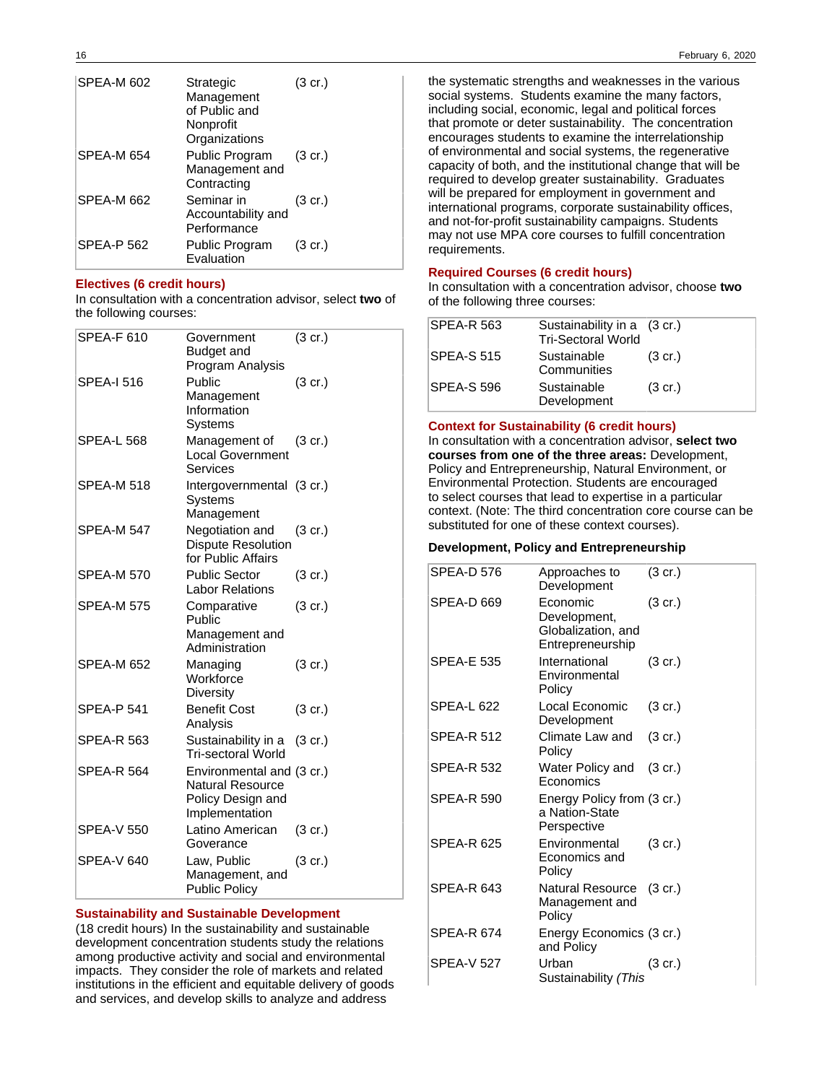| <b>SPEA-M 602</b> | Strategic<br>Management<br>of Public and<br>Nonprofit<br>Organizations | $(3 \text{ cr.})$ |
|-------------------|------------------------------------------------------------------------|-------------------|
| SPEA-M 654        | Public Program<br>Management and<br>Contracting                        | $(3 \text{ cr.})$ |
| <b>SPEA-M 662</b> | Seminar in<br>Accountability and<br>Performance                        | $(3 \text{ cr.})$ |
| <b>SPEA-P 562</b> | Public Program<br>Evaluation                                           | $(3 \text{ cr.})$ |

### **Electives (6 credit hours)**

In consultation with a concentration advisor, select **two** of the following courses:

| SPEA-F 610        | Government<br>Budget and<br>Program Analysis                                         | $(3 \text{ cr.})$ |
|-------------------|--------------------------------------------------------------------------------------|-------------------|
| <b>SPEA-I 516</b> | Public<br>Management<br>Information<br>Systems                                       | $(3 \text{ cr.})$ |
| <b>SPEA-L 568</b> | Management of<br><b>Local Government</b><br>Services                                 | $(3 \text{ cr.})$ |
| <b>SPEA-M 518</b> | Intergovernmental (3 cr.)<br>Systems<br>Management                                   |                   |
| <b>SPEA-M 547</b> | Negotiation and<br><b>Dispute Resolution</b><br>for Public Affairs                   | $(3 \text{ cr.})$ |
| <b>SPEA-M 570</b> | <b>Public Sector</b><br><b>Labor Relations</b>                                       | $(3 \text{ cr.})$ |
| <b>SPEA-M 575</b> | Comparative<br>Public<br>Management and<br>Administration                            | $(3 \text{ cr.})$ |
| <b>SPEA-M 652</b> | Managing<br>Workforce<br>Diversity                                                   | $(3 \text{ cr.})$ |
| <b>SPEA-P 541</b> | <b>Benefit Cost</b><br>Analysis                                                      | $(3 \text{ cr.})$ |
| <b>SPEA-R 563</b> | Sustainability in a<br><b>Tri-sectoral World</b>                                     | $(3 \text{ cr.})$ |
| <b>SPEA-R 564</b> | Environmental and (3 cr.)<br>Natural Resource<br>Policy Design and<br>Implementation |                   |
| <b>SPEA-V 550</b> | Latino American<br>Goverance                                                         | $(3 \text{ cr.})$ |
| <b>SPEA-V 640</b> | Law, Public<br>Management, and<br><b>Public Policy</b>                               | $(3 \text{ cr.})$ |

#### **Sustainability and Sustainable Development**

(18 credit hours) In the sustainability and sustainable development concentration students study the relations among productive activity and social and environmental impacts. They consider the role of markets and related institutions in the efficient and equitable delivery of goods and services, and develop skills to analyze and address

the systematic strengths and weaknesses in the various social systems. Students examine the many factors, including social, economic, legal and political forces that promote or deter sustainability. The concentration encourages students to examine the interrelationship of environmental and social systems, the regenerative capacity of both, and the institutional change that will be required to develop greater sustainability. Graduates will be prepared for employment in government and international programs, corporate sustainability offices, and not-for-profit sustainability campaigns. Students may not use MPA core courses to fulfill concentration requirements.

#### **Required Courses (6 credit hours)**

In consultation with a concentration advisor, choose **two** of the following three courses:

| <b>SPEA-R 563</b> | Sustainability in a (3 cr.)<br><b>Tri-Sectoral World</b> |                   |
|-------------------|----------------------------------------------------------|-------------------|
| SPEA-S 515        | Sustainable<br>Communities                               | $(3 \text{ cr.})$ |
| SPEA-S 596        | Sustainable<br>Development                               | $(3 \text{ cr.})$ |

#### **Context for Sustainability (6 credit hours)**

In consultation with a concentration advisor, **select two courses from one of the three areas:** Development, Policy and Entrepreneurship, Natural Environment, or Environmental Protection. Students are encouraged to select courses that lead to expertise in a particular context. (Note: The third concentration core course can be substituted for one of these context courses).

#### **Development, Policy and Entrepreneurship**

| <b>SPEA-D 576</b> | Approaches to<br>Development                                       | $(3 \text{ cr.})$ |
|-------------------|--------------------------------------------------------------------|-------------------|
| SPEA-D 669        | Economic<br>Development,<br>Globalization, and<br>Entrepreneurship | $(3 \text{ cr.})$ |
| SPFA-F 535        | International<br>Environmental<br>Policy                           | $(3 \text{ cr.})$ |
| SPEA-L 622        | Local Economic<br>Development                                      | (3 cr.)           |
| <b>SPEA-R 512</b> | Climate Law and<br>Policy                                          | $(3 \text{ cr.})$ |
| SPEA-R 532        | Water Policy and<br>Economics                                      | $(3 \text{ cr.})$ |
| <b>SPEA-R 590</b> | Energy Policy from (3 cr.)<br>a Nation-State<br>Perspective        |                   |
| SPEA-R 625        | Environmental<br>Economics and<br>Policy                           | $(3 \text{ cr.})$ |
| SPEA-R 643        | Natural Resource (3 cr.)<br>Management and<br>Policy               |                   |
| <b>SPEA-R 674</b> | Energy Economics (3 cr.)<br>and Policy                             |                   |
| <b>SPFA-V 527</b> | Urban<br>Sustainability (This                                      | (3 cr.)           |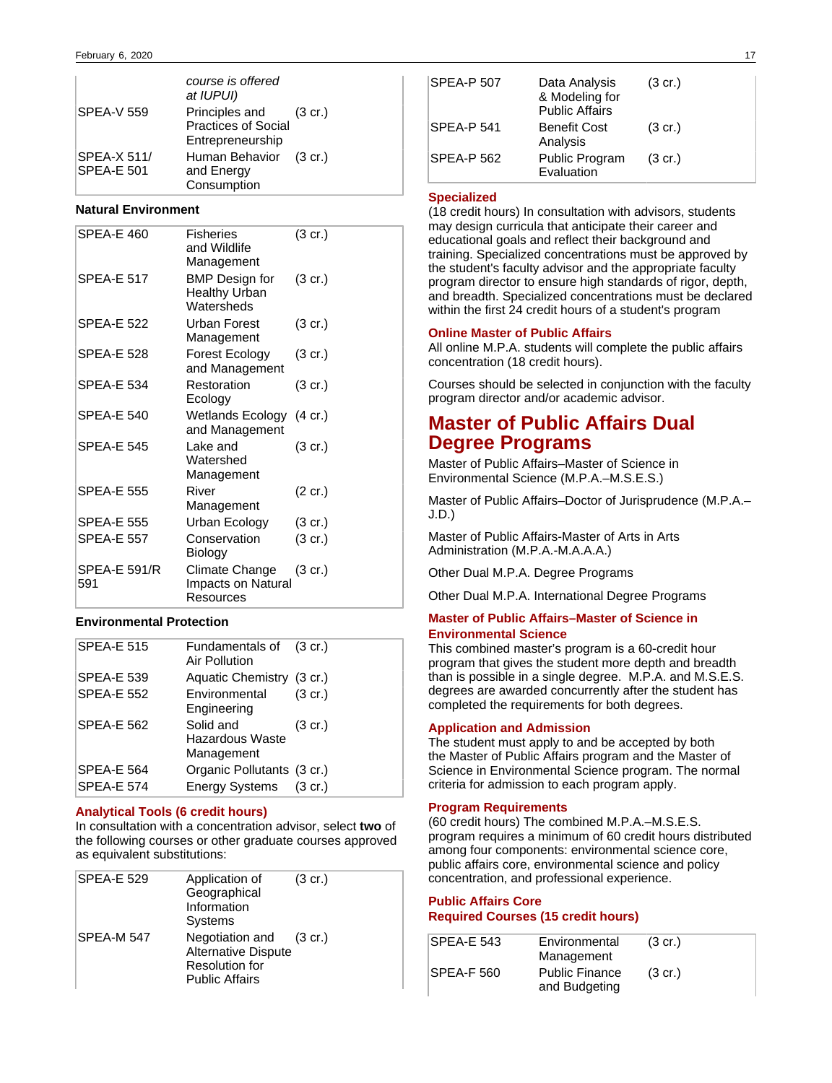|                                  | course is offered<br>at IUPUI)                                    |  |
|----------------------------------|-------------------------------------------------------------------|--|
| <b>SPEA-V 559</b>                | Principles and (3 cr.)<br>Practices of Social<br>Entrepreneurship |  |
| SPEA-X 511/<br><b>SPEA-E 501</b> | Human Behavior (3 cr.)<br>and Energy<br>Consumption               |  |

### **Natural Environment**

| <b>SPEA-E 460</b>   | <b>Fisheries</b><br>and Wildlife<br>Management              | $(3 \text{ cr.})$ |
|---------------------|-------------------------------------------------------------|-------------------|
| <b>SPEA-E 517</b>   | <b>BMP</b> Design for<br><b>Healthy Urban</b><br>Watersheds | $(3 \text{ cr.})$ |
| <b>SPEA-E 522</b>   | Urban Forest<br>Management                                  | $(3 \text{ cr.})$ |
| SPEA-E 528          | Forest Ecology<br>and Management                            | $(3 \text{ cr.})$ |
| SPEA-E 534          | Restoration<br>Ecology                                      | $(3 \text{ cr.})$ |
| <b>SPEA-E 540</b>   | Wetlands Ecology (4 cr.)<br>and Management                  |                   |
| <b>SPEA-E 545</b>   | Lake and<br>Watershed<br>Management                         | $(3 \text{ cr.})$ |
| <b>SPEA-E 555</b>   | River<br>Management                                         | (2 cr.)           |
| <b>SPEA-E 555</b>   | Urban Ecology                                               | $(3 \text{ cr.})$ |
| <b>SPEA-E 557</b>   | Conservation<br>Biology                                     | $(3 \text{ cr.})$ |
| SPEA-E 591/R<br>591 | Climate Change<br>Impacts on Natural<br>Resources           | $(3 \text{ cr.})$ |

### **Environmental Protection**

| <b>SPEA-E 515</b> | Fundamentals of (3 cr.)<br>Air Pollution   |                   |
|-------------------|--------------------------------------------|-------------------|
| <b>SPEA-E 539</b> | Aquatic Chemistry (3 cr.)                  |                   |
| <b>SPEA-E 552</b> | Environmental<br>Engineering               | $(3 \text{ cr.})$ |
| <b>SPEA-E 562</b> | Solid and<br>Hazardous Waste<br>Management | $(3 \text{ cr.})$ |
| <b>SPEA-E 564</b> | Organic Pollutants (3 cr.)                 |                   |
| <b>SPEA-E 574</b> | Energy Systems (3 cr.)                     |                   |
|                   |                                            |                   |

### **Analytical Tools (6 credit hours)**

In consultation with a concentration advisor, select **two** of the following courses or other graduate courses approved as equivalent substitutions:

| <b>SPEA-E 529</b> | Application of<br>Geographical<br>Information<br><b>Systems</b>                                         | $(3 \text{ cr.})$ |
|-------------------|---------------------------------------------------------------------------------------------------------|-------------------|
| SPEA-M 547        | Negotiation and (3 cr.)<br><b>Alternative Dispute</b><br><b>Resolution for</b><br><b>Public Affairs</b> |                   |

| SPEA-P 507        | Data Analysis<br>& Modeling for<br><b>Public Affairs</b> | $(3 \text{ cr.})$ |
|-------------------|----------------------------------------------------------|-------------------|
| <b>SPEA-P 541</b> | <b>Benefit Cost</b><br>Analysis                          | $(3 \text{ cr.})$ |
| <b>SPEA-P 562</b> | Public Program<br>Evaluation                             | $(3 \text{ cr.})$ |

#### **Specialized**

(18 credit hours) In consultation with advisors, students may design curricula that anticipate their career and educational goals and reflect their background and training. Specialized concentrations must be approved by the student's faculty advisor and the appropriate faculty program director to ensure high standards of rigor, depth, and breadth. Specialized concentrations must be declared within the first 24 credit hours of a student's program

### **Online Master of Public Affairs**

All online M.P.A. students will complete the public affairs concentration (18 credit hours).

Courses should be selected in conjunction with the faculty program director and/or academic advisor.

## **Master of Public Affairs Dual Degree Programs**

Master of Public Affairs–Master of Science in Environmental Science (M.P.A.–M.S.E.S.)

Master of Public Affairs–Doctor of Jurisprudence (M.P.A.– J.D.)

Master of Public Affairs-Master of Arts in Arts Administration (M.P.A.-M.A.A.A.)

Other Dual M.P.A. Degree Programs

Other Dual M.P.A. International Degree Programs

### **Master of Public Affairs–Master of Science in Environmental Science**

This combined master's program is a 60-credit hour program that gives the student more depth and breadth than is possible in a single degree. M.P.A. and M.S.E.S. degrees are awarded concurrently after the student has completed the requirements for both degrees.

#### **Application and Admission**

The student must apply to and be accepted by both the Master of Public Affairs program and the Master of Science in Environmental Science program. The normal criteria for admission to each program apply.

#### **Program Requirements**

(60 credit hours) The combined M.P.A.–M.S.E.S. program requires a minimum of 60 credit hours distributed among four components: environmental science core, public affairs core, environmental science and policy concentration, and professional experience.

### **Public Affairs Core Required Courses (15 credit hours)**

| SPEA-E 543        | Environmental         | $(3 \text{ cr.})$ |
|-------------------|-----------------------|-------------------|
|                   |                       |                   |
|                   | Management            |                   |
| <b>SPEA-F 560</b> | <b>Public Finance</b> | $(3 \text{ cr.})$ |
|                   | and Budgeting         |                   |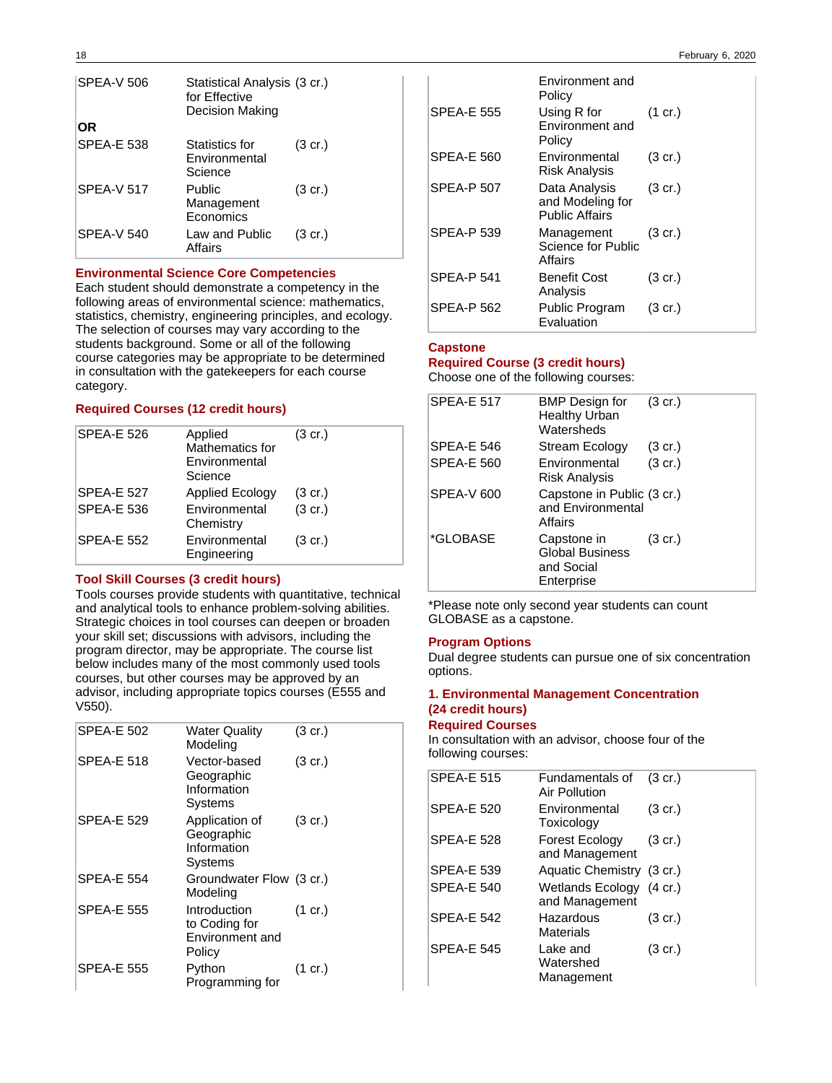| <b>SPEA-V 506</b> | Statistical Analysis (3 cr.)<br>for Effective<br><b>Decision Making</b> |                   |
|-------------------|-------------------------------------------------------------------------|-------------------|
| ΟR                |                                                                         |                   |
| <b>SPEA-E 538</b> | Statistics for<br>Environmental<br>Science                              | $(3 \text{ cr.})$ |
| <b>SPEA-V 517</b> | Public<br>Management<br>Economics                                       | $(3 \text{ cr.})$ |
| <b>SPEA-V 540</b> | Law and Public<br>Affairs                                               | (3 cr.)           |

#### **Environmental Science Core Competencies**

Each student should demonstrate a competency in the following areas of environmental science: mathematics, statistics, chemistry, engineering principles, and ecology. The selection of courses may vary according to the students background. Some or all of the following course categories may be appropriate to be determined in consultation with the gatekeepers for each course category.

### **Required Courses (12 credit hours)**

| <b>SPEA-E 526</b> | Applied<br>Mathematics for<br>Environmental<br>Science | $(3 \text{ cr.})$ |
|-------------------|--------------------------------------------------------|-------------------|
| <b>SPEA-E 527</b> | <b>Applied Ecology</b>                                 | $(3 \text{ cr.})$ |
| <b>SPEA-E 536</b> | Environmental<br>Chemistry                             | $(3$ cr.)         |
| <b>SPEA-E 552</b> | Environmental<br>Engineering                           | $(3 \text{ cr.})$ |

### **Tool Skill Courses (3 credit hours)**

Tools courses provide students with quantitative, technical and analytical tools to enhance problem-solving abilities. Strategic choices in tool courses can deepen or broaden your skill set; discussions with advisors, including the program director, may be appropriate. The course list below includes many of the most commonly used tools courses, but other courses may be approved by an advisor, including appropriate topics courses (E555 and V550).

| <b>SPEA-E 502</b> | <b>Water Quality</b><br>Modeling                           | $(3 \text{ cr.})$ |
|-------------------|------------------------------------------------------------|-------------------|
| <b>SPEA-E 518</b> | Vector-based<br>Geographic<br>Information<br>Systems       | $(3 \text{ cr.})$ |
| <b>SPEA-E 529</b> | Application of<br>Geographic<br>Information<br>Systems     | $(3 \text{ cr.})$ |
| <b>SPEA-E 554</b> | Groundwater Flow (3 cr.)<br>Modeling                       |                   |
| <b>SPEA-E 555</b> | Introduction<br>to Coding for<br>Environment and<br>Policy | $(1 \text{ cr.})$ |
| <b>SPEA-E 555</b> | Python<br>Programming for                                  | $(1 \text{ cr.})$ |

|                   | Environment and<br>Policy                                  |                   |
|-------------------|------------------------------------------------------------|-------------------|
| <b>SPEA-E 555</b> | Using R for<br>Environment and<br>Policy                   | $(1 \text{ cr.})$ |
| <b>SPEA-E 560</b> | Environmental<br>Risk Analysis                             | $(3 \text{ cr.})$ |
| <b>SPEA-P 507</b> | Data Analysis<br>and Modeling for<br><b>Public Affairs</b> | $(3 \text{ cr.})$ |
| <b>SPEA-P 539</b> | Management<br>Science for Public<br>Affairs                | $(3 \text{ cr.})$ |
| <b>SPEA-P 541</b> | Benefit Cost<br>Analysis                                   | $(3 \text{ cr.})$ |
| SPEA-P 562        | Public Program<br>Evaluation                               | $(3 \text{ cr.})$ |

### **Capstone**

### **Required Course (3 credit hours)**

Choose one of the following courses:

| <b>SPEA-E 517</b> | BMP Design for<br><b>Healthy Urban</b><br>Watersheds              | $(3 \text{ cr.})$ |
|-------------------|-------------------------------------------------------------------|-------------------|
| SPEA-E 546        | Stream Ecology                                                    | $(3 \text{ cr.})$ |
| <b>SPEA-E 560</b> | Environmental<br><b>Risk Analysis</b>                             | $(3$ cr.)         |
| SPEA-V 600        | Capstone in Public (3 cr.)<br>and Environmental<br>Affairs        |                   |
| *GLOBASE          | Capstone in<br><b>Global Business</b><br>and Social<br>Enterprise | $(3 \text{ cr.})$ |

\*Please note only second year students can count GLOBASE as a capstone.

#### **Program Options**

Dual degree students can pursue one of six concentration options.

### **1. Environmental Management Concentration (24 credit hours)**

### **Required Courses**

In consultation with an advisor, choose four of the following courses:

| Fundamentals of<br>Air Pollution           | $(3 \text{ cr.})$ |
|--------------------------------------------|-------------------|
| Environmental<br>Toxicology                | $(3 \text{ cr.})$ |
| Forest Ecology<br>and Management           | $(3 \text{ cr.})$ |
| Aquatic Chemistry (3 cr.)                  |                   |
| Wetlands Ecology (4 cr.)<br>and Management |                   |
| Hazardous<br>Materials                     | $(3 \text{ cr.})$ |
| Lake and<br>Watershed<br>Management        | $(3 \text{ cr.})$ |
|                                            |                   |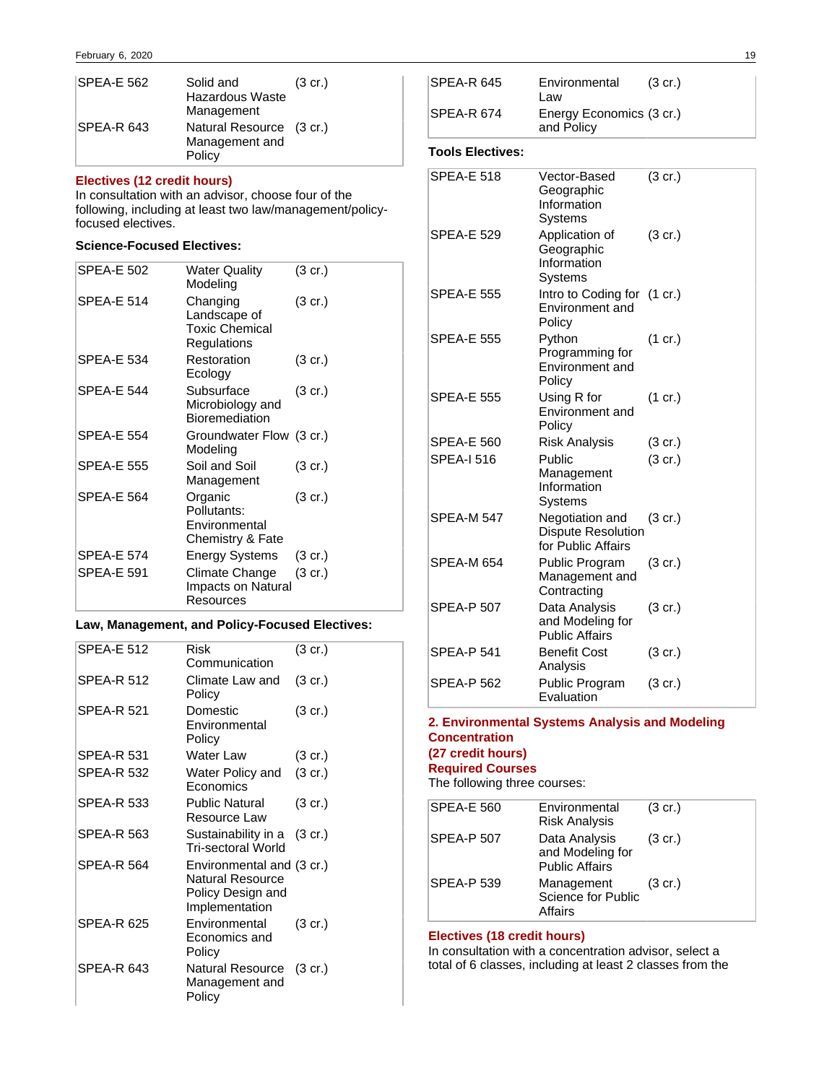| SPEA-E 562  | Solid and<br><b>Hazardous Waste</b><br>Management    | $(3 \text{ cr.})$ |
|-------------|------------------------------------------------------|-------------------|
| ISPEA-R 643 | Natural Resource (3 cr.)<br>Management and<br>Policy |                   |

### **Electives (12 credit hours)**

In consultation with an advisor, choose four of the following, including at least two law/management/policyfocused electives.

### **Science-Focused Electives:**

| SPEA-E 502        | Water Quality<br>Modeling                                        | (3 cr.)           |
|-------------------|------------------------------------------------------------------|-------------------|
| <b>SPEA-E 514</b> | Changing<br>Landscape of<br><b>Toxic Chemical</b><br>Regulations | $(3 \text{ cr.})$ |
| SPEA-E 534        | Restoration<br>Ecology                                           | $(3 \text{ cr.})$ |
| SPEA-E 544        | Subsurface<br>Microbiology and<br><b>Bioremediation</b>          | $(3 \text{ cr.})$ |
| <b>SPEA-E 554</b> | Groundwater Flow (3 cr.)<br>Modeling                             |                   |
| <b>SPEA-E 555</b> | Soil and Soil<br>Management                                      | $(3 \text{ cr.})$ |
| SPEA-E 564        | Organic<br>Pollutants:<br>Environmental<br>Chemistry & Fate      | $(3 \text{ cr.})$ |
| SPEA-E 574        | <b>Energy Systems</b>                                            | $(3 \text{ cr.})$ |
| SPEA-E 591        | Climate Change<br>Impacts on Natural<br>Resources                | $(3 \text{ cr.})$ |

### **Law, Management, and Policy-Focused Electives:**

| <b>SPEA-E 512</b> | Risk<br>Communication                                                                | (3 cr.)           |
|-------------------|--------------------------------------------------------------------------------------|-------------------|
| <b>SPEA-R 512</b> | Climate Law and<br>Policy                                                            | $(3 \text{ cr.})$ |
| <b>SPEA-R 521</b> | Domestic<br>Environmental<br>Policy                                                  | $(3 \text{ cr.})$ |
| <b>SPEA-R 531</b> | Water Law                                                                            | $(3 \text{ cr.})$ |
| <b>SPEA-R 532</b> | Water Policy and<br>Economics                                                        | $(3 \text{ cr.})$ |
| <b>SPEA-R 533</b> | <b>Public Natural</b><br>Resource Law                                                | $(3 \text{ cr.})$ |
| <b>SPEA-R 563</b> | Sustainability in a (3 cr.)<br><b>Tri-sectoral World</b>                             |                   |
| <b>SPEA-R 564</b> | Environmental and (3 cr.)<br>Natural Resource<br>Policy Design and<br>Implementation |                   |
| <b>SPEA-R 625</b> | Environmental<br>Economics and<br>Policy                                             | $(3 \text{ cr.})$ |
| SPEA-R 643        | Natural Resource<br>Management and<br>Policy                                         | $(3 \text{ cr.})$ |

| SPEA-R 645              | Environmental<br>Law                                               | $(3 \text{ cr.})$ |
|-------------------------|--------------------------------------------------------------------|-------------------|
| SPEA-R 674              | Energy Economics (3 cr.)<br>and Policy                             |                   |
| <b>Tools Electives:</b> |                                                                    |                   |
| <b>SPEA-E 518</b>       | Vector-Based<br>Geographic<br>Information<br>Systems               | $(3$ cr.)         |
| <b>SPEA-E 529</b>       | Application of<br>Geographic<br>Information<br>Systems             | $(3$ cr.)         |
| <b>SPEA-E 555</b>       | Intro to Coding for (1 cr.)<br>Environment and<br>Policy           |                   |
| SPEA-E 555              | Python<br>Programming for<br>Environment and<br>Policy             | $(1 \text{ cr.})$ |
| <b>SPEA-E 555</b>       | Using R for<br>Environment and<br>Policy                           | $(1 \text{ cr.})$ |
| <b>SPEA-E 560</b>       | <b>Risk Analysis</b>                                               | $(3 \text{ cr.})$ |
| <b>SPEA-I 516</b>       | Public<br>Management<br>Information<br>Systems                     | $(3$ cr.)         |
| SPEA-M 547              | Negotiation and<br><b>Dispute Resolution</b><br>for Public Affairs | $(3 \text{ cr.})$ |
| SPEA-M 654              | Public Program<br>Management and<br>Contracting                    | $(3 \text{ cr.})$ |
| <b>SPEA-P 507</b>       | Data Analysis<br>and Modeling for<br><b>Public Affairs</b>         | $(3 \text{ cr.})$ |
| <b>SPEA-P 541</b>       | <b>Benefit Cost</b><br>Analysis                                    | $(3 \text{ cr.})$ |
| <b>SPEA-P 562</b>       | Public Program<br>Evaluation                                       | $(3 \text{ cr.})$ |

### **2. Environmental Systems Analysis and Modeling Concentration (27 credit hours)**

**Required Courses**

The following three courses:

| <b>SPEA-E 560</b> | Environmental<br>Risk Analysis                             | $(3 \text{ cr.})$ |
|-------------------|------------------------------------------------------------|-------------------|
| <b>SPEA-P 507</b> | Data Analysis<br>and Modeling for<br><b>Public Affairs</b> | $(3 \text{ cr.})$ |
| <b>SPEA-P 539</b> | Management<br>Science for Public<br>Affairs                | $(3 \text{ cr.})$ |

### **Electives (18 credit hours)**

In consultation with a concentration advisor, select a total of 6 classes, including at least 2 classes from the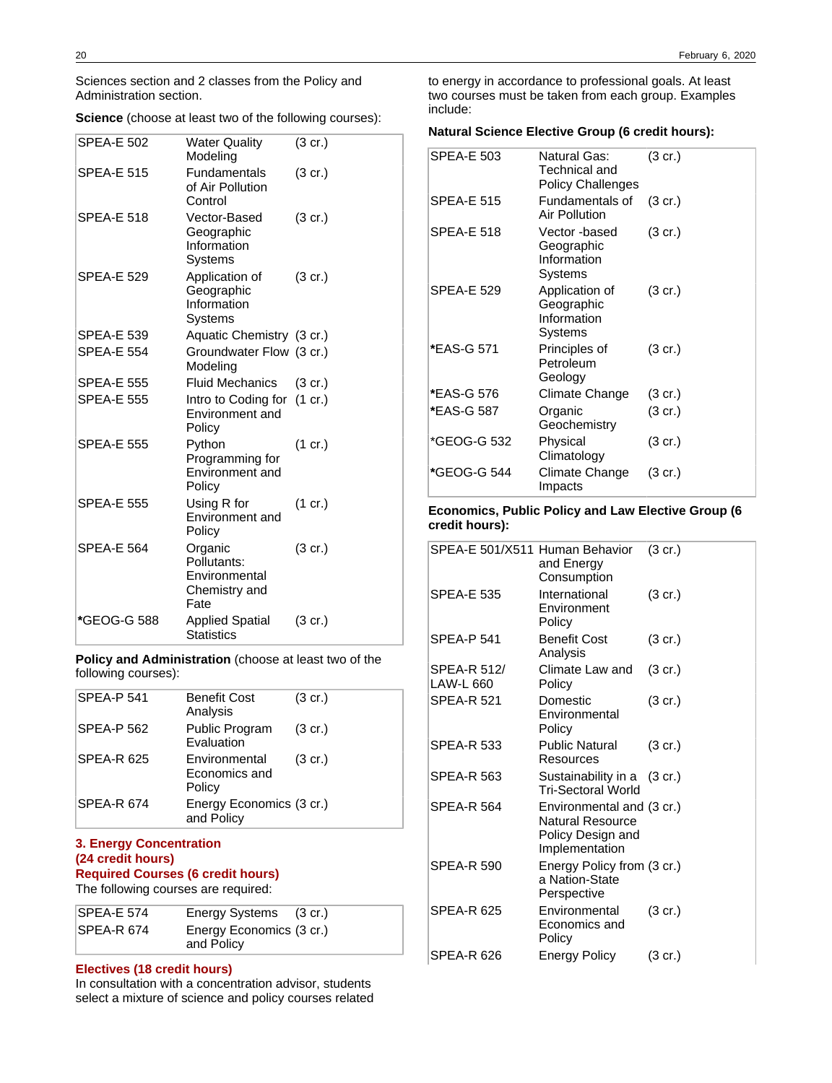Sciences section and 2 classes from the Policy and Administration section.

**Science** (choose at least two of the following courses):

| <b>SPEA-E 502</b> | <b>Water Quality</b><br>Modeling                                 | $(3 \text{ cr.})$ |
|-------------------|------------------------------------------------------------------|-------------------|
| <b>SPEA-E 515</b> | <b>Fundamentals</b><br>of Air Pollution<br>Control               | $(3 \text{ cr.})$ |
| <b>SPEA-E 518</b> | Vector-Based<br>Geographic<br>Information<br>Systems             | $(3 \text{ cr.})$ |
| <b>SPEA-E 529</b> | Application of<br>Geographic<br>Information<br>Systems           | $(3 \text{ cr.})$ |
| <b>SPEA-E 539</b> | Aquatic Chemistry (3 cr.)                                        |                   |
| <b>SPEA-E 554</b> | Groundwater Flow (3 cr.)<br>Modeling                             |                   |
| <b>SPEA-E 555</b> | <b>Fluid Mechanics</b>                                           | $(3 \text{ cr.})$ |
| <b>SPEA-E 555</b> | Intro to Coding for<br>Environment and<br>Policy                 | $(1 \text{ cr.})$ |
| <b>SPEA-E 555</b> | Python<br>Programming for<br>Environment and<br>Policy           | $(1 \text{ cr.})$ |
| <b>SPEA-E 555</b> | Using R for<br>Environment and<br>Policy                         | $(1 \text{ cr.})$ |
| <b>SPEA-E 564</b> | Organic<br>Pollutants:<br>Environmental<br>Chemistry and<br>Fate | $(3 \text{ cr.})$ |
| *GEOG-G 588       | Applied Spatial<br>Statistics                                    | $(3 \text{ cr.})$ |

**Policy and Administration** (choose at least two of the following courses):

| <b>SPEA-P 541</b> | <b>Benefit Cost</b><br>Analysis          | $(3 \text{ cr.})$ |
|-------------------|------------------------------------------|-------------------|
| SPEA-P 562        | Public Program<br><b>Evaluation</b>      | $(3 \text{ cr.})$ |
| <b>SPEA-R 625</b> | Environmental<br>Economics and<br>Policy | $(3 \text{ cr.})$ |
| <b>SPEA-R 674</b> | Energy Economics (3 cr.)<br>and Policy   |                   |

### **3. Energy Concentration (24 credit hours) Required Courses (6 credit hours)**

The following courses are required:

| SPEA-E 574 | Energy Systems (3 cr.)                 |  |
|------------|----------------------------------------|--|
| SPEA-R 674 | Energy Economics (3 cr.)<br>and Policy |  |

### **Electives (18 credit hours)**

In consultation with a concentration advisor, students select a mixture of science and policy courses related

to energy in accordance to professional goals. At least two courses must be taken from each group. Examples include:

### **Natural Science Elective Group (6 credit hours):**

| <b>SPEA-E 503</b> | Natural Gas:<br>Technical and<br><b>Policy Challenges</b> | (3 cr.)           |
|-------------------|-----------------------------------------------------------|-------------------|
| <b>SPEA-E 515</b> | Fundamentals of<br>Air Pollution                          | $(3 \text{ cr.})$ |
| <b>SPEA-E 518</b> | Vector-based<br>Geographic<br>Information<br>Systems      | $(3 \text{ cr.})$ |
| <b>SPEA-E 529</b> | Application of<br>Geographic<br>Information<br>Systems    | $(3 \text{ cr.})$ |
| *EAS-G 571        | Principles of<br>Petroleum<br>Geology                     | (3 cr.)           |
| *EAS-G 576        | Climate Change                                            | $(3 \text{ cr.})$ |
| *EAS-G 587        | Organic<br>Geochemistry                                   | $(3 \text{ cr.})$ |
| *GEOG-G 532       | Physical<br>Climatology                                   | $(3 \text{ cr.})$ |
| *GEOG-G 544       | Climate Change<br>Impacts                                 | (3 cr.)           |

### **Economics, Public Policy and Law Elective Group (6 credit hours):**

| SPEA-E 501/X511 Human Behavior  | and Energy<br>Consumption                                                            | $(3 \text{ cr.})$ |
|---------------------------------|--------------------------------------------------------------------------------------|-------------------|
| SPEA-E 535                      | International<br>Environment<br>Policy                                               | (3 cr.)           |
| <b>SPEA-P 541</b>               | <b>Benefit Cost</b><br>Analysis                                                      | $(3 \text{ cr.})$ |
| SPEA-R 512/<br><b>LAW-L 660</b> | Climate Law and<br>Policy                                                            | $(3 \text{ cr.})$ |
| <b>SPEA-R 521</b>               | Domestic<br>Environmental<br>Policy                                                  | $(3 \text{ cr.})$ |
| <b>SPEA-R 533</b>               | <b>Public Natural</b><br>Resources                                                   | $(3 \text{ cr.})$ |
| SPEA-R 563                      | Sustainability in a (3 cr.)<br>Tri-Sectoral World                                    |                   |
| SPEA-R 564                      | Environmental and (3 cr.)<br>Natural Resource<br>Policy Design and<br>Implementation |                   |
| SPEA-R 590                      | Energy Policy from (3 cr.)<br>a Nation-State<br>Perspective                          |                   |
| <b>SPEA-R 625</b>               | Environmental<br>Economics and<br>Policy                                             | $(3 \text{ cr.})$ |
| SPEA-R 626                      | <b>Energy Policy</b>                                                                 | (3 cr.)           |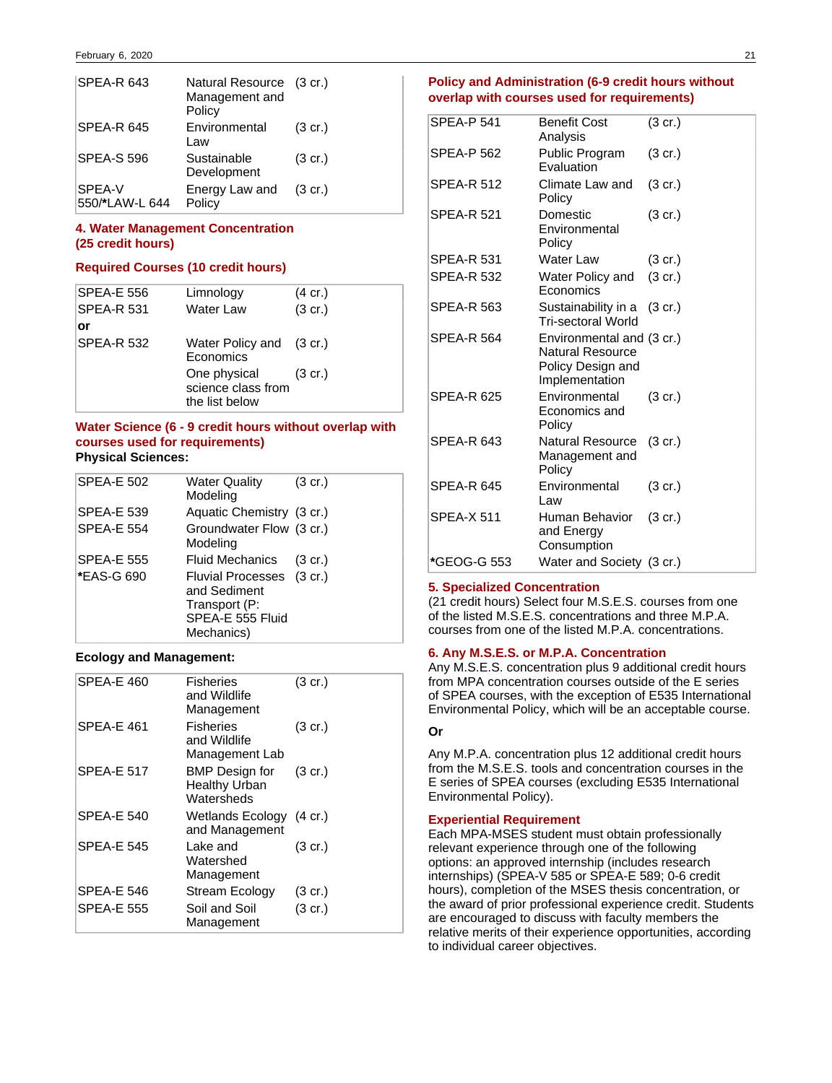| SPEA-R 643               | Natural Resource (3 cr.)<br>Management and<br>Policy |                   |
|--------------------------|------------------------------------------------------|-------------------|
| <b>SPEA-R 645</b>        | Environmental<br>Law                                 | $(3 \text{ cr.})$ |
| <b>SPEA-S 596</b>        | Sustainable<br>Development                           | $(3 \text{ cr.})$ |
| SPEA-V<br>550/*LAW-L 644 | Energy Law and<br>Policy                             | $(3 \text{ cr.})$ |

### **4. Water Management Concentration (25 credit hours)**

### **Required Courses (10 credit hours)**

| <b>SPEA-E 556</b> | Limnology                                                    | $(4 \text{ cr.})$ |
|-------------------|--------------------------------------------------------------|-------------------|
| <b>SPEA-R 531</b> | Water Law                                                    | $(3 \text{ cr.})$ |
| or                |                                                              |                   |
| <b>SPEA-R 532</b> | Water Policy and (3 cr.)<br>Economics                        |                   |
|                   | One physical (3 cr.)<br>science class from<br>the list below |                   |

### **Water Science (6 - 9 credit hours without overlap with courses used for requirements) Physical Sciences:**

| <b>SPEA-E 502</b> | Water Quality<br>Modeling                                                                    | $(3 \text{ cr.})$ |
|-------------------|----------------------------------------------------------------------------------------------|-------------------|
| <b>SPEA-E 539</b> | Aquatic Chemistry (3 cr.)                                                                    |                   |
| <b>SPEA-E 554</b> | Groundwater Flow (3 cr.)<br>Modeling                                                         |                   |
| <b>SPEA-E 555</b> | Fluid Mechanics                                                                              | $(3 \text{ cr.})$ |
| *EAS-G 690        | Fluvial Processes (3 cr.)<br>and Sediment<br>Transport (P:<br>SPEA-E 555 Fluid<br>Mechanics) |                   |

### **Ecology and Management:**

| SPEA-E 460        | <b>Fisheries</b><br>and Wildlife<br>Management              | $(3 \text{ cr.})$ |
|-------------------|-------------------------------------------------------------|-------------------|
| SPEA-E 461        | <b>Fisheries</b><br>and Wildlife<br>Management Lab          | $(3 \text{ cr.})$ |
| <b>SPEA-E 517</b> | <b>BMP</b> Design for<br><b>Healthy Urban</b><br>Watersheds | $(3 \text{ cr.})$ |
| <b>SPEA-E 540</b> | Wetlands Ecology (4 cr.)<br>and Management                  |                   |
| <b>SPFA-F 545</b> | Lake and<br>Watershed<br>Management                         | $(3 \text{ cr.})$ |
| SPEA-E 546        | Stream Ecology                                              | $(3 \text{ cr.})$ |
| SPEA-E 555        | Soil and Soil<br>Management                                 | (3 cr.)           |

### **Policy and Administration (6-9 credit hours without overlap with courses used for requirements)**

| <b>SPEA-P 541</b> | <b>Benefit Cost</b><br>Analysis                                                      | $(3 \text{ cr.})$ |
|-------------------|--------------------------------------------------------------------------------------|-------------------|
| <b>SPEA-P 562</b> | Public Program<br>Evaluation                                                         | $(3 \text{ cr.})$ |
| <b>SPEA-R 512</b> | Climate Law and<br>Policy                                                            | (3 cr.)           |
| <b>SPEA-R 521</b> | Domestic<br>Environmental<br>Policy                                                  | (3 cr.)           |
| <b>SPEA-R 531</b> | <b>Water Law</b>                                                                     | $(3 \text{ cr.})$ |
| <b>SPEA-R 532</b> | Water Policy and<br>Economics                                                        | $(3 \text{ cr.})$ |
| <b>SPEA-R 563</b> | Sustainability in a (3 cr.)<br><b>Tri-sectoral World</b>                             |                   |
| <b>SPEA-R 564</b> | Environmental and (3 cr.)<br>Natural Resource<br>Policy Design and<br>Implementation |                   |
| <b>SPEA-R 625</b> | Environmental<br>Economics and<br>Policy                                             | $(3 \text{ cr.})$ |
| SPEA-R 643        | <b>Natural Resource</b><br>Management and<br>Policy                                  | $(3 \text{ cr.})$ |
| <b>SPEA-R 645</b> | Environmental<br>Law                                                                 | $(3 \text{ cr.})$ |
| <b>SPEA-X 511</b> | Human Behavior<br>and Energy<br>Consumption                                          | (3 cr.)           |
| *GEOG-G 553       | Water and Society (3 cr.)                                                            |                   |

### **5. Specialized Concentration**

(21 credit hours) Select four M.S.E.S. courses from one of the listed M.S.E.S. concentrations and three M.P.A. courses from one of the listed M.P.A. concentrations.

### **6. Any M.S.E.S. or M.P.A. Concentration**

Any M.S.E.S. concentration plus 9 additional credit hours from MPA concentration courses outside of the E series of SPEA courses, with the exception of E535 International Environmental Policy, which will be an acceptable course.

#### **Or**

Any M.P.A. concentration plus 12 additional credit hours from the M.S.E.S. tools and concentration courses in the E series of SPEA courses (excluding E535 International Environmental Policy).

### **Experiential Requirement**

Each MPA-MSES student must obtain professionally relevant experience through one of the following options: an approved internship (includes research internships) (SPEA-V 585 or SPEA-E 589; 0-6 credit hours), completion of the MSES thesis concentration, or the award of prior professional experience credit. Students are encouraged to discuss with faculty members the relative merits of their experience opportunities, according to individual career objectives.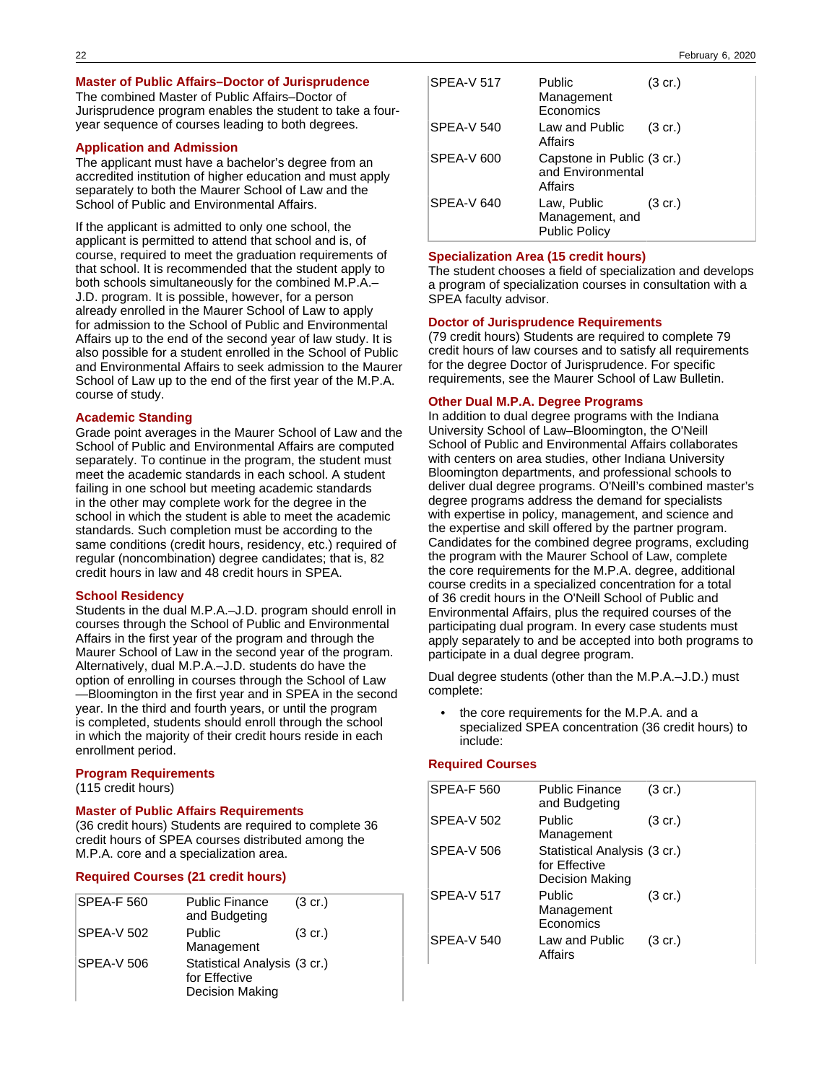#### **Master of Public Affairs–Doctor of Jurisprudence**

The combined Master of Public Affairs–Doctor of Jurisprudence program enables the student to take a fouryear sequence of courses leading to both degrees.

### **Application and Admission**

The applicant must have a bachelor's degree from an accredited institution of higher education and must apply separately to both the Maurer School of Law and the School of Public and Environmental Affairs.

If the applicant is admitted to only one school, the applicant is permitted to attend that school and is, of course, required to meet the graduation requirements of that school. It is recommended that the student apply to both schools simultaneously for the combined M.P.A.– J.D. program. It is possible, however, for a person already enrolled in the Maurer School of Law to apply for admission to the School of Public and Environmental Affairs up to the end of the second year of law study. It is also possible for a student enrolled in the School of Public and Environmental Affairs to seek admission to the Maurer School of Law up to the end of the first year of the M.P.A. course of study.

#### **Academic Standing**

Grade point averages in the Maurer School of Law and the School of Public and Environmental Affairs are computed separately. To continue in the program, the student must meet the academic standards in each school. A student failing in one school but meeting academic standards in the other may complete work for the degree in the school in which the student is able to meet the academic standards. Such completion must be according to the same conditions (credit hours, residency, etc.) required of regular (noncombination) degree candidates; that is, 82 credit hours in law and 48 credit hours in SPEA.

#### **School Residency**

Students in the dual M.P.A.–J.D. program should enroll in courses through the School of Public and Environmental Affairs in the first year of the program and through the Maurer School of Law in the second year of the program. Alternatively, dual M.P.A.–J.D. students do have the option of enrolling in courses through the School of Law —Bloomington in the first year and in SPEA in the second year. In the third and fourth years, or until the program is completed, students should enroll through the school in which the majority of their credit hours reside in each enrollment period.

#### **Program Requirements**

(115 credit hours)

#### **Master of Public Affairs Requirements**

(36 credit hours) Students are required to complete 36 credit hours of SPEA courses distributed among the M.P.A. core and a specialization area.

#### **Required Courses (21 credit hours)**

| <b>SPEA-F 560</b> | <b>Public Finance</b><br>and Budgeting                                  | $(3 \text{ cr.})$ |
|-------------------|-------------------------------------------------------------------------|-------------------|
| SPEA-V 502        | Public<br>Management                                                    | $(3 \text{ cr.})$ |
| SPEA-V 506        | Statistical Analysis (3 cr.)<br>for Effective<br><b>Decision Making</b> |                   |

| <b>SPEA-V 517</b> | Public<br>Management<br>Economics                          | $(3 \text{ cr.})$ |
|-------------------|------------------------------------------------------------|-------------------|
| SPEA-V 540        | Law and Public<br>Affairs                                  | $(3 \text{ cr.})$ |
| SPEA-V 600        | Capstone in Public (3 cr.)<br>and Environmental<br>Affairs |                   |
| SPEA-V 640        | Law, Public<br>Management, and<br><b>Public Policy</b>     | $(3 \text{ cr.})$ |

#### **Specialization Area (15 credit hours)**

The student chooses a field of specialization and develops a program of specialization courses in consultation with a SPEA faculty advisor.

#### **Doctor of Jurisprudence Requirements**

(79 credit hours) Students are required to complete 79 credit hours of law courses and to satisfy all requirements for the degree Doctor of Jurisprudence. For specific requirements, see the Maurer School of Law Bulletin.

### **Other Dual M.P.A. Degree Programs**

In addition to dual degree programs with the Indiana University School of Law–Bloomington, the O'Neill School of Public and Environmental Affairs collaborates with centers on area studies, other Indiana University Bloomington departments, and professional schools to deliver dual degree programs. O'Neill's combined master's degree programs address the demand for specialists with expertise in policy, management, and science and the expertise and skill offered by the partner program. Candidates for the combined degree programs, excluding the program with the Maurer School of Law, complete the core requirements for the M.P.A. degree, additional course credits in a specialized concentration for a total of 36 credit hours in the O'Neill School of Public and Environmental Affairs, plus the required courses of the participating dual program. In every case students must apply separately to and be accepted into both programs to participate in a dual degree program.

Dual degree students (other than the M.P.A.–J.D.) must complete:

• the core requirements for the M.P.A. and a specialized SPEA concentration (36 credit hours) to include:

#### **Required Courses**

| <b>SPEA-F 560</b> | <b>Public Finance</b><br>and Budgeting                           | $(3 \text{ cr.})$ |
|-------------------|------------------------------------------------------------------|-------------------|
| <b>SPEA-V 502</b> | Public<br>Management                                             | $(3 \text{ cr.})$ |
| <b>SPEA-V 506</b> | Statistical Analysis (3 cr.)<br>for Effective<br>Decision Making |                   |
| <b>SPEA-V 517</b> | Public<br>Management<br>Economics                                | $(3 \text{ cr.})$ |
| <b>SPEA-V 540</b> | Law and Public<br>Affairs                                        | $(3 \text{ cr.})$ |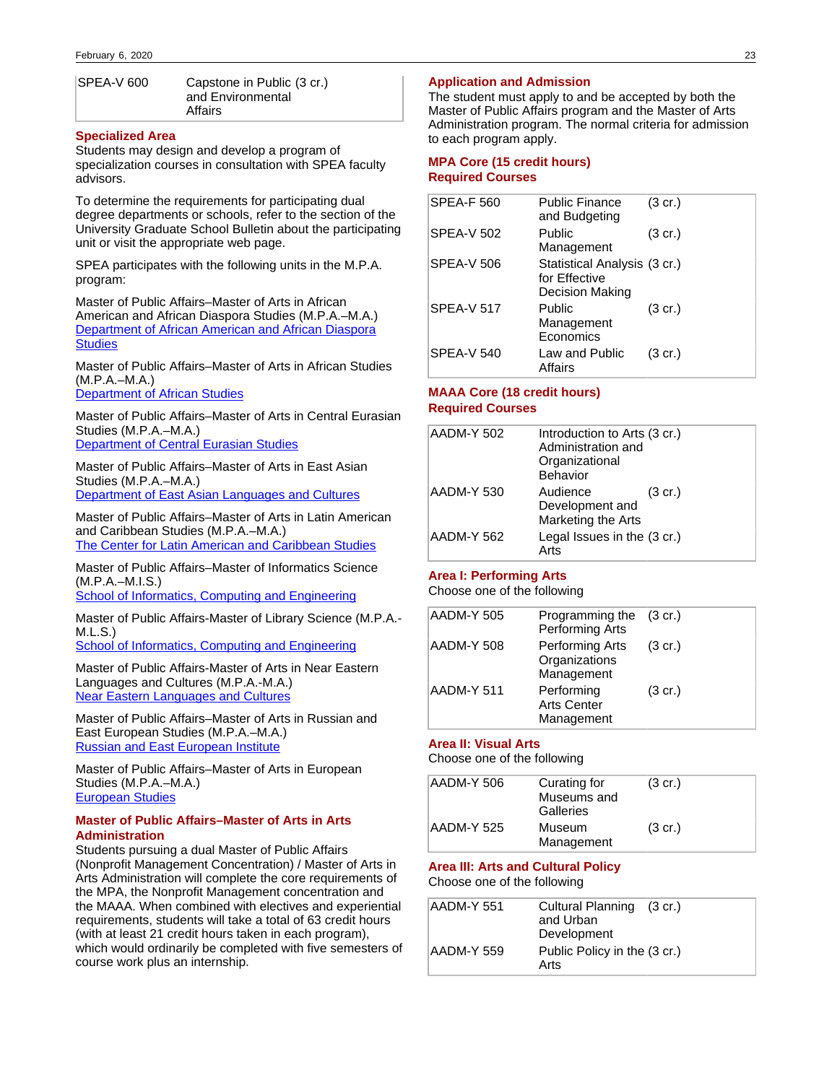| SPEA-V 600 | Capstone in Public (3 cr.) |
|------------|----------------------------|
|            | and Environmental          |
|            | Affairs                    |

#### **Specialized Area**

Students may design and develop a program of specialization courses in consultation with SPEA faculty advisors.

To determine the requirements for participating dual degree departments or schools, refer to the section of the University Graduate School Bulletin about the participating unit or visit the appropriate web page.

SPEA participates with the following units in the M.P.A. program:

Master of Public Affairs–Master of Arts in African American and African Diaspora Studies (M.P.A.–M.A.) [Department of African American and African Diaspora](http://www.indiana.edu/~afroamer/graduate_degreerequirements.html) **[Studies](http://www.indiana.edu/~afroamer/graduate_degreerequirements.html)** 

Master of Public Affairs–Master of Arts in African Studies (M.P.A.–M.A.)

[Department of African Studies](http://www.indiana.edu/~afrist/academics/graduate.shtml)

Master of Public Affairs–Master of Arts in Central Eurasian Studies (M.P.A.–M.A.) [Department of Central Eurasian Studies](http://www.indiana.edu/~ceus/graduates/dualdegree.shtml)

Master of Public Affairs–Master of Arts in East Asian Studies (M.P.A.–M.A.) [Department of East Asian Languages and Cultures](http://www.indiana.edu/~ealc/graduate/resources/EALC%20Graduate%20Studies%20Flyer%202013.pdf)

Master of Public Affairs–Master of Arts in Latin American and Caribbean Studies (M.P.A.–M.A.) [The Center for Latin American and Caribbean Studies](http://www.indiana.edu/~clacs/graduate/ma/dual/index.php#mpa)

Master of Public Affairs–Master of Informatics Science (M.P.A.–M.I.S.)

[School of Informatics, Computing and Engineering](http://www.soic.indiana.edu/graduate/degrees/information-library-science/dual-degrees/public-affairs-mis.html)

Master of Public Affairs-Master of Library Science (M.P.A.- M.L.S.)

[School of Informatics, Computing and Engineering](http://www.soic.indiana.edu/graduate/degrees/information-library-science/dual-degrees/public-affairs-mls.html)

Master of Public Affairs-Master of Arts in Near Eastern Languages and Cultures (M.P.A.-M.A.) [Near Eastern Languages and Cultures](http://www.indiana.edu/~nelc/index.shtml)

Master of Public Affairs–Master of Arts in Russian and East European Studies (M.P.A.–M.A.) [Russian and East European Institute](http://www.indiana.edu/~reeiweb/graduate/dualMPA.shtml)

Master of Public Affairs–Master of Arts in European Studies (M.P.A.–M.A.) [European Studies](https://euro.indiana.edu/)

#### **Master of Public Affairs–Master of Arts in Arts Administration**

Students pursuing a dual Master of Public Affairs (Nonprofit Management Concentration) / Master of Arts in Arts Administration will complete the core requirements of the MPA, the Nonprofit Management concentration and the MAAA. When combined with electives and experiential requirements, students will take a total of 63 credit hours (with at least 21 credit hours taken in each program), which would ordinarily be completed with five semesters of course work plus an internship.

#### **Application and Admission**

The student must apply to and be accepted by both the Master of Public Affairs program and the Master of Arts Administration program. The normal criteria for admission to each program apply.

### **MPA Core (15 credit hours) Required Courses**

| <b>SPEA-F 560</b> | <b>Public Finance</b><br>and Budgeting                           | $(3 \text{ cr.})$ |
|-------------------|------------------------------------------------------------------|-------------------|
| <b>SPEA-V 502</b> | Public<br>Management                                             | $(3 \text{ cr.})$ |
| <b>SPEA-V 506</b> | Statistical Analysis (3 cr.)<br>for Effective<br>Decision Making |                   |
| <b>SPEA-V 517</b> | Public<br>Management<br>Economics                                | $(3 \text{ cr.})$ |
| <b>SPEA-V 540</b> | Law and Public<br>Affairs                                        | (3 cr.)           |

### **MAAA Core (18 credit hours) Required Courses**

| AADM-Y 502 | Introduction to Arts (3 cr.)<br>Administration and<br>Organizational<br>Behavior |                   |
|------------|----------------------------------------------------------------------------------|-------------------|
| AADM-Y 530 | Audience<br>Development and<br>Marketing the Arts                                | $(3 \text{ cr.})$ |
| AADM-Y 562 | Legal Issues in the (3 cr.)<br>Arts                                              |                   |

### **Area I: Performing Arts**

Choose one of the following

| AADM-Y 505 | Programming the (3 cr.)<br>Performing Arts     |                   |
|------------|------------------------------------------------|-------------------|
| AADM-Y 508 | Performing Arts<br>Organizations<br>Management | $(3 \text{ cr.})$ |
| AADM-Y 511 | Performing<br><b>Arts Center</b><br>Management | $(3 \text{ cr.})$ |

#### **Area II: Visual Arts**

Choose one of the following

| AADM-Y 506 | Curating for<br>Museums and<br>Galleries | $(3 \text{ cr.})$ |  |
|------------|------------------------------------------|-------------------|--|
| AADM-Y 525 | Museum<br>Management                     | $(3 \text{ cr.})$ |  |

#### **Area III: Arts and Cultural Policy**

Choose one of the following

| AADM-Y 551 | Cultural Planning (3 cr.)<br>and Urban<br>Development |
|------------|-------------------------------------------------------|
| AADM-Y 559 | Public Policy in the (3 cr.)<br>Arts                  |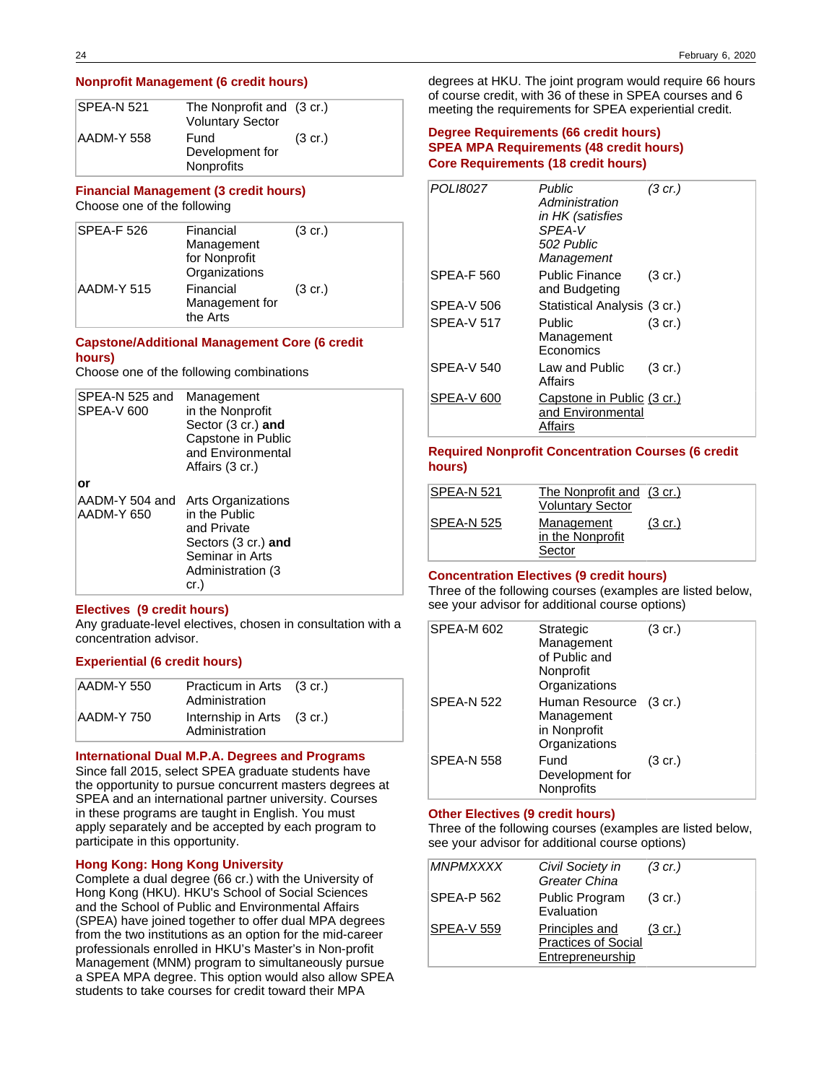#### **Nonprofit Management (6 credit hours)**

| ISPEA-N 521 | The Nonprofit and (3 cr.)<br><b>Voluntary Sector</b> |                   |
|-------------|------------------------------------------------------|-------------------|
| AADM-Y 558  | Fund<br>Development for<br>Nonprofits                | $(3 \text{ cr.})$ |

#### **Financial Management (3 credit hours)** Choose one of the following

| SPEA-F 526 | Financial      | $(3 \text{ cr.})$ |
|------------|----------------|-------------------|
|            | Management     |                   |
|            | for Nonprofit  |                   |
|            | Organizations  |                   |
| AADM-Y 515 | Financial      | $(3 \text{ cr.})$ |
|            | Management for |                   |
|            | the Arts       |                   |

### **Capstone/Additional Management Core (6 credit hours)**

Choose one of the following combinations

| SPEA-N 525 and<br>SPEA-V 600 | Management<br>in the Nonprofit<br>Sector (3 cr.) and<br>Capstone in Public<br>and Environmental<br>Affairs (3 cr.)         |
|------------------------------|----------------------------------------------------------------------------------------------------------------------------|
| or                           |                                                                                                                            |
| AADM-Y 504 and<br>AADM-Y 650 | Arts Organizations<br>in the Public<br>and Private<br>Sectors (3 cr.) and<br>Seminar in Arts<br>Administration (3)<br>cr.) |

#### **Electives (9 credit hours)**

Any graduate-level electives, chosen in consultation with a concentration advisor.

### **Experiential (6 credit hours)**

| AADM-Y 550 | Practicum in Arts (3 cr.)<br>Administration  |  |
|------------|----------------------------------------------|--|
| AADM-Y 750 | Internship in Arts (3 cr.)<br>Administration |  |

#### **International Dual M.P.A. Degrees and Programs**

Since fall 2015, select SPEA graduate students have the opportunity to pursue concurrent masters degrees at SPEA and an international partner university. Courses in these programs are taught in English. You must apply separately and be accepted by each program to participate in this opportunity.

#### **Hong Kong: Hong Kong University**

Complete a dual degree (66 cr.) with the University of Hong Kong (HKU). HKU's School of Social Sciences and the School of Public and Environmental Affairs (SPEA) have joined together to offer dual MPA degrees from the two institutions as an option for the mid-career professionals enrolled in HKU's Master's in Non-profit Management (MNM) program to simultaneously pursue a SPEA MPA degree. This option would also allow SPEA students to take courses for credit toward their MPA

degrees at HKU. The joint program would require 66 hours of course credit, with 36 of these in SPEA courses and 6 meeting the requirements for SPEA experiential credit.

### **Degree Requirements (66 credit hours) SPEA MPA Requirements (48 credit hours) Core Requirements (18 credit hours)**

| POLI8027          | <b>Public</b><br>Administration<br>in HK (satisfies<br>SPFA-V<br>502 Public<br>Management | (3 cr.)           |
|-------------------|-------------------------------------------------------------------------------------------|-------------------|
| <b>SPEA-F 560</b> | Public Finance<br>and Budgeting                                                           | $(3 \text{ cr.})$ |
| <b>SPEA-V 506</b> | Statistical Analysis (3 cr.)                                                              |                   |
| <b>SPFA-V 517</b> | Public<br>Management<br>Economics                                                         | $(3 \text{ cr.})$ |
| <b>SPEA-V 540</b> | Law and Public<br>Affairs                                                                 | $(3 \text{ cr.})$ |
| SPEA-V 600        | Capstone in Public (3 cr.)<br>and Environmental<br>Affairs                                |                   |

### **Required Nonprofit Concentration Courses (6 credit hours)**

| SPEA-N 521 | The Nonprofit and (3 cr.)<br><b>Voluntary Sector</b> |                   |
|------------|------------------------------------------------------|-------------------|
| SPEA-N 525 | Management<br>in the Nonprofit                       | $(3 \text{ cr.})$ |
|            | Sector                                               |                   |

#### **Concentration Electives (9 credit hours)**

Three of the following courses (examples are listed below, see your advisor for additional course options)

| <b>SPEA-M 602</b> | Strategic<br>Management<br>of Public and<br>Nonprofit<br>Organizations | $(3 \text{ cr.})$ |
|-------------------|------------------------------------------------------------------------|-------------------|
| <b>SPEA-N 522</b> | Human Resource (3 cr.)<br>Management<br>in Nonprofit<br>Organizations  |                   |
| <b>SPEA-N 558</b> | Fund<br>Development for<br>Nonprofits                                  | $(3 \text{ cr.})$ |

#### **Other Electives (9 credit hours)**

Three of the following courses (examples are listed below, see your advisor for additional course options)

| <b>MNPMXXXX</b>   | Civil Society in<br>Greater China                                       | (3 cr.)           |
|-------------------|-------------------------------------------------------------------------|-------------------|
| <b>SPEA-P 562</b> | Public Program<br>Evaluation                                            | $(3 \text{ cr.})$ |
| <b>SPEA-V 559</b> | <b>Principles and</b><br><b>Practices of Social</b><br>Entrepreneurship | $(3 \text{ cr.})$ |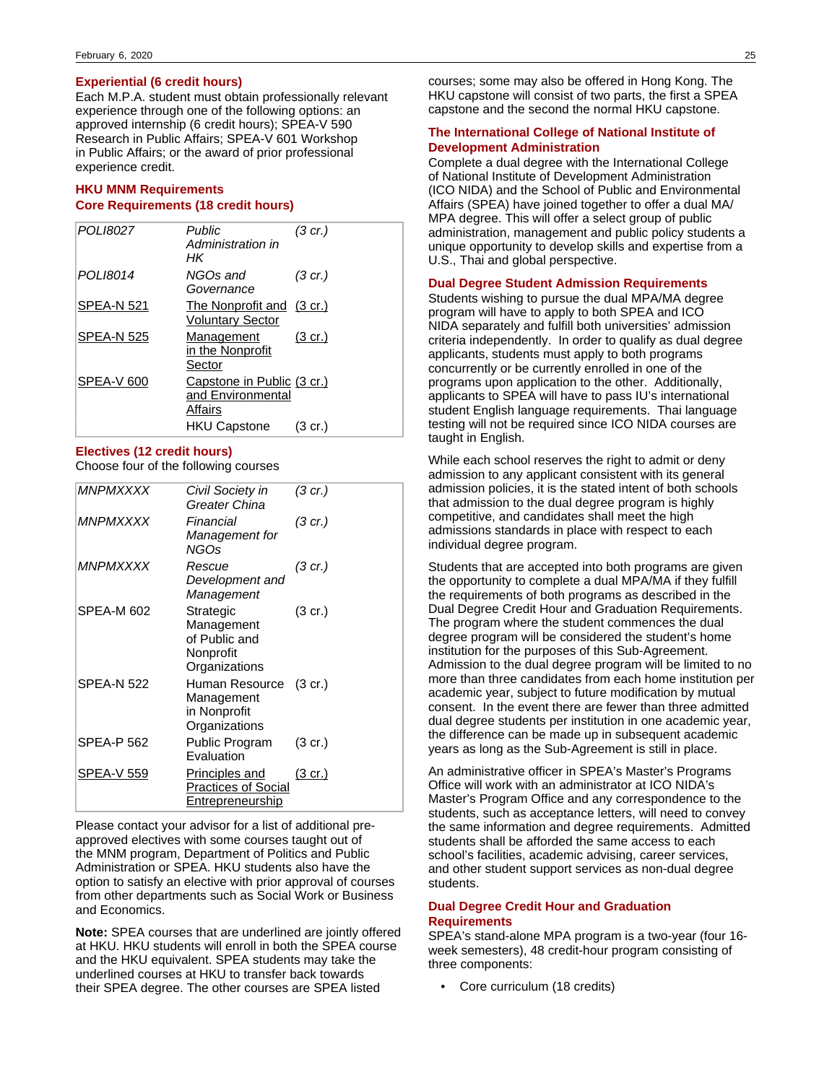### **Experiential (6 credit hours)**

Each M.P.A. student must obtain professionally relevant experience through one of the following options: an approved internship (6 credit hours); SPEA-V 590 Research in Public Affairs; SPEA-V 601 Workshop in Public Affairs; or the award of prior professional experience credit.

### **HKU MNM Requirements Core Requirements (18 credit hours)**

| POLI8027          | Public<br>Administration in<br>НK                          | (3 cr.)           |
|-------------------|------------------------------------------------------------|-------------------|
| POLI8014          | NGOs and<br>Governance                                     | (3 cr.)           |
| <b>SPEA-N 521</b> | The Nonprofit and (3 cr.)<br><b>Voluntary Sector</b>       |                   |
| SPEA-N 525        | Management<br>in the Nonprofit<br>Sector                   | $(3 \text{ cr.})$ |
| SPEA-V 600        | Capstone in Public (3 cr.)<br>and Environmental<br>Affairs |                   |
|                   | <b>HKU Capstone</b>                                        | $(3 \text{ cr.})$ |

#### **Electives (12 credit hours)**

Choose four of the following courses

| <b>MNPMXXXX</b>   | Civil Society in<br>Greater China                                      | (3 cr.)           |
|-------------------|------------------------------------------------------------------------|-------------------|
| <b>MNPMXXXX</b>   | Financial<br>Management for<br>NGOs                                    | (3 cr.)           |
| <i>MNPMXXXX</i>   | Rescue<br>Development and<br>Management                                | (3 cr.)           |
| <b>SPEA-M 602</b> | Strategic<br>Management<br>of Public and<br>Nonprofit<br>Organizations | (3 cr.)           |
| <b>SPEA-N 522</b> | Human Resource<br>Management<br>in Nonprofit<br>Organizations          | $(3 \text{ cr.})$ |
| <b>SPEA-P 562</b> | Public Program<br>Evaluation                                           | $(3 \text{ cr.})$ |
| <b>SPEA-V 559</b> | Principles and<br><b>Practices of Social</b><br>Entrepreneurship       | <u>(3 cr.)</u>    |

Please contact your advisor for a list of additional preapproved electives with some courses taught out of the MNM program, Department of Politics and Public Administration or SPEA. HKU students also have the option to satisfy an elective with prior approval of courses from other departments such as Social Work or Business and Economics.

**Note:** SPEA courses that are underlined are jointly offered at HKU. HKU students will enroll in both the SPEA course and the HKU equivalent. SPEA students may take the underlined courses at HKU to transfer back towards their SPEA degree. The other courses are SPEA listed

courses; some may also be offered in Hong Kong. The HKU capstone will consist of two parts, the first a SPEA capstone and the second the normal HKU capstone.

### **The International College of National Institute of Development Administration**

Complete a dual degree with the International College of National Institute of Development Administration (ICO NIDA) and the School of Public and Environmental Affairs (SPEA) have joined together to offer a dual MA/ MPA degree. This will offer a select group of public administration, management and public policy students a unique opportunity to develop skills and expertise from a U.S., Thai and global perspective.

#### **Dual Degree Student Admission Requirements**

Students wishing to pursue the dual MPA/MA degree program will have to apply to both SPEA and ICO NIDA separately and fulfill both universities' admission criteria independently. In order to qualify as dual degree applicants, students must apply to both programs concurrently or be currently enrolled in one of the programs upon application to the other. Additionally, applicants to SPEA will have to pass IU's international student English language requirements. Thai language testing will not be required since ICO NIDA courses are taught in English.

While each school reserves the right to admit or deny admission to any applicant consistent with its general admission policies, it is the stated intent of both schools that admission to the dual degree program is highly competitive, and candidates shall meet the high admissions standards in place with respect to each individual degree program.

Students that are accepted into both programs are given the opportunity to complete a dual MPA/MA if they fulfill the requirements of both programs as described in the Dual Degree Credit Hour and Graduation Requirements. The program where the student commences the dual degree program will be considered the student's home institution for the purposes of this Sub-Agreement. Admission to the dual degree program will be limited to no more than three candidates from each home institution per academic year, subject to future modification by mutual consent. In the event there are fewer than three admitted dual degree students per institution in one academic year, the difference can be made up in subsequent academic years as long as the Sub-Agreement is still in place.

An administrative officer in SPEA's Master's Programs Office will work with an administrator at ICO NIDA's Master's Program Office and any correspondence to the students, such as acceptance letters, will need to convey the same information and degree requirements. Admitted students shall be afforded the same access to each school's facilities, academic advising, career services, and other student support services as non-dual degree students.

### **Dual Degree Credit Hour and Graduation Requirements**

SPEA's stand-alone MPA program is a two-year (four 16 week semesters), 48 credit-hour program consisting of three components:

• Core curriculum (18 credits)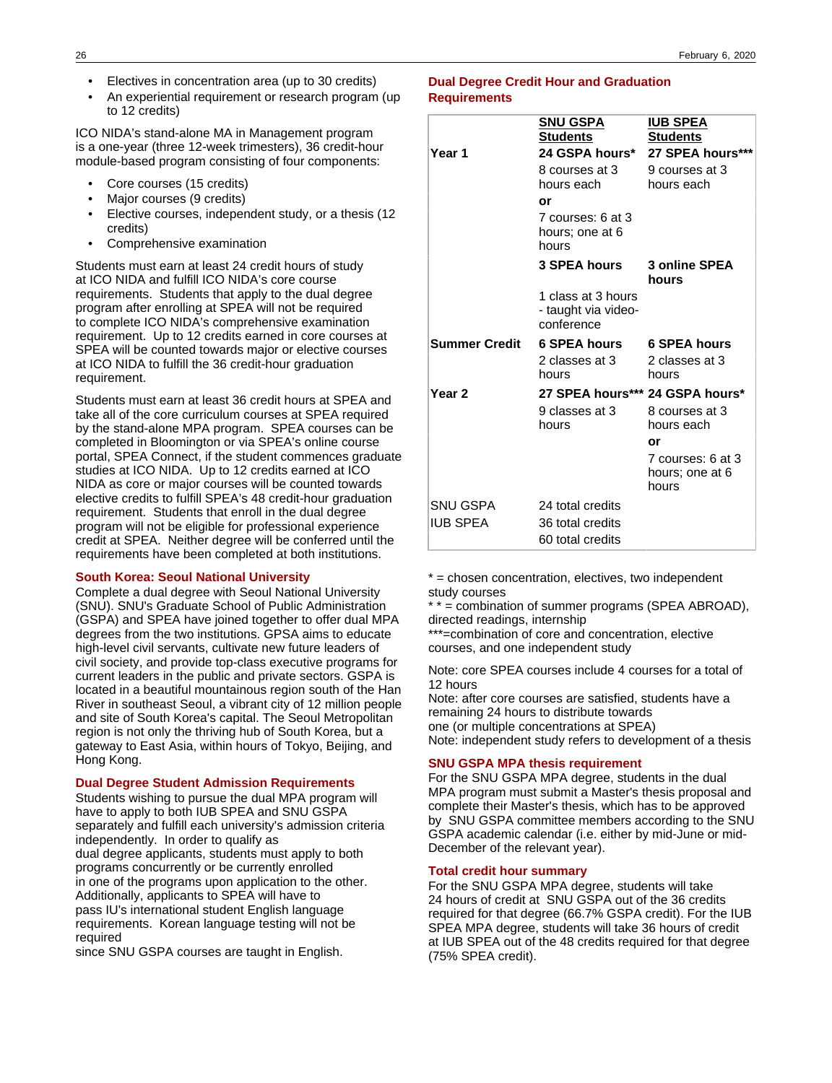- Electives in concentration area (up to 30 credits)
- An experiential requirement or research program (up to 12 credits)

ICO NIDA's stand-alone MA in Management program is a one-year (three 12-week trimesters), 36 credit-hour module-based program consisting of four components:

- Core courses (15 credits)
- Major courses (9 credits)
- Elective courses, independent study, or a thesis (12 credits)
- Comprehensive examination

Students must earn at least 24 credit hours of study at ICO NIDA and fulfill ICO NIDA's core course requirements. Students that apply to the dual degree program after enrolling at SPEA will not be required to complete ICO NIDA's comprehensive examination requirement. Up to 12 credits earned in core courses at SPEA will be counted towards major or elective courses at ICO NIDA to fulfill the 36 credit-hour graduation requirement.

Students must earn at least 36 credit hours at SPEA and take all of the core curriculum courses at SPEA required by the stand-alone MPA program. SPEA courses can be completed in Bloomington or via SPEA's online course portal, SPEA Connect, if the student commences graduate studies at ICO NIDA. Up to 12 credits earned at ICO NIDA as core or major courses will be counted towards elective credits to fulfill SPEA's 48 credit-hour graduation requirement. Students that enroll in the dual degree program will not be eligible for professional experience credit at SPEA. Neither degree will be conferred until the requirements have been completed at both institutions.

#### **South Korea: Seoul National University**

Complete a dual degree with Seoul National University (SNU). SNU's Graduate School of Public Administration (GSPA) and SPEA have joined together to offer dual MPA degrees from the two institutions. GPSA aims to educate high-level civil servants, cultivate new future leaders of civil society, and provide top-class executive programs for current leaders in the public and private sectors. GSPA is located in a beautiful mountainous region south of the Han River in southeast Seoul, a vibrant city of 12 million people and site of South Korea's capital. The Seoul Metropolitan region is not only the thriving hub of South Korea, but a gateway to East Asia, within hours of Tokyo, Beijing, and Hong Kong.

#### **Dual Degree Student Admission Requirements**

Students wishing to pursue the dual MPA program will have to apply to both IUB SPEA and SNU GSPA separately and fulfill each university's admission criteria independently. In order to qualify as dual degree applicants, students must apply to both programs concurrently or be currently enrolled in one of the programs upon application to the other. Additionally, applicants to SPEA will have to pass IU's international student English language requirements. Korean language testing will not be required

since SNU GSPA courses are taught in English.

#### **Dual Degree Credit Hour and Graduation Requirements**

| Year 1            | SNU GSPA<br><b>Students</b><br>8 courses at 3<br>hours each<br>or<br>7 courses: 6 at 3<br>hours; one at 6<br>hours | <b>IUB SPEA</b><br><b>Students</b><br>24 GSPA hours* 27 SPEA hours***<br>9 courses at 3<br>hours each |
|-------------------|--------------------------------------------------------------------------------------------------------------------|-------------------------------------------------------------------------------------------------------|
|                   | <b>3 SPEA hours</b>                                                                                                | 3 online SPEA<br>hours                                                                                |
|                   | 1 class at 3 hours<br>- taught via video-<br>conference                                                            |                                                                                                       |
| Summer Credit     | 6 SPEA hours                                                                                                       | <b>6 SPEA hours</b>                                                                                   |
|                   | 2 classes at 3<br>hours                                                                                            | 2 classes at 3<br>hours                                                                               |
| Year <sub>2</sub> | 27 SPEA hours*** 24 GSPA hours*                                                                                    |                                                                                                       |
|                   | 9 classes at 3<br>hours                                                                                            | 8 courses at 3<br>hours each                                                                          |
|                   |                                                                                                                    | or                                                                                                    |
|                   |                                                                                                                    | 7 courses: 6 at 3<br>hours; one at 6<br>hours                                                         |
| SNU GSPA          | 24 total credits                                                                                                   |                                                                                                       |
| IUB SPEA          | 36 total credits                                                                                                   |                                                                                                       |
|                   | 60 total credits                                                                                                   |                                                                                                       |

\* = chosen concentration, electives, two independent study courses

\* \* = combination of summer programs (SPEA ABROAD), directed readings, internship

\*\*\*=combination of core and concentration, elective courses, and one independent study

Note: core SPEA courses include 4 courses for a total of 12 hours

Note: after core courses are satisfied, students have a remaining 24 hours to distribute towards one (or multiple concentrations at SPEA) Note: independent study refers to development of a thesis

### **SNU GSPA MPA thesis requirement**

For the SNU GSPA MPA degree, students in the dual MPA program must submit a Master's thesis proposal and complete their Master's thesis, which has to be approved by SNU GSPA committee members according to the SNU GSPA academic calendar (i.e. either by mid-June or mid-December of the relevant year).

#### **Total credit hour summary**

For the SNU GSPA MPA degree, students will take 24 hours of credit at SNU GSPA out of the 36 credits required for that degree (66.7% GSPA credit). For the IUB SPEA MPA degree, students will take 36 hours of credit at IUB SPEA out of the 48 credits required for that degree (75% SPEA credit).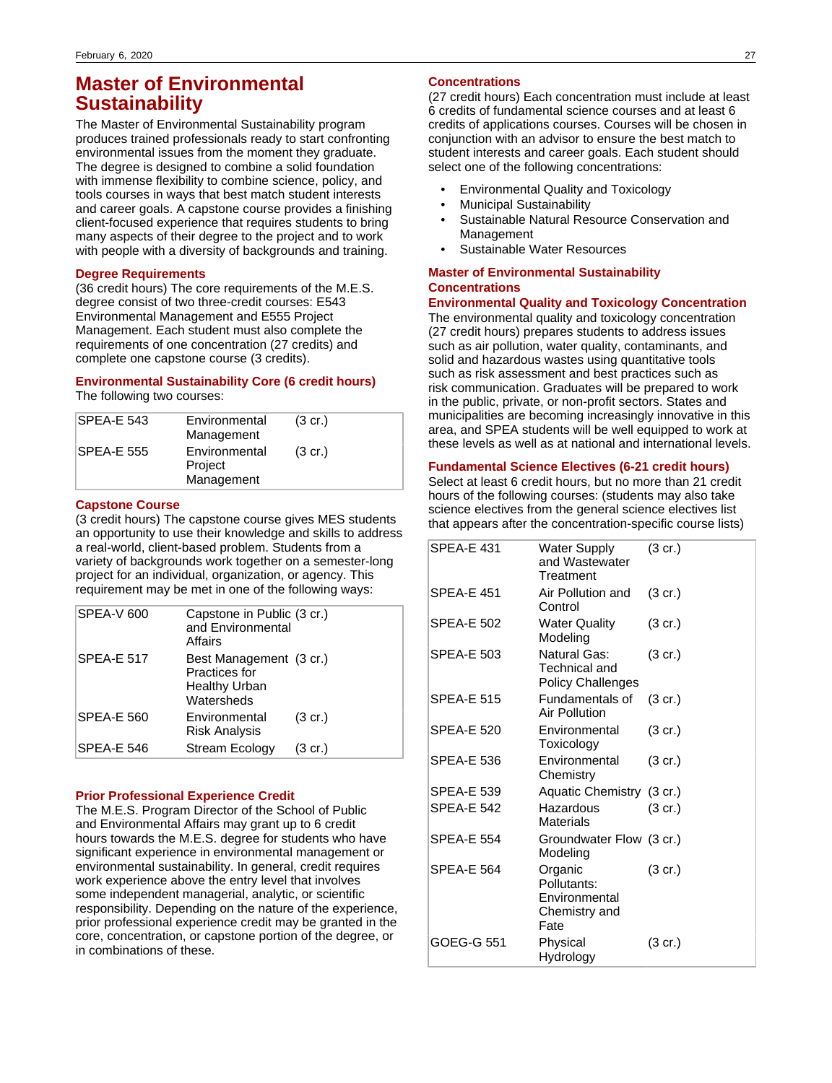## **Master of Environmental Sustainability**

The Master of Environmental Sustainability program produces trained professionals ready to start confronting environmental issues from the moment they graduate. The degree is designed to combine a solid foundation with immense flexibility to combine science, policy, and tools courses in ways that best match student interests and career goals. A capstone course provides a finishing client-focused experience that requires students to bring many aspects of their degree to the project and to work with people with a diversity of backgrounds and training.

### **Degree Requirements**

(36 credit hours) The core requirements of the M.E.S. degree consist of two three-credit courses: E543 Environmental Management and E555 Project Management. Each student must also complete the requirements of one concentration (27 credits) and complete one capstone course (3 credits).

### **Environmental Sustainability Core (6 credit hours)**

The following two courses:

| <b>SPFA-F 543</b> | Environmental<br>Management            | $(3 \text{ cr.})$ |
|-------------------|----------------------------------------|-------------------|
| <b>SPEA-E 555</b> | Environmental<br>Project<br>Management | $(3 \text{ cr.})$ |

#### **Capstone Course**

(3 credit hours) The capstone course gives MES students an opportunity to use their knowledge and skills to address a real-world, client-based problem. Students from a variety of backgrounds work together on a semester-long project for an individual, organization, or agency. This requirement may be met in one of the following ways:

| SPEA-V 600        | Capstone in Public (3 cr.)<br>and Environmental<br>Affairs                     |                   |
|-------------------|--------------------------------------------------------------------------------|-------------------|
| <b>SPEA-E 517</b> | Best Management (3 cr.)<br>Practices for<br><b>Healthy Urban</b><br>Watersheds |                   |
| <b>SPEA-E 560</b> | Environmental<br><b>Risk Analysis</b>                                          | $(3 \text{ cr.})$ |
| SPEA-E 546        | <b>Stream Ecology</b>                                                          | (3 cr.)           |

#### **Prior Professional Experience Credit**

The M.E.S. Program Director of the School of Public and Environmental Affairs may grant up to 6 credit hours towards the M.E.S. degree for students who have significant experience in environmental management or environmental sustainability. In general, credit requires work experience above the entry level that involves some independent managerial, analytic, or scientific responsibility. Depending on the nature of the experience, prior professional experience credit may be granted in the core, concentration, or capstone portion of the degree, or in combinations of these.

### **Concentrations**

(27 credit hours) Each concentration must include at least 6 credits of fundamental science courses and at least 6 credits of applications courses. Courses will be chosen in conjunction with an advisor to ensure the best match to student interests and career goals. Each student should select one of the following concentrations:

- Environmental Quality and Toxicology
- Municipal Sustainability
- Sustainable Natural Resource Conservation and Management
- Sustainable Water Resources

### **Master of Environmental Sustainability Concentrations**

**Environmental Quality and Toxicology Concentration** The environmental quality and toxicology concentration (27 credit hours) prepares students to address issues such as air pollution, water quality, contaminants, and solid and hazardous wastes using quantitative tools such as risk assessment and best practices such as risk communication. Graduates will be prepared to work in the public, private, or non-profit sectors. States and municipalities are becoming increasingly innovative in this area, and SPEA students will be well equipped to work at these levels as well as at national and international levels.

### **Fundamental Science Electives (6-21 credit hours)**

Select at least 6 credit hours, but no more than 21 credit hours of the following courses: (students may also take science electives from the general science electives list that appears after the concentration-specific course lists)

| <b>SPEA-E 431</b> | Water Supply<br>and Wastewater<br>Treatment                      | $(3 \text{ cr.})$ |
|-------------------|------------------------------------------------------------------|-------------------|
| <b>SPEA-E 451</b> | Air Pollution and<br>Control                                     | $(3 \text{ cr.})$ |
| <b>SPEA-E 502</b> | <b>Water Quality</b><br>Modeling                                 | $(3 \text{ cr.})$ |
| <b>SPEA-E 503</b> | Natural Gas:<br>Technical and<br><b>Policy Challenges</b>        | $(3 \text{ cr.})$ |
| <b>SPEA-E 515</b> | Fundamentals of<br>Air Pollution                                 | (3 cr.)           |
| <b>SPEA-E 520</b> | Environmental<br>Toxicology                                      | $(3 \text{ cr.})$ |
| <b>SPEA-E 536</b> | Environmental<br>Chemistry                                       | $(3 \text{ cr.})$ |
| <b>SPEA-E 539</b> | Aquatic Chemistry (3 cr.)                                        |                   |
| <b>SPEA-E 542</b> | Hazardous<br>Materials                                           | $(3 \text{ cr.})$ |
| <b>SPEA-E 554</b> | Groundwater Flow (3 cr.)<br>Modeling                             |                   |
| <b>SPEA-E 564</b> | Organic<br>Pollutants:<br>Environmental<br>Chemistry and<br>Fate | $(3 \text{ cr.})$ |
| GOEG-G 551        | Physical<br>Hydrology                                            | (3 cr.)           |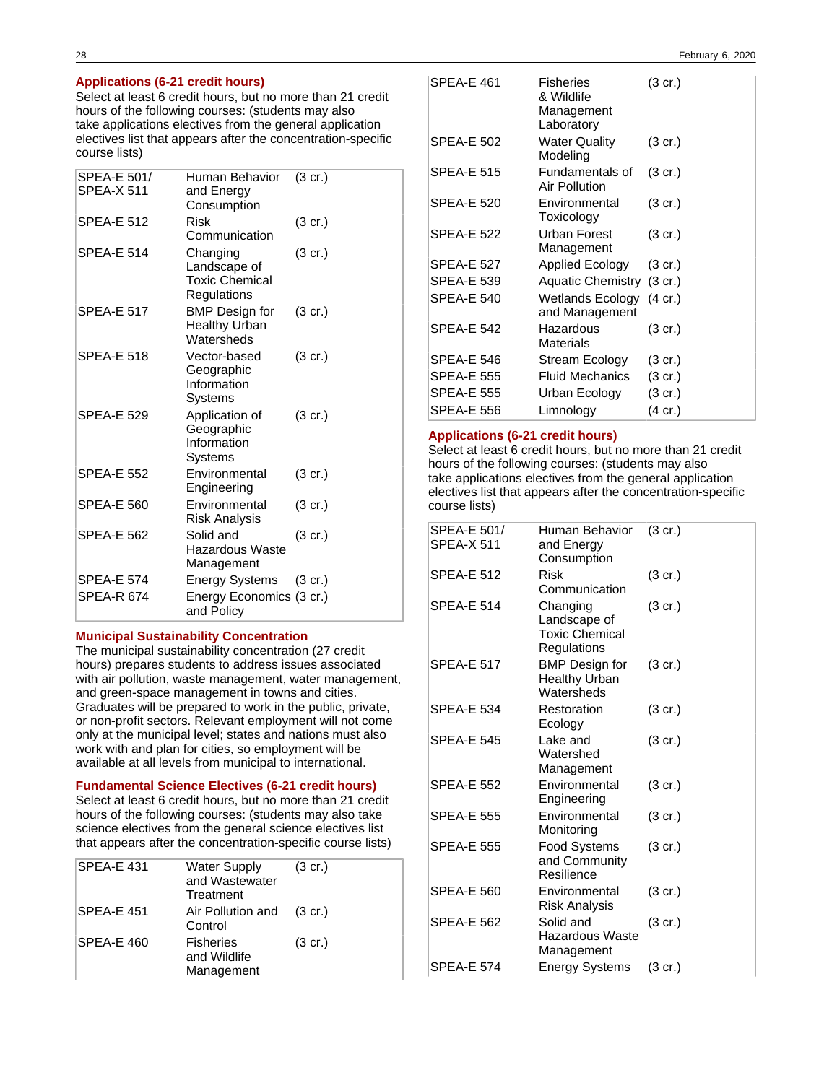### **Applications (6-21 credit hours)**

Select at least 6 credit hours, but no more than 21 credit hours of the following courses: (students may also take applications electives from the general application electives list that appears after the concentration-specific course lists)

| SPEA-E 501/<br>SPEA-X 511 | Human Behavior<br>and Energy<br>Consumption                      | (3 cr.)           |
|---------------------------|------------------------------------------------------------------|-------------------|
| <b>SPEA-E 512</b>         | Risk<br>Communication                                            | $(3 \text{ cr.})$ |
| SPEA-E 514                | Changing<br>Landscape of<br><b>Toxic Chemical</b><br>Regulations | (3 cr.)           |
| <b>SPEA-E 517</b>         | <b>BMP</b> Design for<br><b>Healthy Urban</b><br>Watersheds      | (3 cr.)           |
| SPEA-E 518                | Vector-based<br>Geographic<br>Information<br>Systems             | (3 cr.)           |
| <b>SPEA-E 529</b>         | Application of<br>Geographic<br>Information<br>Systems           | (3 cr.)           |
| <b>SPEA-E 552</b>         | Environmental<br>Engineering                                     | $(3 \text{ cr.})$ |
| SPEA-E 560                | Environmental<br><b>Risk Analysis</b>                            | $(3 \text{ cr.})$ |
| <b>SPEA-E 562</b>         | Solid and<br>Hazardous Waste<br>Management                       | $(3 \text{ cr.})$ |
| <b>SPEA-E 574</b>         | <b>Energy Systems</b>                                            | (3 cr.)           |
| SPEA-R 674                | Energy Economics (3 cr.)<br>and Policy                           |                   |

#### **Municipal Sustainability Concentration**

The municipal sustainability concentration (27 credit hours) prepares students to address issues associated with air pollution, waste management, water management, and green-space management in towns and cities. Graduates will be prepared to work in the public, private, or non-profit sectors. Relevant employment will not come only at the municipal level; states and nations must also work with and plan for cities, so employment will be available at all levels from municipal to international.

#### **Fundamental Science Electives (6-21 credit hours)**

Select at least 6 credit hours, but no more than 21 credit hours of the following courses: (students may also take science electives from the general science electives list that appears after the concentration-specific course lists)

| <b>SPEA-E 431</b> | <b>Water Supply</b><br>and Wastewater<br>Treatment | $(3 \text{ cr.})$ |
|-------------------|----------------------------------------------------|-------------------|
| <b>SPEA-E 451</b> | Air Pollution and<br>Control                       | $(3 \text{ cr.})$ |
| SPEA-E 460        | <b>Fisheries</b><br>and Wildlife<br>Management     | $(3 \text{ cr.})$ |

| <b>SPEA-E 461</b> | <b>Fisheries</b><br>& Wildlife<br>Management<br>Laboratory | $(3 \text{ cr.})$ |
|-------------------|------------------------------------------------------------|-------------------|
| <b>SPEA-E 502</b> | <b>Water Quality</b><br>Modeling                           | $(3 \text{ cr.})$ |
| <b>SPEA-E 515</b> | Fundamentals of<br>Air Pollution                           | $(3 \text{ cr.})$ |
| <b>SPEA-E 520</b> | Environmental<br>Toxicology                                | $(3 \text{ cr.})$ |
| <b>SPEA-E 522</b> | Urban Forest<br>Management                                 | $(3 \text{ cr.})$ |
| <b>SPEA-E 527</b> | Applied Ecology                                            | $(3 \text{ cr.})$ |
| <b>SPEA-E 539</b> | Aquatic Chemistry (3 cr.)                                  |                   |
| <b>SPEA-E 540</b> | Wetlands Ecology (4 cr.)<br>and Management                 |                   |
| <b>SPEA-E 542</b> | Hazardous<br>Materials                                     | $(3 \text{ cr.})$ |
| <b>SPEA-E 546</b> | Stream Ecology                                             | (3 cr.)           |
| <b>SPEA-E 555</b> | <b>Fluid Mechanics</b>                                     | $(3 \text{ cr.})$ |
| <b>SPEA-E 555</b> | Urban Ecology                                              | (3 cr.)           |
| SPEA-E 556        | Limnology                                                  | $(4 \text{ cr.})$ |

### **Applications (6-21 credit hours)**

Select at least 6 credit hours, but no more than 21 credit hours of the following courses: (students may also take applications electives from the general application electives list that appears after the concentration-specific course lists)

| SPEA-E 501/<br><b>SPEA-X 511</b> | Human Behavior<br>and Energy<br>Consumption                      | $(3 \text{ cr.})$ |
|----------------------------------|------------------------------------------------------------------|-------------------|
| <b>SPEA-E 512</b>                | Risk<br>Communication                                            | $(3 \text{ cr.})$ |
| <b>SPEA-E 514</b>                | Changing<br>Landscape of<br><b>Toxic Chemical</b><br>Regulations | $(3 \text{ cr.})$ |
| <b>SPEA-E 517</b>                | <b>BMP</b> Design for<br><b>Healthy Urban</b><br>Watersheds      | $(3 \text{ cr.})$ |
| <b>SPEA-E 534</b>                | Restoration<br>Ecology                                           | $(3 \text{ cr.})$ |
| <b>SPEA-E 545</b>                | Lake and<br>Watershed<br>Management                              | $(3 \text{ cr.})$ |
| <b>SPEA-E 552</b>                | Environmental<br>Engineering                                     | $(3 \text{ cr.})$ |
| <b>SPEA-E 555</b>                | Environmental<br>Monitoring                                      | $(3 \text{ cr.})$ |
| <b>SPEA-E 555</b>                | Food Systems<br>and Community<br>Resilience                      | $(3 \text{ cr.})$ |
| <b>SPEA-E 560</b>                | Environmental<br><b>Risk Analysis</b>                            | $(3 \text{ cr.})$ |
| <b>SPEA-E 562</b>                | Solid and<br>Hazardous Waste<br>Management                       | $(3 \text{ cr.})$ |
| <b>SPEA-E 574</b>                | <b>Energy Systems</b>                                            | (3 cr.)           |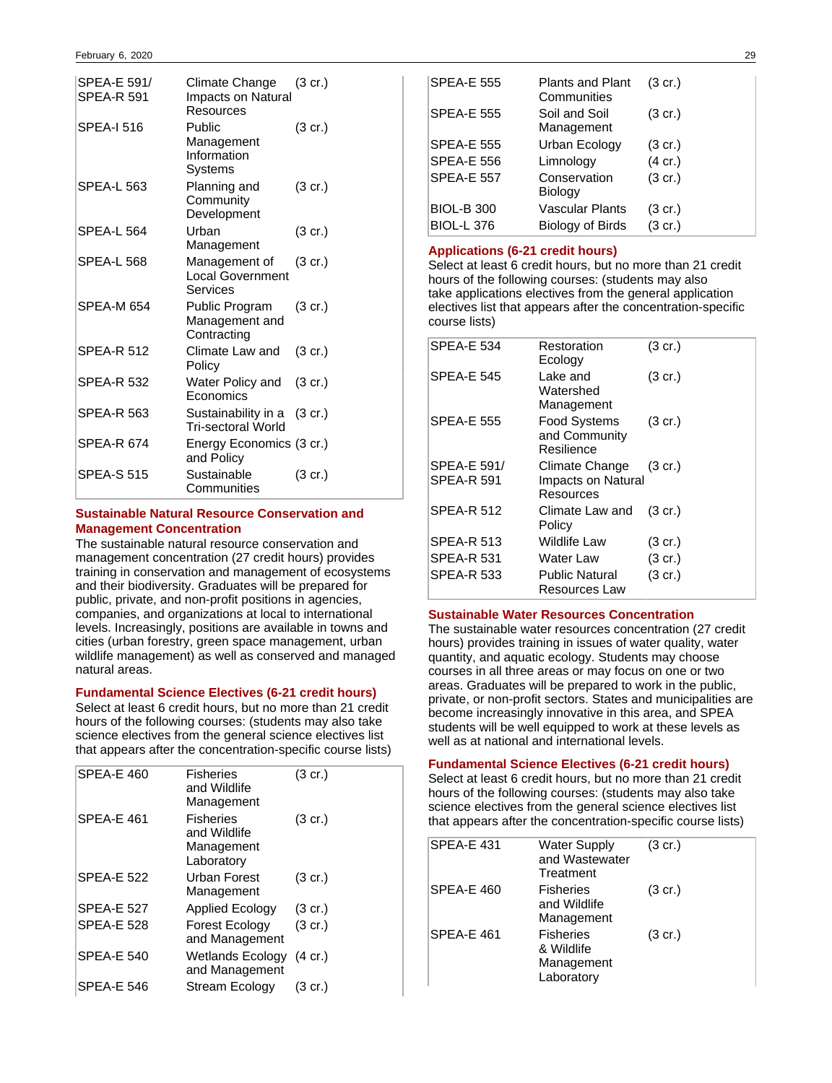| SPEA-E 591/<br><b>SPEA-R 591</b> | Climate Change<br>Impacts on Natural<br>Resources    | $(3 \text{ cr.})$ |
|----------------------------------|------------------------------------------------------|-------------------|
| <b>SPEA-I 516</b>                | Public<br>Management<br>Information<br>Systems       | $(3 \text{ cr.})$ |
| <b>SPEA-L 563</b>                | Planning and<br>Community<br>Development             | (3 cr.)           |
| <b>SPEA-L 564</b>                | Urban<br>Management                                  | (3 cr.)           |
| <b>SPEA-L 568</b>                | Management of<br><b>Local Government</b><br>Services | $(3 \text{ cr.})$ |
| SPEA-M 654                       | Public Program<br>Management and<br>Contracting      | $(3 \text{ cr.})$ |
| <b>SPEA-R 512</b>                | Climate Law and<br>Policy                            | (3 cr.)           |
| <b>SPEA-R 532</b>                | Water Policy and<br>Economics                        | $(3 \text{ cr.})$ |
| <b>SPEA-R 563</b>                | Sustainability in a<br><b>Tri-sectoral World</b>     | $(3 \text{ cr.})$ |
| <b>SPEA-R 674</b>                | Energy Economics (3 cr.)<br>and Policy               |                   |
| <b>SPEA-S 515</b>                | Sustainable<br>Communities                           | (3 cr.)           |

### **Sustainable Natural Resource Conservation and Management Concentration**

The sustainable natural resource conservation and management concentration (27 credit hours) provides training in conservation and management of ecosystems and their biodiversity. Graduates will be prepared for public, private, and non-profit positions in agencies, companies, and organizations at local to international levels. Increasingly, positions are available in towns and cities (urban forestry, green space management, urban wildlife management) as well as conserved and managed natural areas.

### **Fundamental Science Electives (6-21 credit hours)**

Select at least 6 credit hours, but no more than 21 credit hours of the following courses: (students may also take science electives from the general science electives list that appears after the concentration-specific course lists)

| <b>SPEA-E 460</b> | <b>Fisheries</b><br>and Wildlife<br>Management               | $(3 \text{ cr.})$ |
|-------------------|--------------------------------------------------------------|-------------------|
| <b>SPEA-E 461</b> | <b>Fisheries</b><br>and Wildlife<br>Management<br>Laboratory | $(3 \text{ cr.})$ |
| <b>SPEA-E 522</b> | Urban Forest<br>Management                                   | $(3 \text{ cr.})$ |
| <b>SPEA-E 527</b> | <b>Applied Ecology</b>                                       | $(3 \text{ cr.})$ |
| <b>SPFA-F 528</b> | <b>Forest Ecology</b><br>and Management                      | $(3 \text{ cr.})$ |
| <b>SPEA-E 540</b> | Wetlands Ecology (4 cr.)<br>and Management                   |                   |
| SPEA-E 546        | Stream Ecology                                               | $(3 \text{ cr.})$ |

| <b>SPEA-E 555</b> | <b>Plants and Plant</b><br>Communities | $(3 \text{ cr.})$ |
|-------------------|----------------------------------------|-------------------|
| <b>SPEA-E 555</b> | Soil and Soil<br>Management            | (3 cr.)           |
| SPEA-E 555        | Urban Ecology                          | $(3 \text{ cr.})$ |
| <b>SPEA-E 556</b> | Limnology                              | $(4 \text{ cr.})$ |
| <b>SPEA-E 557</b> | Conservation<br><b>Biology</b>         | $(3 \text{ cr.})$ |
| <b>BIOL-B 300</b> | Vascular Plants                        | $(3 \text{ cr.})$ |
| <b>BIOL-L 376</b> | <b>Biology of Birds</b>                | $(3 \text{ cr.})$ |

### **Applications (6-21 credit hours)**

Select at least 6 credit hours, but no more than 21 credit hours of the following courses: (students may also take applications electives from the general application electives list that appears after the concentration-specific course lists)

| <b>SPEA-E 534</b>                | Restoration<br>Ecology                             | $(3 \text{ cr.})$ |
|----------------------------------|----------------------------------------------------|-------------------|
| <b>SPEA-E 545</b>                | Lake and<br>Watershed<br>Management                | $(3 \text{ cr.})$ |
| <b>SPEA-E 555</b>                | <b>Food Systems</b><br>and Community<br>Resilience | $(3 \text{ cr.})$ |
| SPEA-E 591/<br><b>SPEA-R 591</b> | Climate Change<br>Impacts on Natural<br>Resources  | $(3 \text{ cr.})$ |
| <b>SPEA-R 512</b>                | Climate Law and<br>Policy                          | $(3 \text{ cr.})$ |
| <b>SPEA-R 513</b>                | Wildlife Law                                       | $(3 \text{ cr.})$ |
| <b>SPEA-R 531</b>                | Water Law                                          | $(3 \text{ cr.})$ |
| <b>SPEA-R 533</b>                | Public Natural<br>Resources Law                    | $(3 \text{ cr.})$ |

### **Sustainable Water Resources Concentration**

The sustainable water resources concentration (27 credit hours) provides training in issues of water quality, water quantity, and aquatic ecology. Students may choose courses in all three areas or may focus on one or two areas. Graduates will be prepared to work in the public, private, or non-profit sectors. States and municipalities are become increasingly innovative in this area, and SPEA students will be well equipped to work at these levels as well as at national and international levels.

### **Fundamental Science Electives (6-21 credit hours)**

Select at least 6 credit hours, but no more than 21 credit hours of the following courses: (students may also take science electives from the general science electives list that appears after the concentration-specific course lists)

| <b>SPEA-E 431</b> | <b>Water Supply</b><br>and Wastewater<br>Treatment         | $(3 \text{ cr.})$ |
|-------------------|------------------------------------------------------------|-------------------|
| SPEA-E 460        | <b>Fisheries</b><br>and Wildlife<br>Management             | $(3 \text{ cr.})$ |
| SPEA-E 461        | <b>Fisheries</b><br>& Wildlife<br>Management<br>Laboratory | $(3 \text{ cr.})$ |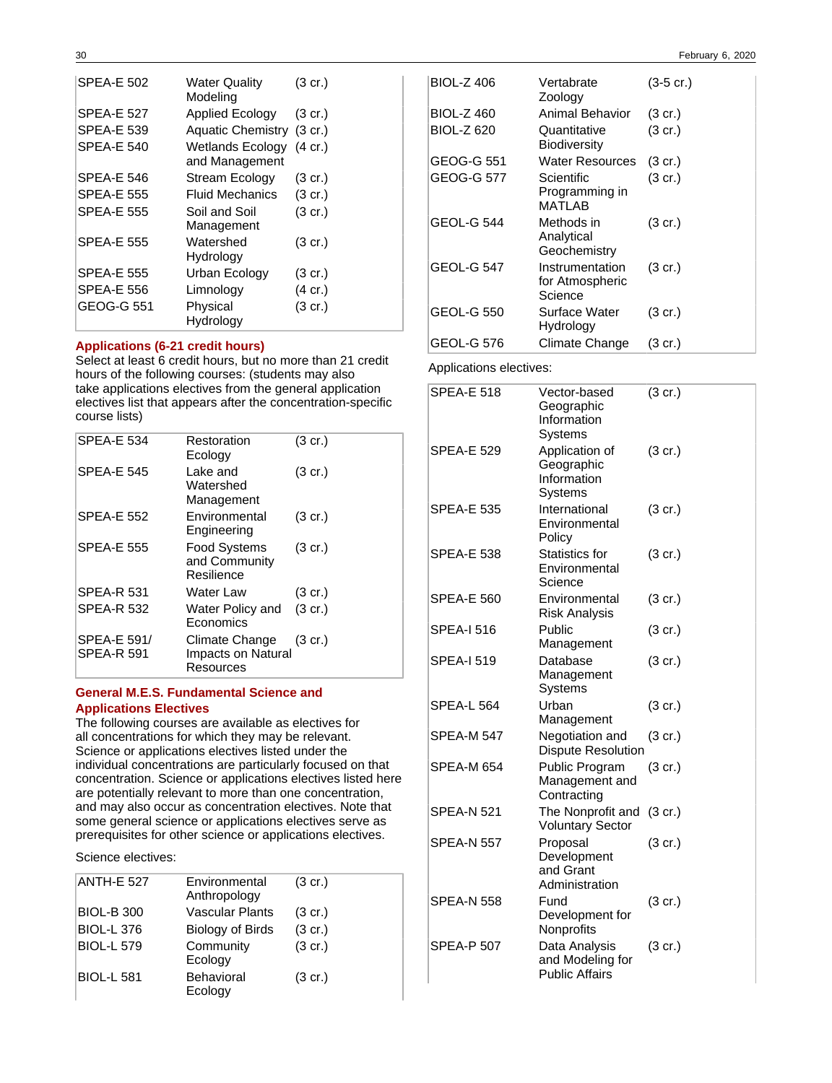| <b>SPEA-E 502</b> | Water Quality<br>Modeling          | $(3 \text{ cr.})$ |
|-------------------|------------------------------------|-------------------|
| <b>SPEA-E 527</b> | Applied Ecology                    | $(3 \text{ cr.})$ |
| <b>SPEA-E 539</b> | Aquatic Chemistry (3 cr.)          |                   |
| <b>SPEA-E 540</b> | Wetlands Ecology<br>and Management | $(4 \text{ cr.})$ |
| SPEA-E 546        | Stream Ecology                     | $(3 \text{ cr.})$ |
| SPEA-E 555        | Fluid Mechanics                    | $(3 \text{ cr.})$ |
| <b>SPEA-E 555</b> | Soil and Soil<br>Management        | $(3 \text{ cr.})$ |
| <b>SPEA-E 555</b> | Watershed<br>Hydrology             | $(3 \text{ cr.})$ |
| SPEA-E 555        | Urban Ecology                      | $(3 \text{ cr.})$ |
| SPEA-E 556        | Limnology                          | $(4 \text{ cr.})$ |
| GEOG-G 551        | Physical<br>Hydrology              | $(3 \text{ cr.})$ |

#### **Applications (6-21 credit hours)**

Select at least 6 credit hours, but no more than 21 credit hours of the following courses: (students may also take applications electives from the general application electives list that appears after the concentration-specific course lists)

| <b>SPEA-E 534</b>                       | Restoration<br>Ecology                             | $(3 \text{ cr.})$ |
|-----------------------------------------|----------------------------------------------------|-------------------|
| <b>SPEA-E 545</b>                       | Lake and<br>Watershed<br>Management                | $(3 \text{ cr.})$ |
| <b>SPEA-E 552</b>                       | Environmental<br>Engineering                       | $(3 \text{ cr.})$ |
| <b>SPEA-E 555</b>                       | <b>Food Systems</b><br>and Community<br>Resilience | $(3 \text{ cr.})$ |
| <b>SPEA-R 531</b>                       | Water Law                                          | $(3 \text{ cr.})$ |
| <b>SPEA-R 532</b>                       | Water Policy and<br>Economics                      | $(3 \text{ cr.})$ |
| <b>SPEA-E 591/</b><br><b>SPEA-R 591</b> | Climate Change<br>Impacts on Natural<br>Resources  | $(3 \text{ cr.})$ |

### **General M.E.S. Fundamental Science and Applications Electives**

The following courses are available as electives for all concentrations for which they may be relevant. Science or applications electives listed under the individual concentrations are particularly focused on that concentration. Science or applications electives listed here are potentially relevant to more than one concentration, and may also occur as concentration electives. Note that some general science or applications electives serve as prerequisites for other science or applications electives.

Science electives:

| <b>ANTH-E 527</b> | Environmental<br>Anthropology | $(3 \text{ cr.})$ |
|-------------------|-------------------------------|-------------------|
| <b>BIOL-B 300</b> | <b>Vascular Plants</b>        | $(3 \text{ cr.})$ |
| <b>BIOL-L 376</b> | <b>Biology of Birds</b>       | $(3 \text{ cr.})$ |
| <b>BIOL-L 579</b> | Community<br>Ecology          | $(3 \text{ cr.})$ |
| <b>BIOL-L 581</b> | Behavioral<br>Ecology         | $(3 \text{ cr.})$ |

| <b>BIOL-Z 406</b> | Vertabrate<br>Zoology                         | $(3-5 \text{ cr.})$ |
|-------------------|-----------------------------------------------|---------------------|
| <b>BIOL-Z 460</b> | Animal Behavior                               | $(3 \text{ cr.})$   |
| <b>BIOL-Z 620</b> | Quantitative<br>Biodiversity                  | $(3 \text{ cr.})$   |
| GEOG-G 551        | Water Resources                               | $(3 \text{ cr.})$   |
| GEOG-G 577        | Scientific<br>Programming in<br>MATI AB       | $(3 \text{ cr.})$   |
| <b>GEOL-G 544</b> | Methods in<br>Analytical<br>Geochemistry      | $(3 \text{ cr.})$   |
| <b>GEOL-G 547</b> | Instrumentation<br>for Atmospheric<br>Science | $(3 \text{ cr.})$   |
| GEOL-G 550        | Surface Water<br>Hydrology                    | $(3 \text{ cr.})$   |
| GEOL-G 576        | Climate Change                                | (3 cr.)             |

Applications electives:

| <b>SPEA-E 518</b> | Vector-based<br>Geographic<br>Information<br>Systems       | $(3 \text{ cr.})$ |
|-------------------|------------------------------------------------------------|-------------------|
| SPEA-E 529        | Application of<br>Geographic<br>Information<br>Systems     | $(3 \text{ cr.})$ |
| <b>SPEA-E 535</b> | International<br>Environmental<br>Policy                   | $(3 \text{ cr.})$ |
| SPEA-E 538        | <b>Statistics for</b><br>Environmental<br>Science          | $(3 \text{ cr.})$ |
| SPEA-E 560        | Environmental<br><b>Risk Analysis</b>                      | $(3 \text{ cr.})$ |
| <b>SPEA-I 516</b> | Public<br>Management                                       | $(3 \text{ cr.})$ |
| <b>SPEA-I 519</b> | Database<br>Management<br>Systems                          | $(3 \text{ cr.})$ |
| <b>SPEA-L 564</b> | Urban<br>Management                                        | (3 cr.)           |
| SPEA-M 547        | Negotiation and<br><b>Dispute Resolution</b>               | $(3 \text{ cr.})$ |
| SPEA-M 654        | Public Program<br>Management and<br>Contracting            | $(3 \text{ cr.})$ |
| SPEA-N 521        | The Nonprofit and<br><b>Voluntary Sector</b>               | $(3 \text{ cr.})$ |
| SPEA-N 557        | Proposal<br>Development<br>and Grant<br>Administration     | (3 cr.)           |
| <b>SPEA-N 558</b> | Fund<br>Development for<br>Nonprofits                      | $(3$ cr.)         |
| <b>SPEA-P 507</b> | Data Analysis<br>and Modeling for<br><b>Public Affairs</b> | (3 cr.)           |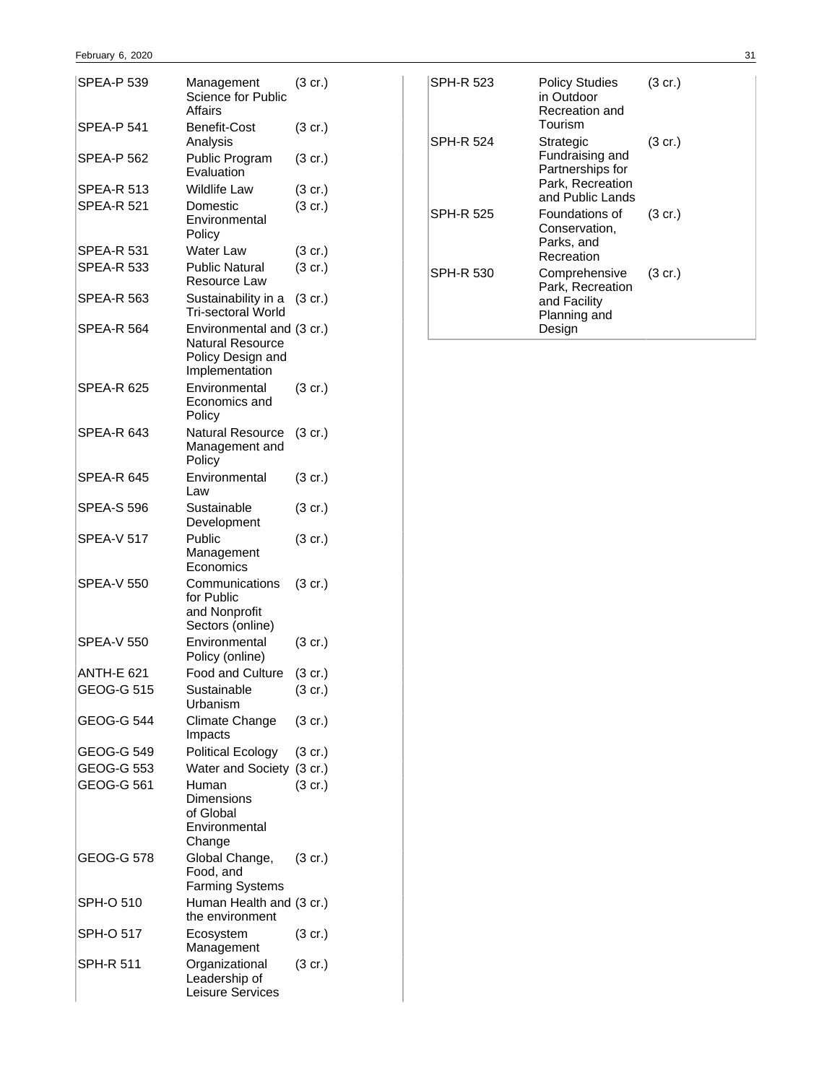| SPEA-P 539        | Management<br>Science for Public<br>Affairs                                                 | $(3 \text{ cr.})$ |
|-------------------|---------------------------------------------------------------------------------------------|-------------------|
| SPEA-P 541        | Benefit-Cost<br>Analysis                                                                    | (3 cr.)           |
| SPEA-P 562        | Public Program<br>Evaluation                                                                | (3 cr.)           |
| SPEA-R 513        | <b>Wildlife Law</b>                                                                         | (3 cr.)           |
| <b>SPEA-R 521</b> | Domestic<br>Environmental<br>Policy                                                         | (3 cr.)           |
| SPEA-R 531        | Water Law                                                                                   | $(3 \text{ cr.})$ |
| <b>SPEA-R 533</b> | <b>Public Natural</b><br>Resource Law                                                       | (3 cr.)           |
| SPEA-R 563        | Sustainability in a<br>Tri-sectoral World                                                   | (3 cr.)           |
| SPEA-R 564        | Environmental and (3 cr.)<br><b>Natural Resource</b><br>Policy Design and<br>Implementation |                   |
| SPEA-R 625        | Environmental<br>Economics and<br>Policy                                                    | $(3 \text{ cr.})$ |
| SPEA-R 643        | Natural Resource<br>Management and<br>Policy                                                | (3 cr.)           |
| SPEA-R 645        | Environmental<br>Law                                                                        | $(3 \text{ cr.})$ |
| SPEA-S 596        | Sustainable<br>Development                                                                  | (3 cr.)           |
| SPEA-V 517        | Public<br>Management<br>Economics                                                           | (3 cr.)           |
| SPEA-V 550        | Communications<br>for Public<br>and Nonprofit<br>Sectors (online)                           | (3 cr.)           |
| SPEA-V 550        | Environmental<br>Policy (online)                                                            | (3 cr.)           |
| ANTH-E 621        | Food and Culture                                                                            | (3 cr.)           |
| <b>GEOG-G 515</b> | Sustainable<br>Urbanism                                                                     | $(3$ cr.)         |
| GEOG-G 544        | Climate Change<br>Impacts                                                                   | (3 cr.)           |
| GEOG-G 549        | <b>Political Ecology</b>                                                                    | (3 cr.)           |
| <b>GEOG-G 553</b> | Water and Society (3 cr.)                                                                   |                   |
| GEOG-G 561        | Human<br>Dimensions<br>of Global<br>Environmental<br>Change                                 | (3 cr.)           |
| GEOG-G 578        | Global Change,<br>Food, and<br>Farming Systems                                              | (3 cr.)           |
| SPH-O 510         | Human Health and (3 cr.)<br>the environment                                                 |                   |
| SPH-O 517         | Ecosystem<br>Management                                                                     | (3 cr.)           |
| SPH-R 511         | Organizational<br>Leadership of<br>Leisure Services                                         | (3 cr.)           |

| <b>SPH-R 523</b> | Policy Studies<br>in Outdoor<br>Recreation and<br>Tourism                                | $(3 \text{ cr.})$ |
|------------------|------------------------------------------------------------------------------------------|-------------------|
| SPH-R 524        | Strategic<br>Fundraising and<br>Partnerships for<br>Park, Recreation<br>and Public Lands | $(3 \text{ cr.})$ |
| SPH-R 525        | Foundations of<br>Conservation,<br>Parks, and<br>Recreation                              | $(3 \text{ cr.})$ |
| SPH-R 530        | Comprehensive<br>Park, Recreation<br>and Facility<br>Planning and<br>Design              | $(3 \text{ cr.})$ |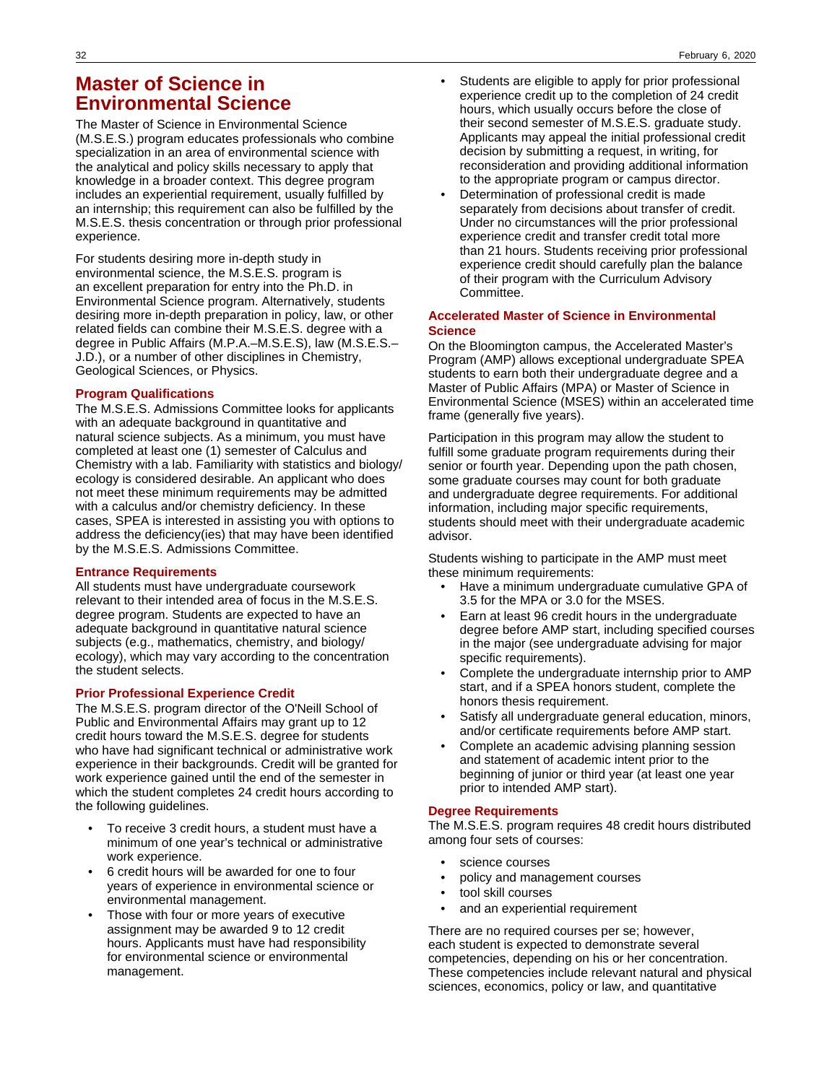## **Master of Science in Environmental Science**

The Master of Science in Environmental Science (M.S.E.S.) program educates professionals who combine specialization in an area of environmental science with the analytical and policy skills necessary to apply that knowledge in a broader context. This degree program includes an experiential requirement, usually fulfilled by an internship; this requirement can also be fulfilled by the M.S.E.S. thesis concentration or through prior professional experience.

For students desiring more in-depth study in environmental science, the M.S.E.S. program is an excellent preparation for entry into the Ph.D. in Environmental Science program. Alternatively, students desiring more in-depth preparation in policy, law, or other related fields can combine their M.S.E.S. degree with a degree in Public Affairs (M.P.A.–M.S.E.S), law (M.S.E.S.– J.D.), or a number of other disciplines in Chemistry, Geological Sciences, or Physics.

### **Program Qualifications**

The M.S.E.S. Admissions Committee looks for applicants with an adequate background in quantitative and natural science subjects. As a minimum, you must have completed at least one (1) semester of Calculus and Chemistry with a lab. Familiarity with statistics and biology/ ecology is considered desirable. An applicant who does not meet these minimum requirements may be admitted with a calculus and/or chemistry deficiency. In these cases, SPEA is interested in assisting you with options to address the deficiency(ies) that may have been identified by the M.S.E.S. Admissions Committee.

### **Entrance Requirements**

All students must have undergraduate coursework relevant to their intended area of focus in the M.S.E.S. degree program. Students are expected to have an adequate background in quantitative natural science subjects (e.g., mathematics, chemistry, and biology/ ecology), which may vary according to the concentration the student selects.

### **Prior Professional Experience Credit**

The M.S.E.S. program director of the O'Neill School of Public and Environmental Affairs may grant up to 12 credit hours toward the M.S.E.S. degree for students who have had significant technical or administrative work experience in their backgrounds. Credit will be granted for work experience gained until the end of the semester in which the student completes 24 credit hours according to the following guidelines.

- To receive 3 credit hours, a student must have a minimum of one year's technical or administrative work experience.
- 6 credit hours will be awarded for one to four years of experience in environmental science or environmental management.
- Those with four or more years of executive assignment may be awarded 9 to 12 credit hours. Applicants must have had responsibility for environmental science or environmental management.
- Students are eligible to apply for prior professional experience credit up to the completion of 24 credit hours, which usually occurs before the close of their second semester of M.S.E.S. graduate study. Applicants may appeal the initial professional credit decision by submitting a request, in writing, for reconsideration and providing additional information to the appropriate program or campus director.
- Determination of professional credit is made separately from decisions about transfer of credit. Under no circumstances will the prior professional experience credit and transfer credit total more than 21 hours. Students receiving prior professional experience credit should carefully plan the balance of their program with the Curriculum Advisory Committee.

### **Accelerated Master of Science in Environmental Science**

On the Bloomington campus, the Accelerated Master's Program (AMP) allows exceptional undergraduate SPEA students to earn both their undergraduate degree and a Master of Public Affairs (MPA) or Master of Science in Environmental Science (MSES) within an accelerated time frame (generally five years).

Participation in this program may allow the student to fulfill some graduate program requirements during their senior or fourth year. Depending upon the path chosen, some graduate courses may count for both graduate and undergraduate degree requirements. For additional information, including major specific requirements, students should meet with their undergraduate academic advisor.

Students wishing to participate in the AMP must meet these minimum requirements:

- Have a minimum undergraduate cumulative GPA of 3.5 for the MPA or 3.0 for the MSES.
- Earn at least 96 credit hours in the undergraduate degree before AMP start, including specified courses in the major (see undergraduate advising for major specific requirements).
- Complete the undergraduate internship prior to AMP start, and if a SPEA honors student, complete the honors thesis requirement.
- Satisfy all undergraduate general education, minors, and/or certificate requirements before AMP start.
- Complete an academic advising planning session and statement of academic intent prior to the beginning of junior or third year (at least one year prior to intended AMP start).

### **Degree Requirements**

The M.S.E.S. program requires 48 credit hours distributed among four sets of courses:

- science courses
- policy and management courses
- tool skill courses
- and an experiential requirement

There are no required courses per se; however, each student is expected to demonstrate several competencies, depending on his or her concentration. These competencies include relevant natural and physical sciences, economics, policy or law, and quantitative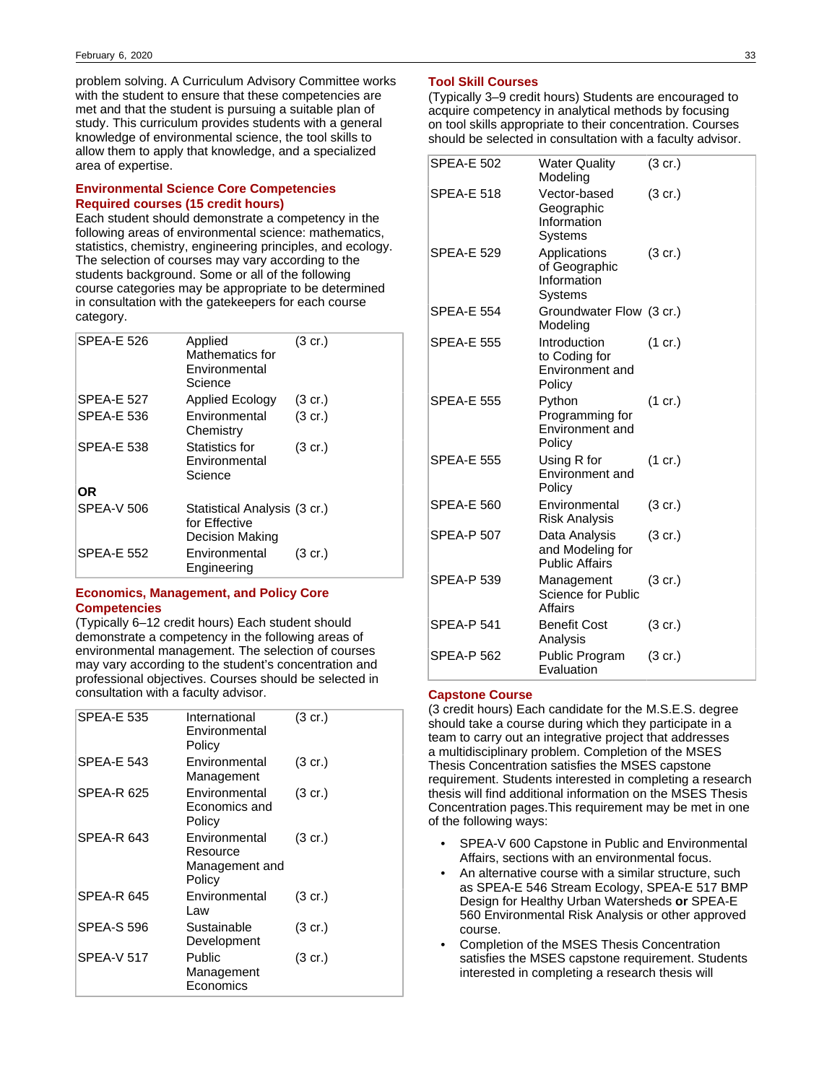problem solving. A Curriculum Advisory Committee works with the student to ensure that these competencies are met and that the student is pursuing a suitable plan of study. This curriculum provides students with a general knowledge of environmental science, the tool skills to allow them to apply that knowledge, and a specialized area of expertise.

### **Environmental Science Core Competencies Required courses (15 credit hours)**

Each student should demonstrate a competency in the following areas of environmental science: mathematics, statistics, chemistry, engineering principles, and ecology. The selection of courses may vary according to the students background. Some or all of the following course categories may be appropriate to be determined in consultation with the gatekeepers for each course category.

| <b>SPEA-E 526</b> | Applied<br>Mathematics for<br>Environmental<br>Science           | $(3 \text{ cr.})$ |
|-------------------|------------------------------------------------------------------|-------------------|
| <b>SPEA-E 527</b> | <b>Applied Ecology</b>                                           | $(3 \text{ cr.})$ |
| <b>SPEA-E 536</b> | Environmental<br>Chemistry                                       | $(3 \text{ cr.})$ |
| <b>SPEA-E 538</b> | Statistics for<br>Environmental<br>Science                       | $(3 \text{ cr.})$ |
| OR                |                                                                  |                   |
| <b>SPEA-V 506</b> | Statistical Analysis (3 cr.)<br>for Effective<br>Decision Making |                   |
| <b>SPEA-E 552</b> | Environmental<br>Engineering                                     | $(3 \text{ cr.})$ |

### **Economics, Management, and Policy Core Competencies**

(Typically 6–12 credit hours) Each student should demonstrate a competency in the following areas of environmental management. The selection of courses may vary according to the student's concentration and professional objectives. Courses should be selected in consultation with a faculty advisor.

| <b>SPEA-E 535</b> | International<br>Environmental<br>Policy              | $(3 \text{ cr.})$ |
|-------------------|-------------------------------------------------------|-------------------|
| <b>SPEA-E 543</b> | Environmental<br>Management                           | $(3 \text{ cr.})$ |
| <b>SPEA-R 625</b> | Environmental<br>Economics and<br>Policy              | $(3 \text{ cr.})$ |
| SPEA-R 643        | Environmental<br>Resource<br>Management and<br>Policy | (3 cr.)           |
| <b>SPEA-R 645</b> | Environmental<br>Law                                  | $(3 \text{ cr.})$ |
| <b>SPEA-S 596</b> | Sustainable<br>Development                            | $(3 \text{ cr.})$ |
| <b>SPEA-V 517</b> | Public<br>Management<br>Economics                     | $(3 \text{ cr.})$ |

#### **Tool Skill Courses**

(Typically 3–9 credit hours) Students are encouraged to acquire competency in analytical methods by focusing on tool skills appropriate to their concentration. Courses should be selected in consultation with a faculty advisor.

| <b>SPEA-E 502</b> | <b>Water Quality</b><br>Modeling                           | $(3 \text{ cr.})$ |
|-------------------|------------------------------------------------------------|-------------------|
| <b>SPEA-E 518</b> | Vector-based<br>Geographic<br>Information<br>Systems       | $(3 \text{ cr.})$ |
| <b>SPEA-E 529</b> | Applications<br>of Geographic<br>Information<br>Systems    | $(3$ cr.)         |
| <b>SPEA-E 554</b> | Groundwater Flow (3 cr.)<br>Modeling                       |                   |
| <b>SPEA-E 555</b> | Introduction<br>to Coding for<br>Environment and<br>Policy | $(1 \text{ cr.})$ |
| <b>SPEA-E 555</b> | Python<br>Programming for<br>Environment and<br>Policy     | (1 cr.)           |
| <b>SPEA-E 555</b> | Using R for<br>Environment and<br>Policy                   | (1 cr.)           |
| <b>SPEA-E 560</b> | Environmental<br><b>Risk Analysis</b>                      | $(3 \text{ cr.})$ |
| <b>SPEA-P 507</b> | Data Analysis<br>and Modeling for<br><b>Public Affairs</b> | $(3 \text{ cr.})$ |
| <b>SPEA-P 539</b> | Management<br>Science for Public<br>Affairs                | (3 cr.)           |
| <b>SPEA-P 541</b> | <b>Benefit Cost</b><br>Analysis                            | $(3 \text{ cr.})$ |
| SPEA-P 562        | Public Program<br>Evaluation                               | $(3 \text{ cr.})$ |

#### **Capstone Course**

(3 credit hours) Each candidate for the M.S.E.S. degree should take a course during which they participate in a team to carry out an integrative project that addresses a multidisciplinary problem. Completion of the MSES Thesis Concentration satisfies the MSES capstone requirement. Students interested in completing a research thesis will find additional information on the MSES Thesis Concentration pages.This requirement may be met in one of the following ways:

- SPEA-V 600 Capstone in Public and Environmental Affairs, sections with an environmental focus.
- An alternative course with a similar structure, such as SPEA-E 546 Stream Ecology, SPEA-E 517 BMP Design for Healthy Urban Watersheds **or** SPEA-E 560 Environmental Risk Analysis or other approved course.
- Completion of the MSES Thesis Concentration satisfies the MSES capstone requirement. Students interested in completing a research thesis will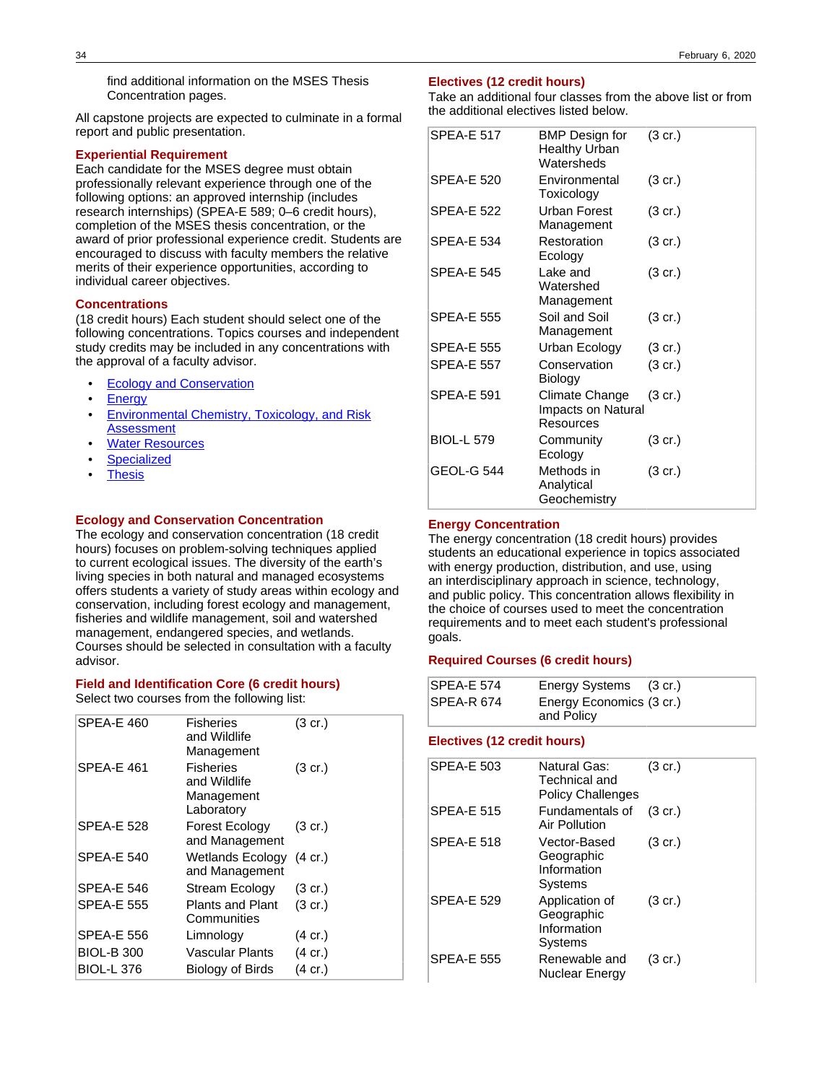find additional information on the MSES Thesis Concentration pages.

All capstone projects are expected to culminate in a formal report and public presentation.

### **Experiential Requirement**

Each candidate for the MSES degree must obtain professionally relevant experience through one of the following options: an approved internship (includes research internships) (SPEA-E 589; 0–6 credit hours), completion of the MSES thesis concentration, or the award of prior professional experience credit. Students are encouraged to discuss with faculty members the relative merits of their experience opportunities, according to individual career objectives.

### **Concentrations**

(18 credit hours) Each student should select one of the following concentrations. Topics courses and independent study credits may be included in any concentrations with the approval of a faculty advisor.

- **[Ecology and Conservation](https://sites.wcms.iu.edu/entity/open.act?type=page&id=a1c73bd3814f4e106313aa88b2f037a9&confId=a1c7497b814f4e106313aa8890ffe4f7)**
- **[Energy](https://sites.wcms.iu.edu/entity/open.act?type=page&id=a1c74903814f4e106313aa88d7de645b&confId=a1c7497b814f4e106313aa8890ffe4f7)**
- [Environmental Chemistry, Toxicology, and Risk](https://sites.wcms.iu.edu/entity/open.act?type=page&id=a1c73bfa814f4e106313aa88122d36df&confId=a1c7497b814f4e106313aa8890ffe4f7) **[Assessment](https://sites.wcms.iu.edu/entity/open.act?type=page&id=a1c73bfa814f4e106313aa88122d36df&confId=a1c7497b814f4e106313aa8890ffe4f7)**
- **[Water Resources](https://sites.wcms.iu.edu/entity/open.act?type=page&id=a1c73c17814f4e106313aa88e9dd189a&confId=a1c7497b814f4e106313aa8890ffe4f7)**
- **[Specialized](https://sites.wcms.iu.edu/entity/open.act?id=bbf1f6d9814f4e105fcbc346b545179b&type=page&)**
- **[Thesis](https://IU-SPEA-BULLETIN.2018-2019: /programs/bloomington/mses/thesis)**

#### **Ecology and Conservation Concentration**

The ecology and conservation concentration (18 credit hours) focuses on problem-solving techniques applied to current ecological issues. The diversity of the earth's living species in both natural and managed ecosystems offers students a variety of study areas within ecology and conservation, including forest ecology and management, fisheries and wildlife management, soil and watershed management, endangered species, and wetlands. Courses should be selected in consultation with a faculty advisor.

#### **Field and Identification Core (6 credit hours)**

Select two courses from the following list:

| <b>SPEA-E 460</b><br><b>Fisheries</b><br>$(3 \text{ cr.})$<br>and Wildlife<br>Management        |  |
|-------------------------------------------------------------------------------------------------|--|
| SPEA-E 461<br><b>Fisheries</b><br>$(3 \text{ cr.})$<br>and Wildlife<br>Management<br>Laboratory |  |
| SPEA-E 528<br><b>Forest Ecology</b><br>$(3 \text{ cr.})$<br>and Management                      |  |
| <b>SPEA-E 540</b><br><b>Wetlands Ecology</b><br>$(4 \text{ cr.})$<br>and Management             |  |
| SPEA-E 546<br>Stream Ecology<br>$(3 \text{ cr.})$                                               |  |
| <b>SPEA-E 555</b><br>Plants and Plant<br>$(3 \text{ cr.})$<br>Communities                       |  |
| SPEA-E 556<br>Limnology<br>$(4 \text{ cr.})$                                                    |  |
| <b>BIOL-B 300</b><br>Vascular Plants<br>$(4 \text{ cr.})$                                       |  |
| <b>BIOL-L 376</b><br>(4 cr.)<br>Biology of Birds                                                |  |

#### **Electives (12 credit hours)**

Take an additional four classes from the above list or from the additional electives listed below.

| <b>SPEA-E 517</b> | <b>BMP Design for</b><br><b>Healthy Urban</b><br>Watersheds | $(3 \text{ cr.})$ |
|-------------------|-------------------------------------------------------------|-------------------|
| <b>SPEA-E 520</b> | Environmental<br>Toxicology                                 | $(3 \text{ cr.})$ |
| <b>SPEA-E 522</b> | Urban Forest<br>Management                                  | $(3 \text{ cr.})$ |
| <b>SPEA-E 534</b> | Restoration<br>Ecology                                      | $(3 \text{ cr.})$ |
| <b>SPEA-E 545</b> | Lake and<br>Watershed<br>Management                         | $(3 \text{ cr.})$ |
| <b>SPEA-E 555</b> | Soil and Soil<br>Management                                 | $(3 \text{ cr.})$ |
| <b>SPEA-E 555</b> | Urban Ecology                                               | $(3 \text{ cr.})$ |
| <b>SPEA-E 557</b> | Conservation<br>Biology                                     | $(3 \text{ cr.})$ |
| <b>SPEA-E 591</b> | Climate Change<br>Impacts on Natural<br>Resources           | $(3 \text{ cr.})$ |
| <b>BIOL-L 579</b> | Community<br>Ecology                                        | $(3 \text{ cr.})$ |
| <b>GEOL-G 544</b> | Methods in<br>Analytical<br>Geochemistry                    | $(3 \text{ cr.})$ |

#### **Energy Concentration**

The energy concentration (18 credit hours) provides students an educational experience in topics associated with energy production, distribution, and use, using an interdisciplinary approach in science, technology, and public policy. This concentration allows flexibility in the choice of courses used to meet the concentration requirements and to meet each student's professional goals.

#### **Required Courses (6 credit hours)**

| SPEA-E 574 | Energy Systems (3 cr.)   |  |
|------------|--------------------------|--|
| SPEA-R 674 | Energy Economics (3 cr.) |  |
|            | and Policy               |  |

#### **Electives (12 credit hours)**

| <b>SPEA-E 503</b> | Natural Gas:<br>Technical and<br><b>Policy Challenges</b> | $(3 \text{ cr.})$ |
|-------------------|-----------------------------------------------------------|-------------------|
| <b>SPEA-E 515</b> | Fundamentals of<br>Air Pollution                          | $(3 \text{ cr.})$ |
| <b>SPEA-E 518</b> | Vector-Based<br>Geographic<br>Information<br>Systems      | $(3 \text{ cr.})$ |
| <b>SPEA-E 529</b> | Application of<br>Geographic<br>Information<br>Systems    | $(3 \text{ cr.})$ |
| <b>SPEA-E 555</b> | Renewable and<br>Nuclear Energy                           | $(3 \text{ cr.})$ |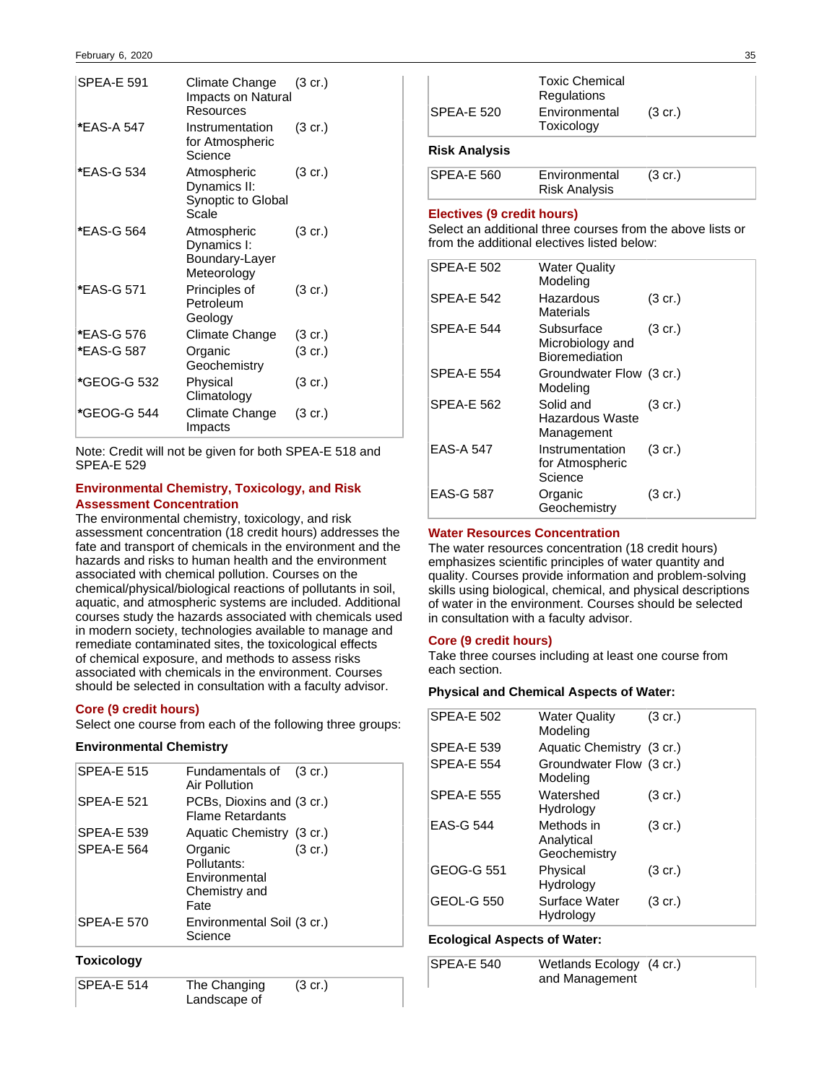| Climate Change<br>Resources                                 | $(3 \text{ cr.})$  |
|-------------------------------------------------------------|--------------------|
| Instrumentation<br>for Atmospheric<br>Science               | $(3 \text{ cr.})$  |
| Atmospheric<br>Dynamics II:<br>Synoptic to Global<br>Scale  | $(3 \text{ cr.})$  |
| Atmospheric<br>Dynamics I:<br>Boundary-Layer<br>Meteorology | $(3 \text{ cr.})$  |
| Principles of<br>Petroleum<br>Geology                       | $(3 \text{ cr.})$  |
| Climate Change                                              | $(3 \text{ cr.})$  |
| Organic<br>Geochemistry                                     | $(3 \text{ cr.})$  |
| Physical<br>Climatology                                     | $(3 \text{ cr.})$  |
| Climate Change<br>Impacts                                   | $(3 \text{ cr.})$  |
|                                                             | Impacts on Natural |

Note: Credit will not be given for both SPEA-E 518 and SPEA-E 529

### **Environmental Chemistry, Toxicology, and Risk Assessment Concentration**

The environmental chemistry, toxicology, and risk assessment concentration (18 credit hours) addresses the fate and transport of chemicals in the environment and the hazards and risks to human health and the environment associated with chemical pollution. Courses on the chemical/physical/biological reactions of pollutants in soil, aquatic, and atmospheric systems are included. Additional courses study the hazards associated with chemicals used in modern society, technologies available to manage and remediate contaminated sites, the toxicological effects of chemical exposure, and methods to assess risks associated with chemicals in the environment. Courses should be selected in consultation with a faculty advisor.

### **Core (9 credit hours)**

Select one course from each of the following three groups:

### **Environmental Chemistry**

| <b>SPEA-E 515</b> | Fundamentals of (3 cr.)<br>Air Pollution                         |                   |
|-------------------|------------------------------------------------------------------|-------------------|
| <b>SPEA-E 521</b> | PCBs, Dioxins and (3 cr.)<br><b>Flame Retardants</b>             |                   |
| <b>SPEA-E 539</b> | Aquatic Chemistry (3 cr.)                                        |                   |
| <b>SPEA-E 564</b> | Organic<br>Pollutants:<br>Environmental<br>Chemistry and<br>Fate | $(3 \text{ cr.})$ |
| <b>SPEA-E 570</b> | Environmental Soil (3 cr.)<br>Science                            |                   |
|                   |                                                                  |                   |

### **Toxicology**

| $SPEA-E 514$ | The Changing | $(3 \text{ cr.})$ |
|--------------|--------------|-------------------|
|              | Landscape of |                   |

| Risk Analysis     |                                      |                   |  |
|-------------------|--------------------------------------|-------------------|--|
| <b>SPEA-E 520</b> | Environmental<br>Toxicology          | $(3 \text{ cr.})$ |  |
|                   | <b>Toxic Chemical</b><br>Regulations |                   |  |

| SPEA-E 560 | Environmental        | $(3 \text{ cr.})$ |  |
|------------|----------------------|-------------------|--|
|            | <b>Risk Analysis</b> |                   |  |

### **Electives (9 credit hours)**

Select an additional three courses from the above lists or from the additional electives listed below:

| <b>SPEA-E 502</b> | <b>Water Quality</b><br>Modeling                        |                   |
|-------------------|---------------------------------------------------------|-------------------|
| <b>SPEA-E 542</b> | Hazardous<br>Materials                                  | $(3 \text{ cr.})$ |
| <b>SPEA-E 544</b> | Subsurface<br>Microbiology and<br><b>Bioremediation</b> | $(3 \text{ cr.})$ |
| <b>SPEA-E 554</b> | Groundwater Flow (3 cr.)<br>Modeling                    |                   |
| <b>SPEA-E 562</b> | Solid and<br><b>Hazardous Waste</b><br>Management       | $(3 \text{ cr.})$ |
| <b>EAS-A 547</b>  | Instrumentation<br>for Atmospheric<br>Science           | $(3 \text{ cr.})$ |
| <b>EAS-G 587</b>  | Organic<br>Geochemistry                                 | (3 cr.)           |

### **Water Resources Concentration**

The water resources concentration (18 credit hours) emphasizes scientific principles of water quantity and quality. Courses provide information and problem-solving skills using biological, chemical, and physical descriptions of water in the environment. Courses should be selected in consultation with a faculty advisor.

### **Core (9 credit hours)**

Take three courses including at least one course from each section.

#### **Physical and Chemical Aspects of Water:**

| <b>SPEA-E 502</b> | <b>Water Quality</b><br>Modeling         | $(3 \text{ cr.})$ |
|-------------------|------------------------------------------|-------------------|
| <b>SPEA-E 539</b> | Aquatic Chemistry (3 cr.)                |                   |
| <b>SPEA-E 554</b> | Groundwater Flow (3 cr.)<br>Modeling     |                   |
| <b>SPEA-E 555</b> | Watershed<br>Hydrology                   | $(3 \text{ cr.})$ |
| <b>EAS-G 544</b>  | Methods in<br>Analytical<br>Geochemistry | $(3 \text{ cr.})$ |
| GEOG-G 551        | Physical<br>Hydrology                    | $(3 \text{ cr.})$ |
| GEOL-G 550        | Surface Water<br>Hydrology               | $(3 \text{ cr.})$ |
|                   |                                          |                   |

### **Ecological Aspects of Water:**

| $SPEA-E 540$ | Wetlands Ecology (4 cr.) |  |
|--------------|--------------------------|--|
|              | and Management           |  |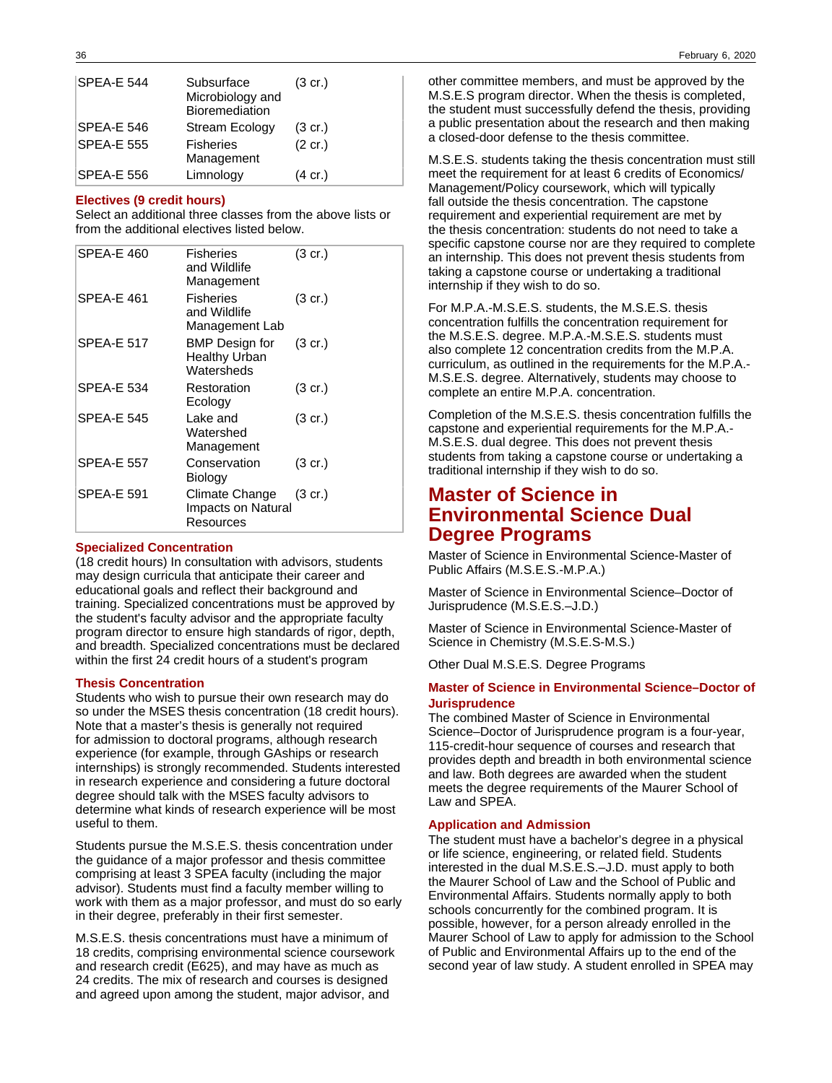| <b>SPEA-E 544</b> | Subsurface<br>Microbiology and<br>Bioremediation | $(3 \text{ cr.})$ |
|-------------------|--------------------------------------------------|-------------------|
| SPEA-E 546        | <b>Stream Ecology</b>                            | $(3 \text{ cr.})$ |
| <b>SPEA-E 555</b> | <b>Fisheries</b><br>Management                   | $(2 \text{ cr.})$ |
| <b>SPEA-E 556</b> | Limnology                                        | (4 cr.)           |

#### **Electives (9 credit hours)**

Select an additional three classes from the above lists or from the additional electives listed below.

| SPEA-E 460        | <b>Fisheries</b><br>and Wildlife<br>Management              | $(3 \text{ cr.})$ |
|-------------------|-------------------------------------------------------------|-------------------|
| SPEA-E 461        | <b>Fisheries</b><br>and Wildlife<br>Management Lab          | (3 cr.)           |
| <b>SPEA-E 517</b> | <b>BMP</b> Design for<br><b>Healthy Urban</b><br>Watersheds | $(3 \text{ cr.})$ |
| SPEA-E 534        | Restoration<br>Ecology                                      | $(3 \text{ cr.})$ |
| <b>SPEA-E 545</b> | Lake and<br>Watershed<br>Management                         | $(3 \text{ cr.})$ |
| SPEA-E 557        | Conservation<br>Biology                                     | $(3 \text{ cr.})$ |
| SPEA-E 591        | Climate Change<br>Impacts on Natural<br>Resources           | $(3 \text{ cr.})$ |

#### **Specialized Concentration**

(18 credit hours) In consultation with advisors, students may design curricula that anticipate their career and educational goals and reflect their background and training. Specialized concentrations must be approved by the student's faculty advisor and the appropriate faculty program director to ensure high standards of rigor, depth, and breadth. Specialized concentrations must be declared within the first 24 credit hours of a student's program

#### **Thesis Concentration**

Students who wish to pursue their own research may do so under the MSES thesis concentration (18 credit hours). Note that a master's thesis is generally not required for admission to doctoral programs, although research experience (for example, through GAships or research internships) is strongly recommended. Students interested in research experience and considering a future doctoral degree should talk with the MSES faculty advisors to determine what kinds of research experience will be most useful to them.

Students pursue the M.S.E.S. thesis concentration under the guidance of a major professor and thesis committee comprising at least 3 SPEA faculty (including the major advisor). Students must find a faculty member willing to work with them as a major professor, and must do so early in their degree, preferably in their first semester.

M.S.E.S. thesis concentrations must have a minimum of 18 credits, comprising environmental science coursework and research credit (E625), and may have as much as 24 credits. The mix of research and courses is designed and agreed upon among the student, major advisor, and

other committee members, and must be approved by the M.S.E.S program director. When the thesis is completed, the student must successfully defend the thesis, providing a public presentation about the research and then making a closed-door defense to the thesis committee.

M.S.E.S. students taking the thesis concentration must still meet the requirement for at least 6 credits of Economics/ Management/Policy coursework, which will typically fall outside the thesis concentration. The capstone requirement and experiential requirement are met by the thesis concentration: students do not need to take a specific capstone course nor are they required to complete an internship. This does not prevent thesis students from taking a capstone course or undertaking a traditional internship if they wish to do so.

For M.P.A.-M.S.E.S. students, the M.S.E.S. thesis concentration fulfills the concentration requirement for the M.S.E.S. degree. M.P.A.-M.S.E.S. students must also complete 12 concentration credits from the M.P.A. curriculum, as outlined in the requirements for the M.P.A.- M.S.E.S. degree. Alternatively, students may choose to complete an entire M.P.A. concentration.

Completion of the M.S.E.S. thesis concentration fulfills the capstone and experiential requirements for the M.P.A.- M.S.E.S. dual degree. This does not prevent thesis students from taking a capstone course or undertaking a traditional internship if they wish to do so.

## **Master of Science in Environmental Science Dual Degree Programs**

Master of Science in Environmental Science-Master of Public Affairs (M.S.E.S.-M.P.A.)

Master of Science in Environmental Science–Doctor of Jurisprudence (M.S.E.S.–J.D.)

Master of Science in Environmental Science-Master of Science in Chemistry (M.S.E.S-M.S.)

Other Dual M.S.E.S. Degree Programs

#### **Master of Science in Environmental Science–Doctor of Jurisprudence**

The combined Master of Science in Environmental Science–Doctor of Jurisprudence program is a four-year, 115-credit-hour sequence of courses and research that provides depth and breadth in both environmental science and law. Both degrees are awarded when the student meets the degree requirements of the Maurer School of Law and SPEA.

#### **Application and Admission**

The student must have a bachelor's degree in a physical or life science, engineering, or related field. Students interested in the dual M.S.E.S.–J.D. must apply to both the Maurer School of Law and the School of Public and Environmental Affairs. Students normally apply to both schools concurrently for the combined program. It is possible, however, for a person already enrolled in the Maurer School of Law to apply for admission to the School of Public and Environmental Affairs up to the end of the second year of law study. A student enrolled in SPEA may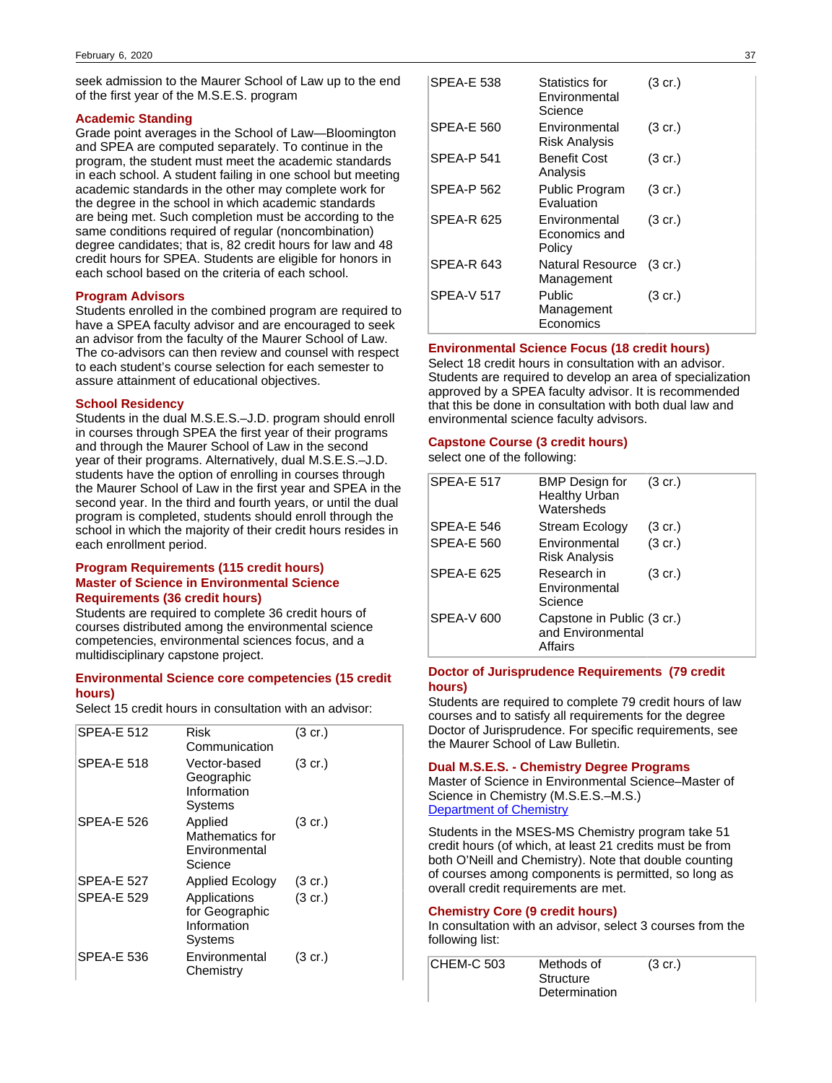seek admission to the Maurer School of Law up to the end of the first year of the M.S.E.S. program

#### **Academic Standing**

Grade point averages in the School of Law—Bloomington and SPEA are computed separately. To continue in the program, the student must meet the academic standards in each school. A student failing in one school but meeting academic standards in the other may complete work for the degree in the school in which academic standards are being met. Such completion must be according to the same conditions required of regular (noncombination) degree candidates; that is, 82 credit hours for law and 48 credit hours for SPEA. Students are eligible for honors in each school based on the criteria of each school.

#### **Program Advisors**

Students enrolled in the combined program are required to have a SPEA faculty advisor and are encouraged to seek an advisor from the faculty of the Maurer School of Law. The co-advisors can then review and counsel with respect to each student's course selection for each semester to assure attainment of educational objectives.

#### **School Residency**

Students in the dual M.S.E.S.–J.D. program should enroll in courses through SPEA the first year of their programs and through the Maurer School of Law in the second year of their programs. Alternatively, dual M.S.E.S.–J.D. students have the option of enrolling in courses through the Maurer School of Law in the first year and SPEA in the second year. In the third and fourth years, or until the dual program is completed, students should enroll through the school in which the majority of their credit hours resides in each enrollment period.

## **Program Requirements (115 credit hours) Master of Science in Environmental Science Requirements (36 credit hours)**

Students are required to complete 36 credit hours of courses distributed among the environmental science competencies, environmental sciences focus, and a multidisciplinary capstone project.

## **Environmental Science core competencies (15 credit hours)**

Select 15 credit hours in consultation with an advisor:

| <b>SPEA-E 512</b> | Risk<br>Communication                                    | $(3 \text{ cr.})$ |
|-------------------|----------------------------------------------------------|-------------------|
| <b>SPFA-F 518</b> | Vector-based<br>Geographic<br>Information<br>Systems     | $(3 \text{ cr.})$ |
| <b>SPEA-E 526</b> | Applied<br>Mathematics for<br>Environmental<br>Science   | $(3 \text{ cr.})$ |
| <b>SPEA-E 527</b> | <b>Applied Ecology</b>                                   | $(3 \text{ cr.})$ |
| <b>SPEA-E 529</b> | Applications<br>for Geographic<br>Information<br>Systems | $(3 \text{ cr.})$ |
| <b>SPEA-E 536</b> | Environmental<br>Chemistry                               | $(3 \text{ cr.})$ |
|                   |                                                          |                   |

| <b>SPEA-E 538</b> | <b>Statistics for</b><br>Environmental<br>Science | $(3 \text{ cr.})$ |
|-------------------|---------------------------------------------------|-------------------|
| SPEA-E 560        | Environmental<br>Risk Analysis                    | $(3 \text{ cr.})$ |
| <b>SPEA-P 541</b> | <b>Benefit Cost</b><br>Analysis                   | $(3 \text{ cr.})$ |
| <b>SPEA-P 562</b> | Public Program<br>Evaluation                      | $(3 \text{ cr.})$ |
| SPEA-R 625        | Environmental<br>Economics and<br>Policy          | $(3 \text{ cr.})$ |
| SPEA-R 643        | <b>Natural Resource</b><br>Management             | $(3 \text{ cr.})$ |
| <b>SPEA-V 517</b> | Public<br>Management<br>Economics                 | (3 cr.)           |

#### **Environmental Science Focus (18 credit hours)**

Select 18 credit hours in consultation with an advisor. Students are required to develop an area of specialization approved by a SPEA faculty advisor. It is recommended that this be done in consultation with both dual law and environmental science faculty advisors.

## **Capstone Course (3 credit hours)**

select one of the following:

| <b>SPEA-E 517</b> | BMP Design for<br><b>Healthy Urban</b><br>Watersheds       | $(3 \text{ cr.})$ |
|-------------------|------------------------------------------------------------|-------------------|
| SPEA-E 546        | Stream Ecology                                             | $(3 \text{ cr.})$ |
| <b>SPEA-E 560</b> | Environmental<br>Risk Analysis                             | $(3 \text{ cr.})$ |
| <b>SPEA-E 625</b> | Research in<br>Environmental<br>Science                    | $(3 \text{ cr.})$ |
| <b>SPEA-V 600</b> | Capstone in Public (3 cr.)<br>and Environmental<br>Affairs |                   |

## **Doctor of Jurisprudence Requirements (79 credit hours)**

Students are required to complete 79 credit hours of law courses and to satisfy all requirements for the degree Doctor of Jurisprudence. For specific requirements, see the Maurer School of Law Bulletin.

### **Dual M.S.E.S. - Chemistry Degree Programs**

Master of Science in Environmental Science–Master of Science in Chemistry (M.S.E.S.–M.S.) [Department of Chemistry](https://www.chem.indiana.edu/graduate/degree-programs/#https://www.chem.indiana.edu/graduate/degree-programs/)

Students in the MSES-MS Chemistry program take 51 credit hours (of which, at least 21 credits must be from both O'Neill and Chemistry). Note that double counting of courses among components is permitted, so long as overall credit requirements are met.

## **Chemistry Core (9 credit hours)**

In consultation with an advisor, select 3 courses from the following list:

| <b>CHEM-C 503</b> | Methods of    | $(3 \text{ cr.})$ |
|-------------------|---------------|-------------------|
|                   | Structure     |                   |
|                   | Determination |                   |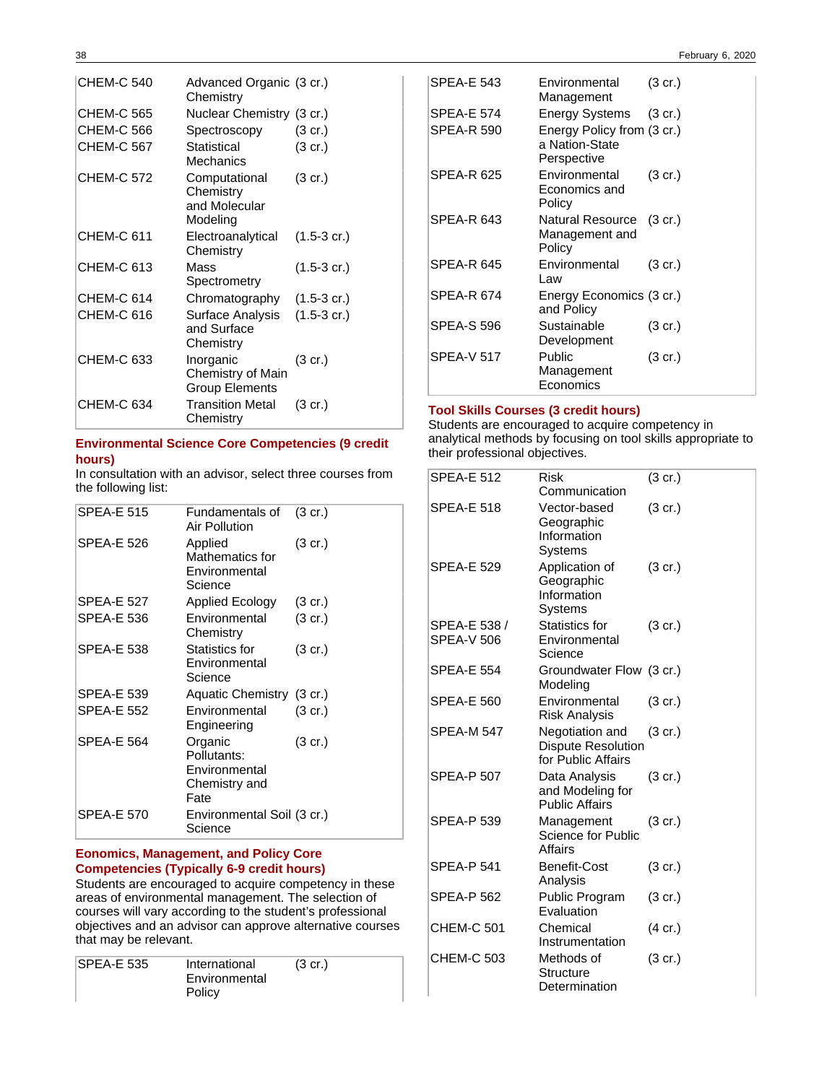| <b>CHEM-C 540</b> | Advanced Organic (3 cr.)<br>Chemistry                   |                       |
|-------------------|---------------------------------------------------------|-----------------------|
| CHEM-C 565        | Nuclear Chemistry (3 cr.)                               |                       |
| <b>CHEM-C 566</b> | Spectroscopy                                            | (3 cr.)               |
| <b>CHEM-C 567</b> | Statistical<br>Mechanics                                | $(3 \text{ cr.})$     |
| <b>CHEM-C 572</b> | Computational<br>Chemistry<br>and Molecular<br>Modeling | $(3 \text{ cr.})$     |
| <b>CHEM-C 611</b> | Electroanalytical<br>Chemistry                          | $(1.5-3 \text{ cr.})$ |
| <b>CHEM-C 613</b> | Mass<br>Spectrometry                                    | $(1.5-3 \text{ cr.})$ |
| <b>CHEM-C 614</b> | Chromatography                                          | $(1.5-3 \text{ cr.})$ |
| CHEM-C 616        | Surface Analysis<br>and Surface<br>Chemistry            | $(1.5-3 \text{ cr.})$ |
| CHEM-C 633        | Inorganic<br>Chemistry of Main<br><b>Group Elements</b> | $(3 \text{ cr.})$     |
| CHEM-C 634        | <b>Transition Metal</b><br>Chemistry                    | (3 cr.)               |

## **Environmental Science Core Competencies (9 credit hours)**

In consultation with an advisor, select three courses from the following list:

| <b>SPEA-E 515</b> | Fundamentals of<br>Air Pollution                                 | $(3 \text{ cr.})$ |
|-------------------|------------------------------------------------------------------|-------------------|
| <b>SPEA-E 526</b> | Applied<br>Mathematics for<br>Environmental<br>Science           | (3 cr.)           |
| <b>SPEA-E 527</b> | <b>Applied Ecology</b>                                           | (3 cr.)           |
| <b>SPEA-E 536</b> | Environmental<br>Chemistry                                       | (3 cr.)           |
| <b>SPEA-E 538</b> | Statistics for<br>Environmental<br>Science                       | (3 cr.)           |
| <b>SPEA-E 539</b> | Aquatic Chemistry (3 cr.)                                        |                   |
| <b>SPEA-E 552</b> | Environmental<br>Engineering                                     | (3 cr.)           |
| <b>SPEA-E 564</b> | Organic<br>Pollutants:<br>Environmental<br>Chemistry and<br>Fate | (3 cr.)           |
| <b>SPEA-E 570</b> | Environmental Soil (3 cr.)<br>Science                            |                   |
|                   |                                                                  |                   |

## **Eonomics, Management, and Policy Core Competencies (Typically 6-9 credit hours)**

Students are encouraged to acquire competency in these areas of environmental management. The selection of courses will vary according to the student's professional objectives and an advisor can approve alternative courses that may be relevant.

| <b>SPEA-E 535</b> | International | $(3 \text{ cr.})$ |  |
|-------------------|---------------|-------------------|--|
|                   | Environmental |                   |  |
|                   | Policy        |                   |  |

| <b>SPEA-E 543</b> | Environmental<br>Management                                 | $(3 \text{ cr.})$ |
|-------------------|-------------------------------------------------------------|-------------------|
| <b>SPEA-E 574</b> | Energy Systems (3 cr.)                                      |                   |
| <b>SPEA-R 590</b> | Energy Policy from (3 cr.)<br>a Nation-State<br>Perspective |                   |
| SPEA-R 625        | Environmental<br>Economics and<br>Policy                    | $(3 \text{ cr.})$ |
| <b>SPEA-R 643</b> | Natural Resource (3 cr.)<br>Management and<br>Policy        |                   |
| <b>SPEA-R 645</b> | Environmental<br>Law                                        | $(3 \text{ cr.})$ |
| <b>SPEA-R 674</b> | Energy Economics (3 cr.)<br>and Policy                      |                   |
| <b>SPEA-S 596</b> | Sustainable<br>Development                                  | $(3 \text{ cr.})$ |
| SPEA-V 517        | Public<br>Management<br>Economics                           | (3 cr.)           |

## **Tool Skills Courses (3 credit hours)**

Students are encouraged to acquire competency in analytical methods by focusing on tool skills appropriate to their professional objectives.

| <b>SPEA-E 512</b>                 | Risk<br>Communication                                              | $(3 \text{ cr.})$ |
|-----------------------------------|--------------------------------------------------------------------|-------------------|
| <b>SPEA-E 518</b>                 | Vector-based<br>Geographic<br>Information<br>Systems               | $(3 \text{ cr.})$ |
| <b>SPEA-E 529</b>                 | Application of<br>Geographic<br>Information<br>Systems             | $(3 \text{ cr.})$ |
| SPEA-E 538 /<br><b>SPEA-V 506</b> | <b>Statistics for</b><br>Environmental<br>Science                  | $(3 \text{ cr.})$ |
| <b>SPEA-E 554</b>                 | Groundwater Flow (3 cr.)<br>Modeling                               |                   |
| <b>SPEA-E 560</b>                 | Environmental<br><b>Risk Analysis</b>                              | $(3 \text{ cr.})$ |
| SPEA-M 547                        | Negotiation and<br><b>Dispute Resolution</b><br>for Public Affairs | $(3 \text{ cr.})$ |
| <b>SPEA-P 507</b>                 | Data Analysis<br>and Modeling for<br><b>Public Affairs</b>         | $(3 \text{ cr.})$ |
| <b>SPEA-P 539</b>                 | Management<br>Science for Public<br>Affairs                        | $(3 \text{ cr.})$ |
| <b>SPEA-P 541</b>                 | <b>Benefit-Cost</b><br>Analysis                                    | $(3 \text{ cr.})$ |
| <b>SPEA-P 562</b>                 | Public Program<br>Evaluation                                       | $(3 \text{ cr.})$ |
| <b>CHEM-C 501</b>                 | Chemical<br>Instrumentation                                        | (4 cr.)           |
| <b>CHEM-C 503</b>                 | Methods of<br>Structure<br>Determination                           | $(3 \text{ cr.})$ |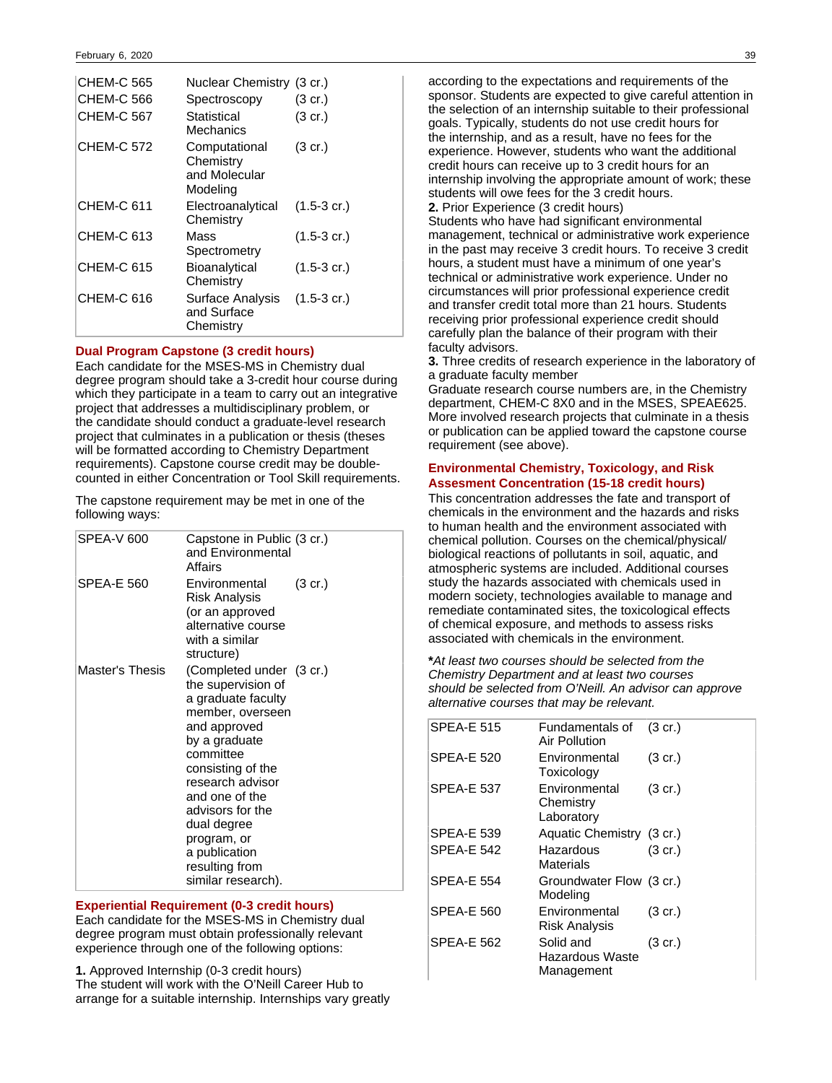| <b>CHEM-C 565</b><br>CHEM-C 566<br>CHEM-C 567 | Nuclear Chemistry (3 cr.)<br>Spectroscopy<br>Statistical<br>Mechanics | $(3 \text{ cr.})$<br>$(3 \text{ cr.})$ |
|-----------------------------------------------|-----------------------------------------------------------------------|----------------------------------------|
| <b>CHEM-C 572</b>                             | Computational<br>Chemistry<br>and Molecular<br>Modeling               | $(3 \text{ cr.})$                      |
| CHEM-C 611                                    | Electroanalytical<br>Chemistry                                        | $(1.5-3 \text{ cr.})$                  |
| CHEM-C 613                                    | Mass<br>Spectrometry                                                  | $(1.5-3 \text{ cr.})$                  |
| <b>CHEM-C 615</b>                             | Bioanalytical<br>Chemistry                                            | $(1.5-3 \text{ cr.})$                  |
| CHEM-C 616                                    | Surface Analysis<br>and Surface<br>Chemistry                          | $(1.5-3 \text{ cr.})$                  |

#### **Dual Program Capstone (3 credit hours)**

Each candidate for the MSES-MS in Chemistry dual degree program should take a 3-credit hour course during which they participate in a team to carry out an integrative project that addresses a multidisciplinary problem, or the candidate should conduct a graduate-level research project that culminates in a publication or thesis (theses will be formatted according to Chemistry Department requirements). Capstone course credit may be doublecounted in either Concentration or Tool Skill requirements.

The capstone requirement may be met in one of the following ways:

| SPEA-V 600        | Capstone in Public (3 cr.)<br>and Environmental<br>Affairs                                                                                                                                                                                                                                                   |                   |
|-------------------|--------------------------------------------------------------------------------------------------------------------------------------------------------------------------------------------------------------------------------------------------------------------------------------------------------------|-------------------|
| <b>SPEA-E 560</b> | Environmental<br>Risk Analysis<br>(or an approved<br>alternative course<br>with a similar<br>structure)                                                                                                                                                                                                      | $(3 \text{ cr.})$ |
| Master's Thesis   | (Completed under (3 cr.)<br>the supervision of<br>a graduate faculty<br>member, overseen<br>and approved<br>by a graduate<br>committee<br>consisting of the<br>research advisor<br>and one of the<br>advisors for the<br>dual degree<br>program, or<br>a publication<br>resulting from<br>similar research). |                   |

#### **Experiential Requirement (0-3 credit hours)**

Each candidate for the MSES-MS in Chemistry dual degree program must obtain professionally relevant experience through one of the following options:

**1.** Approved Internship (0-3 credit hours)

The student will work with the O'Neill Career Hub to arrange for a suitable internship. Internships vary greatly

according to the expectations and requirements of the sponsor. Students are expected to give careful attention in the selection of an internship suitable to their professional goals. Typically, students do not use credit hours for the internship, and as a result, have no fees for the experience. However, students who want the additional credit hours can receive up to 3 credit hours for an internship involving the appropriate amount of work; these students will owe fees for the 3 credit hours.

**2.** Prior Experience (3 credit hours)

Students who have had significant environmental management, technical or administrative work experience in the past may receive 3 credit hours. To receive 3 credit hours, a student must have a minimum of one year's technical or administrative work experience. Under no circumstances will prior professional experience credit and transfer credit total more than 21 hours. Students receiving prior professional experience credit should carefully plan the balance of their program with their faculty advisors.

**3.** Three credits of research experience in the laboratory of a graduate faculty member

Graduate research course numbers are, in the Chemistry department, CHEM-C 8X0 and in the MSES, SPEAE625. More involved research projects that culminate in a thesis or publication can be applied toward the capstone course requirement (see above).

## **Environmental Chemistry, Toxicology, and Risk Assesment Concentration (15-18 credit hours)**

This concentration addresses the fate and transport of chemicals in the environment and the hazards and risks to human health and the environment associated with chemical pollution. Courses on the chemical/physical/ biological reactions of pollutants in soil, aquatic, and atmospheric systems are included. Additional courses study the hazards associated with chemicals used in modern society, technologies available to manage and remediate contaminated sites, the toxicological effects of chemical exposure, and methods to assess risks associated with chemicals in the environment.

**\***At least two courses should be selected from the Chemistry Department and at least two courses should be selected from O'Neill. An advisor can approve alternative courses that may be relevant.

| <b>SPEA-E 515</b> | Fundamentals of<br>Air Pollution           | $(3 \text{ cr.})$ |
|-------------------|--------------------------------------------|-------------------|
| SPEA-E 520        | Environmental<br>Toxicology                | $(3 \text{ cr.})$ |
| <b>SPEA-E 537</b> | Environmental<br>Chemistry<br>Laboratory   | $(3 \text{ cr.})$ |
| <b>SPEA-E 539</b> | Aquatic Chemistry (3 cr.)                  |                   |
| <b>SPEA-E 542</b> | Hazardous<br>Materials                     | $(3 \text{ cr.})$ |
| <b>SPEA-E 554</b> | Groundwater Flow (3 cr.)<br>Modeling       |                   |
| <b>SPEA-E 560</b> | Environmental<br>Risk Analysis             | $(3 \text{ cr.})$ |
| <b>SPEA-E 562</b> | Solid and<br>Hazardous Waste<br>Management | $(3 \text{ cr.})$ |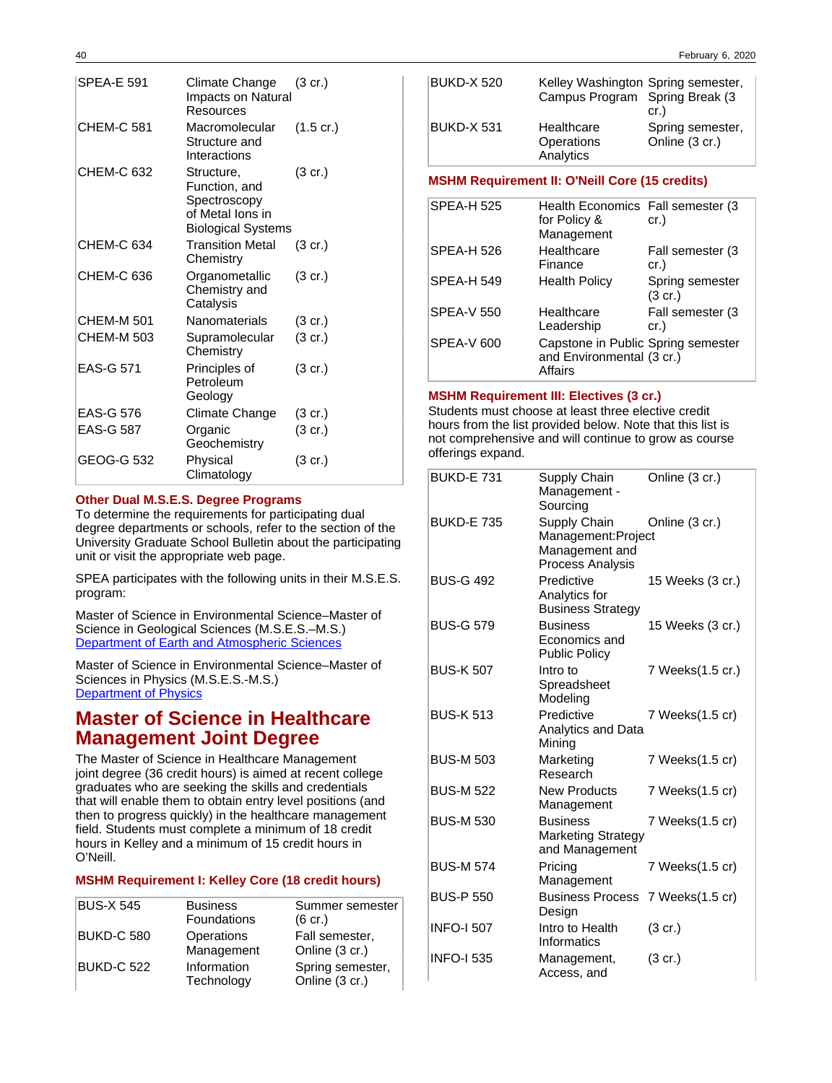| SPEA-E 591        | Climate Change<br>Impacts on Natural<br>Resources                                            | $(3 \text{ cr.})$   |
|-------------------|----------------------------------------------------------------------------------------------|---------------------|
| <b>CHEM-C 581</b> | Macromolecular<br>Structure and<br>Interactions                                              | $(1.5 \text{ cr.})$ |
| CHEM-C 632        | Structure,<br>Function, and<br>Spectroscopy<br>of Metal Ions in<br><b>Biological Systems</b> | $(3 \text{ cr.})$   |
| CHEM-C 634        | <b>Transition Metal</b><br>Chemistry                                                         | $(3$ cr.)           |
| CHEM-C 636        | Organometallic<br>Chemistry and<br>Catalysis                                                 | $(3 \text{ cr.})$   |
| <b>CHEM-M 501</b> | Nanomaterials                                                                                | $(3 \text{ cr.})$   |
| CHEM-M 503        | Supramolecular<br>Chemistry                                                                  | $(3 \text{ cr.})$   |
| <b>EAS-G 571</b>  | Principles of<br>Petroleum<br>Geology                                                        | $(3 \text{ cr.})$   |
| EAS-G 576         | Climate Change                                                                               | $(3 \text{ cr.})$   |
| <b>EAS-G 587</b>  | Organic<br>Geochemistry                                                                      | $(3 \text{ cr.})$   |
| GEOG-G 532        | Physical<br>Climatology                                                                      | $(3 \text{ cr.})$   |

## **Other Dual M.S.E.S. Degree Programs**

To determine the requirements for participating dual degree departments or schools, refer to the section of the University Graduate School Bulletin about the participating unit or visit the appropriate web page.

SPEA participates with the following units in their M.S.E.S. program:

Master of Science in Environmental Science–Master of Science in Geological Sciences (M.S.E.S.–M.S.) [Department of Earth and Atmospheric Sciences](https://earth.indiana.edu/graduate/degrees.html)

Master of Science in Environmental Science–Master of Sciences in Physics (M.S.E.S.-M.S.) [Department of Physics](https://www.iub.edu/~iubphys/graduate/degree.shtml#http://www.iub.edu/~iubphys/graduate/degree.shtml)

# **Master of Science in Healthcare Management Joint Degree**

The Master of Science in Healthcare Management joint degree (36 credit hours) is aimed at recent college graduates who are seeking the skills and credentials that will enable them to obtain entry level positions (and then to progress quickly) in the healthcare management field. Students must complete a minimum of 18 credit hours in Kelley and a minimum of 15 credit hours in O'Neill.

## **MSHM Requirement I: Kelley Core (18 credit hours)**

| <b>BUS-X 545</b>  | <b>Business</b><br><b>Foundations</b> | Summer semester<br>$(6 \text{ cr.})$ |
|-------------------|---------------------------------------|--------------------------------------|
| <b>BUKD-C 580</b> | Operations<br>Management              | Fall semester,<br>Online (3 cr.)     |
| BUKD-C 522        | Information<br>Technology             | Spring semester,<br>Online (3 cr.)   |

| <b>BUKD-X 520</b> | Kelley Washington Spring semester,<br>Campus Program Spring Break (3 | cr.)                               |
|-------------------|----------------------------------------------------------------------|------------------------------------|
| <b>BUKD-X 531</b> | Healthcare<br>Operations<br>Analytics                                | Spring semester,<br>Online (3 cr.) |

## **MSHM Requirement II: O'Neill Core (15 credits)**

| <b>SPEA-H 525</b> | Health Economics Fall semester (3)<br>for Policy &<br>Management           | cr.)                                 |
|-------------------|----------------------------------------------------------------------------|--------------------------------------|
| <b>SPEA-H 526</b> | Healthcare<br>Finance                                                      | Fall semester (3<br>cr.)             |
| <b>SPEA-H 549</b> | <b>Health Policy</b>                                                       | Spring semester<br>$(3 \text{ cr.})$ |
| <b>SPEA-V 550</b> | Healthcare<br>Leadership                                                   | Fall semester (3<br>cr.)             |
| SPEA-V 600        | Capstone in Public Spring semester<br>and Environmental (3 cr.)<br>Affairs |                                      |

### **MSHM Requirement III: Electives (3 cr.)**

Students must choose at least three elective credit hours from the list provided below. Note that this list is not comprehensive and will continue to grow as course offerings expand.

| <b>BUKD-E 731</b> | Supply Chain<br>Management -<br>Sourcing                                 | Online (3 cr.)    |
|-------------------|--------------------------------------------------------------------------|-------------------|
| <b>BUKD-E 735</b> | Supply Chain<br>Management:Project<br>Management and<br>Process Analysis | Online (3 cr.)    |
| <b>BUS-G 492</b>  | Predictive<br>Analytics for<br><b>Business Strategy</b>                  | 15 Weeks (3 cr.)  |
| <b>BUS-G 579</b>  | <b>Business</b><br>Economics and<br><b>Public Policy</b>                 | 15 Weeks (3 cr.)  |
| <b>BUS-K 507</b>  | Intro to<br>Spreadsheet<br>Modeling                                      | 7 Weeks(1.5 cr.)  |
| <b>BUS-K 513</b>  | Predictive<br>Analytics and Data<br>Mining                               | 7 Weeks(1.5 cr)   |
| <b>BUS-M 503</b>  | Marketing<br>Research                                                    | 7 Weeks(1.5 cr)   |
| <b>BUS-M 522</b>  | <b>New Products</b><br>Management                                        | 7 Weeks(1.5 cr)   |
| <b>BUS-M 530</b>  | <b>Business</b><br><b>Marketing Strategy</b><br>and Management           | 7 Weeks(1.5 cr)   |
| <b>BUS-M 574</b>  | Pricing<br>Management                                                    | 7 Weeks(1.5 cr)   |
| <b>BUS-P 550</b>  | <b>Business Process</b><br>Design                                        | 7 Weeks(1.5 cr)   |
| <b>INFO-I 507</b> | Intro to Health<br>Informatics                                           | $(3 \text{ cr.})$ |
| <b>INFO-I 535</b> | Management,<br>Access, and                                               | $(3 \text{ cr.})$ |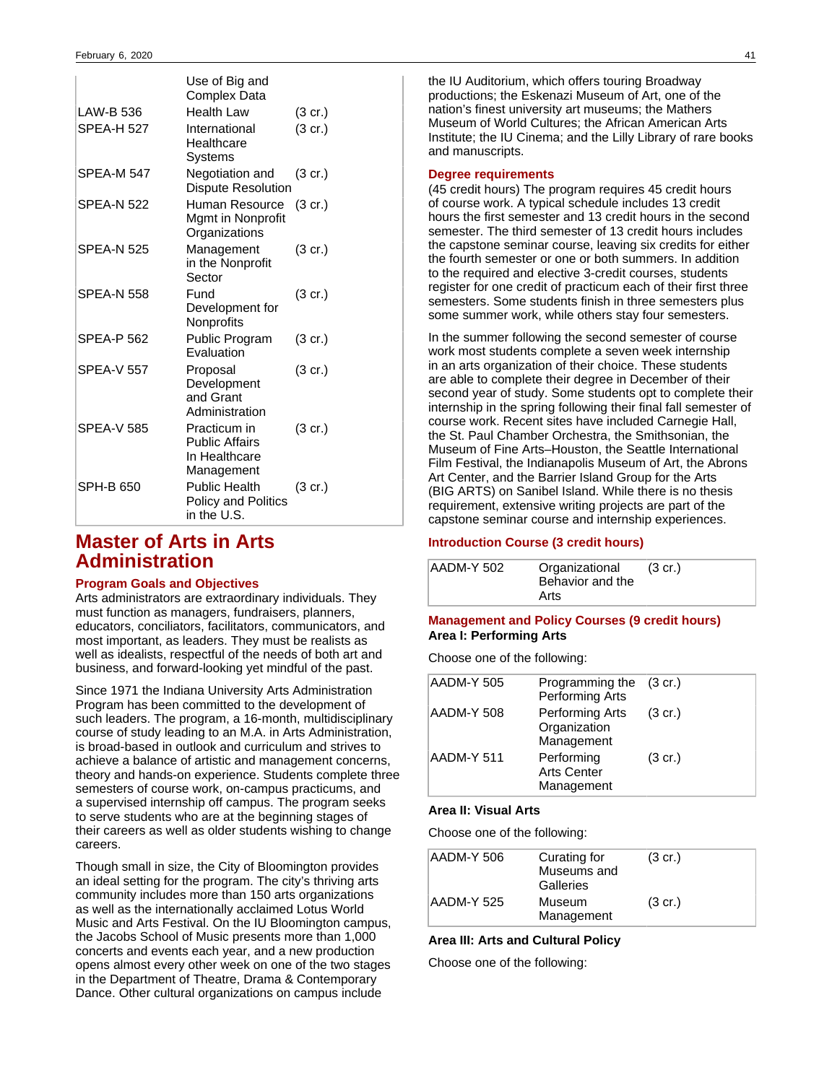|                   | Use of Big and<br><b>Complex Data</b>                                |                   |
|-------------------|----------------------------------------------------------------------|-------------------|
| LAW-B 536         | <b>Health Law</b>                                                    | $(3 \text{ cr.})$ |
| <b>SPEA-H 527</b> | International<br>Healthcare<br>Systems                               | (3 cr.)           |
| <b>SPEA-M 547</b> | Negotiation and<br><b>Dispute Resolution</b>                         | $(3 \text{ cr.})$ |
| <b>SPFA-N 522</b> | Human Resource<br>Mgmt in Nonprofit<br>Organizations                 | (3 cr.)           |
| <b>SPEA-N 525</b> | Management<br>in the Nonprofit<br>Sector                             | (3 cr.)           |
| <b>SPEA-N 558</b> | Fund<br>Development for<br>Nonprofits                                | $(3 \text{ cr.})$ |
| <b>SPEA-P 562</b> | Public Program<br>Evaluation                                         | $(3 \text{ cr.})$ |
| <b>SPFA-V 557</b> | Proposal<br>Development<br>and Grant<br>Administration               | (3 cr.)           |
| <b>SPEA-V 585</b> | Practicum in<br><b>Public Affairs</b><br>In Healthcare<br>Management | $(3 \text{ cr.})$ |
| SPH-B 650         | <b>Public Health</b><br>Policy and Politics<br>in the U.S.           | $(3 \text{ cr.})$ |

## **Master of Arts in Arts Administration**

### **Program Goals and Objectives**

Arts administrators are extraordinary individuals. They must function as managers, fundraisers, planners, educators, conciliators, facilitators, communicators, and most important, as leaders. They must be realists as well as idealists, respectful of the needs of both art and business, and forward-looking yet mindful of the past.

Since 1971 the Indiana University Arts Administration Program has been committed to the development of such leaders. The program, a 16-month, multidisciplinary course of study leading to an M.A. in Arts Administration, is broad-based in outlook and curriculum and strives to achieve a balance of artistic and management concerns, theory and hands-on experience. Students complete three semesters of course work, on-campus practicums, and a supervised internship off campus. The program seeks to serve students who are at the beginning stages of their careers as well as older students wishing to change careers.

Though small in size, the City of Bloomington provides an ideal setting for the program. The city's thriving arts community includes more than 150 arts organizations as well as the internationally acclaimed Lotus World Music and Arts Festival. On the IU Bloomington campus, the Jacobs School of Music presents more than 1,000 concerts and events each year, and a new production opens almost every other week on one of the two stages in the Department of Theatre, Drama & Contemporary Dance. Other cultural organizations on campus include

the IU Auditorium, which offers touring Broadway productions; the Eskenazi Museum of Art, one of the nation's finest university art museums; the Mathers Museum of World Cultures; the African American Arts Institute; the IU Cinema; and the Lilly Library of rare books and manuscripts.

## **Degree requirements**

(45 credit hours) The program requires 45 credit hours of course work. A typical schedule includes 13 credit hours the first semester and 13 credit hours in the second semester. The third semester of 13 credit hours includes the capstone seminar course, leaving six credits for either the fourth semester or one or both summers. In addition to the required and elective 3-credit courses, students register for one credit of practicum each of their first three semesters. Some students finish in three semesters plus some summer work, while others stay four semesters.

In the summer following the second semester of course work most students complete a seven week internship in an arts organization of their choice. These students are able to complete their degree in December of their second year of study. Some students opt to complete their internship in the spring following their final fall semester of course work. Recent sites have included Carnegie Hall, the St. Paul Chamber Orchestra, the Smithsonian, the Museum of Fine Arts–Houston, the Seattle International Film Festival, the Indianapolis Museum of Art, the Abrons Art Center, and the Barrier Island Group for the Arts (BIG ARTS) on Sanibel Island. While there is no thesis requirement, extensive writing projects are part of the capstone seminar course and internship experiences.

## **Introduction Course (3 credit hours)**

| AADM-Y 502 | Organizational   | $(3 \text{ cr.})$ |
|------------|------------------|-------------------|
|            | Behavior and the |                   |
|            | Arts             |                   |

## **Management and Policy Courses (9 credit hours) Area I: Performing Arts**

Choose one of the following:

| AADM-Y 505 | Programming the (3 cr.)<br>Performing Arts     |                   |
|------------|------------------------------------------------|-------------------|
| AADM-Y 508 | Performing Arts<br>Organization<br>Management  | $(3 \text{ cr.})$ |
| AADM-Y 511 | Performing<br><b>Arts Center</b><br>Management | $(3 \text{ cr.})$ |

## **Area II: Visual Arts**

Choose one of the following:

| AADM-Y 506 | Curating for<br>Museums and<br>Galleries | $(3 \text{ cr.})$ |
|------------|------------------------------------------|-------------------|
| AADM-Y 525 | Museum<br>Management                     | $(3 \text{ cr.})$ |

## **Area III: Arts and Cultural Policy**

Choose one of the following: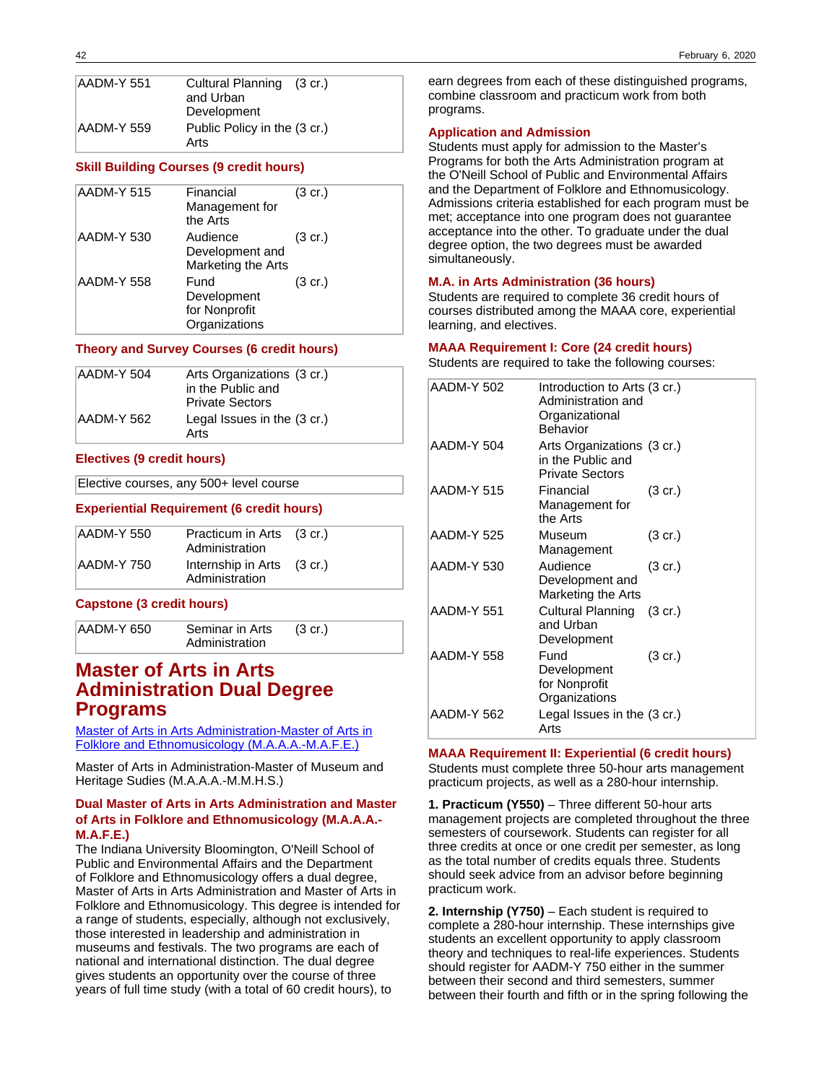| AADM-Y 551 | Cultural Planning (3 cr.)<br>and Urban |
|------------|----------------------------------------|
|            | Development                            |
| AADM-Y 559 | Public Policy in the (3 cr.)           |
|            | Arts                                   |

#### **Skill Building Courses (9 credit hours)**

| AADM-Y 515 | Financial<br>Management for<br>the Arts               | $(3 \text{ cr.})$ |
|------------|-------------------------------------------------------|-------------------|
| AADM-Y 530 | Audience<br>Development and<br>Marketing the Arts     | $(3 \text{ cr.})$ |
| AADM-Y 558 | Fund<br>Development<br>for Nonprofit<br>Organizations | $(3 \text{ cr.})$ |

#### **Theory and Survey Courses (6 credit hours)**

| AADM-Y 504 | Arts Organizations (3 cr.)<br>in the Public and<br><b>Private Sectors</b> |
|------------|---------------------------------------------------------------------------|
| AADM-Y 562 | Legal Issues in the (3 cr.)<br>Arts                                       |

#### **Electives (9 credit hours)**

Elective courses, any 500+ level course

#### **Experiential Requirement (6 credit hours)**

| AADM-Y 550 | Practicum in Arts (3 cr.)<br>Administration  |  |
|------------|----------------------------------------------|--|
| AADM-Y 750 | Internship in Arts (3 cr.)<br>Administration |  |

#### **Capstone (3 credit hours)**

AADM-Y 650 Seminar in Arts Administration (3 cr.)

## **Master of Arts in Arts Administration Dual Degree Programs**

[Master of Arts in Arts Administration-Master of Arts in](https://www.indiana.edu/~folklore/graduate/dualma.shtml) [Folklore and Ethnomusicology \(M.A.A.A.-M.A.F.E.\)](https://www.indiana.edu/~folklore/graduate/dualma.shtml)

Master of Arts in Administration-Master of Museum and Heritage Sudies (M.A.A.A.-M.M.H.S.)

## **Dual Master of Arts in Arts Administration and Master of Arts in Folklore and Ethnomusicology (M.A.A.A.- M.A.F.E.)**

The Indiana University Bloomington, O'Neill School of Public and Environmental Affairs and the Department of Folklore and Ethnomusicology offers a dual degree, Master of Arts in Arts Administration and Master of Arts in Folklore and Ethnomusicology. This degree is intended for a range of students, especially, although not exclusively, those interested in leadership and administration in museums and festivals. The two programs are each of national and international distinction. The dual degree gives students an opportunity over the course of three years of full time study (with a total of 60 credit hours), to

earn degrees from each of these distinguished programs, combine classroom and practicum work from both programs.

#### **Application and Admission**

Students must apply for admission to the Master's Programs for both the Arts Administration program at the O'Neill School of Public and Environmental Affairs and the Department of Folklore and Ethnomusicology. Admissions criteria established for each program must be met; acceptance into one program does not guarantee acceptance into the other. To graduate under the dual degree option, the two degrees must be awarded simultaneously.

#### **M.A. in Arts Administration (36 hours)**

Students are required to complete 36 credit hours of courses distributed among the MAAA core, experiential learning, and electives.

#### **MAAA Requirement I: Core (24 credit hours)**

Students are required to take the following courses:

| AADM-Y 502 | Introduction to Arts (3 cr.)<br>Administration and<br>Organizational<br><b>Behavior</b> |                   |
|------------|-----------------------------------------------------------------------------------------|-------------------|
| AADM-Y 504 | Arts Organizations (3 cr.)<br>in the Public and<br><b>Private Sectors</b>               |                   |
| AADM-Y 515 | Financial<br>Management for<br>the Arts                                                 | $(3 \text{ cr.})$ |
| AADM-Y 525 | Museum<br>Management                                                                    | $(3 \text{ cr.})$ |
| AADM-Y 530 | Audience<br>Development and<br>Marketing the Arts                                       | $(3 \text{ cr.})$ |
| AADM-Y 551 | Cultural Planning (3 cr.)<br>and Urban<br>Development                                   |                   |
| AADM-Y 558 | Fund<br>Development<br>for Nonprofit<br>Organizations                                   | $(3 \text{ cr.})$ |
| AADM-Y 562 | Legal Issues in the (3 cr.)<br>Arts                                                     |                   |

## **MAAA Requirement II: Experiential (6 credit hours)** Students must complete three 50-hour arts management practicum projects, as well as a 280-hour internship.

**1. Practicum (Y550)** – Three different 50-hour arts management projects are completed throughout the three semesters of coursework. Students can register for all three credits at once or one credit per semester, as long as the total number of credits equals three. Students should seek advice from an advisor before beginning practicum work.

**2. Internship (Y750)** – Each student is required to complete a 280-hour internship. These internships give students an excellent opportunity to apply classroom theory and techniques to real-life experiences. Students should register for AADM-Y 750 either in the summer between their second and third semesters, summer between their fourth and fifth or in the spring following the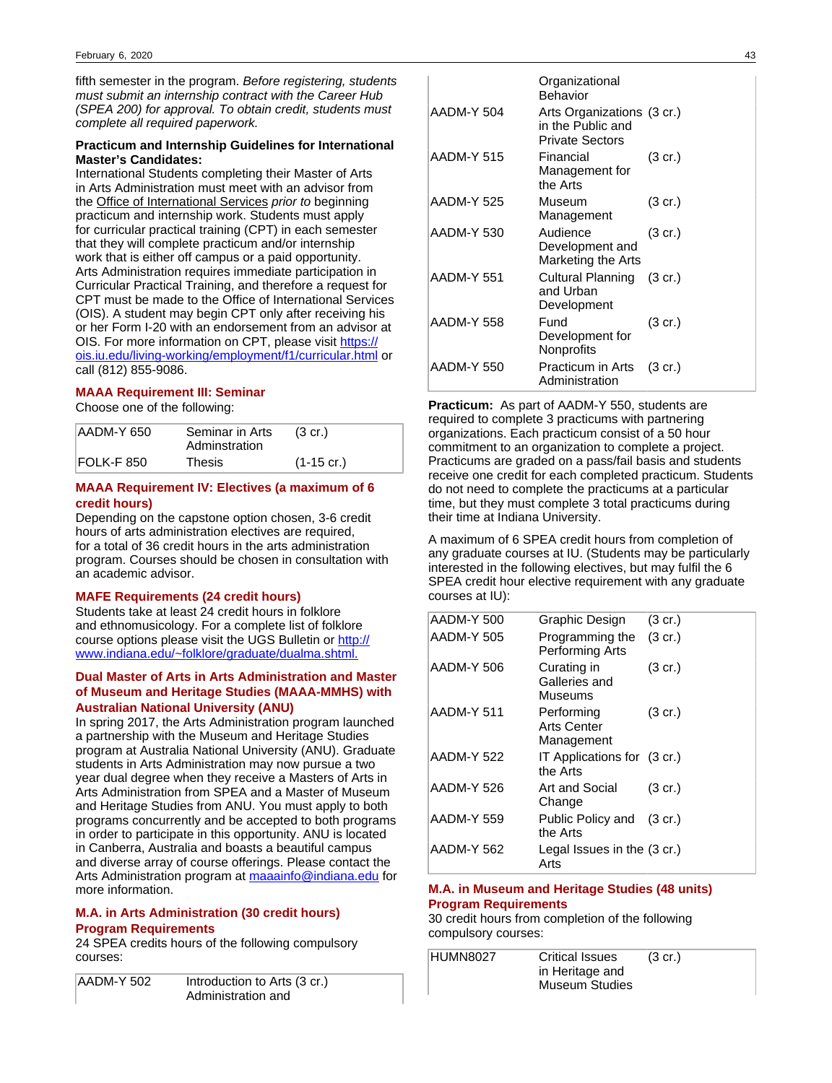fifth semester in the program. Before registering, students must submit an internship contract with the Career Hub (SPEA 200) for approval. To obtain credit, students must complete all required paperwork.

## **Practicum and Internship Guidelines for International Master's Candidates:**

International Students completing their Master of Arts in Arts Administration must meet with an advisor from the Office of International Services prior to beginning practicum and internship work. Students must apply for curricular practical training (CPT) in each semester that they will complete practicum and/or internship work that is either off campus or a paid opportunity. Arts Administration requires immediate participation in Curricular Practical Training, and therefore a request for CPT must be made to the Office of International Services (OIS). A student may begin CPT only after receiving his or her Form I-20 with an endorsement from an advisor at OIS. For more information on CPT, please visit [https://](https://ois.iu.edu/living-working/employment/f1/curricular.html) [ois.iu.edu/living-working/employment/f1/curricular.html](https://ois.iu.edu/living-working/employment/f1/curricular.html) or call (812) 855-9086.

## **MAAA Requirement III: Seminar**

Choose one of the following:

| AADM-Y 650 | Seminar in Arts<br>Adminstration | $(3 \text{ cr.})$ |
|------------|----------------------------------|-------------------|
| FOLK-F 850 | Thesis                           | $(1-15$ cr.)      |

## **MAAA Requirement IV: Electives (a maximum of 6 credit hours)**

Depending on the capstone option chosen, 3-6 credit hours of arts administration electives are required, for a total of 36 credit hours in the arts administration program. Courses should be chosen in consultation with an academic advisor.

### **MAFE Requirements (24 credit hours)**

Students take at least 24 credit hours in folklore and ethnomusicology. For a complete list of folklore course options please visit the UGS Bulletin or [http://](http://www.indiana.edu/~folklore/graduate/dualma.shtml) [www.indiana.edu/~folklore/graduate/dualma.shtml.](http://www.indiana.edu/~folklore/graduate/dualma.shtml)

## **Dual Master of Arts in Arts Administration and Master of Museum and Heritage Studies (MAAA-MMHS) with Australian National University (ANU)**

In spring 2017, the Arts Administration program launched a partnership with the Museum and Heritage Studies program at Australia National University (ANU). Graduate students in Arts Administration may now pursue a two year dual degree when they receive a Masters of Arts in Arts Administration from SPEA and a Master of Museum and Heritage Studies from ANU. You must apply to both programs concurrently and be accepted to both programs in order to participate in this opportunity. ANU is located in Canberra, Australia and boasts a beautiful campus and diverse array of course offerings. Please contact the Arts Administration program at [maaainfo@indiana.edu](mailto:maaainfo@indiana.edu) for more information.

## **M.A. in Arts Administration (30 credit hours) Program Requirements**

24 SPEA credits hours of the following compulsory courses:

| AADM-Y 502 | Introduction to Arts (3 cr.) |
|------------|------------------------------|
|            | Administration and           |

|            | Organizational<br>Behavior                                                |                   |  |
|------------|---------------------------------------------------------------------------|-------------------|--|
| AADM-Y 504 | Arts Organizations (3 cr.)<br>in the Public and<br><b>Private Sectors</b> |                   |  |
| AADM-Y 515 | Financial<br>Management for<br>the Arts                                   | (3 cr.)           |  |
| AADM-Y 525 | Museum<br>Management                                                      | (3 cr.)           |  |
| AADM-Y 530 | Audience<br>Development and<br>Marketing the Arts                         | $(3 \text{ cr.})$ |  |
| AADM-Y 551 | <b>Cultural Planning</b><br>and Urban<br>Development                      | $(3 \text{ cr.})$ |  |
| AADM-Y 558 | Fund<br>Development for<br>Nonprofits                                     | (3 cr.)           |  |
| AADM-Y 550 | Practicum in Arts<br>Administration                                       | $(3 \text{ cr.})$ |  |

**Practicum:** As part of AADM-Y 550, students are required to complete 3 practicums with partnering organizations. Each practicum consist of a 50 hour commitment to an organization to complete a project. Practicums are graded on a pass/fail basis and students receive one credit for each completed practicum. Students do not need to complete the practicums at a particular time, but they must complete 3 total practicums during their time at Indiana University.

A maximum of 6 SPEA credit hours from completion of any graduate courses at IU. (Students may be particularly interested in the following electives, but may fulfil the 6 SPEA credit hour elective requirement with any graduate courses at IU):

| AADM-Y 500 | Graphic Design                          | $(3 \text{ cr.})$ |
|------------|-----------------------------------------|-------------------|
| AADM-Y 505 | Programming the<br>Performing Arts      | $(3 \text{ cr.})$ |
| AADM-Y 506 | Curating in<br>Galleries and<br>Museums | $(3 \text{ cr.})$ |
| AADM-Y 511 | Performing<br>Arts Center<br>Management | $(3 \text{ cr.})$ |
| AADM-Y 522 | IT Applications for (3 cr.)<br>the Arts |                   |
| AADM-Y 526 | Art and Social<br>Change                | $(3 \text{ cr.})$ |
| AADM-Y 559 | Public Policy and (3 cr.)<br>the Arts   |                   |
| AADM-Y 562 | Legal Issues in the (3 cr.)<br>Arts     |                   |

## **M.A. in Museum and Heritage Studies (48 units) Program Requirements**

30 credit hours from completion of the following compulsory courses:

| HUMN8027 | <b>Critical Issues</b><br>in Heritage and | $(3 \text{ cr.})$ |
|----------|-------------------------------------------|-------------------|
|          | Museum Studies                            |                   |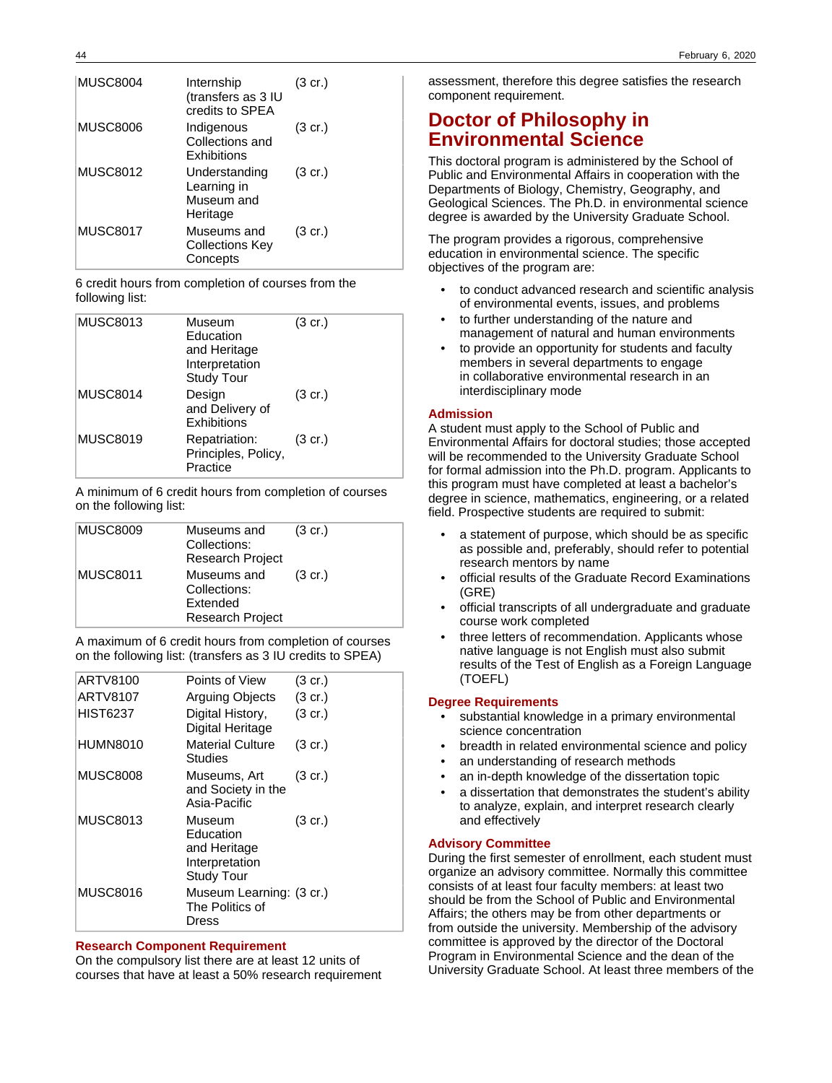| <b>MUSC8004</b> | Internship<br>(transfers as 3 IU<br>credits to SPEA    | $(3 \text{ cr.})$ |
|-----------------|--------------------------------------------------------|-------------------|
| <b>MUSC8006</b> | Indigenous<br>Collections and<br>Exhibitions           | $(3 \text{ cr.})$ |
| <b>MUSC8012</b> | Understanding<br>Learning in<br>Museum and<br>Heritage | $(3 \text{ cr.})$ |
| <b>MUSC8017</b> | Museums and<br><b>Collections Key</b><br>Concepts      | $(3 \text{ cr.})$ |

6 credit hours from completion of courses from the following list:

| <b>MUSC8013</b> | Museum<br>Education<br>and Heritage<br>Interpretation<br><b>Study Tour</b> | (3 cr.)           |
|-----------------|----------------------------------------------------------------------------|-------------------|
| <b>MUSC8014</b> | Design<br>and Delivery of<br>Exhibitions                                   | $(3 \text{ cr.})$ |
| <b>MUSC8019</b> | Repatriation:<br>Principles, Policy,<br>Practice                           | $(3 \text{ cr.})$ |

A minimum of 6 credit hours from completion of courses on the following list:

| <b>MUSC8009</b> | Museums and<br>Collections:<br><b>Research Project</b>             | $(3 \text{ cr.})$ |
|-----------------|--------------------------------------------------------------------|-------------------|
| <b>MUSC8011</b> | Museums and<br>Collections:<br>Extended<br><b>Research Project</b> | $(3 \text{ cr.})$ |

A maximum of 6 credit hours from completion of courses on the following list: (transfers as 3 IU credits to SPEA)

| ARTV8100        | Points of View                                                             | $(3 \text{ cr.})$ |
|-----------------|----------------------------------------------------------------------------|-------------------|
| <b>ARTV8107</b> | Arguing Objects                                                            | (3 cr.)           |
| <b>HIST6237</b> | Digital History,<br>Digital Heritage                                       | $(3 \text{ cr.})$ |
| <b>HUMN8010</b> | <b>Material Culture</b><br>Studies                                         | (3 cr.)           |
| <b>MUSC8008</b> | Museums, Art<br>and Society in the<br>Asia-Pacific                         | $(3 \text{ cr.})$ |
| <b>MUSC8013</b> | Museum<br>Education<br>and Heritage<br>Interpretation<br><b>Study Tour</b> | $(3 \text{ cr.})$ |
| <b>MUSC8016</b> | Museum Learning: (3 cr.)<br>The Politics of<br>Dress                       |                   |

### **Research Component Requirement**

On the compulsory list there are at least 12 units of courses that have at least a 50% research requirement

assessment, therefore this degree satisfies the research component requirement.

## **Doctor of Philosophy in Environmental Science**

This doctoral program is administered by the School of Public and Environmental Affairs in cooperation with the Departments of Biology, Chemistry, Geography, and Geological Sciences. The Ph.D. in environmental science degree is awarded by the University Graduate School.

The program provides a rigorous, comprehensive education in environmental science. The specific objectives of the program are:

- to conduct advanced research and scientific analysis of environmental events, issues, and problems
- to further understanding of the nature and management of natural and human environments
- to provide an opportunity for students and faculty members in several departments to engage in collaborative environmental research in an interdisciplinary mode

### **Admission**

A student must apply to the School of Public and Environmental Affairs for doctoral studies; those accepted will be recommended to the University Graduate School for formal admission into the Ph.D. program. Applicants to this program must have completed at least a bachelor's degree in science, mathematics, engineering, or a related field. Prospective students are required to submit:

- a statement of purpose, which should be as specific as possible and, preferably, should refer to potential research mentors by name
- official results of the Graduate Record Examinations (GRE)
- official transcripts of all undergraduate and graduate course work completed
- three letters of recommendation. Applicants whose native language is not English must also submit results of the Test of English as a Foreign Language (TOEFL)

## **Degree Requirements**

- substantial knowledge in a primary environmental science concentration
- breadth in related environmental science and policy
- an understanding of research methods
- an in-depth knowledge of the dissertation topic
- a dissertation that demonstrates the student's ability to analyze, explain, and interpret research clearly and effectively

## **Advisory Committee**

During the first semester of enrollment, each student must organize an advisory committee. Normally this committee consists of at least four faculty members: at least two should be from the School of Public and Environmental Affairs; the others may be from other departments or from outside the university. Membership of the advisory committee is approved by the director of the Doctoral Program in Environmental Science and the dean of the University Graduate School. At least three members of the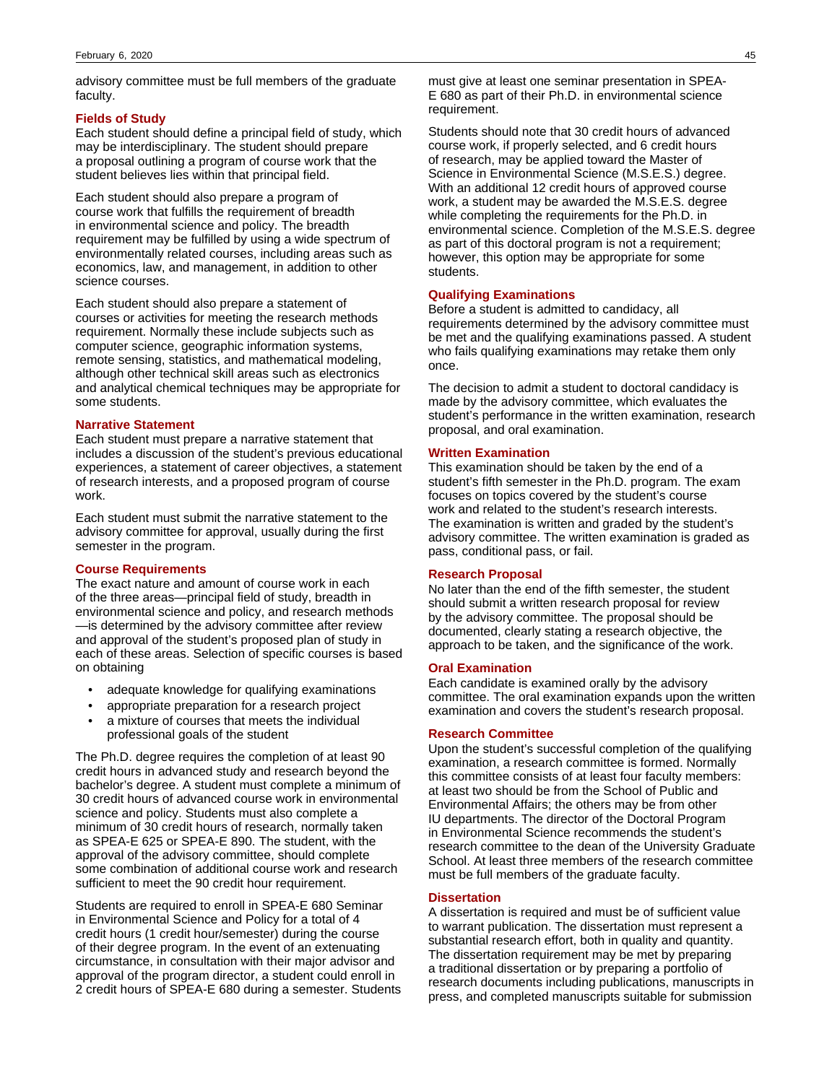advisory committee must be full members of the graduate faculty.

#### **Fields of Study**

Each student should define a principal field of study, which may be interdisciplinary. The student should prepare a proposal outlining a program of course work that the student believes lies within that principal field.

Each student should also prepare a program of course work that fulfills the requirement of breadth in environmental science and policy. The breadth requirement may be fulfilled by using a wide spectrum of environmentally related courses, including areas such as economics, law, and management, in addition to other science courses.

Each student should also prepare a statement of courses or activities for meeting the research methods requirement. Normally these include subjects such as computer science, geographic information systems, remote sensing, statistics, and mathematical modeling, although other technical skill areas such as electronics and analytical chemical techniques may be appropriate for some students.

#### **Narrative Statement**

Each student must prepare a narrative statement that includes a discussion of the student's previous educational experiences, a statement of career objectives, a statement of research interests, and a proposed program of course work.

Each student must submit the narrative statement to the advisory committee for approval, usually during the first semester in the program.

#### **Course Requirements**

The exact nature and amount of course work in each of the three areas—principal field of study, breadth in environmental science and policy, and research methods —is determined by the advisory committee after review and approval of the student's proposed plan of study in each of these areas. Selection of specific courses is based on obtaining

- adequate knowledge for qualifying examinations
- appropriate preparation for a research project
- a mixture of courses that meets the individual professional goals of the student

The Ph.D. degree requires the completion of at least 90 credit hours in advanced study and research beyond the bachelor's degree. A student must complete a minimum of 30 credit hours of advanced course work in environmental science and policy. Students must also complete a minimum of 30 credit hours of research, normally taken as SPEA-E 625 or SPEA-E 890. The student, with the approval of the advisory committee, should complete some combination of additional course work and research sufficient to meet the 90 credit hour requirement.

Students are required to enroll in SPEA-E 680 Seminar in Environmental Science and Policy for a total of 4 credit hours (1 credit hour/semester) during the course of their degree program. In the event of an extenuating circumstance, in consultation with their major advisor and approval of the program director, a student could enroll in 2 credit hours of SPEA-E 680 during a semester. Students must give at least one seminar presentation in SPEA-E 680 as part of their Ph.D. in environmental science requirement.

Students should note that 30 credit hours of advanced course work, if properly selected, and 6 credit hours of research, may be applied toward the Master of Science in Environmental Science (M.S.E.S.) degree. With an additional 12 credit hours of approved course work, a student may be awarded the M.S.E.S. degree while completing the requirements for the Ph.D. in environmental science. Completion of the M.S.E.S. degree as part of this doctoral program is not a requirement; however, this option may be appropriate for some students.

#### **Qualifying Examinations**

Before a student is admitted to candidacy, all requirements determined by the advisory committee must be met and the qualifying examinations passed. A student who fails qualifying examinations may retake them only once.

The decision to admit a student to doctoral candidacy is made by the advisory committee, which evaluates the student's performance in the written examination, research proposal, and oral examination.

#### **Written Examination**

This examination should be taken by the end of a student's fifth semester in the Ph.D. program. The exam focuses on topics covered by the student's course work and related to the student's research interests. The examination is written and graded by the student's advisory committee. The written examination is graded as pass, conditional pass, or fail.

## **Research Proposal**

No later than the end of the fifth semester, the student should submit a written research proposal for review by the advisory committee. The proposal should be documented, clearly stating a research objective, the approach to be taken, and the significance of the work.

#### **Oral Examination**

Each candidate is examined orally by the advisory committee. The oral examination expands upon the written examination and covers the student's research proposal.

#### **Research Committee**

Upon the student's successful completion of the qualifying examination, a research committee is formed. Normally this committee consists of at least four faculty members: at least two should be from the School of Public and Environmental Affairs; the others may be from other IU departments. The director of the Doctoral Program in Environmental Science recommends the student's research committee to the dean of the University Graduate School. At least three members of the research committee must be full members of the graduate faculty.

#### **Dissertation**

A dissertation is required and must be of sufficient value to warrant publication. The dissertation must represent a substantial research effort, both in quality and quantity. The dissertation requirement may be met by preparing a traditional dissertation or by preparing a portfolio of research documents including publications, manuscripts in press, and completed manuscripts suitable for submission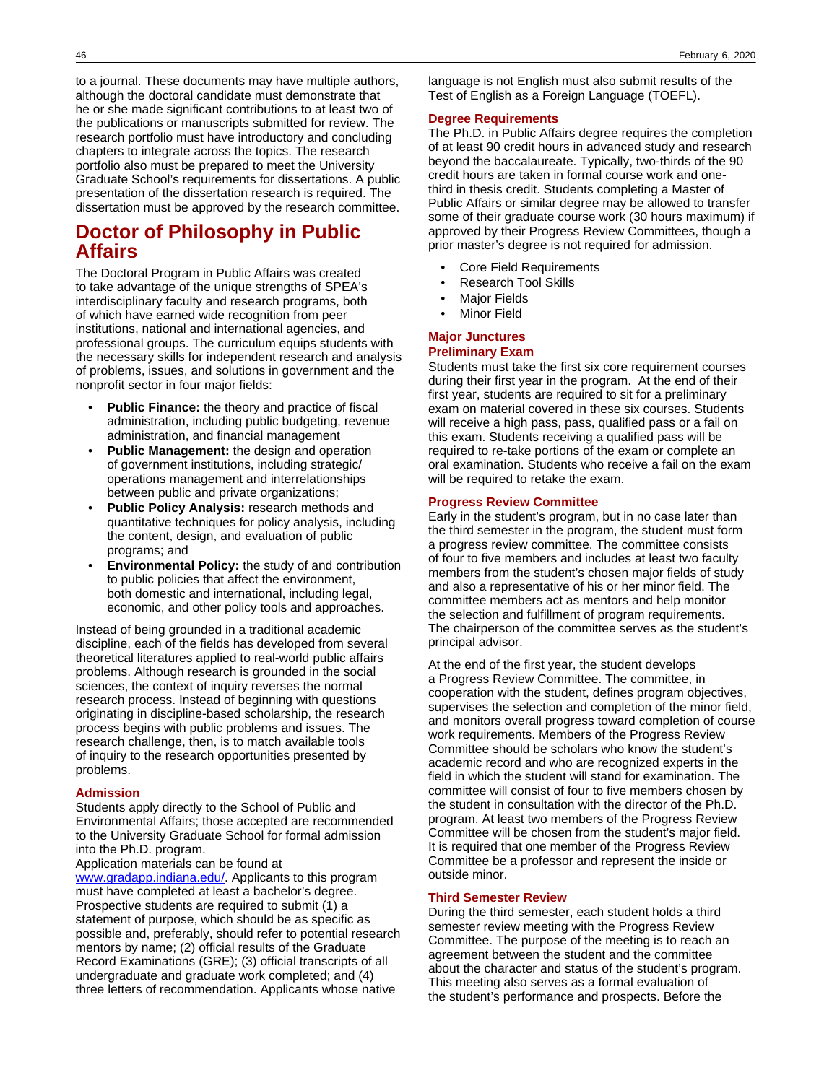to a journal. These documents may have multiple authors, although the doctoral candidate must demonstrate that he or she made significant contributions to at least two of the publications or manuscripts submitted for review. The research portfolio must have introductory and concluding chapters to integrate across the topics. The research portfolio also must be prepared to meet the University Graduate School's requirements for dissertations. A public presentation of the dissertation research is required. The dissertation must be approved by the research committee.

## **Doctor of Philosophy in Public Affairs**

The Doctoral Program in Public Affairs was created to take advantage of the unique strengths of SPEA's interdisciplinary faculty and research programs, both of which have earned wide recognition from peer institutions, national and international agencies, and professional groups. The curriculum equips students with the necessary skills for independent research and analysis of problems, issues, and solutions in government and the nonprofit sector in four major fields:

- **Public Finance:** the theory and practice of fiscal administration, including public budgeting, revenue administration, and financial management
- **Public Management:** the design and operation of government institutions, including strategic/ operations management and interrelationships between public and private organizations;
- **Public Policy Analysis:** research methods and quantitative techniques for policy analysis, including the content, design, and evaluation of public programs; and
- **Environmental Policy:** the study of and contribution to public policies that affect the environment, both domestic and international, including legal, economic, and other policy tools and approaches.

Instead of being grounded in a traditional academic discipline, each of the fields has developed from several theoretical literatures applied to real-world public affairs problems. Although research is grounded in the social sciences, the context of inquiry reverses the normal research process. Instead of beginning with questions originating in discipline-based scholarship, the research process begins with public problems and issues. The research challenge, then, is to match available tools of inquiry to the research opportunities presented by problems.

#### **Admission**

Students apply directly to the School of Public and Environmental Affairs; those accepted are recommended to the University Graduate School for formal admission into the Ph.D. program.

## Application materials can be found at

[www.gradapp.indiana.edu/.](http://www.gradapp.indiana.edu/) Applicants to this program must have completed at least a bachelor's degree. Prospective students are required to submit (1) a statement of purpose, which should be as specific as possible and, preferably, should refer to potential research mentors by name; (2) official results of the Graduate Record Examinations (GRE); (3) official transcripts of all undergraduate and graduate work completed; and (4) three letters of recommendation. Applicants whose native

language is not English must also submit results of the Test of English as a Foreign Language (TOEFL).

#### **Degree Requirements**

The Ph.D. in Public Affairs degree requires the completion of at least 90 credit hours in advanced study and research beyond the baccalaureate. Typically, two-thirds of the 90 credit hours are taken in formal course work and onethird in thesis credit. Students completing a Master of Public Affairs or similar degree may be allowed to transfer some of their graduate course work (30 hours maximum) if approved by their Progress Review Committees, though a prior master's degree is not required for admission.

- Core Field Requirements
- Research Tool Skills
- **Major Fields**
- **Minor Field**

# **Major Junctures**

## **Preliminary Exam**

Students must take the first six core requirement courses during their first year in the program. At the end of their first year, students are required to sit for a preliminary exam on material covered in these six courses. Students will receive a high pass, pass, qualified pass or a fail on this exam. Students receiving a qualified pass will be required to re-take portions of the exam or complete an oral examination. Students who receive a fail on the exam will be required to retake the exam.

#### **Progress Review Committee**

Early in the student's program, but in no case later than the third semester in the program, the student must form a progress review committee. The committee consists of four to five members and includes at least two faculty members from the student's chosen major fields of study and also a representative of his or her minor field. The committee members act as mentors and help monitor the selection and fulfillment of program requirements. The chairperson of the committee serves as the student's principal advisor.

At the end of the first year, the student develops a Progress Review Committee. The committee, in cooperation with the student, defines program objectives, supervises the selection and completion of the minor field, and monitors overall progress toward completion of course work requirements. Members of the Progress Review Committee should be scholars who know the student's academic record and who are recognized experts in the field in which the student will stand for examination. The committee will consist of four to five members chosen by the student in consultation with the director of the Ph.D. program. At least two members of the Progress Review Committee will be chosen from the student's major field. It is required that one member of the Progress Review Committee be a professor and represent the inside or outside minor.

#### **Third Semester Review**

During the third semester, each student holds a third semester review meeting with the Progress Review Committee. The purpose of the meeting is to reach an agreement between the student and the committee about the character and status of the student's program. This meeting also serves as a formal evaluation of the student's performance and prospects. Before the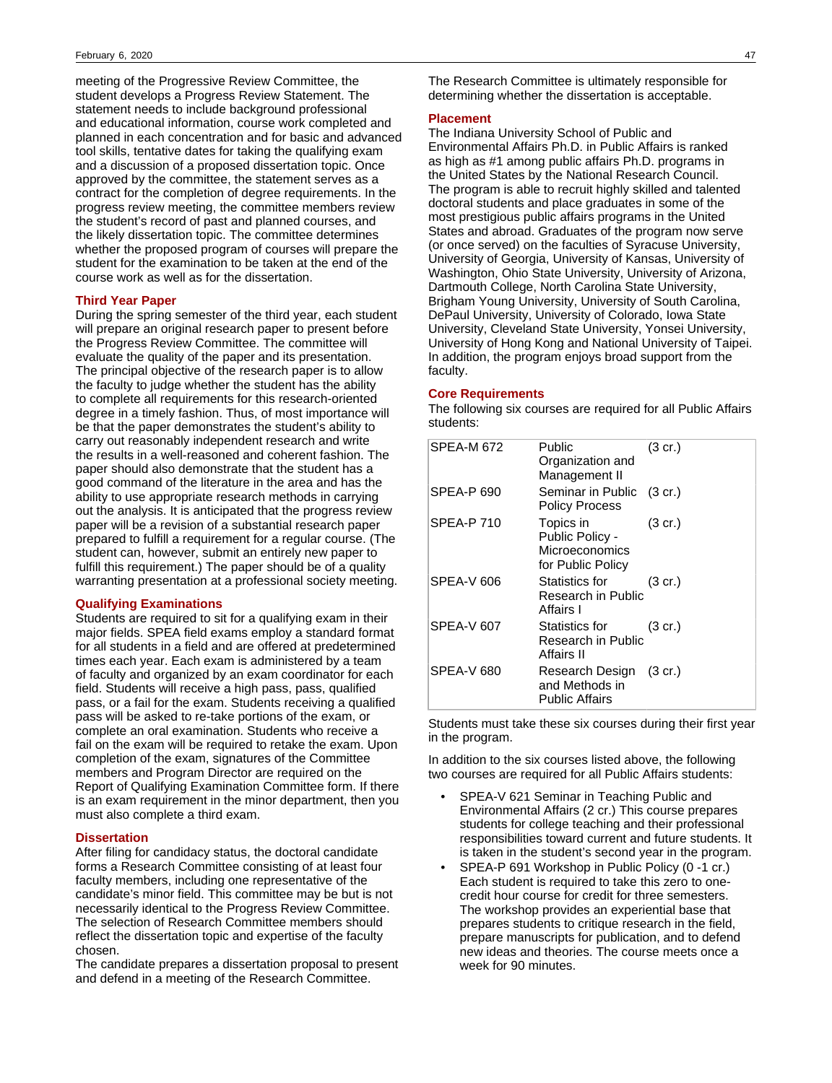meeting of the Progressive Review Committee, the student develops a Progress Review Statement. The statement needs to include background professional and educational information, course work completed and planned in each concentration and for basic and advanced tool skills, tentative dates for taking the qualifying exam and a discussion of a proposed dissertation topic. Once approved by the committee, the statement serves as a contract for the completion of degree requirements. In the progress review meeting, the committee members review the student's record of past and planned courses, and the likely dissertation topic. The committee determines whether the proposed program of courses will prepare the student for the examination to be taken at the end of the course work as well as for the dissertation.

### **Third Year Paper**

During the spring semester of the third year, each student will prepare an original research paper to present before the Progress Review Committee. The committee will evaluate the quality of the paper and its presentation. The principal objective of the research paper is to allow the faculty to judge whether the student has the ability to complete all requirements for this research-oriented degree in a timely fashion. Thus, of most importance will be that the paper demonstrates the student's ability to carry out reasonably independent research and write the results in a well-reasoned and coherent fashion. The paper should also demonstrate that the student has a good command of the literature in the area and has the ability to use appropriate research methods in carrying out the analysis. It is anticipated that the progress review paper will be a revision of a substantial research paper prepared to fulfill a requirement for a regular course. (The student can, however, submit an entirely new paper to fulfill this requirement.) The paper should be of a quality warranting presentation at a professional society meeting.

## **Qualifying Examinations**

Students are required to sit for a qualifying exam in their major fields. SPEA field exams employ a standard format for all students in a field and are offered at predetermined times each year. Each exam is administered by a team of faculty and organized by an exam coordinator for each field. Students will receive a high pass, pass, qualified pass, or a fail for the exam. Students receiving a qualified pass will be asked to re-take portions of the exam, or complete an oral examination. Students who receive a fail on the exam will be required to retake the exam. Upon completion of the exam, signatures of the Committee members and Program Director are required on the Report of Qualifying Examination Committee form. If there is an exam requirement in the minor department, then you must also complete a third exam.

#### **Dissertation**

After filing for candidacy status, the doctoral candidate forms a Research Committee consisting of at least four faculty members, including one representative of the candidate's minor field. This committee may be but is not necessarily identical to the Progress Review Committee. The selection of Research Committee members should reflect the dissertation topic and expertise of the faculty chosen.

The candidate prepares a dissertation proposal to present and defend in a meeting of the Research Committee.

The Research Committee is ultimately responsible for determining whether the dissertation is acceptable.

#### **Placement**

The Indiana University School of Public and Environmental Affairs Ph.D. in Public Affairs is ranked as high as #1 among public affairs Ph.D. programs in the United States by the National Research Council. The program is able to recruit highly skilled and talented doctoral students and place graduates in some of the most prestigious public affairs programs in the United States and abroad. Graduates of the program now serve (or once served) on the faculties of Syracuse University, University of Georgia, University of Kansas, University of Washington, Ohio State University, University of Arizona, Dartmouth College, North Carolina State University, Brigham Young University, University of South Carolina, DePaul University, University of Colorado, Iowa State University, Cleveland State University, Yonsei University, University of Hong Kong and National University of Taipei. In addition, the program enjoys broad support from the faculty.

#### **Core Requirements**

The following six courses are required for all Public Affairs students:

| SPEA-M 672        | Public<br>Organization and<br>Management II                         | $(3 \text{ cr.})$ |
|-------------------|---------------------------------------------------------------------|-------------------|
| <b>SPEA-P 690</b> | Seminar in Public (3 cr.)<br><b>Policy Process</b>                  |                   |
| SPEA-P 710        | Topics in<br>Public Policy -<br>Microeconomics<br>for Public Policy | $(3 \text{ cr.})$ |
| SPEA-V 606        | Statistics for<br>Research in Public<br>Affairs I                   | $(3 \text{ cr.})$ |
| SPEA-V 607        | Statistics for<br>Research in Public<br>Affairs II                  | $(3 \text{ cr.})$ |
| SPEA-V 680        | Research Design (3 cr.)<br>and Methods in<br><b>Public Affairs</b>  |                   |

Students must take these six courses during their first year in the program.

In addition to the six courses listed above, the following two courses are required for all Public Affairs students:

- SPEA-V 621 Seminar in Teaching Public and Environmental Affairs (2 cr.) This course prepares students for college teaching and their professional responsibilities toward current and future students. It is taken in the student's second year in the program.
- SPEA-P 691 Workshop in Public Policy (0 -1 cr.) Each student is required to take this zero to onecredit hour course for credit for three semesters. The workshop provides an experiential base that prepares students to critique research in the field, prepare manuscripts for publication, and to defend new ideas and theories. The course meets once a week for 90 minutes.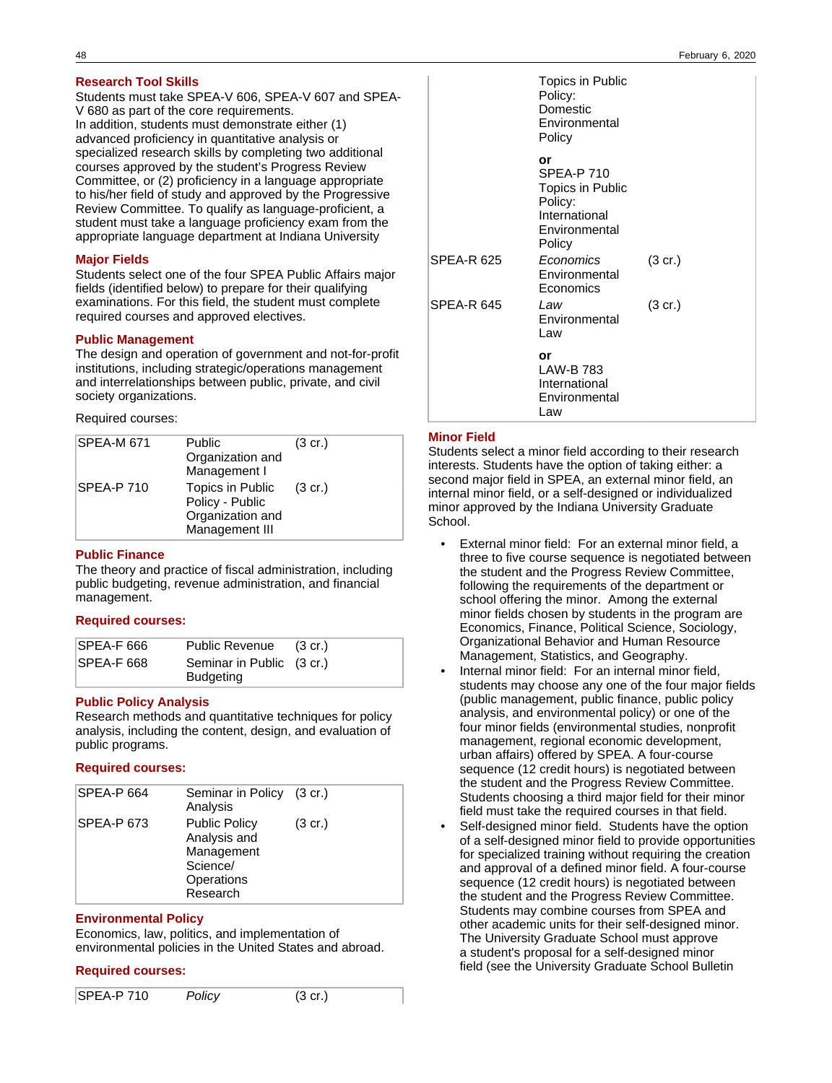## **Research Tool Skills**

Students must take SPEA-V 606, SPEA-V 607 and SPEA-V 680 as part of the core requirements. In addition, students must demonstrate either (1) advanced proficiency in quantitative analysis or specialized research skills by completing two additional courses approved by the student's Progress Review Committee, or (2) proficiency in a language appropriate to his/her field of study and approved by the Progressive Review Committee. To qualify as language-proficient, a student must take a language proficiency exam from the appropriate language department at Indiana University

## **Major Fields**

Students select one of the four SPEA Public Affairs major fields (identified below) to prepare for their qualifying examinations. For this field, the student must complete required courses and approved electives.

## **Public Management**

The design and operation of government and not-for-profit institutions, including strategic/operations management and interrelationships between public, private, and civil society organizations.

Required courses:

| <b>SPEA-M 671</b> | <b>Public</b><br>Organization and<br>Management I                         | $(3 \text{ cr.})$ |
|-------------------|---------------------------------------------------------------------------|-------------------|
| <b>SPEA-P 710</b> | Topics in Public<br>Policy - Public<br>Organization and<br>Management III | $(3 \text{ cr.})$ |

## **Public Finance**

The theory and practice of fiscal administration, including public budgeting, revenue administration, and financial management.

## **Required courses:**

| SPEA-F 666 | <b>Public Revenue</b>                         | $(3 \text{ cr.})$ |
|------------|-----------------------------------------------|-------------------|
| SPEA-F 668 | Seminar in Public (3 cr.)<br><b>Budgeting</b> |                   |

## **Public Policy Analysis**

Research methods and quantitative techniques for policy analysis, including the content, design, and evaluation of public programs.

## **Required courses:**

| SPEA-P 664 | Seminar in Policy (3 cr.)<br>Analysis                                                    |                   |
|------------|------------------------------------------------------------------------------------------|-------------------|
| SPEA-P 673 | <b>Public Policy</b><br>Analysis and<br>Management<br>Science/<br>Operations<br>Research | $(3 \text{ cr.})$ |

### **Environmental Policy**

Economics, law, politics, and implementation of environmental policies in the United States and abroad.

## **Required courses:**

| $SPEA-P 710$ | Policy | $(3 \text{ cr.})$ |  |
|--------------|--------|-------------------|--|
|--------------|--------|-------------------|--|

|                   | Topics in Public<br>Policy:<br>Domestic<br>Environmental<br>Policy                                 |                   |
|-------------------|----------------------------------------------------------------------------------------------------|-------------------|
|                   | or<br><b>SPEA-P 710</b><br>Topics in Public<br>Policy:<br>International<br>Environmental<br>Policy |                   |
| <b>SPEA-R 625</b> | Economics<br>Environmental<br>Economics                                                            | $(3 \text{ cr.})$ |
| <b>SPEA-R 645</b> | Law<br>Environmental<br>Law                                                                        | $(3 \text{ cr.})$ |
|                   | or<br><b>LAW-B783</b><br>International<br>Environmental<br>Law                                     |                   |

## **Minor Field**

Students select a minor field according to their research interests. Students have the option of taking either: a second major field in SPEA, an external minor field, an internal minor field, or a self-designed or individualized minor approved by the Indiana University Graduate School.

- External minor field: For an external minor field, a three to five course sequence is negotiated between the student and the Progress Review Committee, following the requirements of the department or school offering the minor. Among the external minor fields chosen by students in the program are Economics, Finance, Political Science, Sociology, Organizational Behavior and Human Resource Management, Statistics, and Geography.
- Internal minor field: For an internal minor field, students may choose any one of the four major fields (public management, public finance, public policy analysis, and environmental policy) or one of the four minor fields (environmental studies, nonprofit management, regional economic development, urban affairs) offered by SPEA. A four-course sequence (12 credit hours) is negotiated between the student and the Progress Review Committee. Students choosing a third major field for their minor field must take the required courses in that field.
- Self-designed minor field. Students have the option of a self-designed minor field to provide opportunities for specialized training without requiring the creation and approval of a defined minor field. A four-course sequence (12 credit hours) is negotiated between the student and the Progress Review Committee. Students may combine courses from SPEA and other academic units for their self-designed minor. The University Graduate School must approve a student's proposal for a self-designed minor field (see the University Graduate School Bulletin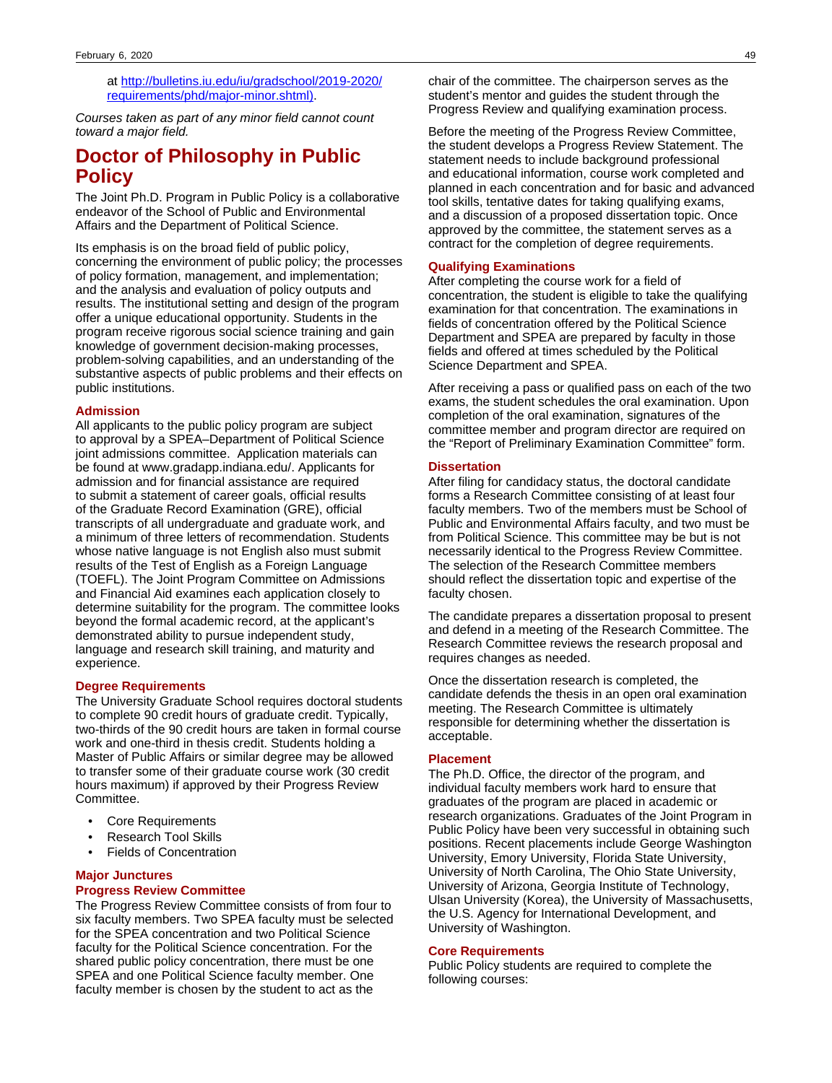at [http://bulletins.iu.edu/iu/gradschool/2019-2020/](https://bulletins.iu.edu/iu/gradschool/2019-2020/requirements/phd/major-minor.shtml) [requirements/phd/major-minor.shtml\)](https://bulletins.iu.edu/iu/gradschool/2019-2020/requirements/phd/major-minor.shtml).

Courses taken as part of any minor field cannot count toward a major field.

## **Doctor of Philosophy in Public Policy**

The Joint Ph.D. Program in Public Policy is a collaborative endeavor of the School of Public and Environmental Affairs and the Department of Political Science.

Its emphasis is on the broad field of public policy, concerning the environment of public policy; the processes of policy formation, management, and implementation; and the analysis and evaluation of policy outputs and results. The institutional setting and design of the program offer a unique educational opportunity. Students in the program receive rigorous social science training and gain knowledge of government decision-making processes, problem-solving capabilities, and an understanding of the substantive aspects of public problems and their effects on public institutions.

### **Admission**

All applicants to the public policy program are subject to approval by a SPEA–Department of Political Science joint admissions committee. Application materials can be found at www.gradapp.indiana.edu/. Applicants for admission and for financial assistance are required to submit a statement of career goals, official results of the Graduate Record Examination (GRE), official transcripts of all undergraduate and graduate work, and a minimum of three letters of recommendation. Students whose native language is not English also must submit results of the Test of English as a Foreign Language (TOEFL). The Joint Program Committee on Admissions and Financial Aid examines each application closely to determine suitability for the program. The committee looks beyond the formal academic record, at the applicant's demonstrated ability to pursue independent study, language and research skill training, and maturity and experience.

### **Degree Requirements**

The University Graduate School requires doctoral students to complete 90 credit hours of graduate credit. Typically, two-thirds of the 90 credit hours are taken in formal course work and one-third in thesis credit. Students holding a Master of Public Affairs or similar degree may be allowed to transfer some of their graduate course work (30 credit hours maximum) if approved by their Progress Review Committee.

- Core Requirements
- Research Tool Skills
- **Fields of Concentration**

### **Major Junctures Progress Review Committee**

The Progress Review Committee consists of from four to six faculty members. Two SPEA faculty must be selected for the SPEA concentration and two Political Science faculty for the Political Science concentration. For the shared public policy concentration, there must be one SPEA and one Political Science faculty member. One faculty member is chosen by the student to act as the

chair of the committee. The chairperson serves as the student's mentor and guides the student through the Progress Review and qualifying examination process.

Before the meeting of the Progress Review Committee, the student develops a Progress Review Statement. The statement needs to include background professional and educational information, course work completed and planned in each concentration and for basic and advanced tool skills, tentative dates for taking qualifying exams, and a discussion of a proposed dissertation topic. Once approved by the committee, the statement serves as a contract for the completion of degree requirements.

## **Qualifying Examinations**

After completing the course work for a field of concentration, the student is eligible to take the qualifying examination for that concentration. The examinations in fields of concentration offered by the Political Science Department and SPEA are prepared by faculty in those fields and offered at times scheduled by the Political Science Department and SPEA.

After receiving a pass or qualified pass on each of the two exams, the student schedules the oral examination. Upon completion of the oral examination, signatures of the committee member and program director are required on the "Report of Preliminary Examination Committee" form.

#### **Dissertation**

After filing for candidacy status, the doctoral candidate forms a Research Committee consisting of at least four faculty members. Two of the members must be School of Public and Environmental Affairs faculty, and two must be from Political Science. This committee may be but is not necessarily identical to the Progress Review Committee. The selection of the Research Committee members should reflect the dissertation topic and expertise of the faculty chosen.

The candidate prepares a dissertation proposal to present and defend in a meeting of the Research Committee. The Research Committee reviews the research proposal and requires changes as needed.

Once the dissertation research is completed, the candidate defends the thesis in an open oral examination meeting. The Research Committee is ultimately responsible for determining whether the dissertation is acceptable.

## **Placement**

The Ph.D. Office, the director of the program, and individual faculty members work hard to ensure that graduates of the program are placed in academic or research organizations. Graduates of the Joint Program in Public Policy have been very successful in obtaining such positions. Recent placements include George Washington University, Emory University, Florida State University, University of North Carolina, The Ohio State University, University of Arizona, Georgia Institute of Technology, Ulsan University (Korea), the University of Massachusetts, the U.S. Agency for International Development, and University of Washington.

#### **Core Requirements**

Public Policy students are required to complete the following courses: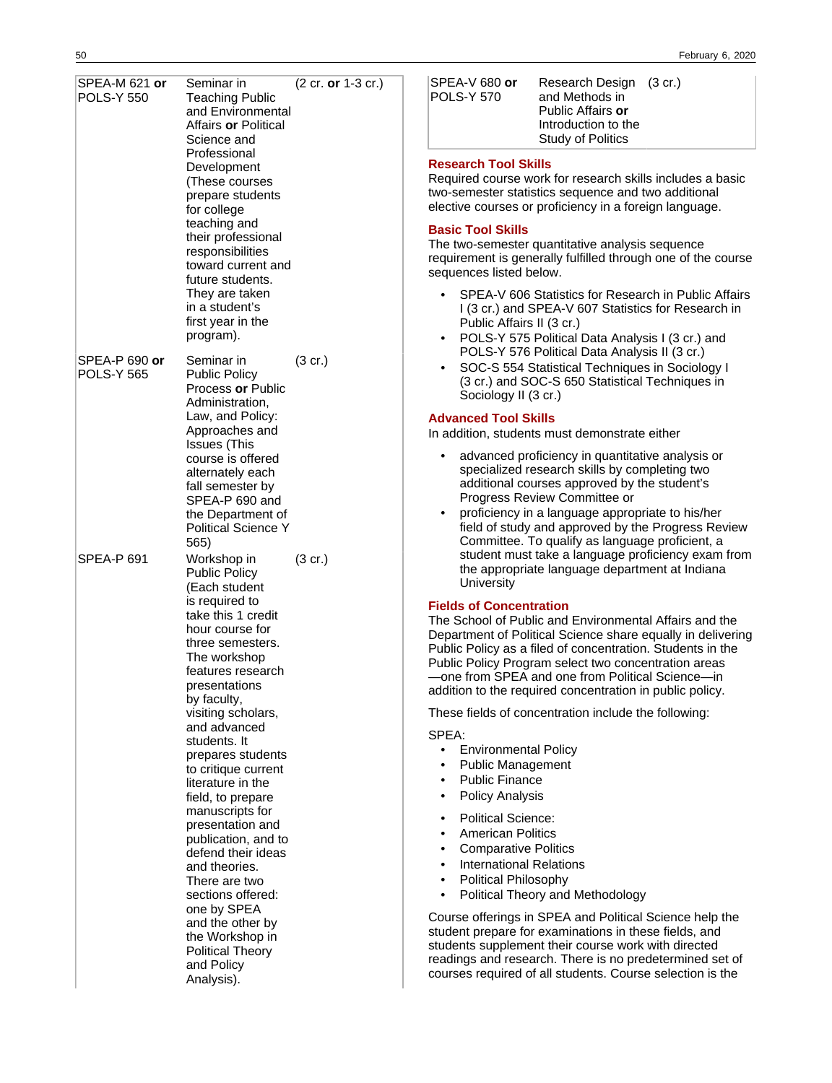| SPEA-M 621 or<br><b>POLS-Y 550</b> | Seminar in<br><b>Teaching Public</b><br>and Environmental<br>Affairs <b>or</b> Political<br>Science and<br>Professional<br>Development<br>(These courses<br>prepare students<br>for college<br>teaching and<br>their professional<br>responsibilities<br>toward current and<br>future students.<br>They are taken<br>in a student's<br>first year in the<br>program).                                                                                                                                                                                                                                        |                   | (2 cr. or 1-3 cr.) |
|------------------------------------|--------------------------------------------------------------------------------------------------------------------------------------------------------------------------------------------------------------------------------------------------------------------------------------------------------------------------------------------------------------------------------------------------------------------------------------------------------------------------------------------------------------------------------------------------------------------------------------------------------------|-------------------|--------------------|
| SPEA-P 690 or<br><b>POLS-Y 565</b> | Seminar in<br><b>Public Policy</b><br>Process or Public<br>Administration,<br>Law, and Policy:<br>Approaches and<br>Issues (This<br>course is offered<br>alternately each<br>fall semester by<br>SPEA-P 690 and<br>the Department of<br><b>Political Science Y</b><br>565)                                                                                                                                                                                                                                                                                                                                   | (3 cr.)           |                    |
| SPEA-P 691                         | Workshop in<br><b>Public Policy</b><br>(Each student<br>is required to<br>take this 1 credit<br>hour course for<br>three semesters.<br>The workshop<br>features research<br>presentations<br>by faculty,<br>visiting scholars,<br>and advanced<br>students. It<br>prepares students<br>to critique current<br>literature in the<br>field, to prepare<br>manuscripts for<br>presentation and<br>publication, and to<br>defend their ideas<br>and theories.<br>There are two<br>sections offered:<br>one by SPEA<br>and the other by<br>the Workshop in<br><b>Political Theory</b><br>and Policy<br>Analysis). | $(3 \text{ cr.})$ |                    |

| ISPEA-V 680 <b>or</b> |
|-----------------------|
| POLS-Y 570            |
|                       |

Research Design (3 cr.) and Methods in Public Affairs **or** Introduction to the Study of Politics

## **Research Tool Skills**

Required course work for research skills includes a basic two-semester statistics sequence and two additional elective courses or proficiency in a foreign language.

#### **Basic Tool Skills**

The two-semester quantitative analysis sequence requirement is generally fulfilled through one of the course sequences listed below.

- SPEA-V 606 Statistics for Research in Public Affairs I (3 cr.) and SPEA-V 607 Statistics for Research in Public Affairs II (3 cr.)
- POLS-Y 575 Political Data Analysis I (3 cr.) and POLS-Y 576 Political Data Analysis II (3 cr.)
- SOC-S 554 Statistical Techniques in Sociology I (3 cr.) and SOC-S 650 Statistical Techniques in Sociology II (3 cr.)

## **Advanced Tool Skills**

In addition, students must demonstrate either

- advanced proficiency in quantitative analysis or specialized research skills by completing two additional courses approved by the student's Progress Review Committee or
- proficiency in a language appropriate to his/her field of study and approved by the Progress Review Committee. To qualify as language proficient, a student must take a language proficiency exam from the appropriate language department at Indiana **University**

### **Fields of Concentration**

The School of Public and Environmental Affairs and the Department of Political Science share equally in delivering Public Policy as a filed of concentration. Students in the Public Policy Program select two concentration areas —one from SPEA and one from Political Science—in addition to the required concentration in public policy.

These fields of concentration include the following:

## SPEA:

- Environmental Policy
- Public Management
- Public Finance
- Policy Analysis
- Political Science:
- American Politics
- Comparative Politics
- International Relations
- Political Philosophy
- Political Theory and Methodology

Course offerings in SPEA and Political Science help the student prepare for examinations in these fields, and students supplement their course work with directed readings and research. There is no predetermined set of courses required of all students. Course selection is the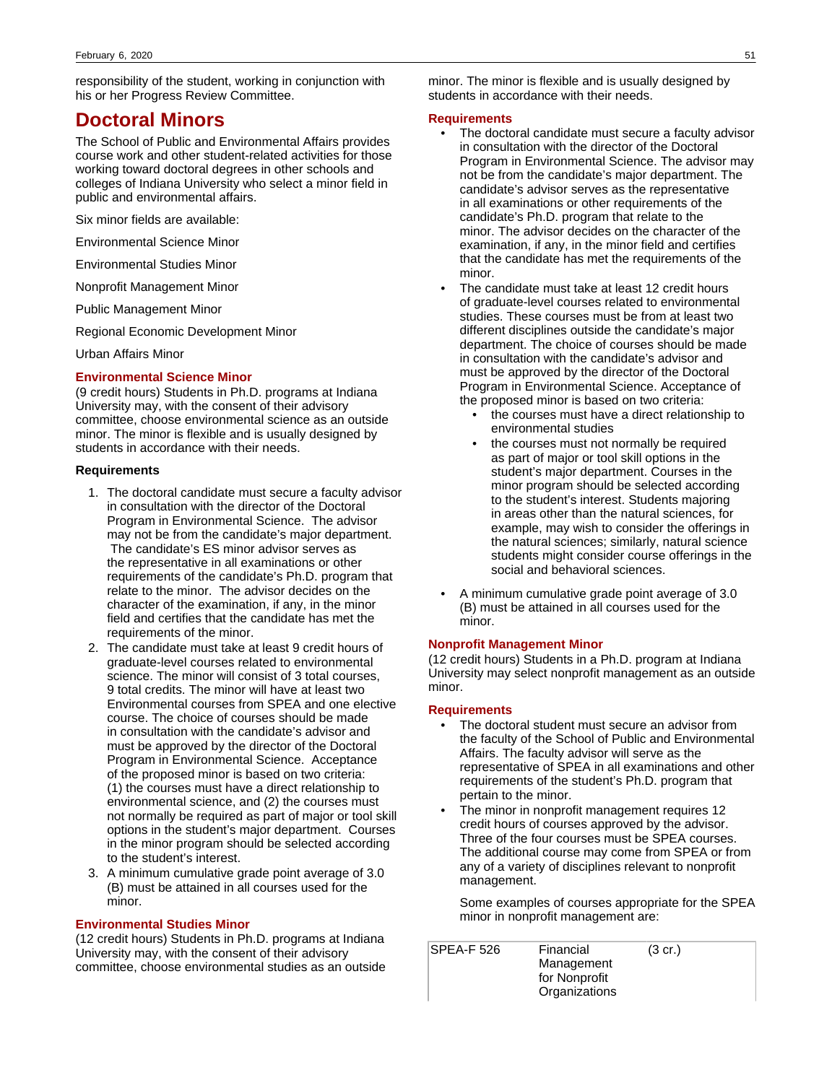responsibility of the student, working in conjunction with his or her Progress Review Committee.

# **Doctoral Minors**

The School of Public and Environmental Affairs provides course work and other student-related activities for those working toward doctoral degrees in other schools and colleges of Indiana University who select a minor field in public and environmental affairs.

Six minor fields are available:

Environmental Science Minor

Environmental Studies Minor

Nonprofit Management Minor

Public Management Minor

Regional Economic Development Minor

Urban Affairs Minor

### **Environmental Science Minor**

(9 credit hours) Students in Ph.D. programs at Indiana University may, with the consent of their advisory committee, choose environmental science as an outside minor. The minor is flexible and is usually designed by students in accordance with their needs.

## **Requirements**

- 1. The doctoral candidate must secure a faculty advisor in consultation with the director of the Doctoral Program in Environmental Science. The advisor may not be from the candidate's major department. The candidate's ES minor advisor serves as the representative in all examinations or other requirements of the candidate's Ph.D. program that relate to the minor. The advisor decides on the character of the examination, if any, in the minor field and certifies that the candidate has met the requirements of the minor.
- 2. The candidate must take at least 9 credit hours of graduate-level courses related to environmental science. The minor will consist of 3 total courses. 9 total credits. The minor will have at least two Environmental courses from SPEA and one elective course. The choice of courses should be made in consultation with the candidate's advisor and must be approved by the director of the Doctoral Program in Environmental Science. Acceptance of the proposed minor is based on two criteria: (1) the courses must have a direct relationship to environmental science, and (2) the courses must not normally be required as part of major or tool skill options in the student's major department. Courses in the minor program should be selected according to the student's interest.
- 3. A minimum cumulative grade point average of 3.0 (B) must be attained in all courses used for the minor.

## **Environmental Studies Minor**

(12 credit hours) Students in Ph.D. programs at Indiana University may, with the consent of their advisory committee, choose environmental studies as an outside

minor. The minor is flexible and is usually designed by students in accordance with their needs.

#### **Requirements**

- The doctoral candidate must secure a faculty advisor in consultation with the director of the Doctoral Program in Environmental Science. The advisor may not be from the candidate's major department. The candidate's advisor serves as the representative in all examinations or other requirements of the candidate's Ph.D. program that relate to the minor. The advisor decides on the character of the examination, if any, in the minor field and certifies that the candidate has met the requirements of the minor.
- The candidate must take at least 12 credit hours of graduate-level courses related to environmental studies. These courses must be from at least two different disciplines outside the candidate's major department. The choice of courses should be made in consultation with the candidate's advisor and must be approved by the director of the Doctoral Program in Environmental Science. Acceptance of the proposed minor is based on two criteria:
	- the courses must have a direct relationship to environmental studies
	- the courses must not normally be required as part of major or tool skill options in the student's major department. Courses in the minor program should be selected according to the student's interest. Students majoring in areas other than the natural sciences, for example, may wish to consider the offerings in the natural sciences; similarly, natural science students might consider course offerings in the social and behavioral sciences.
- A minimum cumulative grade point average of 3.0 (B) must be attained in all courses used for the minor.

## **Nonprofit Management Minor**

(12 credit hours) Students in a Ph.D. program at Indiana University may select nonprofit management as an outside minor.

#### **Requirements**

- The doctoral student must secure an advisor from the faculty of the School of Public and Environmental Affairs. The faculty advisor will serve as the representative of SPEA in all examinations and other requirements of the student's Ph.D. program that pertain to the minor.
- The minor in nonprofit management requires 12 credit hours of courses approved by the advisor. Three of the four courses must be SPEA courses. The additional course may come from SPEA or from any of a variety of disciplines relevant to nonprofit management.

Some examples of courses appropriate for the SPEA minor in nonprofit management are:

| SPEA-F 526 | Financial     | $(3 \text{ cr.})$ |  |
|------------|---------------|-------------------|--|
|            | Management    |                   |  |
|            | for Nonprofit |                   |  |
|            | Organizations |                   |  |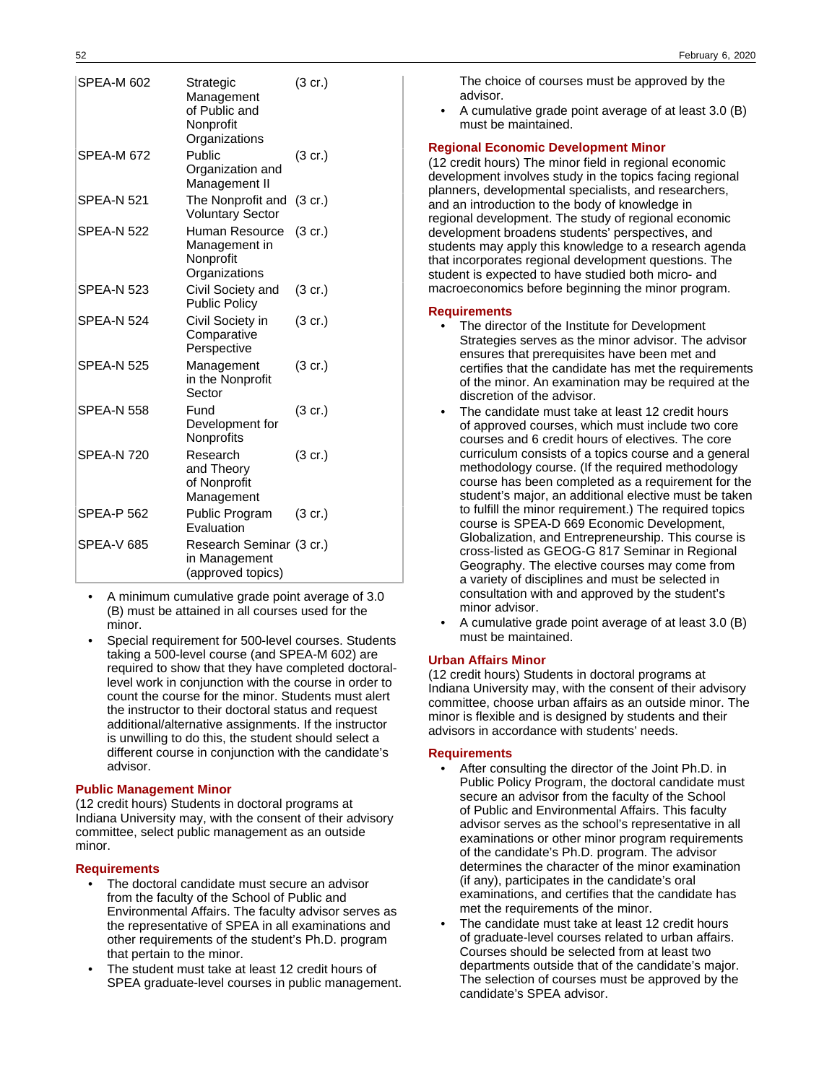| <b>SPEA-M 602</b> | Strategic<br>Management<br>of Public and<br>Nonprofit<br>Organizations | $(3 \text{ cr.})$ |
|-------------------|------------------------------------------------------------------------|-------------------|
| SPEA-M 672        | Public<br>Organization and<br>Management II                            | (3 cr.)           |
| SPEA-N 521        | The Nonprofit and<br><b>Voluntary Sector</b>                           | $(3 \text{ cr.})$ |
| <b>SPEA-N 522</b> | Human Resource<br>Management in<br>Nonprofit<br>Organizations          | $(3 \text{ cr.})$ |
| SPEA-N 523        | Civil Society and<br><b>Public Policy</b>                              | $(3 \text{ cr.})$ |
| <b>SPEA-N 524</b> | Civil Society in<br>Comparative<br>Perspective                         | $(3 \text{ cr.})$ |
| <b>SPEA-N 525</b> | Management<br>in the Nonprofit<br>Sector                               | $(3$ cr.)         |
| SPEA-N 558        | Fund<br>Development for<br>Nonprofits                                  | $(3 \text{ cr.})$ |
| <b>SPEA-N 720</b> | Research<br>and Theory<br>of Nonprofit<br>Management                   | $(3 \text{ cr.})$ |
| SPEA-P 562        | Public Program<br>Evaluation                                           | $(3 \text{ cr.})$ |
| SPEA-V 685        | Research Seminar (3 cr.)<br>in Management<br>(approved topics)         |                   |

- A minimum cumulative grade point average of 3.0 (B) must be attained in all courses used for the minor.
- Special requirement for 500-level courses. Students taking a 500-level course (and SPEA-M 602) are required to show that they have completed doctorallevel work in conjunction with the course in order to count the course for the minor. Students must alert the instructor to their doctoral status and request additional/alternative assignments. If the instructor is unwilling to do this, the student should select a different course in conjunction with the candidate's advisor.

### **Public Management Minor**

(12 credit hours) Students in doctoral programs at Indiana University may, with the consent of their advisory committee, select public management as an outside minor.

### **Requirements**

- The doctoral candidate must secure an advisor from the faculty of the School of Public and Environmental Affairs. The faculty advisor serves as the representative of SPEA in all examinations and other requirements of the student's Ph.D. program that pertain to the minor.
- The student must take at least 12 credit hours of SPEA graduate-level courses in public management.

The choice of courses must be approved by the advisor.

• A cumulative grade point average of at least 3.0 (B) must be maintained.

## **Regional Economic Development Minor**

(12 credit hours) The minor field in regional economic development involves study in the topics facing regional planners, developmental specialists, and researchers, and an introduction to the body of knowledge in regional development. The study of regional economic development broadens students' perspectives, and students may apply this knowledge to a research agenda that incorporates regional development questions. The student is expected to have studied both micro- and macroeconomics before beginning the minor program.

#### **Requirements**

- The director of the Institute for Development Strategies serves as the minor advisor. The advisor ensures that prerequisites have been met and certifies that the candidate has met the requirements of the minor. An examination may be required at the discretion of the advisor.
- The candidate must take at least 12 credit hours of approved courses, which must include two core courses and 6 credit hours of electives. The core curriculum consists of a topics course and a general methodology course. (If the required methodology course has been completed as a requirement for the student's major, an additional elective must be taken to fulfill the minor requirement.) The required topics course is SPEA-D 669 Economic Development, Globalization, and Entrepreneurship. This course is cross-listed as GEOG-G 817 Seminar in Regional Geography. The elective courses may come from a variety of disciplines and must be selected in consultation with and approved by the student's minor advisor.
- A cumulative grade point average of at least 3.0 (B) must be maintained.

### **Urban Affairs Minor**

(12 credit hours) Students in doctoral programs at Indiana University may, with the consent of their advisory committee, choose urban affairs as an outside minor. The minor is flexible and is designed by students and their advisors in accordance with students' needs.

#### **Requirements**

- After consulting the director of the Joint Ph.D. in Public Policy Program, the doctoral candidate must secure an advisor from the faculty of the School of Public and Environmental Affairs. This faculty advisor serves as the school's representative in all examinations or other minor program requirements of the candidate's Ph.D. program. The advisor determines the character of the minor examination (if any), participates in the candidate's oral examinations, and certifies that the candidate has met the requirements of the minor.
- The candidate must take at least 12 credit hours of graduate-level courses related to urban affairs. Courses should be selected from at least two departments outside that of the candidate's major. The selection of courses must be approved by the candidate's SPEA advisor.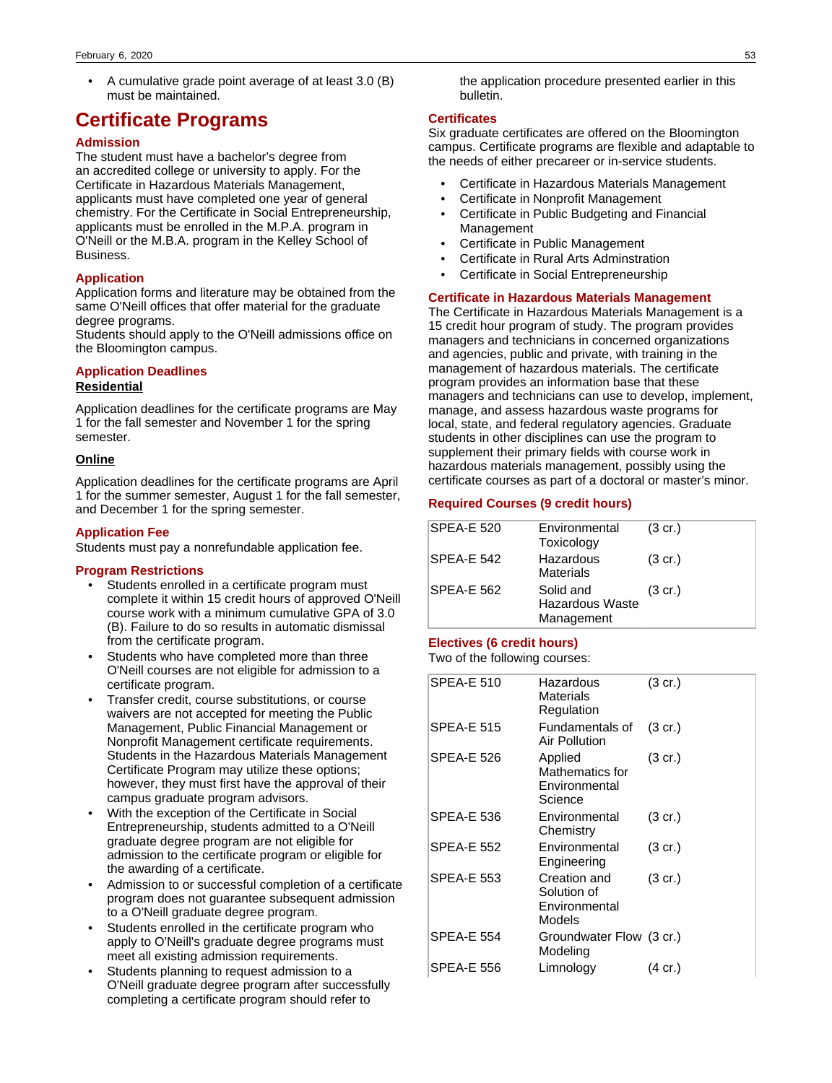• A cumulative grade point average of at least 3.0 (B) must be maintained.

# **Certificate Programs**

## **Admission**

The student must have a bachelor's degree from an accredited college or university to apply. For the Certificate in Hazardous Materials Management, applicants must have completed one year of general chemistry. For the Certificate in Social Entrepreneurship, applicants must be enrolled in the M.P.A. program in O'Neill or the M.B.A. program in the Kelley School of Business.

## **Application**

Application forms and literature may be obtained from the same O'Neill offices that offer material for the graduate degree programs.

Students should apply to the O'Neill admissions office on the Bloomington campus.

## **Application Deadlines Residential**

Application deadlines for the certificate programs are May 1 for the fall semester and November 1 for the spring semester.

### **Online**

Application deadlines for the certificate programs are April 1 for the summer semester, August 1 for the fall semester, and December 1 for the spring semester.

#### **Application Fee**

Students must pay a nonrefundable application fee.

#### **Program Restrictions**

- Students enrolled in a certificate program must complete it within 15 credit hours of approved O'Neill course work with a minimum cumulative GPA of 3.0 (B). Failure to do so results in automatic dismissal from the certificate program.
- Students who have completed more than three O'Neill courses are not eligible for admission to a certificate program.
- Transfer credit, course substitutions, or course waivers are not accepted for meeting the Public Management, Public Financial Management or Nonprofit Management certificate requirements. Students in the Hazardous Materials Management Certificate Program may utilize these options; however, they must first have the approval of their campus graduate program advisors.
- With the exception of the Certificate in Social Entrepreneurship, students admitted to a O'Neill graduate degree program are not eligible for admission to the certificate program or eligible for the awarding of a certificate.
- Admission to or successful completion of a certificate program does not guarantee subsequent admission to a O'Neill graduate degree program.
- Students enrolled in the certificate program who apply to O'Neill's graduate degree programs must meet all existing admission requirements.
- Students planning to request admission to a O'Neill graduate degree program after successfully completing a certificate program should refer to

the application procedure presented earlier in this bulletin.

#### **Certificates**

Six graduate certificates are offered on the Bloomington campus. Certificate programs are flexible and adaptable to the needs of either precareer or in-service students.

- Certificate in Hazardous Materials Management
- Certificate in Nonprofit Management
- Certificate in Public Budgeting and Financial Management
- Certificate in Public Management
- Certificate in Rural Arts Adminstration
- Certificate in Social Entrepreneurship

### **Certificate in Hazardous Materials Management**

The Certificate in Hazardous Materials Management is a 15 credit hour program of study. The program provides managers and technicians in concerned organizations and agencies, public and private, with training in the management of hazardous materials. The certificate program provides an information base that these managers and technicians can use to develop, implement, manage, and assess hazardous waste programs for local, state, and federal regulatory agencies. Graduate students in other disciplines can use the program to supplement their primary fields with course work in hazardous materials management, possibly using the certificate courses as part of a doctoral or master's minor.

#### **Required Courses (9 credit hours)**

| SPEA-E 520        | Environmental<br>Toxicology                | $(3 \text{ cr.})$ |
|-------------------|--------------------------------------------|-------------------|
| <b>SPEA-E 542</b> | Hazardous<br><b>Materials</b>              | $(3 \text{ cr.})$ |
| <b>SPEA-E 562</b> | Solid and<br>Hazardous Waste<br>Management | $(3 \text{ cr.})$ |

## **Electives (6 credit hours)**

Two of the following courses:

| <b>SPEA-E 510</b> | Hazardous<br>Materials<br>Regulation                   | (3 cr.)           |
|-------------------|--------------------------------------------------------|-------------------|
| <b>SPEA-E 515</b> | Fundamentals of<br>Air Pollution                       | $(3 \text{ cr.})$ |
| <b>SPEA-E 526</b> | Applied<br>Mathematics for<br>Environmental<br>Science | (3 cr.)           |
| <b>SPEA-E 536</b> | Environmental<br>Chemistry                             | $(3 \text{ cr.})$ |
| <b>SPEA-E 552</b> | Environmental<br>Engineering                           | (3 cr.)           |
| <b>SPEA-E 553</b> | Creation and<br>Solution of<br>Environmental<br>Models | $(3 \text{ cr.})$ |
| <b>SPEA-E 554</b> | Groundwater Flow (3 cr.)<br>Modeling                   |                   |
| <b>SPEA-E 556</b> | Limnology                                              | (4 cr.)           |
|                   |                                                        |                   |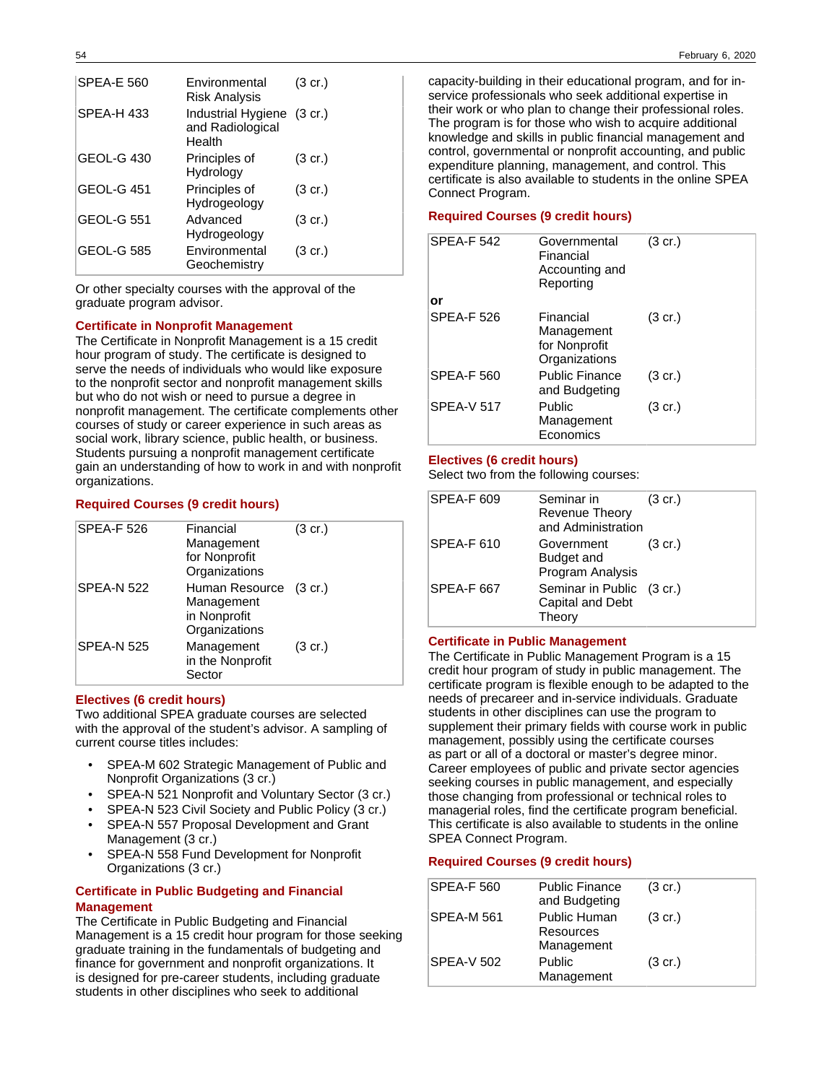| <b>SPEA-E 560</b> | Environmental<br>Risk Analysis                           | $(3 \text{ cr.})$ |
|-------------------|----------------------------------------------------------|-------------------|
| SPEA-H433         | Industrial Hygiene (3 cr.)<br>and Radiological<br>Health |                   |
| GEOL-G 430        | Principles of<br>Hydrology                               | $(3 \text{ cr.})$ |
| GEOL-G 451        | Principles of<br>Hydrogeology                            | $(3 \text{ cr.})$ |
| <b>GEOL-G 551</b> | Advanced<br>Hydrogeology                                 | $(3 \text{ cr.})$ |
| <b>GEOL-G 585</b> | Environmental<br>Geochemistry                            | (3 cr.)           |

Or other specialty courses with the approval of the graduate program advisor.

## **Certificate in Nonprofit Management**

The Certificate in Nonprofit Management is a 15 credit hour program of study. The certificate is designed to serve the needs of individuals who would like exposure to the nonprofit sector and nonprofit management skills but who do not wish or need to pursue a degree in nonprofit management. The certificate complements other courses of study or career experience in such areas as social work, library science, public health, or business. Students pursuing a nonprofit management certificate gain an understanding of how to work in and with nonprofit organizations.

## **Required Courses (9 credit hours)**

| <b>SPEA-F 526</b> | Financial<br>Management<br>for Nonprofit<br>Organizations             | $(3 \text{ cr.})$ |
|-------------------|-----------------------------------------------------------------------|-------------------|
| <b>SPEA-N 522</b> | Human Resource (3 cr.)<br>Management<br>in Nonprofit<br>Organizations |                   |
| <b>SPEA-N 525</b> | Management<br>in the Nonprofit<br>Sector                              | $(3 \text{ cr.})$ |

### **Electives (6 credit hours)**

Two additional SPEA graduate courses are selected with the approval of the student's advisor. A sampling of current course titles includes:

- SPEA-M 602 Strategic Management of Public and Nonprofit Organizations (3 cr.)
- SPEA-N 521 Nonprofit and Voluntary Sector (3 cr.)
- SPEA-N 523 Civil Society and Public Policy (3 cr.)
- SPEA-N 557 Proposal Development and Grant Management (3 cr.)
- SPEA-N 558 Fund Development for Nonprofit Organizations (3 cr.)

## **Certificate in Public Budgeting and Financial Management**

The Certificate in Public Budgeting and Financial Management is a 15 credit hour program for those seeking graduate training in the fundamentals of budgeting and finance for government and nonprofit organizations. It is designed for pre-career students, including graduate students in other disciplines who seek to additional

capacity-building in their educational program, and for inservice professionals who seek additional expertise in their work or who plan to change their professional roles. The program is for those who wish to acquire additional knowledge and skills in public financial management and control, governmental or nonprofit accounting, and public expenditure planning, management, and control. This certificate is also available to students in the online SPEA Connect Program.

## **Required Courses (9 credit hours)**

| <b>SPEA-F 542</b> | Governmental<br>Financial<br>Accounting and<br>Reporting  | $(3 \text{ cr.})$ |
|-------------------|-----------------------------------------------------------|-------------------|
| or                |                                                           |                   |
| <b>SPEA-F 526</b> | Financial<br>Management<br>for Nonprofit<br>Organizations | $(3 \text{ cr.})$ |
| SPEA-F 560        | <b>Public Finance</b><br>and Budgeting                    | $(3 \text{ cr.})$ |
| <b>SPFA-V 517</b> | Public<br>Management<br>Economics                         | $(3 \text{ cr.})$ |

## **Electives (6 credit hours)**

Select two from the following courses:

| <b>SPEA-F 609</b> | Seminar in<br><b>Revenue Theory</b><br>and Administration | $(3 \text{ cr.})$ |
|-------------------|-----------------------------------------------------------|-------------------|
| SPEA-F 610        | Government<br>Budget and<br>Program Analysis              | $(3 \text{ cr.})$ |
| <b>SPEA-F 667</b> | Seminar in Public (3 cr.)<br>Capital and Debt<br>Theorv   |                   |

### **Certificate in Public Management**

The Certificate in Public Management Program is a 15 credit hour program of study in public management. The certificate program is flexible enough to be adapted to the needs of precareer and in-service individuals. Graduate students in other disciplines can use the program to supplement their primary fields with course work in public management, possibly using the certificate courses as part or all of a doctoral or master's degree minor. Career employees of public and private sector agencies seeking courses in public management, and especially those changing from professional or technical roles to managerial roles, find the certificate program beneficial. This certificate is also available to students in the online SPEA Connect Program.

## **Required Courses (9 credit hours)**

| <b>SPEA-F 560</b> | <b>Public Finance</b><br>and Budgeting         | $(3 \text{ cr.})$ |
|-------------------|------------------------------------------------|-------------------|
| <b>SPEA-M 561</b> | <b>Public Human</b><br>Resources<br>Management | $(3 \text{ cr.})$ |
| SPEA-V 502        | Public<br>Management                           | $(3 \text{ cr.})$ |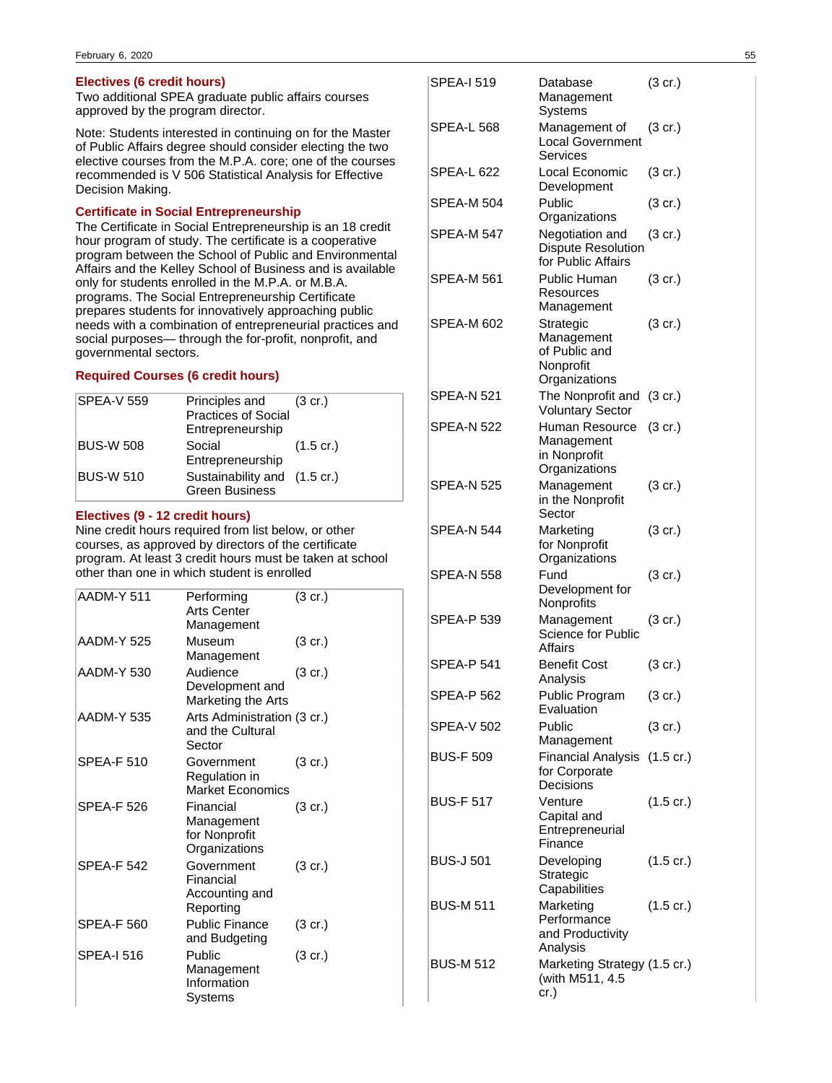## **Electives (6 credit hours)**

Two additional SPEA graduate public affairs courses approved by the program director.

Note: Students interested in continuing on for the Master of Public Affairs degree should consider electing the two elective courses from the M.P.A. core; one of the courses recommended is V 506 Statistical Analysis for Effective Decision Making.

## **Certificate in Social Entrepreneurship**

The Certificate in Social Entrepreneurship is an 18 credit hour program of study. The certificate is a cooperative program between the School of Public and Environmental Affairs and the Kelley School of Business and is available only for students enrolled in the M.P.A. or M.B.A. programs. The Social Entrepreneurship Certificate prepares students for innovatively approaching public needs with a combination of entrepreneurial practices and social purposes— through the for-profit, nonprofit, and governmental sectors.

## **Required Courses (6 credit hours)**

| <b>SPEA-V 559</b> | Principles and (3 cr.)<br><b>Practices of Social</b><br>Entrepreneurship |                     |
|-------------------|--------------------------------------------------------------------------|---------------------|
| <b>BUS-W 508</b>  | Social<br>Entrepreneurship                                               | $(1.5 \text{ cr.})$ |
| <b>BUS-W 510</b>  | Sustainability and (1.5 cr.)<br><b>Green Business</b>                    |                     |

## **Electives (9 - 12 credit hours)**

Nine credit hours required from list below, or other courses, as approved by directors of the certificate program. At least 3 credit hours must be taken at school other than one in which student is enrolled

| AADM-Y 511        | Performing<br>Arts Center<br>Management                   | $(3 \text{ cr.})$ |
|-------------------|-----------------------------------------------------------|-------------------|
| AADM-Y 525        | Museum<br>Management                                      | $(3 \text{ cr.})$ |
| <b>AADM-Y 530</b> | Audience<br>Development and<br>Marketing the Arts         | $(3 \text{ cr.})$ |
| AADM-Y 535        | Arts Administration (3 cr.)<br>and the Cultural<br>Sector |                   |
| <b>SPEA-F 510</b> | Government<br>Regulation in<br><b>Market Economics</b>    | $(3 \text{ cr.})$ |
| <b>SPEA-F 526</b> | Financial<br>Management<br>for Nonprofit<br>Organizations | $(3 \text{ cr.})$ |
| <b>SPEA-F 542</b> | Government<br>Financial<br>Accounting and<br>Reporting    | $(3 \text{ cr.})$ |
| <b>SPEA-F 560</b> | <b>Public Finance</b><br>and Budgeting                    | (3 cr.)           |
| <b>SPEA-I 516</b> | Public<br>Management<br>Information<br>Systems            | (3 cr.)           |

| SPEA-I 519        | Database<br>Management<br>Systems                                      | (3 cr.)             |
|-------------------|------------------------------------------------------------------------|---------------------|
| SPEA-L 568        | Management of<br><b>Local Government</b><br>Services                   | (3 cr.)             |
| SPEA-L 622        | Local Economic<br>Development                                          | $(3 \text{ cr.})$   |
| SPEA-M 504        | Public<br>Organizations                                                | (3 cr.)             |
| SPEA-M 547        | Negotiation and<br><b>Dispute Resolution</b><br>for Public Affairs     | (3 cr.)             |
| SPEA-M 561        | Public Human<br>Resources<br>Management                                | (3 cr.)             |
| <b>SPEA-M 602</b> | Strategic<br>Management<br>of Public and<br>Nonprofit<br>Organizations | $(3 \text{ cr.})$   |
| SPEA-N 521        | The Nonprofit and<br><b>Voluntary Sector</b>                           | $(3 \text{ cr.})$   |
| SPEA-N 522        | Human Resource<br>Management<br>in Nonprofit<br>Organizations          | $(3 \text{ cr.})$   |
| <b>SPEA-N 525</b> | Management<br>in the Nonprofit<br>Sector                               | (3 cr.)             |
| <b>SPEA-N 544</b> | Marketing<br>for Nonprofit<br>Organizations                            | (3 cr.)             |
| SPEA-N 558        | Fund<br>Development for<br>Nonprofits                                  | (3 cr.)             |
| <b>SPEA-P 539</b> | Management<br>Science for Public<br><b>Affairs</b>                     | $(3 \text{ cr.})$   |
| <b>SPEA-P 541</b> | <b>Benefit Cost</b><br>Analysis                                        | (3 cr.)             |
| <b>SPEA-P 562</b> | Public Program<br>Evaluation                                           | (3 cr.)             |
| <b>SPEA-V 502</b> | Public<br>Management                                                   | $(3 \text{ cr.})$   |
| <b>BUS-F 509</b>  | Financial Analysis<br>for Corporate<br>Decisions                       | $(1.5 \text{ cr.})$ |
| <b>BUS-F 517</b>  | Venture<br>Capital and<br>Entrepreneurial<br>Finance                   | $(1.5 \text{ cr.})$ |
| <b>BUS-J 501</b>  | Developing<br>Strategic<br>Capabilities                                | $(1.5 \text{ cr.})$ |
| <b>BUS-M 511</b>  | Marketing<br>Performance<br>and Productivity<br>Analysis               | $(1.5 \text{ cr.})$ |
| <b>BUS-M 512</b>  | Marketing Strategy (1.5 cr.)<br>(with M511, 4.5<br>cr.)                |                     |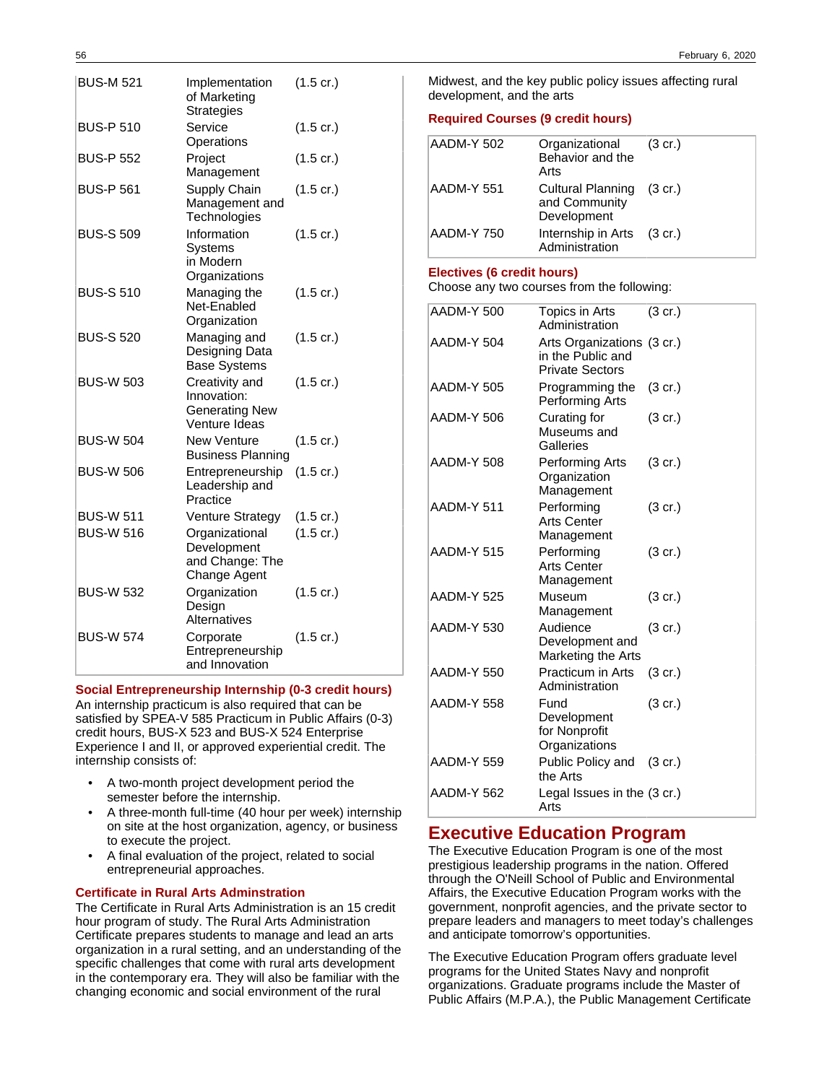| <b>BUS-M 521</b> | Implementation<br>of Marketing<br><b>Strategies</b>                     | $(1.5 \text{ cr.})$ |
|------------------|-------------------------------------------------------------------------|---------------------|
| <b>BUS-P 510</b> | Service<br>Operations                                                   | $(1.5 \text{ cr.})$ |
| <b>BUS-P 552</b> | Project<br>Management                                                   | $(1.5 \text{ cr.})$ |
| <b>BUS-P 561</b> | Supply Chain<br>Management and<br>Technologies                          | $(1.5 \text{ cr.})$ |
| <b>BUS-S 509</b> | Information<br>Systems<br>in Modern<br>Organizations                    | $(1.5 \text{ cr.})$ |
| <b>BUS-S 510</b> | Managing the<br>Net-Enabled<br>Organization                             | $(1.5 \text{ cr.})$ |
| <b>BUS-S 520</b> | Managing and<br>Designing Data<br><b>Base Systems</b>                   | $(1.5 \text{ cr.})$ |
| <b>BUS-W 503</b> | Creativity and<br>Innovation:<br><b>Generating New</b><br>Venture Ideas | $(1.5 \text{ cr.})$ |
| <b>BUS-W 504</b> | <b>New Venture</b><br><b>Business Planning</b>                          | $(1.5 \text{ cr.})$ |
| <b>BUS-W 506</b> | Entrepreneurship<br>Leadership and<br>Practice                          | $(1.5 \text{ cr.})$ |
| <b>BUS-W 511</b> | Venture Strategy                                                        | $(1.5 \text{ cr.})$ |
| <b>BUS-W 516</b> | Organizational<br>Development<br>and Change: The<br>Change Agent        | $(1.5 \text{ cr.})$ |
| <b>BUS-W 532</b> | Organization<br>Design<br>Alternatives                                  | $(1.5 \text{ cr.})$ |
| <b>BUS-W 574</b> | Corporate<br>Entrepreneurship<br>and Innovation                         | $(1.5 \text{ cr.})$ |

**Social Entrepreneurship Internship (0-3 credit hours)**

An internship practicum is also required that can be satisfied by SPEA-V 585 Practicum in Public Affairs (0-3) credit hours, BUS-X 523 and BUS-X 524 Enterprise Experience I and II, or approved experiential credit. The internship consists of:

- A two-month project development period the semester before the internship.
- A three-month full-time (40 hour per week) internship on site at the host organization, agency, or business to execute the project.
- A final evaluation of the project, related to social entrepreneurial approaches.

## **Certificate in Rural Arts Adminstration**

The Certificate in Rural Arts Administration is an 15 credit hour program of study. The Rural Arts Administration Certificate prepares students to manage and lead an arts organization in a rural setting, and an understanding of the specific challenges that come with rural arts development in the contemporary era. They will also be familiar with the changing economic and social environment of the rural

56 February 6, 2020

Midwest, and the key public policy issues affecting rural development, and the arts

#### **Required Courses (9 credit hours)**

| AADM-Y 502        | Organizational<br>Behavior and the<br>Arts                | $(3 \text{ cr.})$ |
|-------------------|-----------------------------------------------------------|-------------------|
| AADM-Y 551        | Cultural Planning (3 cr.)<br>and Community<br>Development |                   |
| <b>AADM-Y 750</b> | Internship in Arts (3 cr.)<br>Administration              |                   |

#### **Electives (6 credit hours)**

Choose any two courses from the following:

| AADM-Y 500        | Topics in Arts<br>Administration                                          | (3 cr.)           |
|-------------------|---------------------------------------------------------------------------|-------------------|
| AADM-Y 504        | Arts Organizations (3 cr.)<br>in the Public and<br><b>Private Sectors</b> |                   |
| AADM-Y 505        | Programming the<br>Performing Arts                                        | $(3 \text{ cr.})$ |
| AADM-Y 506        | Curating for<br>Museums and<br>Galleries                                  | (3 cr.)           |
| AADM-Y 508        | Performing Arts<br>Organization<br>Management                             | $(3 \text{ cr.})$ |
| AADM-Y 511        | Performing<br><b>Arts Center</b><br>Management                            | $(3 \text{ cr.})$ |
| AADM-Y 515        | Performing<br>Arts Center<br>Management                                   | (3 cr.)           |
| AADM-Y 525        | Museum<br>Management                                                      | $(3 \text{ cr.})$ |
| AADM-Y 530        | Audience<br>Development and<br>Marketing the Arts                         | $(3 \text{ cr.})$ |
| <b>AADM-Y 550</b> | <b>Practicum in Arts</b><br>Administration                                | (3 cr.)           |
| AADM-Y 558        | Fund<br>Development<br>for Nonprofit<br>Organizations                     | $(3 \text{ cr.})$ |
| AADM-Y 559        | Public Policy and (3 cr.)<br>the Arts                                     |                   |
| AADM-Y 562        | Legal Issues in the (3 cr.)<br>Arts                                       |                   |

## **Executive Education Program**

The Executive Education Program is one of the most prestigious leadership programs in the nation. Offered through the O'Neill School of Public and Environmental Affairs, the Executive Education Program works with the government, nonprofit agencies, and the private sector to prepare leaders and managers to meet today's challenges and anticipate tomorrow's opportunities.

The Executive Education Program offers graduate level programs for the United States Navy and nonprofit organizations. Graduate programs include the Master of Public Affairs (M.P.A.), the Public Management Certificate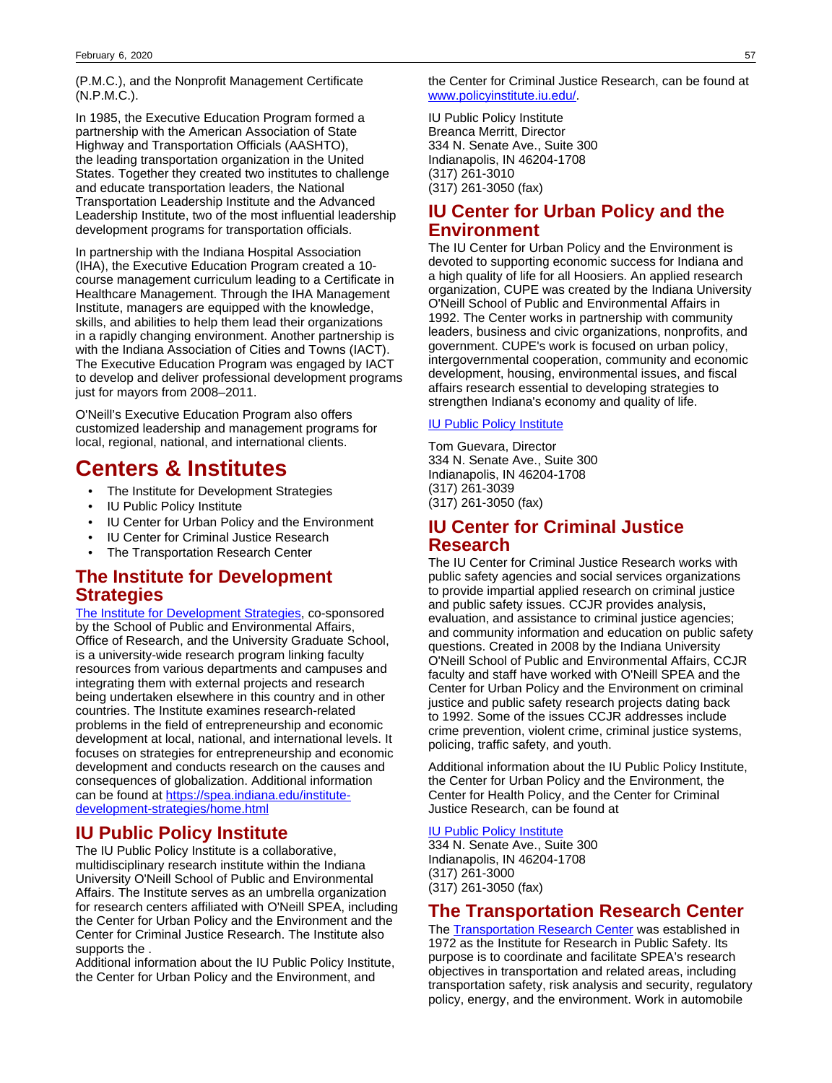(P.M.C.), and the Nonprofit Management Certificate (N.P.M.C.).

In 1985, the Executive Education Program formed a partnership with the American Association of State Highway and Transportation Officials (AASHTO), the leading transportation organization in the United States. Together they created two institutes to challenge and educate transportation leaders, the National Transportation Leadership Institute and the Advanced Leadership Institute, two of the most influential leadership development programs for transportation officials.

In partnership with the Indiana Hospital Association (IHA), the Executive Education Program created a 10 course management curriculum leading to a Certificate in Healthcare Management. Through the IHA Management Institute, managers are equipped with the knowledge, skills, and abilities to help them lead their organizations in a rapidly changing environment. Another partnership is with the Indiana Association of Cities and Towns (IACT). The Executive Education Program was engaged by IACT to develop and deliver professional development programs just for mayors from 2008–2011.

O'Neill's Executive Education Program also offers customized leadership and management programs for local, regional, national, and international clients.

# **Centers & Institutes**

- The Institute for Development Strategies
- **IU Public Policy Institute**
- IU Center for Urban Policy and the Environment
- IU Center for Criminal Justice Research
- The Transportation Research Center

## **The Institute for Development Strategies**

[The Institute for Development Strategies](http://www.indiana.edu/~idsspea/), co-sponsored by the School of Public and Environmental Affairs, Office of Research, and the University Graduate School, is a university-wide research program linking faculty resources from various departments and campuses and integrating them with external projects and research being undertaken elsewhere in this country and in other countries. The Institute examines research-related problems in the field of entrepreneurship and economic development at local, national, and international levels. It focuses on strategies for entrepreneurship and economic development and conducts research on the causes and consequences of globalization. Additional information can be found at [https://spea.indiana.edu/institute](https://spea.indiana.edu/institute-development-strategies/home.html#https://spea.indiana.edu/institute-development-strategies/home.html)[development-strategies/home.html](https://spea.indiana.edu/institute-development-strategies/home.html#https://spea.indiana.edu/institute-development-strategies/home.html)

## **IU Public Policy Institute**

The IU Public Policy Institute is a collaborative, multidisciplinary research institute within the Indiana University O'Neill School of Public and Environmental Affairs. The Institute serves as an umbrella organization for research centers affiliated with O'Neill SPEA, including the Center for Urban Policy and the Environment and the Center for Criminal Justice Research. The Institute also supports the .

Additional information about the IU Public Policy Institute, the Center for Urban Policy and the Environment, and

the Center for Criminal Justice Research, can be found at [www.policyinstitute.iu.edu/.](http://www.policyinstitute.iu.edu/)

IU Public Policy Institute Breanca Merritt, Director 334 N. Senate Ave., Suite 300 Indianapolis, IN 46204-1708 (317) 261-3010 (317) 261-3050 (fax)

## **IU Center for Urban Policy and the Environment**

The IU Center for Urban Policy and the Environment is devoted to supporting economic success for Indiana and a high quality of life for all Hoosiers. An applied research organization, CUPE was created by the Indiana University O'Neill School of Public and Environmental Affairs in 1992. The Center works in partnership with community leaders, business and civic organizations, nonprofits, and government. CUPE's work is focused on urban policy, intergovernmental cooperation, community and economic development, housing, environmental issues, and fiscal affairs research essential to developing strategies to strengthen Indiana's economy and quality of life.

## [IU Public Policy Institute](http://www.policyinstitute.iu.edu/)

Tom Guevara, Director 334 N. Senate Ave., Suite 300 Indianapolis, IN 46204-1708 (317) 261-3039 (317) 261-3050 (fax)

## **IU Center for Criminal Justice Research**

The IU Center for Criminal Justice Research works with public safety agencies and social services organizations to provide impartial applied research on criminal justice and public safety issues. CCJR provides analysis, evaluation, and assistance to criminal justice agencies; and community information and education on public safety questions. Created in 2008 by the Indiana University O'Neill School of Public and Environmental Affairs, CCJR faculty and staff have worked with O'Neill SPEA and the Center for Urban Policy and the Environment on criminal justice and public safety research projects dating back to 1992. Some of the issues CCJR addresses include crime prevention, violent crime, criminal justice systems, policing, traffic safety, and youth.

Additional information about the IU Public Policy Institute, the Center for Urban Policy and the Environment, the Center for Health Policy, and the Center for Criminal Justice Research, can be found at

## [IU Public Policy Institute](http://www.policyinstitute.iu.edu/)

334 N. Senate Ave., Suite 300 Indianapolis, IN 46204-1708 (317) 261-3000 (317) 261-3050 (fax)

## **The Transportation Research Center**

The [Transportation Research Center](http://www.spea.indiana.edu/trc) was established in 1972 as the Institute for Research in Public Safety. Its purpose is to coordinate and facilitate SPEA's research objectives in transportation and related areas, including transportation safety, risk analysis and security, regulatory policy, energy, and the environment. Work in automobile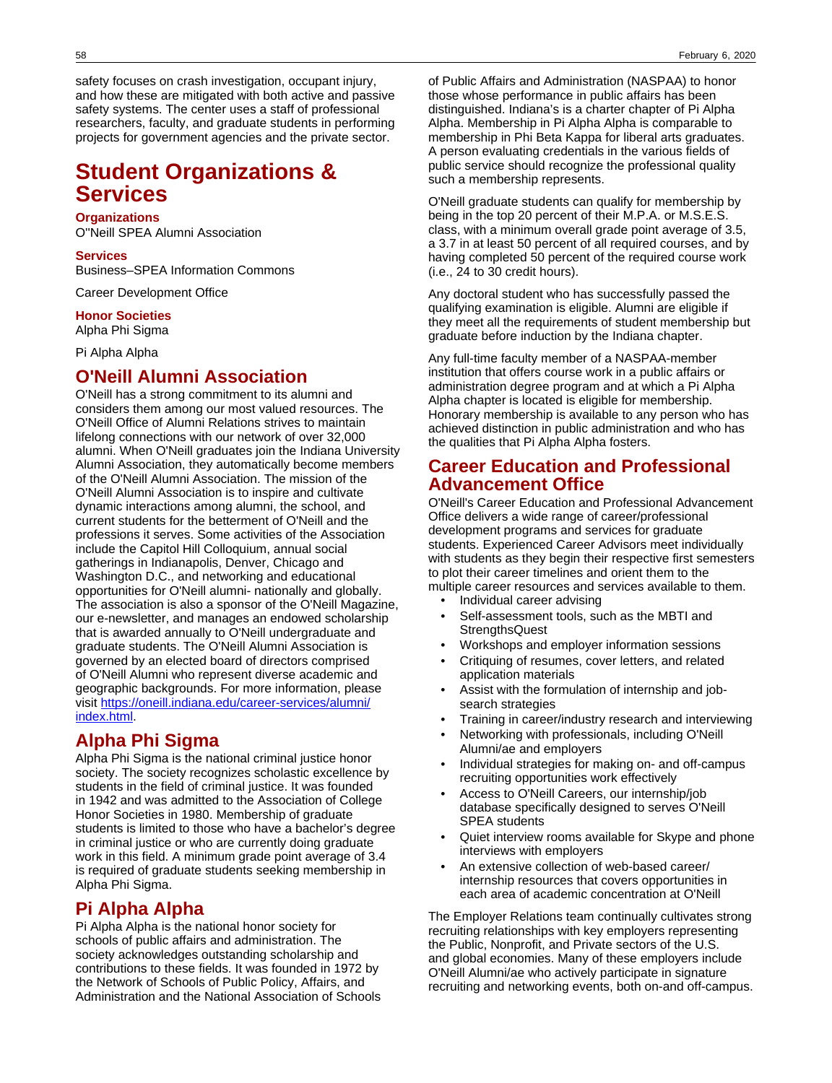safety focuses on crash investigation, occupant injury, and how these are mitigated with both active and passive safety systems. The center uses a staff of professional researchers, faculty, and graduate students in performing projects for government agencies and the private sector.

# **Student Organizations & Services**

#### **Organizations**

O''Neill SPEA Alumni Association

### **Services**

Business–SPEA Information Commons

Career Development Office

#### **Honor Societies**

Alpha Phi Sigma

Pi Alpha Alpha

## **O'Neill Alumni Association**

O'Neill has a strong commitment to its alumni and considers them among our most valued resources. The O'Neill Office of Alumni Relations strives to maintain lifelong connections with our network of over 32,000 alumni. When O'Neill graduates join the Indiana University Alumni Association, they automatically become members of the O'Neill Alumni Association. The mission of the O'Neill Alumni Association is to inspire and cultivate dynamic interactions among alumni, the school, and current students for the betterment of O'Neill and the professions it serves. Some activities of the Association include the Capitol Hill Colloquium, annual social gatherings in Indianapolis, Denver, Chicago and Washington D.C., and networking and educational opportunities for O'Neill alumni- nationally and globally. The association is also a sponsor of the O'Neill Magazine, our e-newsletter, and manages an endowed scholarship that is awarded annually to O'Neill undergraduate and graduate students. The O'Neill Alumni Association is governed by an elected board of directors comprised of O'Neill Alumni who represent diverse academic and geographic backgrounds. For more information, please visit [https://oneill.indiana.edu/career-services/alumni/](https://oneill.indiana.edu/career-services/alumni/index.html) [index.html](https://oneill.indiana.edu/career-services/alumni/index.html).

## **Alpha Phi Sigma**

Alpha Phi Sigma is the national criminal justice honor society. The society recognizes scholastic excellence by students in the field of criminal justice. It was founded in 1942 and was admitted to the Association of College Honor Societies in 1980. Membership of graduate students is limited to those who have a bachelor's degree in criminal justice or who are currently doing graduate work in this field. A minimum grade point average of 3.4 is required of graduate students seeking membership in Alpha Phi Sigma.

## **Pi Alpha Alpha**

Pi Alpha Alpha is the national honor society for schools of public affairs and administration. The society acknowledges outstanding scholarship and contributions to these fields. It was founded in 1972 by the Network of Schools of Public Policy, Affairs, and Administration and the National Association of Schools

of Public Affairs and Administration (NASPAA) to honor those whose performance in public affairs has been distinguished. Indiana's is a charter chapter of Pi Alpha Alpha. Membership in Pi Alpha Alpha is comparable to membership in Phi Beta Kappa for liberal arts graduates. A person evaluating credentials in the various fields of public service should recognize the professional quality such a membership represents.

O'Neill graduate students can qualify for membership by being in the top 20 percent of their M.P.A. or M.S.E.S. class, with a minimum overall grade point average of 3.5, a 3.7 in at least 50 percent of all required courses, and by having completed 50 percent of the required course work (i.e., 24 to 30 credit hours).

Any doctoral student who has successfully passed the qualifying examination is eligible. Alumni are eligible if they meet all the requirements of student membership but graduate before induction by the Indiana chapter.

Any full-time faculty member of a NASPAA-member institution that offers course work in a public affairs or administration degree program and at which a Pi Alpha Alpha chapter is located is eligible for membership. Honorary membership is available to any person who has achieved distinction in public administration and who has the qualities that Pi Alpha Alpha fosters.

## **Career Education and Professional Advancement Office**

O'Neill's Career Education and Professional Advancement Office delivers a wide range of career/professional development programs and services for graduate students. Experienced Career Advisors meet individually with students as they begin their respective first semesters to plot their career timelines and orient them to the multiple career resources and services available to them.

- Individual career advising
- Self-assessment tools, such as the MBTI and **StrengthsQuest**
- Workshops and employer information sessions
- Critiquing of resumes, cover letters, and related application materials
- Assist with the formulation of internship and jobsearch strategies
- Training in career/industry research and interviewing
- Networking with professionals, including O'Neill Alumni/ae and employers
- Individual strategies for making on- and off-campus recruiting opportunities work effectively
- Access to O'Neill Careers, our internship/job database specifically designed to serves O'Neill SPEA students
- Quiet interview rooms available for Skype and phone interviews with employers
- An extensive collection of web-based career/ internship resources that covers opportunities in each area of academic concentration at O'Neill

The Employer Relations team continually cultivates strong recruiting relationships with key employers representing the Public, Nonprofit, and Private sectors of the U.S. and global economies. Many of these employers include O'Neill Alumni/ae who actively participate in signature recruiting and networking events, both on-and off-campus.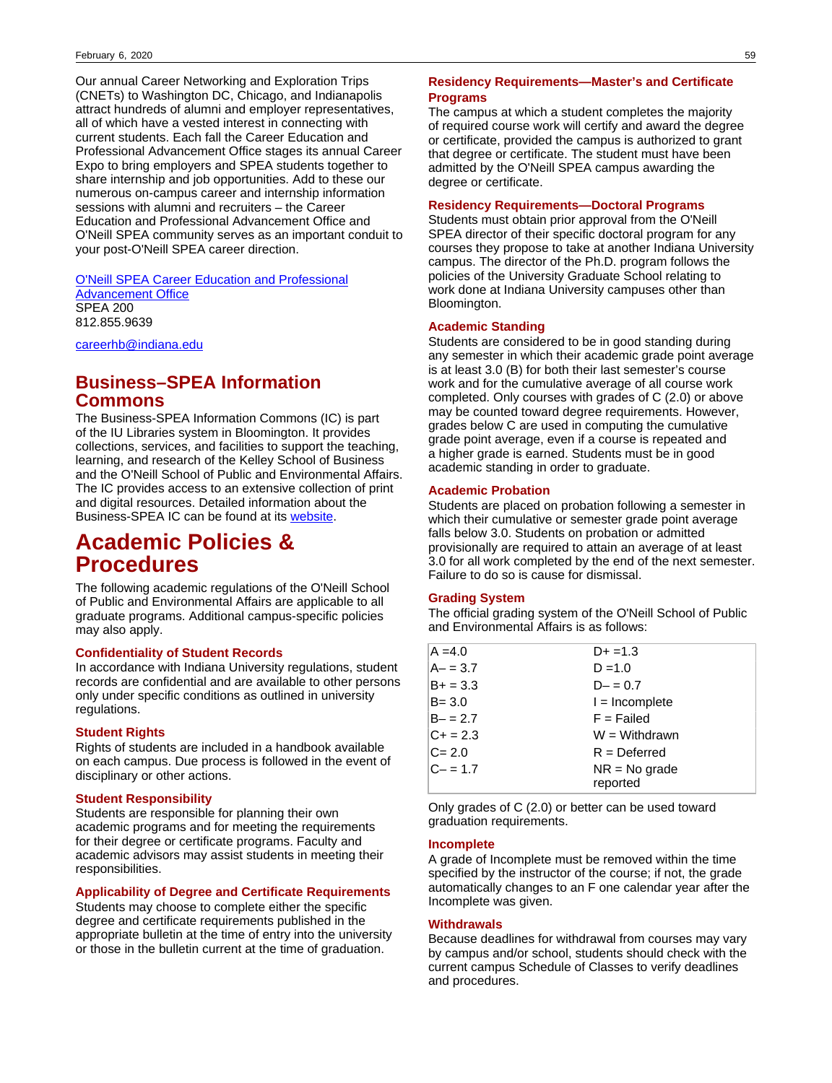Our annual Career Networking and Exploration Trips (CNETs) to Washington DC, Chicago, and Indianapolis attract hundreds of alumni and employer representatives, all of which have a vested interest in connecting with current students. Each fall the Career Education and Professional Advancement Office stages its annual Career Expo to bring employers and SPEA students together to share internship and job opportunities. Add to these our numerous on-campus career and internship information sessions with alumni and recruiters – the Career Education and Professional Advancement Office and O'Neill SPEA community serves as an important conduit to your post-O'Neill SPEA career direction.

[O'Neill SPEA Career Education and Professional](https://oneill.indiana.edu/career-services/index.html) [Advancement Office](https://oneill.indiana.edu/career-services/index.html) SPEA 200 812.855.9639

[careerhb@indiana.edu](mailto: careerhb@indiana.edu)

## **Business–SPEA Information Commons**

The Business-SPEA Information Commons (IC) is part of the IU Libraries system in Bloomington. It provides collections, services, and facilities to support the teaching, learning, and research of the Kelley School of Business and the O'Neill School of Public and Environmental Affairs. The IC provides access to an extensive collection of print and digital resources. Detailed information about the Business-SPEA IC can be found at its [website](https://libraries.indiana.edu/bsic#https://libraries.indiana.edu/bsic).

# **Academic Policies & Procedures**

The following academic regulations of the O'Neill School of Public and Environmental Affairs are applicable to all graduate programs. Additional campus-specific policies may also apply.

## **Confidentiality of Student Records**

In accordance with Indiana University regulations, student records are confidential and are available to other persons only under specific conditions as outlined in university regulations.

#### **Student Rights**

Rights of students are included in a handbook available on each campus. Due process is followed in the event of disciplinary or other actions.

## **Student Responsibility**

Students are responsible for planning their own academic programs and for meeting the requirements for their degree or certificate programs. Faculty and academic advisors may assist students in meeting their responsibilities.

## **Applicability of Degree and Certificate Requirements**

Students may choose to complete either the specific degree and certificate requirements published in the appropriate bulletin at the time of entry into the university or those in the bulletin current at the time of graduation.

## **Residency Requirements—Master's and Certificate Programs**

The campus at which a student completes the majority of required course work will certify and award the degree or certificate, provided the campus is authorized to grant that degree or certificate. The student must have been admitted by the O'Neill SPEA campus awarding the degree or certificate.

## **Residency Requirements—Doctoral Programs**

Students must obtain prior approval from the O'Neill SPEA director of their specific doctoral program for any courses they propose to take at another Indiana University campus. The director of the Ph.D. program follows the policies of the University Graduate School relating to work done at Indiana University campuses other than Bloomington.

#### **Academic Standing**

Students are considered to be in good standing during any semester in which their academic grade point average is at least 3.0 (B) for both their last semester's course work and for the cumulative average of all course work completed. Only courses with grades of C (2.0) or above may be counted toward degree requirements. However, grades below C are used in computing the cumulative grade point average, even if a course is repeated and a higher grade is earned. Students must be in good academic standing in order to graduate.

## **Academic Probation**

Students are placed on probation following a semester in which their cumulative or semester grade point average falls below 3.0. Students on probation or admitted provisionally are required to attain an average of at least 3.0 for all work completed by the end of the next semester. Failure to do so is cause for dismissal.

#### **Grading System**

The official grading system of the O'Neill School of Public and Environmental Affairs is as follows:

| $A = 4.0$   | $D+ = 1.3$       |
|-------------|------------------|
| $A - = 3.7$ | $D = 1.0$        |
| $B+ = 3.3$  | $D - = 0.7$      |
| $B = 3.0$   | $l = Incomplete$ |
| $B - = 2.7$ | $F =$ Failed     |
| $C + = 2.3$ | $W = Withdrawn$  |
| $C = 2.0$   | $R =$ Deferred   |
| $C - = 1.7$ | $NR = No$ grade  |
|             | reported         |

Only grades of C (2.0) or better can be used toward graduation requirements.

## **Incomplete**

A grade of Incomplete must be removed within the time specified by the instructor of the course; if not, the grade automatically changes to an F one calendar year after the Incomplete was given.

#### **Withdrawals**

Because deadlines for withdrawal from courses may vary by campus and/or school, students should check with the current campus Schedule of Classes to verify deadlines and procedures.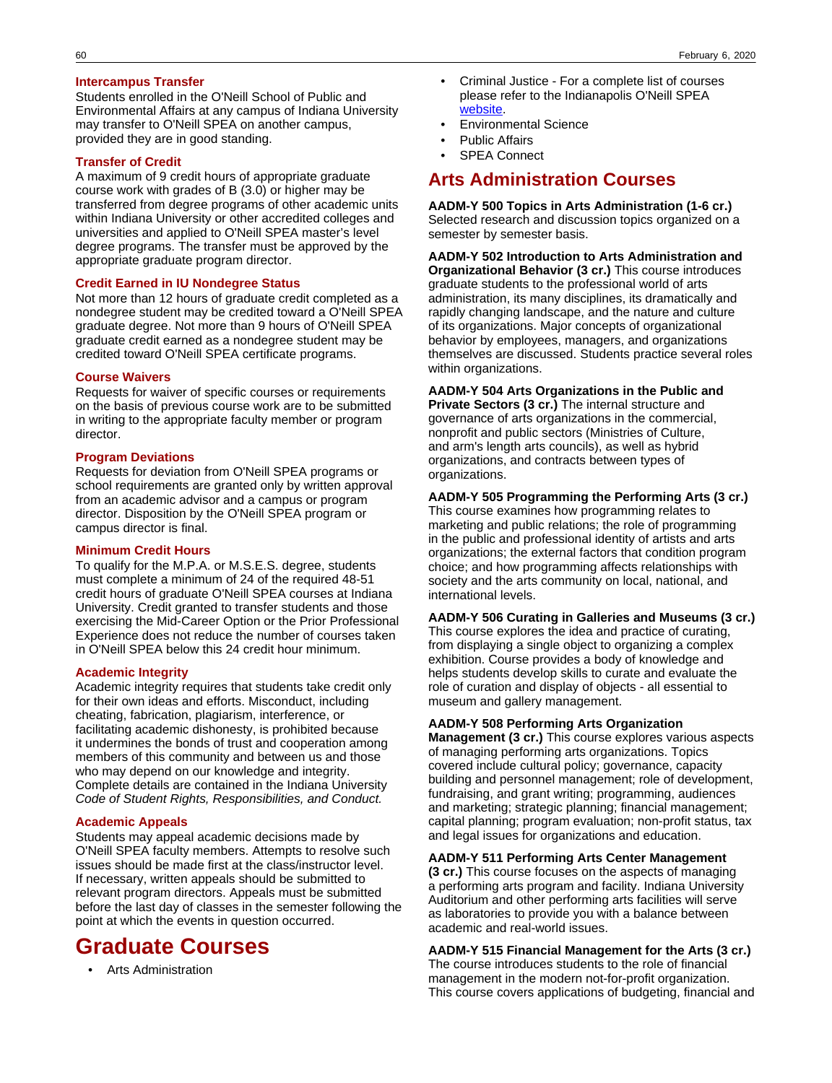## **Intercampus Transfer**

Students enrolled in the O'Neill School of Public and Environmental Affairs at any campus of Indiana University may transfer to O'Neill SPEA on another campus, provided they are in good standing.

### **Transfer of Credit**

A maximum of 9 credit hours of appropriate graduate course work with grades of B (3.0) or higher may be transferred from degree programs of other academic units within Indiana University or other accredited colleges and universities and applied to O'Neill SPEA master's level degree programs. The transfer must be approved by the appropriate graduate program director.

## **Credit Earned in IU Nondegree Status**

Not more than 12 hours of graduate credit completed as a nondegree student may be credited toward a O'Neill SPEA graduate degree. Not more than 9 hours of O'Neill SPEA graduate credit earned as a nondegree student may be credited toward O'Neill SPEA certificate programs.

#### **Course Waivers**

Requests for waiver of specific courses or requirements on the basis of previous course work are to be submitted in writing to the appropriate faculty member or program director.

#### **Program Deviations**

Requests for deviation from O'Neill SPEA programs or school requirements are granted only by written approval from an academic advisor and a campus or program director. Disposition by the O'Neill SPEA program or campus director is final.

### **Minimum Credit Hours**

To qualify for the M.P.A. or M.S.E.S. degree, students must complete a minimum of 24 of the required 48-51 credit hours of graduate O'Neill SPEA courses at Indiana University. Credit granted to transfer students and those exercising the Mid-Career Option or the Prior Professional Experience does not reduce the number of courses taken in O'Neill SPEA below this 24 credit hour minimum.

## **Academic Integrity**

Academic integrity requires that students take credit only for their own ideas and efforts. Misconduct, including cheating, fabrication, plagiarism, interference, or facilitating academic dishonesty, is prohibited because it undermines the bonds of trust and cooperation among members of this community and between us and those who may depend on our knowledge and integrity. Complete details are contained in the Indiana University Code of Student Rights, Responsibilities, and Conduct.

#### **Academic Appeals**

Students may appeal academic decisions made by O'Neill SPEA faculty members. Attempts to resolve such issues should be made first at the class/instructor level. If necessary, written appeals should be submitted to relevant program directors. Appeals must be submitted before the last day of classes in the semester following the point at which the events in question occurred.

# **Graduate Courses**

• Arts Administration

- Criminal Justice For a complete list of courses please refer to the Indianapolis O'Neill SPEA [website](https://spea.iupui.edu/).
- Environmental Science
- Public Affairs
- **SPEA Connect**

## **Arts Administration Courses**

**AADM-Y 500 Topics in Arts Administration (1-6 cr.)** Selected research and discussion topics organized on a semester by semester basis.

**AADM-Y 502 Introduction to Arts Administration and Organizational Behavior (3 cr.)** This course introduces graduate students to the professional world of arts administration, its many disciplines, its dramatically and rapidly changing landscape, and the nature and culture of its organizations. Major concepts of organizational behavior by employees, managers, and organizations themselves are discussed. Students practice several roles within organizations.

**AADM-Y 504 Arts Organizations in the Public and Private Sectors (3 cr.)** The internal structure and governance of arts organizations in the commercial, nonprofit and public sectors (Ministries of Culture, and arm's length arts councils), as well as hybrid organizations, and contracts between types of organizations.

### **AADM-Y 505 Programming the Performing Arts (3 cr.)**

This course examines how programming relates to marketing and public relations; the role of programming in the public and professional identity of artists and arts organizations; the external factors that condition program choice; and how programming affects relationships with society and the arts community on local, national, and international levels.

## **AADM-Y 506 Curating in Galleries and Museums (3 cr.)**

This course explores the idea and practice of curating, from displaying a single object to organizing a complex exhibition. Course provides a body of knowledge and helps students develop skills to curate and evaluate the role of curation and display of objects - all essential to museum and gallery management.

## **AADM-Y 508 Performing Arts Organization**

**Management (3 cr.)** This course explores various aspects of managing performing arts organizations. Topics covered include cultural policy; governance, capacity building and personnel management; role of development, fundraising, and grant writing; programming, audiences and marketing; strategic planning; financial management; capital planning; program evaluation; non-profit status, tax and legal issues for organizations and education.

## **AADM-Y 511 Performing Arts Center Management**

**(3 cr.)** This course focuses on the aspects of managing a performing arts program and facility. Indiana University Auditorium and other performing arts facilities will serve as laboratories to provide you with a balance between academic and real-world issues.

## **AADM-Y 515 Financial Management for the Arts (3 cr.)**

The course introduces students to the role of financial management in the modern not-for-profit organization. This course covers applications of budgeting, financial and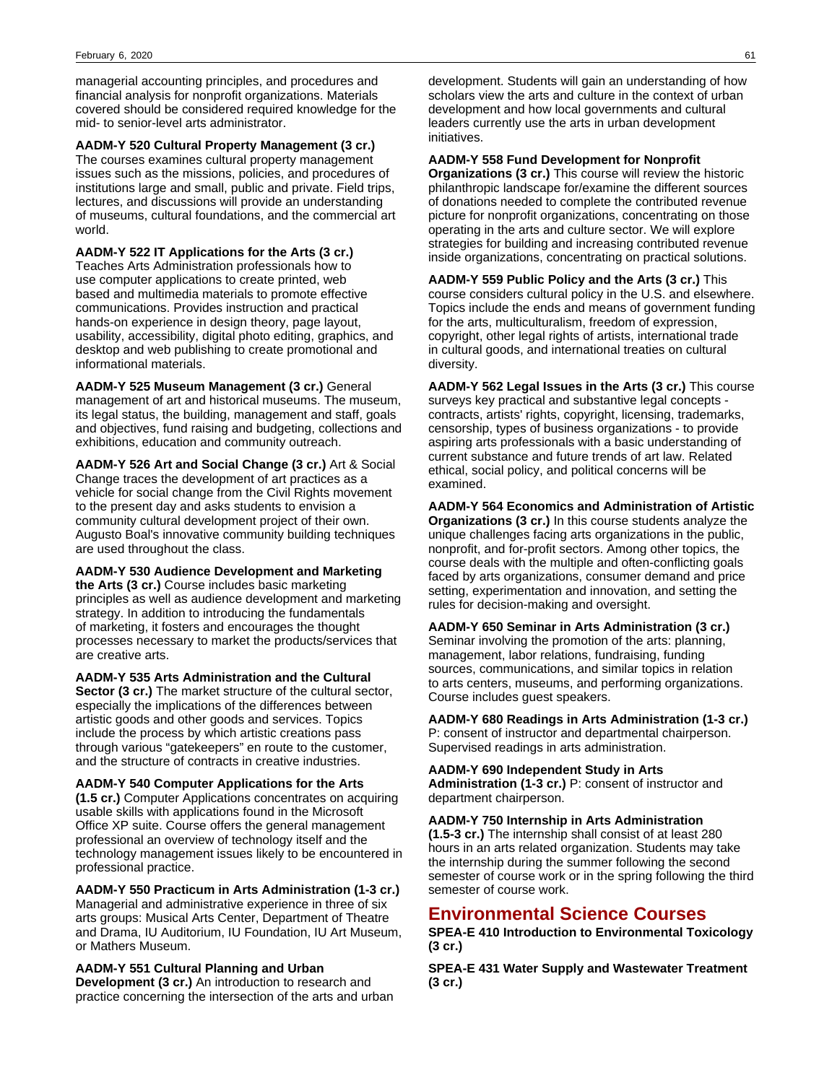managerial accounting principles, and procedures and financial analysis for nonprofit organizations. Materials covered should be considered required knowledge for the mid- to senior-level arts administrator.

**AADM-Y 520 Cultural Property Management (3 cr.)** The courses examines cultural property management issues such as the missions, policies, and procedures of institutions large and small, public and private. Field trips, lectures, and discussions will provide an understanding of museums, cultural foundations, and the commercial art world.

**AADM-Y 522 IT Applications for the Arts (3 cr.)** Teaches Arts Administration professionals how to use computer applications to create printed, web based and multimedia materials to promote effective communications. Provides instruction and practical hands-on experience in design theory, page layout, usability, accessibility, digital photo editing, graphics, and desktop and web publishing to create promotional and informational materials.

**AADM-Y 525 Museum Management (3 cr.)** General management of art and historical museums. The museum, its legal status, the building, management and staff, goals and objectives, fund raising and budgeting, collections and exhibitions, education and community outreach.

**AADM-Y 526 Art and Social Change (3 cr.)** Art & Social Change traces the development of art practices as a vehicle for social change from the Civil Rights movement to the present day and asks students to envision a community cultural development project of their own. Augusto Boal's innovative community building techniques are used throughout the class.

**AADM-Y 530 Audience Development and Marketing the Arts (3 cr.)** Course includes basic marketing principles as well as audience development and marketing strategy. In addition to introducing the fundamentals of marketing, it fosters and encourages the thought processes necessary to market the products/services that are creative arts.

**AADM-Y 535 Arts Administration and the Cultural Sector (3 cr.)** The market structure of the cultural sector, especially the implications of the differences between artistic goods and other goods and services. Topics include the process by which artistic creations pass through various "gatekeepers" en route to the customer, and the structure of contracts in creative industries.

**AADM-Y 540 Computer Applications for the Arts (1.5 cr.)** Computer Applications concentrates on acquiring usable skills with applications found in the Microsoft Office XP suite. Course offers the general management professional an overview of technology itself and the technology management issues likely to be encountered in professional practice.

**AADM-Y 550 Practicum in Arts Administration (1-3 cr.)** Managerial and administrative experience in three of six arts groups: Musical Arts Center, Department of Theatre and Drama, IU Auditorium, IU Foundation, IU Art Museum, or Mathers Museum.

## **AADM-Y 551 Cultural Planning and Urban**

**Development (3 cr.)** An introduction to research and practice concerning the intersection of the arts and urban

development. Students will gain an understanding of how scholars view the arts and culture in the context of urban development and how local governments and cultural leaders currently use the arts in urban development initiatives.

## **AADM-Y 558 Fund Development for Nonprofit**

**Organizations (3 cr.)** This course will review the historic philanthropic landscape for/examine the different sources of donations needed to complete the contributed revenue picture for nonprofit organizations, concentrating on those operating in the arts and culture sector. We will explore strategies for building and increasing contributed revenue inside organizations, concentrating on practical solutions.

**AADM-Y 559 Public Policy and the Arts (3 cr.)** This course considers cultural policy in the U.S. and elsewhere. Topics include the ends and means of government funding for the arts, multiculturalism, freedom of expression, copyright, other legal rights of artists, international trade in cultural goods, and international treaties on cultural diversity.

**AADM-Y 562 Legal Issues in the Arts (3 cr.)** This course surveys key practical and substantive legal concepts contracts, artists' rights, copyright, licensing, trademarks, censorship, types of business organizations - to provide aspiring arts professionals with a basic understanding of current substance and future trends of art law. Related ethical, social policy, and political concerns will be examined.

**AADM-Y 564 Economics and Administration of Artistic Organizations (3 cr.)** In this course students analyze the unique challenges facing arts organizations in the public, nonprofit, and for-profit sectors. Among other topics, the course deals with the multiple and often-conflicting goals faced by arts organizations, consumer demand and price setting, experimentation and innovation, and setting the rules for decision-making and oversight.

**AADM-Y 650 Seminar in Arts Administration (3 cr.)** Seminar involving the promotion of the arts: planning, management, labor relations, fundraising, funding sources, communications, and similar topics in relation to arts centers, museums, and performing organizations. Course includes guest speakers.

**AADM-Y 680 Readings in Arts Administration (1-3 cr.)** P: consent of instructor and departmental chairperson. Supervised readings in arts administration.

**AADM-Y 690 Independent Study in Arts Administration (1-3 cr.)** P: consent of instructor and department chairperson.

**AADM-Y 750 Internship in Arts Administration (1.5-3 cr.)** The internship shall consist of at least 280 hours in an arts related organization. Students may take the internship during the summer following the second semester of course work or in the spring following the third semester of course work.

## **Environmental Science Courses**

**SPEA-E 410 Introduction to Environmental Toxicology (3 cr.)**

**SPEA-E 431 Water Supply and Wastewater Treatment (3 cr.)**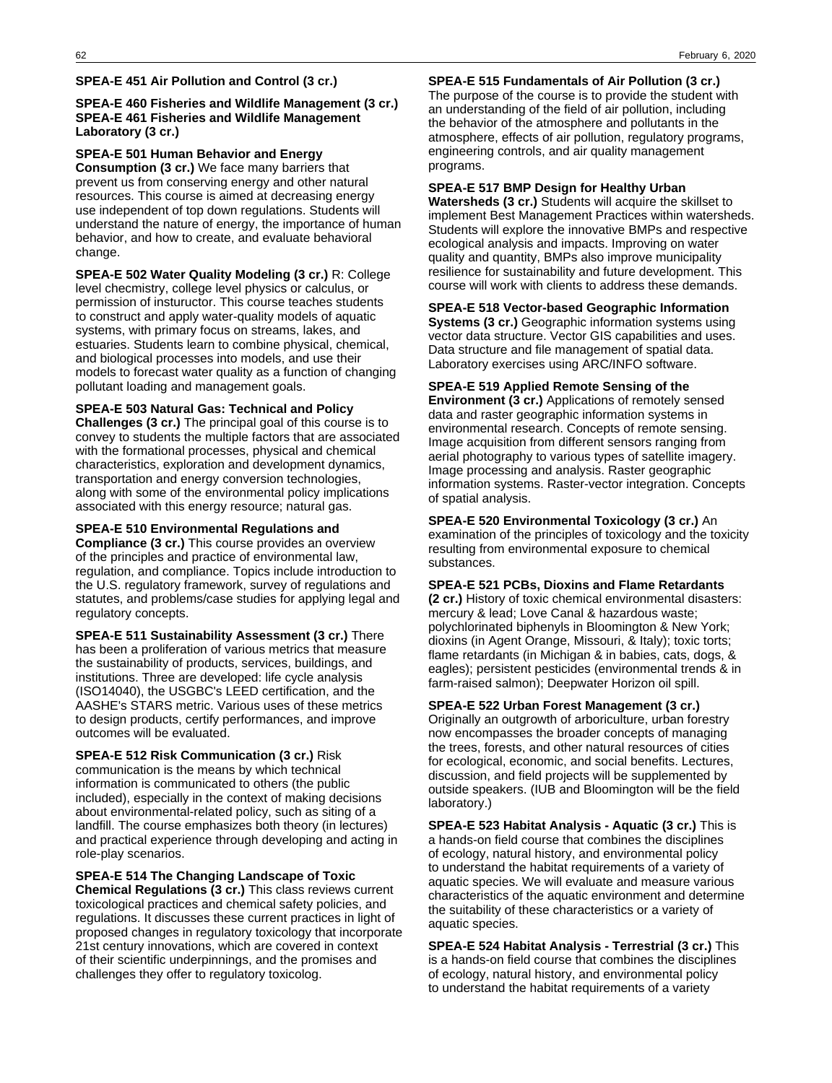#### **SPEA-E 451 Air Pollution and Control (3 cr.)**

## **SPEA-E 460 Fisheries and Wildlife Management (3 cr.) SPEA-E 461 Fisheries and Wildlife Management Laboratory (3 cr.)**

**SPEA-E 501 Human Behavior and Energy Consumption (3 cr.)** We face many barriers that prevent us from conserving energy and other natural resources. This course is aimed at decreasing energy use independent of top down regulations. Students will understand the nature of energy, the importance of human behavior, and how to create, and evaluate behavioral change.

**SPEA-E 502 Water Quality Modeling (3 cr.)** R: College level checmistry, college level physics or calculus, or permission of instuructor. This course teaches students to construct and apply water-quality models of aquatic systems, with primary focus on streams, lakes, and estuaries. Students learn to combine physical, chemical, and biological processes into models, and use their models to forecast water quality as a function of changing pollutant loading and management goals.

**SPEA-E 503 Natural Gas: Technical and Policy Challenges (3 cr.)** The principal goal of this course is to convey to students the multiple factors that are associated with the formational processes, physical and chemical characteristics, exploration and development dynamics, transportation and energy conversion technologies, along with some of the environmental policy implications associated with this energy resource; natural gas.

**SPEA-E 510 Environmental Regulations and Compliance (3 cr.)** This course provides an overview of the principles and practice of environmental law, regulation, and compliance. Topics include introduction to the U.S. regulatory framework, survey of regulations and statutes, and problems/case studies for applying legal and regulatory concepts.

**SPEA-E 511 Sustainability Assessment (3 cr.)** There has been a proliferation of various metrics that measure the sustainability of products, services, buildings, and institutions. Three are developed: life cycle analysis (ISO14040), the USGBC's LEED certification, and the AASHE's STARS metric. Various uses of these metrics to design products, certify performances, and improve outcomes will be evaluated.

**SPEA-E 512 Risk Communication (3 cr.)** Risk communication is the means by which technical information is communicated to others (the public included), especially in the context of making decisions about environmental-related policy, such as siting of a landfill. The course emphasizes both theory (in lectures) and practical experience through developing and acting in role-play scenarios.

**SPEA-E 514 The Changing Landscape of Toxic Chemical Regulations (3 cr.)** This class reviews current toxicological practices and chemical safety policies, and regulations. It discusses these current practices in light of proposed changes in regulatory toxicology that incorporate 21st century innovations, which are covered in context of their scientific underpinnings, and the promises and challenges they offer to regulatory toxicolog.

**SPEA-E 515 Fundamentals of Air Pollution (3 cr.)** The purpose of the course is to provide the student with an understanding of the field of air pollution, including the behavior of the atmosphere and pollutants in the atmosphere, effects of air pollution, regulatory programs, engineering controls, and air quality management programs.

### **SPEA-E 517 BMP Design for Healthy Urban**

**Watersheds (3 cr.)** Students will acquire the skillset to implement Best Management Practices within watersheds. Students will explore the innovative BMPs and respective ecological analysis and impacts. Improving on water quality and quantity, BMPs also improve municipality resilience for sustainability and future development. This course will work with clients to address these demands.

**SPEA-E 518 Vector-based Geographic Information**

**Systems (3 cr.)** Geographic information systems using vector data structure. Vector GIS capabilities and uses. Data structure and file management of spatial data. Laboratory exercises using ARC/INFO software.

**SPEA-E 519 Applied Remote Sensing of the**

**Environment (3 cr.)** Applications of remotely sensed data and raster geographic information systems in environmental research. Concepts of remote sensing. Image acquisition from different sensors ranging from aerial photography to various types of satellite imagery. Image processing and analysis. Raster geographic information systems. Raster-vector integration. Concepts of spatial analysis.

**SPEA-E 520 Environmental Toxicology (3 cr.)** An examination of the principles of toxicology and the toxicity resulting from environmental exposure to chemical substances.

**SPEA-E 521 PCBs, Dioxins and Flame Retardants**

**(2 cr.)** History of toxic chemical environmental disasters: mercury & lead; Love Canal & hazardous waste; polychlorinated biphenyls in Bloomington & New York; dioxins (in Agent Orange, Missouri, & Italy); toxic torts; flame retardants (in Michigan & in babies, cats, dogs, & eagles); persistent pesticides (environmental trends & in farm-raised salmon); Deepwater Horizon oil spill.

**SPEA-E 522 Urban Forest Management (3 cr.)**

Originally an outgrowth of arboriculture, urban forestry now encompasses the broader concepts of managing the trees, forests, and other natural resources of cities for ecological, economic, and social benefits. Lectures, discussion, and field projects will be supplemented by outside speakers. (IUB and Bloomington will be the field laboratory.)

**SPEA-E 523 Habitat Analysis - Aquatic (3 cr.)** This is a hands-on field course that combines the disciplines of ecology, natural history, and environmental policy to understand the habitat requirements of a variety of aquatic species. We will evaluate and measure various characteristics of the aquatic environment and determine the suitability of these characteristics or a variety of aquatic species.

**SPEA-E 524 Habitat Analysis - Terrestrial (3 cr.)** This is a hands-on field course that combines the disciplines of ecology, natural history, and environmental policy to understand the habitat requirements of a variety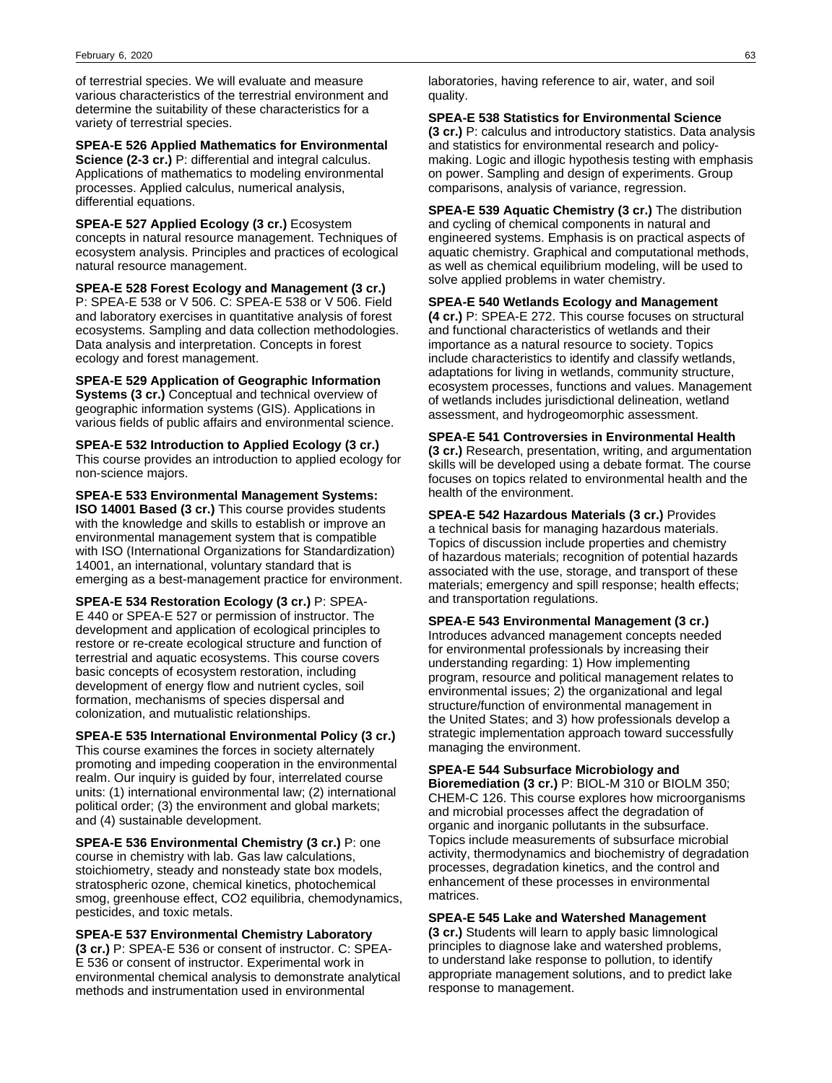of terrestrial species. We will evaluate and measure various characteristics of the terrestrial environment and determine the suitability of these characteristics for a variety of terrestrial species.

**SPEA-E 526 Applied Mathematics for Environmental Science (2-3 cr.)** P: differential and integral calculus. Applications of mathematics to modeling environmental processes. Applied calculus, numerical analysis, differential equations.

**SPEA-E 527 Applied Ecology (3 cr.)** Ecosystem concepts in natural resource management. Techniques of ecosystem analysis. Principles and practices of ecological natural resource management.

**SPEA-E 528 Forest Ecology and Management (3 cr.)** P: SPEA-E 538 or V 506. C: SPEA-E 538 or V 506. Field and laboratory exercises in quantitative analysis of forest ecosystems. Sampling and data collection methodologies. Data analysis and interpretation. Concepts in forest ecology and forest management.

**SPEA-E 529 Application of Geographic Information Systems (3 cr.)** Conceptual and technical overview of geographic information systems (GIS). Applications in various fields of public affairs and environmental science.

**SPEA-E 532 Introduction to Applied Ecology (3 cr.)** This course provides an introduction to applied ecology for non-science majors.

**SPEA-E 533 Environmental Management Systems: ISO 14001 Based (3 cr.)** This course provides students with the knowledge and skills to establish or improve an environmental management system that is compatible with ISO (International Organizations for Standardization) 14001, an international, voluntary standard that is emerging as a best-management practice for environment.

**SPEA-E 534 Restoration Ecology (3 cr.)** P: SPEA-E 440 or SPEA-E 527 or permission of instructor. The development and application of ecological principles to restore or re-create ecological structure and function of terrestrial and aquatic ecosystems. This course covers basic concepts of ecosystem restoration, including development of energy flow and nutrient cycles, soil formation, mechanisms of species dispersal and colonization, and mutualistic relationships.

**SPEA-E 535 International Environmental Policy (3 cr.)** This course examines the forces in society alternately promoting and impeding cooperation in the environmental realm. Our inquiry is guided by four, interrelated course units: (1) international environmental law; (2) international political order; (3) the environment and global markets; and (4) sustainable development.

**SPEA-E 536 Environmental Chemistry (3 cr.)** P: one course in chemistry with lab. Gas law calculations, stoichiometry, steady and nonsteady state box models, stratospheric ozone, chemical kinetics, photochemical smog, greenhouse effect, CO2 equilibria, chemodynamics, pesticides, and toxic metals.

**SPEA-E 537 Environmental Chemistry Laboratory (3 cr.)** P: SPEA-E 536 or consent of instructor. C: SPEA-E 536 or consent of instructor. Experimental work in environmental chemical analysis to demonstrate analytical methods and instrumentation used in environmental

laboratories, having reference to air, water, and soil quality.

**SPEA-E 538 Statistics for Environmental Science (3 cr.)** P: calculus and introductory statistics. Data analysis and statistics for environmental research and policymaking. Logic and illogic hypothesis testing with emphasis on power. Sampling and design of experiments. Group comparisons, analysis of variance, regression.

**SPEA-E 539 Aquatic Chemistry (3 cr.)** The distribution and cycling of chemical components in natural and engineered systems. Emphasis is on practical aspects of aquatic chemistry. Graphical and computational methods, as well as chemical equilibrium modeling, will be used to solve applied problems in water chemistry.

## **SPEA-E 540 Wetlands Ecology and Management**

**(4 cr.)** P: SPEA-E 272. This course focuses on structural and functional characteristics of wetlands and their importance as a natural resource to society. Topics include characteristics to identify and classify wetlands, adaptations for living in wetlands, community structure, ecosystem processes, functions and values. Management of wetlands includes jurisdictional delineation, wetland assessment, and hydrogeomorphic assessment.

**SPEA-E 541 Controversies in Environmental Health (3 cr.)** Research, presentation, writing, and argumentation skills will be developed using a debate format. The course focuses on topics related to environmental health and the health of the environment.

**SPEA-E 542 Hazardous Materials (3 cr.)** Provides a technical basis for managing hazardous materials. Topics of discussion include properties and chemistry of hazardous materials; recognition of potential hazards associated with the use, storage, and transport of these materials; emergency and spill response; health effects; and transportation regulations.

**SPEA-E 543 Environmental Management (3 cr.)** Introduces advanced management concepts needed for environmental professionals by increasing their understanding regarding: 1) How implementing program, resource and political management relates to environmental issues; 2) the organizational and legal structure/function of environmental management in the United States; and 3) how professionals develop a strategic implementation approach toward successfully managing the environment.

**SPEA-E 544 Subsurface Microbiology and**

**Bioremediation (3 cr.)** P: BIOL-M 310 or BIOLM 350; CHEM-C 126. This course explores how microorganisms and microbial processes affect the degradation of organic and inorganic pollutants in the subsurface. Topics include measurements of subsurface microbial activity, thermodynamics and biochemistry of degradation processes, degradation kinetics, and the control and enhancement of these processes in environmental matrices.

## **SPEA-E 545 Lake and Watershed Management**

**(3 cr.)** Students will learn to apply basic limnological principles to diagnose lake and watershed problems, to understand lake response to pollution, to identify appropriate management solutions, and to predict lake response to management.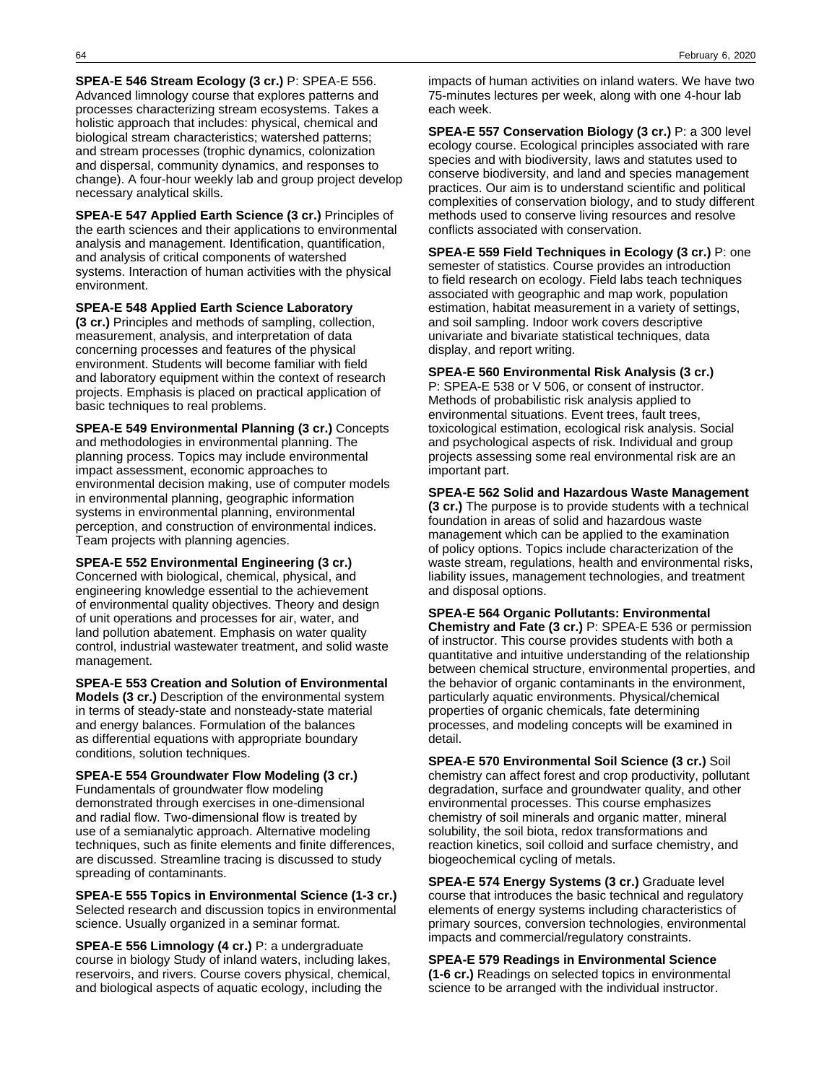**SPEA-E 546 Stream Ecology (3 cr.)** P: SPEA-E 556. Advanced limnology course that explores patterns and processes characterizing stream ecosystems. Takes a holistic approach that includes: physical, chemical and biological stream characteristics; watershed patterns; and stream processes (trophic dynamics, colonization and dispersal, community dynamics, and responses to change). A four-hour weekly lab and group project develop necessary analytical skills.

**SPEA-E 547 Applied Earth Science (3 cr.)** Principles of the earth sciences and their applications to environmental analysis and management. Identification, quantification, and analysis of critical components of watershed systems. Interaction of human activities with the physical environment.

**SPEA-E 548 Applied Earth Science Laboratory (3 cr.)** Principles and methods of sampling, collection, measurement, analysis, and interpretation of data concerning processes and features of the physical environment. Students will become familiar with field and laboratory equipment within the context of research projects. Emphasis is placed on practical application of basic techniques to real problems.

**SPEA-E 549 Environmental Planning (3 cr.)** Concepts and methodologies in environmental planning. The planning process. Topics may include environmental impact assessment, economic approaches to environmental decision making, use of computer models in environmental planning, geographic information systems in environmental planning, environmental perception, and construction of environmental indices. Team projects with planning agencies.

**SPEA-E 552 Environmental Engineering (3 cr.)** Concerned with biological, chemical, physical, and engineering knowledge essential to the achievement of environmental quality objectives. Theory and design of unit operations and processes for air, water, and land pollution abatement. Emphasis on water quality control, industrial wastewater treatment, and solid waste management.

**SPEA-E 553 Creation and Solution of Environmental Models (3 cr.)** Description of the environmental system in terms of steady-state and nonsteady-state material and energy balances. Formulation of the balances as differential equations with appropriate boundary conditions, solution techniques.

**SPEA-E 554 Groundwater Flow Modeling (3 cr.)** Fundamentals of groundwater flow modeling demonstrated through exercises in one-dimensional and radial flow. Two-dimensional flow is treated by use of a semianalytic approach. Alternative modeling techniques, such as finite elements and finite differences, are discussed. Streamline tracing is discussed to study spreading of contaminants.

**SPEA-E 555 Topics in Environmental Science (1-3 cr.)** Selected research and discussion topics in environmental science. Usually organized in a seminar format.

**SPEA-E 556 Limnology (4 cr.)** P: a undergraduate course in biology Study of inland waters, including lakes, reservoirs, and rivers. Course covers physical, chemical, and biological aspects of aquatic ecology, including the

impacts of human activities on inland waters. We have two 75-minutes lectures per week, along with one 4-hour lab each week.

**SPEA-E 557 Conservation Biology (3 cr.)** P: a 300 level ecology course. Ecological principles associated with rare species and with biodiversity, laws and statutes used to conserve biodiversity, and land and species management practices. Our aim is to understand scientific and political complexities of conservation biology, and to study different methods used to conserve living resources and resolve conflicts associated with conservation.

**SPEA-E 559 Field Techniques in Ecology (3 cr.)** P: one semester of statistics. Course provides an introduction to field research on ecology. Field labs teach techniques associated with geographic and map work, population estimation, habitat measurement in a variety of settings, and soil sampling. Indoor work covers descriptive univariate and bivariate statistical techniques, data display, and report writing.

**SPEA-E 560 Environmental Risk Analysis (3 cr.)** P: SPEA-E 538 or V 506, or consent of instructor. Methods of probabilistic risk analysis applied to environmental situations. Event trees, fault trees, toxicological estimation, ecological risk analysis. Social and psychological aspects of risk. Individual and group projects assessing some real environmental risk are an important part.

**SPEA-E 562 Solid and Hazardous Waste Management (3 cr.)** The purpose is to provide students with a technical foundation in areas of solid and hazardous waste management which can be applied to the examination of policy options. Topics include characterization of the waste stream, regulations, health and environmental risks, liability issues, management technologies, and treatment and disposal options.

**SPEA-E 564 Organic Pollutants: Environmental Chemistry and Fate (3 cr.)** P: SPEA-E 536 or permission of instructor. This course provides students with both a quantitative and intuitive understanding of the relationship between chemical structure, environmental properties, and the behavior of organic contaminants in the environment, particularly aquatic environments. Physical/chemical properties of organic chemicals, fate determining processes, and modeling concepts will be examined in detail.

**SPEA-E 570 Environmental Soil Science (3 cr.)** Soil chemistry can affect forest and crop productivity, pollutant degradation, surface and groundwater quality, and other environmental processes. This course emphasizes chemistry of soil minerals and organic matter, mineral solubility, the soil biota, redox transformations and reaction kinetics, soil colloid and surface chemistry, and biogeochemical cycling of metals.

**SPEA-E 574 Energy Systems (3 cr.)** Graduate level course that introduces the basic technical and regulatory elements of energy systems including characteristics of primary sources, conversion technologies, environmental impacts and commercial/regulatory constraints.

**SPEA-E 579 Readings in Environmental Science (1-6 cr.)** Readings on selected topics in environmental science to be arranged with the individual instructor.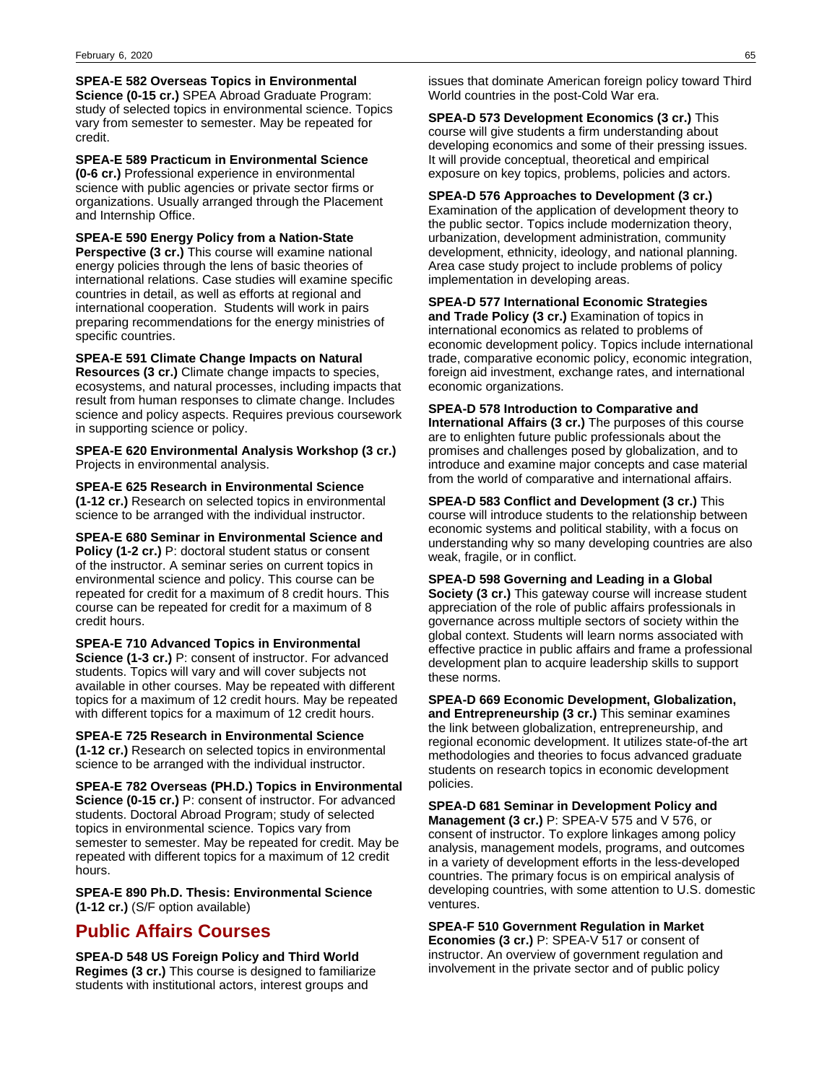**SPEA-E 582 Overseas Topics in Environmental Science (0-15 cr.)** SPEA Abroad Graduate Program: study of selected topics in environmental science. Topics vary from semester to semester. May be repeated for credit.

**SPEA-E 589 Practicum in Environmental Science (0-6 cr.)** Professional experience in environmental science with public agencies or private sector firms or organizations. Usually arranged through the Placement and Internship Office.

**SPEA-E 590 Energy Policy from a Nation-State Perspective (3 cr.)** This course will examine national energy policies through the lens of basic theories of international relations. Case studies will examine specific countries in detail, as well as efforts at regional and international cooperation. Students will work in pairs preparing recommendations for the energy ministries of specific countries.

**SPEA-E 591 Climate Change Impacts on Natural Resources (3 cr.)** Climate change impacts to species, ecosystems, and natural processes, including impacts that result from human responses to climate change. Includes science and policy aspects. Requires previous coursework in supporting science or policy.

**SPEA-E 620 Environmental Analysis Workshop (3 cr.)** Projects in environmental analysis.

**SPEA-E 625 Research in Environmental Science (1-12 cr.)** Research on selected topics in environmental science to be arranged with the individual instructor.

**SPEA-E 680 Seminar in Environmental Science and Policy (1-2 cr.)** P: doctoral student status or consent of the instructor. A seminar series on current topics in environmental science and policy. This course can be repeated for credit for a maximum of 8 credit hours. This course can be repeated for credit for a maximum of 8 credit hours.

**SPEA-E 710 Advanced Topics in Environmental Science (1-3 cr.)** P: consent of instructor. For advanced students. Topics will vary and will cover subjects not available in other courses. May be repeated with different topics for a maximum of 12 credit hours. May be repeated with different topics for a maximum of 12 credit hours.

**SPEA-E 725 Research in Environmental Science (1-12 cr.)** Research on selected topics in environmental science to be arranged with the individual instructor.

**SPEA-E 782 Overseas (PH.D.) Topics in Environmental Science (0-15 cr.)** P: consent of instructor. For advanced students. Doctoral Abroad Program; study of selected topics in environmental science. Topics vary from semester to semester. May be repeated for credit. May be repeated with different topics for a maximum of 12 credit hours.

**SPEA-E 890 Ph.D. Thesis: Environmental Science (1-12 cr.)** (S/F option available)

# **Public Affairs Courses**

**SPEA-D 548 US Foreign Policy and Third World Regimes (3 cr.)** This course is designed to familiarize students with institutional actors, interest groups and

issues that dominate American foreign policy toward Third World countries in the post-Cold War era.

**SPEA-D 573 Development Economics (3 cr.)** This course will give students a firm understanding about developing economics and some of their pressing issues. It will provide conceptual, theoretical and empirical exposure on key topics, problems, policies and actors.

**SPEA-D 576 Approaches to Development (3 cr.)** Examination of the application of development theory to the public sector. Topics include modernization theory, urbanization, development administration, community development, ethnicity, ideology, and national planning. Area case study project to include problems of policy implementation in developing areas.

## **SPEA-D 577 International Economic Strategies**

**and Trade Policy (3 cr.)** Examination of topics in international economics as related to problems of economic development policy. Topics include international trade, comparative economic policy, economic integration, foreign aid investment, exchange rates, and international economic organizations.

## **SPEA-D 578 Introduction to Comparative and**

**International Affairs (3 cr.)** The purposes of this course are to enlighten future public professionals about the promises and challenges posed by globalization, and to introduce and examine major concepts and case material from the world of comparative and international affairs.

**SPEA-D 583 Conflict and Development (3 cr.)** This

course will introduce students to the relationship between economic systems and political stability, with a focus on understanding why so many developing countries are also weak, fragile, or in conflict.

**SPEA-D 598 Governing and Leading in a Global**

**Society (3 cr.)** This gateway course will increase student appreciation of the role of public affairs professionals in governance across multiple sectors of society within the global context. Students will learn norms associated with effective practice in public affairs and frame a professional development plan to acquire leadership skills to support these norms.

**SPEA-D 669 Economic Development, Globalization, and Entrepreneurship (3 cr.)** This seminar examines the link between globalization, entrepreneurship, and regional economic development. It utilizes state-of-the art methodologies and theories to focus advanced graduate students on research topics in economic development policies.

**SPEA-D 681 Seminar in Development Policy and Management (3 cr.)** P: SPEA-V 575 and V 576, or consent of instructor. To explore linkages among policy analysis, management models, programs, and outcomes in a variety of development efforts in the less-developed countries. The primary focus is on empirical analysis of developing countries, with some attention to U.S. domestic ventures.

**SPEA-F 510 Government Regulation in Market Economies (3 cr.)** P: SPEA-V 517 or consent of instructor. An overview of government regulation and involvement in the private sector and of public policy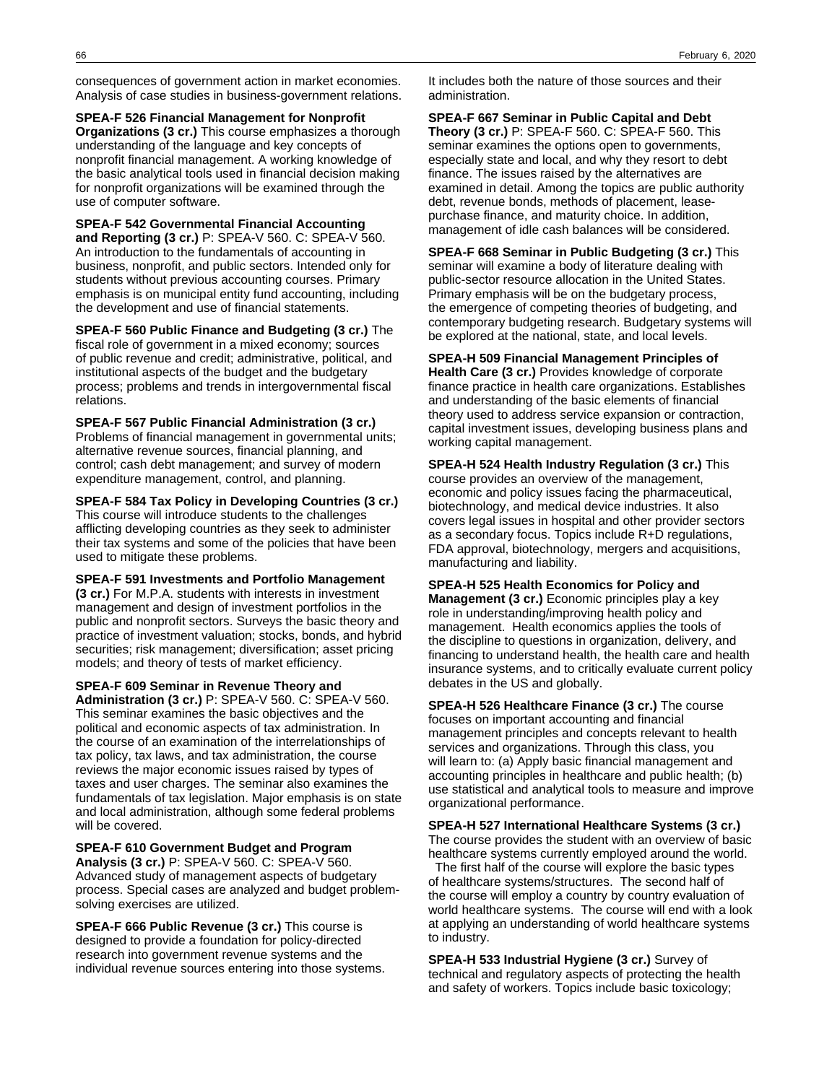consequences of government action in market economies. Analysis of case studies in business-government relations.

**SPEA-F 526 Financial Management for Nonprofit Organizations (3 cr.)** This course emphasizes a thorough understanding of the language and key concepts of nonprofit financial management. A working knowledge of the basic analytical tools used in financial decision making for nonprofit organizations will be examined through the use of computer software.

**SPEA-F 542 Governmental Financial Accounting and Reporting (3 cr.)** P: SPEA-V 560. C: SPEA-V 560. An introduction to the fundamentals of accounting in business, nonprofit, and public sectors. Intended only for students without previous accounting courses. Primary emphasis is on municipal entity fund accounting, including the development and use of financial statements.

**SPEA-F 560 Public Finance and Budgeting (3 cr.)** The fiscal role of government in a mixed economy; sources of public revenue and credit; administrative, political, and institutional aspects of the budget and the budgetary process; problems and trends in intergovernmental fiscal relations.

**SPEA-F 567 Public Financial Administration (3 cr.)** Problems of financial management in governmental units; alternative revenue sources, financial planning, and control; cash debt management; and survey of modern expenditure management, control, and planning.

**SPEA-F 584 Tax Policy in Developing Countries (3 cr.)** This course will introduce students to the challenges afflicting developing countries as they seek to administer their tax systems and some of the policies that have been used to mitigate these problems.

**SPEA-F 591 Investments and Portfolio Management (3 cr.)** For M.P.A. students with interests in investment management and design of investment portfolios in the public and nonprofit sectors. Surveys the basic theory and practice of investment valuation; stocks, bonds, and hybrid securities; risk management; diversification; asset pricing models; and theory of tests of market efficiency.

**SPEA-F 609 Seminar in Revenue Theory and Administration (3 cr.)** P: SPEA-V 560. C: SPEA-V 560. This seminar examines the basic objectives and the political and economic aspects of tax administration. In the course of an examination of the interrelationships of tax policy, tax laws, and tax administration, the course reviews the major economic issues raised by types of taxes and user charges. The seminar also examines the fundamentals of tax legislation. Major emphasis is on state and local administration, although some federal problems will be covered.

**SPEA-F 610 Government Budget and Program Analysis (3 cr.)** P: SPEA-V 560. C: SPEA-V 560. Advanced study of management aspects of budgetary process. Special cases are analyzed and budget problemsolving exercises are utilized.

**SPEA-F 666 Public Revenue (3 cr.)** This course is designed to provide a foundation for policy-directed research into government revenue systems and the individual revenue sources entering into those systems.

It includes both the nature of those sources and their administration.

**SPEA-F 667 Seminar in Public Capital and Debt Theory (3 cr.)** P: SPEA-F 560. C: SPEA-F 560. This seminar examines the options open to governments, especially state and local, and why they resort to debt finance. The issues raised by the alternatives are examined in detail. Among the topics are public authority debt, revenue bonds, methods of placement, leasepurchase finance, and maturity choice. In addition, management of idle cash balances will be considered.

**SPEA-F 668 Seminar in Public Budgeting (3 cr.)** This seminar will examine a body of literature dealing with public-sector resource allocation in the United States. Primary emphasis will be on the budgetary process, the emergence of competing theories of budgeting, and contemporary budgeting research. Budgetary systems will be explored at the national, state, and local levels.

**SPEA-H 509 Financial Management Principles of Health Care (3 cr.)** Provides knowledge of corporate finance practice in health care organizations. Establishes and understanding of the basic elements of financial theory used to address service expansion or contraction, capital investment issues, developing business plans and working capital management.

**SPEA-H 524 Health Industry Regulation (3 cr.)** This course provides an overview of the management, economic and policy issues facing the pharmaceutical, biotechnology, and medical device industries. It also covers legal issues in hospital and other provider sectors as a secondary focus. Topics include R+D regulations, FDA approval, biotechnology, mergers and acquisitions, manufacturing and liability.

**SPEA-H 525 Health Economics for Policy and Management (3 cr.)** Economic principles play a key role in understanding/improving health policy and management. Health economics applies the tools of the discipline to questions in organization, delivery, and financing to understand health, the health care and health insurance systems, and to critically evaluate current policy debates in the US and globally.

**SPEA-H 526 Healthcare Finance (3 cr.)** The course focuses on important accounting and financial management principles and concepts relevant to health services and organizations. Through this class, you will learn to: (a) Apply basic financial management and accounting principles in healthcare and public health; (b) use statistical and analytical tools to measure and improve organizational performance.

**SPEA-H 527 International Healthcare Systems (3 cr.)** The course provides the student with an overview of basic healthcare systems currently employed around the world.

 The first half of the course will explore the basic types of healthcare systems/structures. The second half of the course will employ a country by country evaluation of world healthcare systems. The course will end with a look at applying an understanding of world healthcare systems to industry.

**SPEA-H 533 Industrial Hygiene (3 cr.)** Survey of technical and regulatory aspects of protecting the health and safety of workers. Topics include basic toxicology;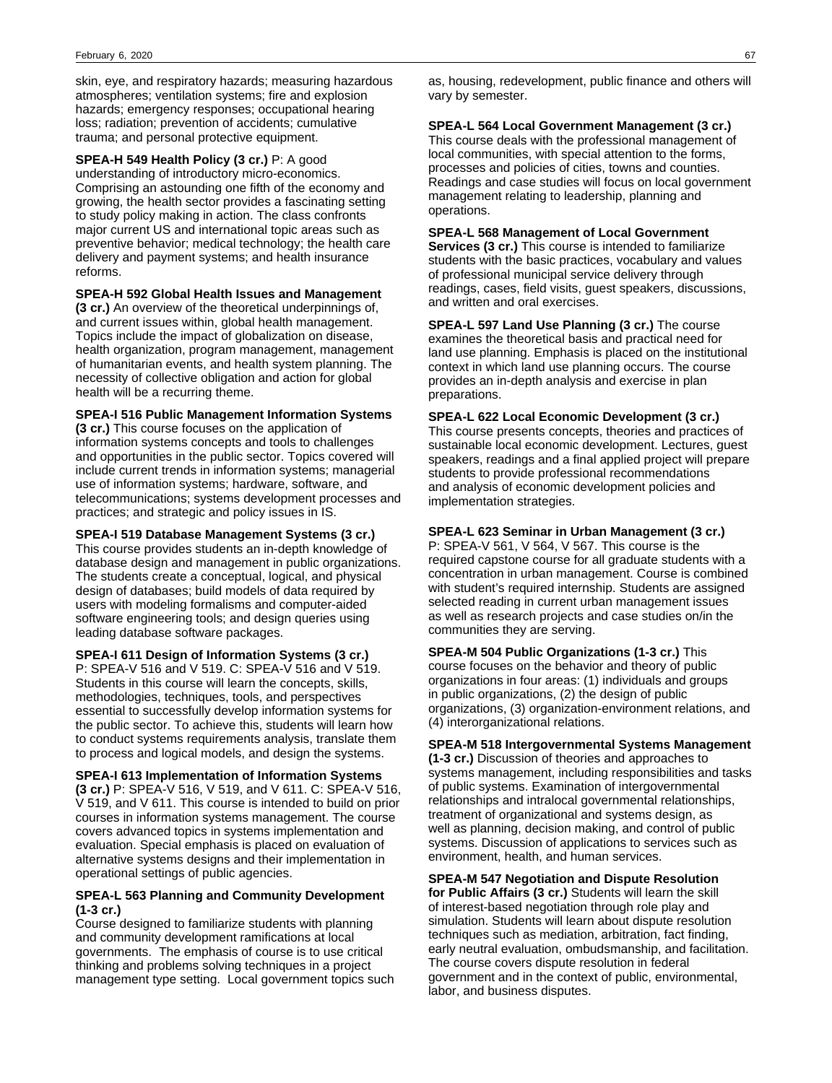skin, eye, and respiratory hazards; measuring hazardous atmospheres; ventilation systems; fire and explosion hazards; emergency responses; occupational hearing loss; radiation; prevention of accidents; cumulative trauma; and personal protective equipment.

**SPEA-H 549 Health Policy (3 cr.)** P: A good understanding of introductory micro-economics. Comprising an astounding one fifth of the economy and growing, the health sector provides a fascinating setting to study policy making in action. The class confronts major current US and international topic areas such as preventive behavior; medical technology; the health care delivery and payment systems; and health insurance reforms.

**SPEA-H 592 Global Health Issues and Management**

**(3 cr.)** An overview of the theoretical underpinnings of, and current issues within, global health management. Topics include the impact of globalization on disease, health organization, program management, management of humanitarian events, and health system planning. The necessity of collective obligation and action for global health will be a recurring theme.

**SPEA-I 516 Public Management Information Systems**

**(3 cr.)** This course focuses on the application of information systems concepts and tools to challenges and opportunities in the public sector. Topics covered will include current trends in information systems; managerial use of information systems; hardware, software, and telecommunications; systems development processes and practices; and strategic and policy issues in IS.

**SPEA-I 519 Database Management Systems (3 cr.)** This course provides students an in-depth knowledge of database design and management in public organizations. The students create a conceptual, logical, and physical design of databases; build models of data required by users with modeling formalisms and computer-aided software engineering tools; and design queries using leading database software packages.

**SPEA-I 611 Design of Information Systems (3 cr.)** P: SPEA-V 516 and V 519. C: SPEA-V 516 and V 519. Students in this course will learn the concepts, skills, methodologies, techniques, tools, and perspectives essential to successfully develop information systems for the public sector. To achieve this, students will learn how to conduct systems requirements analysis, translate them to process and logical models, and design the systems.

**SPEA-I 613 Implementation of Information Systems (3 cr.)** P: SPEA-V 516, V 519, and V 611. C: SPEA-V 516, V 519, and V 611. This course is intended to build on prior courses in information systems management. The course covers advanced topics in systems implementation and evaluation. Special emphasis is placed on evaluation of alternative systems designs and their implementation in operational settings of public agencies.

## **SPEA-L 563 Planning and Community Development (1-3 cr.)**

Course designed to familiarize students with planning and community development ramifications at local governments. The emphasis of course is to use critical thinking and problems solving techniques in a project management type setting. Local government topics such

as, housing, redevelopment, public finance and others will vary by semester.

## **SPEA-L 564 Local Government Management (3 cr.)**

This course deals with the professional management of local communities, with special attention to the forms, processes and policies of cities, towns and counties. Readings and case studies will focus on local government management relating to leadership, planning and operations.

## **SPEA-L 568 Management of Local Government**

**Services (3 cr.)** This course is intended to familiarize students with the basic practices, vocabulary and values of professional municipal service delivery through readings, cases, field visits, guest speakers, discussions, and written and oral exercises.

**SPEA-L 597 Land Use Planning (3 cr.)** The course examines the theoretical basis and practical need for land use planning. Emphasis is placed on the institutional context in which land use planning occurs. The course provides an in-depth analysis and exercise in plan preparations.

## **SPEA-L 622 Local Economic Development (3 cr.)**

This course presents concepts, theories and practices of sustainable local economic development. Lectures, guest speakers, readings and a final applied project will prepare students to provide professional recommendations and analysis of economic development policies and implementation strategies.

## **SPEA-L 623 Seminar in Urban Management (3 cr.)**

P: SPEA-V 561, V 564, V 567. This course is the required capstone course for all graduate students with a concentration in urban management. Course is combined with student's required internship. Students are assigned selected reading in current urban management issues as well as research projects and case studies on/in the communities they are serving.

**SPEA-M 504 Public Organizations (1-3 cr.)** This course focuses on the behavior and theory of public organizations in four areas: (1) individuals and groups in public organizations, (2) the design of public organizations, (3) organization-environment relations, and (4) interorganizational relations.

## **SPEA-M 518 Intergovernmental Systems Management**

**(1-3 cr.)** Discussion of theories and approaches to systems management, including responsibilities and tasks of public systems. Examination of intergovernmental relationships and intralocal governmental relationships, treatment of organizational and systems design, as well as planning, decision making, and control of public systems. Discussion of applications to services such as environment, health, and human services.

**SPEA-M 547 Negotiation and Dispute Resolution**

**for Public Affairs (3 cr.)** Students will learn the skill of interest-based negotiation through role play and simulation. Students will learn about dispute resolution techniques such as mediation, arbitration, fact finding, early neutral evaluation, ombudsmanship, and facilitation. The course covers dispute resolution in federal government and in the context of public, environmental, labor, and business disputes.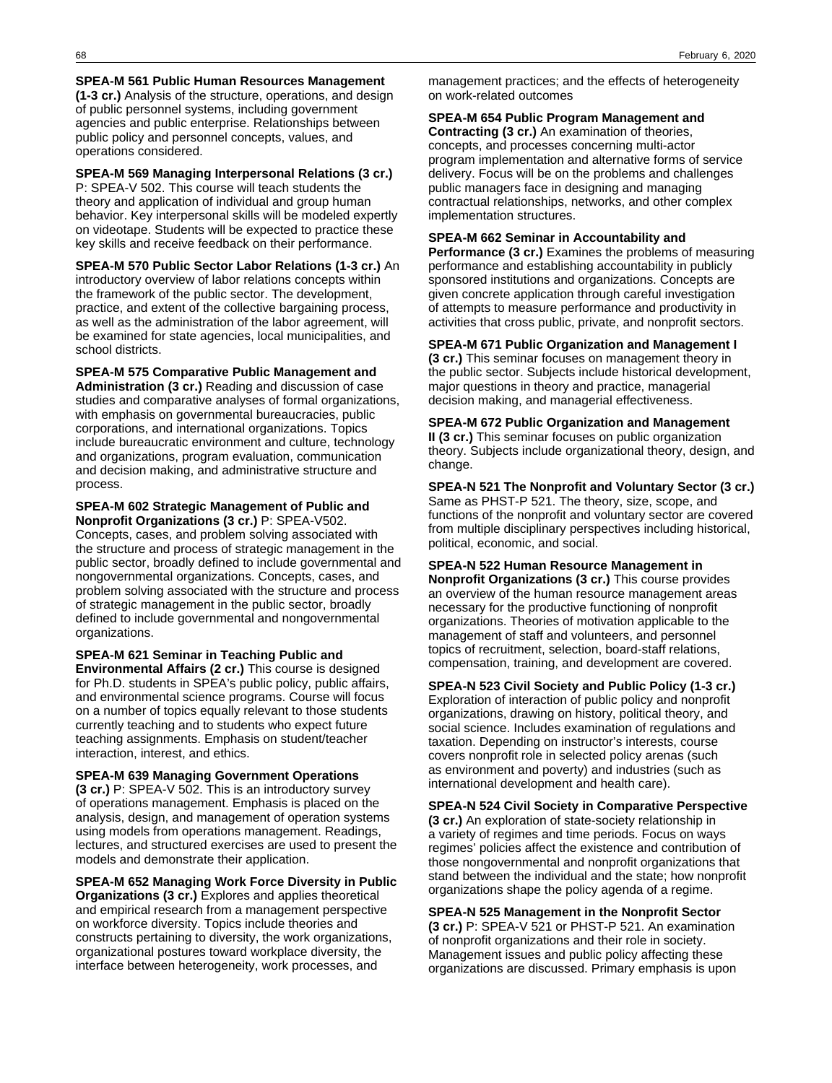#### **SPEA-M 561 Public Human Resources Management (1-3 cr.)** Analysis of the structure, operations, and design of public personnel systems, including government agencies and public enterprise. Relationships between public policy and personnel concepts, values, and operations considered.

**SPEA-M 569 Managing Interpersonal Relations (3 cr.)** P: SPEA-V 502. This course will teach students the theory and application of individual and group human behavior. Key interpersonal skills will be modeled expertly on videotape. Students will be expected to practice these key skills and receive feedback on their performance.

### **SPEA-M 570 Public Sector Labor Relations (1-3 cr.)** An introductory overview of labor relations concepts within the framework of the public sector. The development, practice, and extent of the collective bargaining process, as well as the administration of the labor agreement, will be examined for state agencies, local municipalities, and school districts.

**SPEA-M 575 Comparative Public Management and Administration (3 cr.)** Reading and discussion of case studies and comparative analyses of formal organizations, with emphasis on governmental bureaucracies, public corporations, and international organizations. Topics include bureaucratic environment and culture, technology and organizations, program evaluation, communication and decision making, and administrative structure and process.

## **SPEA-M 602 Strategic Management of Public and Nonprofit Organizations (3 cr.)** P: SPEA-V502.

Concepts, cases, and problem solving associated with the structure and process of strategic management in the public sector, broadly defined to include governmental and nongovernmental organizations. Concepts, cases, and problem solving associated with the structure and process of strategic management in the public sector, broadly defined to include governmental and nongovernmental organizations.

## **SPEA-M 621 Seminar in Teaching Public and**

**Environmental Affairs (2 cr.)** This course is designed for Ph.D. students in SPEA's public policy, public affairs, and environmental science programs. Course will focus on a number of topics equally relevant to those students currently teaching and to students who expect future teaching assignments. Emphasis on student/teacher interaction, interest, and ethics.

## **SPEA-M 639 Managing Government Operations**

**(3 cr.)** P: SPEA-V 502. This is an introductory survey of operations management. Emphasis is placed on the analysis, design, and management of operation systems using models from operations management. Readings, lectures, and structured exercises are used to present the models and demonstrate their application.

## **SPEA-M 652 Managing Work Force Diversity in Public**

**Organizations (3 cr.)** Explores and applies theoretical and empirical research from a management perspective on workforce diversity. Topics include theories and constructs pertaining to diversity, the work organizations, organizational postures toward workplace diversity, the interface between heterogeneity, work processes, and

management practices; and the effects of heterogeneity on work-related outcomes

## **SPEA-M 654 Public Program Management and**

**Contracting (3 cr.)** An examination of theories, concepts, and processes concerning multi-actor program implementation and alternative forms of service delivery. Focus will be on the problems and challenges public managers face in designing and managing contractual relationships, networks, and other complex implementation structures.

## **SPEA-M 662 Seminar in Accountability and**

**Performance (3 cr.)** Examines the problems of measuring performance and establishing accountability in publicly sponsored institutions and organizations. Concepts are given concrete application through careful investigation of attempts to measure performance and productivity in activities that cross public, private, and nonprofit sectors.

## **SPEA-M 671 Public Organization and Management I (3 cr.)** This seminar focuses on management theory in

the public sector. Subjects include historical development, major questions in theory and practice, managerial decision making, and managerial effectiveness.

## **SPEA-M 672 Public Organization and Management**

**II (3 cr.)** This seminar focuses on public organization theory. Subjects include organizational theory, design, and change.

**SPEA-N 521 The Nonprofit and Voluntary Sector (3 cr.)** Same as PHST-P 521. The theory, size, scope, and functions of the nonprofit and voluntary sector are covered from multiple disciplinary perspectives including historical, political, economic, and social.

## **SPEA-N 522 Human Resource Management in Nonprofit Organizations (3 cr.)** This course provides an overview of the human resource management areas necessary for the productive functioning of nonprofit organizations. Theories of motivation applicable to the management of staff and volunteers, and personnel topics of recruitment, selection, board-staff relations, compensation, training, and development are covered.

## **SPEA-N 523 Civil Society and Public Policy (1-3 cr.)** Exploration of interaction of public policy and nonprofit organizations, drawing on history, political theory, and social science. Includes examination of regulations and taxation. Depending on instructor's interests, course covers nonprofit role in selected policy arenas (such as environment and poverty) and industries (such as international development and health care).

**SPEA-N 524 Civil Society in Comparative Perspective (3 cr.)** An exploration of state-society relationship in a variety of regimes and time periods. Focus on ways regimes' policies affect the existence and contribution of those nongovernmental and nonprofit organizations that stand between the individual and the state; how nonprofit organizations shape the policy agenda of a regime.

**SPEA-N 525 Management in the Nonprofit Sector (3 cr.)** P: SPEA-V 521 or PHST-P 521. An examination of nonprofit organizations and their role in society. Management issues and public policy affecting these organizations are discussed. Primary emphasis is upon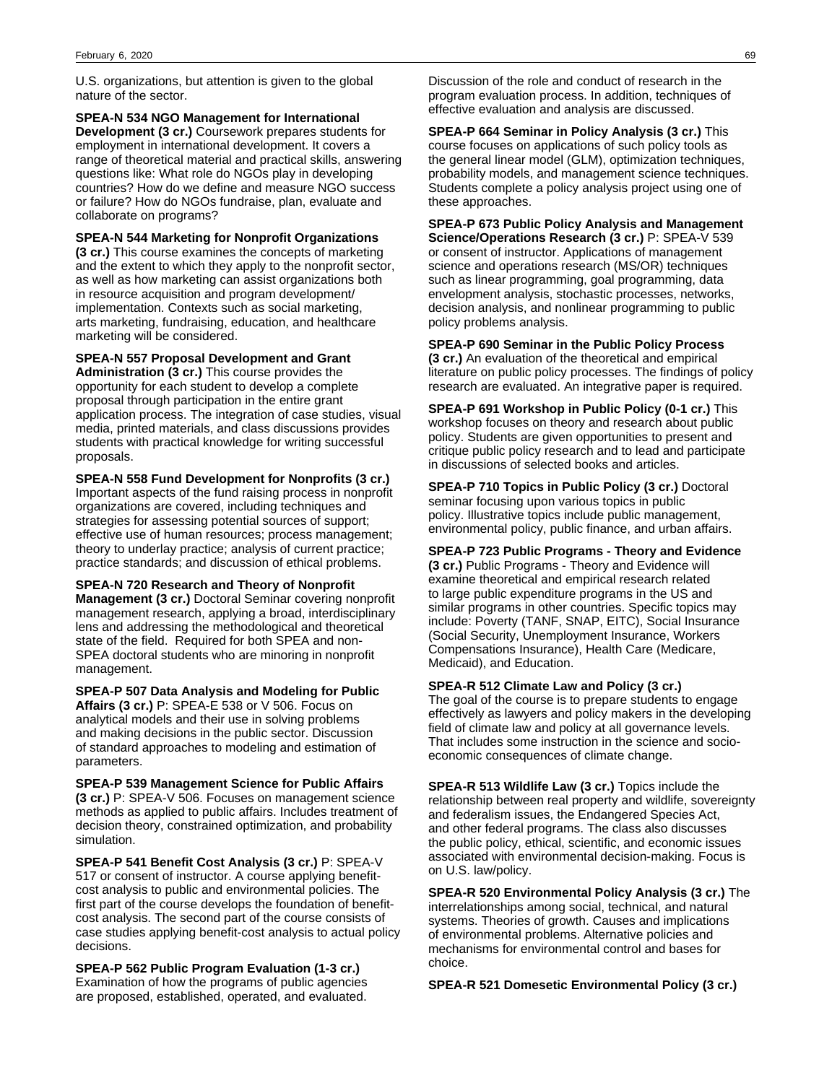U.S. organizations, but attention is given to the global nature of the sector.

**SPEA-N 534 NGO Management for International Development (3 cr.)** Coursework prepares students for employment in international development. It covers a range of theoretical material and practical skills, answering questions like: What role do NGOs play in developing countries? How do we define and measure NGO success or failure? How do NGOs fundraise, plan, evaluate and collaborate on programs?

**SPEA-N 544 Marketing for Nonprofit Organizations**

**(3 cr.)** This course examines the concepts of marketing and the extent to which they apply to the nonprofit sector, as well as how marketing can assist organizations both in resource acquisition and program development/ implementation. Contexts such as social marketing, arts marketing, fundraising, education, and healthcare marketing will be considered.

**SPEA-N 557 Proposal Development and Grant Administration (3 cr.)** This course provides the opportunity for each student to develop a complete proposal through participation in the entire grant application process. The integration of case studies, visual media, printed materials, and class discussions provides students with practical knowledge for writing successful proposals.

**SPEA-N 558 Fund Development for Nonprofits (3 cr.)** Important aspects of the fund raising process in nonprofit organizations are covered, including techniques and strategies for assessing potential sources of support; effective use of human resources; process management; theory to underlay practice; analysis of current practice; practice standards; and discussion of ethical problems.

**SPEA-N 720 Research and Theory of Nonprofit Management (3 cr.)** Doctoral Seminar covering nonprofit management research, applying a broad, interdisciplinary lens and addressing the methodological and theoretical state of the field. Required for both SPEA and non-SPEA doctoral students who are minoring in nonprofit management.

**SPEA-P 507 Data Analysis and Modeling for Public Affairs (3 cr.)** P: SPEA-E 538 or V 506. Focus on analytical models and their use in solving problems and making decisions in the public sector. Discussion of standard approaches to modeling and estimation of parameters.

**SPEA-P 539 Management Science for Public Affairs (3 cr.)** P: SPEA-V 506. Focuses on management science methods as applied to public affairs. Includes treatment of decision theory, constrained optimization, and probability simulation.

**SPEA-P 541 Benefit Cost Analysis (3 cr.)** P: SPEA-V 517 or consent of instructor. A course applying benefitcost analysis to public and environmental policies. The first part of the course develops the foundation of benefitcost analysis. The second part of the course consists of case studies applying benefit-cost analysis to actual policy decisions.

**SPEA-P 562 Public Program Evaluation (1-3 cr.)** Examination of how the programs of public agencies are proposed, established, operated, and evaluated.

Discussion of the role and conduct of research in the program evaluation process. In addition, techniques of effective evaluation and analysis are discussed.

**SPEA-P 664 Seminar in Policy Analysis (3 cr.)** This course focuses on applications of such policy tools as the general linear model (GLM), optimization techniques, probability models, and management science techniques. Students complete a policy analysis project using one of these approaches.

**SPEA-P 673 Public Policy Analysis and Management Science/Operations Research (3 cr.)** P: SPEA-V 539 or consent of instructor. Applications of management science and operations research (MS/OR) techniques such as linear programming, goal programming, data envelopment analysis, stochastic processes, networks, decision analysis, and nonlinear programming to public policy problems analysis.

**SPEA-P 690 Seminar in the Public Policy Process (3 cr.)** An evaluation of the theoretical and empirical literature on public policy processes. The findings of policy research are evaluated. An integrative paper is required.

**SPEA-P 691 Workshop in Public Policy (0-1 cr.)** This workshop focuses on theory and research about public policy. Students are given opportunities to present and critique public policy research and to lead and participate in discussions of selected books and articles.

**SPEA-P 710 Topics in Public Policy (3 cr.)** Doctoral seminar focusing upon various topics in public policy. Illustrative topics include public management, environmental policy, public finance, and urban affairs.

**SPEA-P 723 Public Programs - Theory and Evidence (3 cr.)** Public Programs - Theory and Evidence will examine theoretical and empirical research related to large public expenditure programs in the US and similar programs in other countries. Specific topics may include: Poverty (TANF, SNAP, EITC), Social Insurance (Social Security, Unemployment Insurance, Workers Compensations Insurance), Health Care (Medicare, Medicaid), and Education.

**SPEA-R 512 Climate Law and Policy (3 cr.)**

The goal of the course is to prepare students to engage effectively as lawyers and policy makers in the developing field of climate law and policy at all governance levels. That includes some instruction in the science and socioeconomic consequences of climate change.

**SPEA-R 513 Wildlife Law (3 cr.)** Topics include the relationship between real property and wildlife, sovereignty and federalism issues, the Endangered Species Act, and other federal programs. The class also discusses the public policy, ethical, scientific, and economic issues associated with environmental decision-making. Focus is on U.S. law/policy.

**SPEA-R 520 Environmental Policy Analysis (3 cr.)** The interrelationships among social, technical, and natural systems. Theories of growth. Causes and implications of environmental problems. Alternative policies and mechanisms for environmental control and bases for choice.

**SPEA-R 521 Domesetic Environmental Policy (3 cr.)**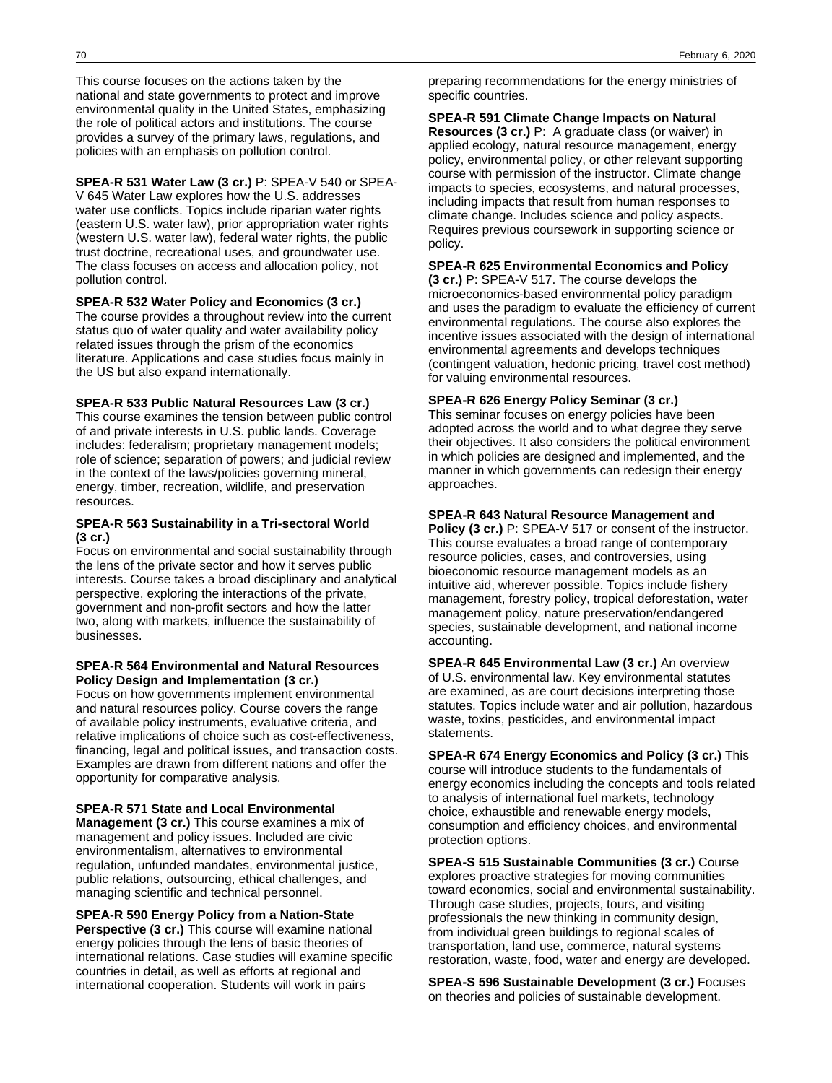This course focuses on the actions taken by the national and state governments to protect and improve environmental quality in the United States, emphasizing the role of political actors and institutions. The course provides a survey of the primary laws, regulations, and policies with an emphasis on pollution control.

**SPEA-R 531 Water Law (3 cr.)** P: SPEA-V 540 or SPEA-V 645 Water Law explores how the U.S. addresses water use conflicts. Topics include riparian water rights (eastern U.S. water law), prior appropriation water rights (western U.S. water law), federal water rights, the public trust doctrine, recreational uses, and groundwater use. The class focuses on access and allocation policy, not pollution control.

**SPEA-R 532 Water Policy and Economics (3 cr.)**

The course provides a throughout review into the current status quo of water quality and water availability policy related issues through the prism of the economics literature. Applications and case studies focus mainly in the US but also expand internationally.

#### **SPEA-R 533 Public Natural Resources Law (3 cr.)**

This course examines the tension between public control of and private interests in U.S. public lands. Coverage includes: federalism; proprietary management models; role of science; separation of powers; and judicial review in the context of the laws/policies governing mineral, energy, timber, recreation, wildlife, and preservation resources.

## **SPEA-R 563 Sustainability in a Tri-sectoral World (3 cr.)**

Focus on environmental and social sustainability through the lens of the private sector and how it serves public interests. Course takes a broad disciplinary and analytical perspective, exploring the interactions of the private, government and non-profit sectors and how the latter two, along with markets, influence the sustainability of businesses.

#### **SPEA-R 564 Environmental and Natural Resources Policy Design and Implementation (3 cr.)**

Focus on how governments implement environmental and natural resources policy. Course covers the range of available policy instruments, evaluative criteria, and relative implications of choice such as cost-effectiveness, financing, legal and political issues, and transaction costs. Examples are drawn from different nations and offer the opportunity for comparative analysis.

### **SPEA-R 571 State and Local Environmental**

**Management (3 cr.)** This course examines a mix of management and policy issues. Included are civic environmentalism, alternatives to environmental regulation, unfunded mandates, environmental justice, public relations, outsourcing, ethical challenges, and managing scientific and technical personnel.

**SPEA-R 590 Energy Policy from a Nation-State Perspective (3 cr.)** This course will examine national energy policies through the lens of basic theories of international relations. Case studies will examine specific countries in detail, as well as efforts at regional and international cooperation. Students will work in pairs

preparing recommendations for the energy ministries of specific countries.

## **SPEA-R 591 Climate Change Impacts on Natural**

**Resources (3 cr.)** P: A graduate class (or waiver) in applied ecology, natural resource management, energy policy, environmental policy, or other relevant supporting course with permission of the instructor. Climate change impacts to species, ecosystems, and natural processes, including impacts that result from human responses to climate change. Includes science and policy aspects. Requires previous coursework in supporting science or policy.

#### **SPEA-R 625 Environmental Economics and Policy**

**(3 cr.)** P: SPEA-V 517. The course develops the microeconomics-based environmental policy paradigm and uses the paradigm to evaluate the efficiency of current environmental regulations. The course also explores the incentive issues associated with the design of international environmental agreements and develops techniques (contingent valuation, hedonic pricing, travel cost method) for valuing environmental resources.

## **SPEA-R 626 Energy Policy Seminar (3 cr.)**

This seminar focuses on energy policies have been adopted across the world and to what degree they serve their objectives. It also considers the political environment in which policies are designed and implemented, and the manner in which governments can redesign their energy approaches.

## **SPEA-R 643 Natural Resource Management and**

**Policy (3 cr.)** P: SPEA-V 517 or consent of the instructor. This course evaluates a broad range of contemporary resource policies, cases, and controversies, using bioeconomic resource management models as an intuitive aid, wherever possible. Topics include fishery management, forestry policy, tropical deforestation, water management policy, nature preservation/endangered species, sustainable development, and national income accounting.

**SPEA-R 645 Environmental Law (3 cr.)** An overview of U.S. environmental law. Key environmental statutes are examined, as are court decisions interpreting those statutes. Topics include water and air pollution, hazardous waste, toxins, pesticides, and environmental impact statements.

**SPEA-R 674 Energy Economics and Policy (3 cr.)** This course will introduce students to the fundamentals of energy economics including the concepts and tools related to analysis of international fuel markets, technology choice, exhaustible and renewable energy models, consumption and efficiency choices, and environmental protection options.

**SPEA-S 515 Sustainable Communities (3 cr.)** Course explores proactive strategies for moving communities toward economics, social and environmental sustainability. Through case studies, projects, tours, and visiting professionals the new thinking in community design, from individual green buildings to regional scales of transportation, land use, commerce, natural systems restoration, waste, food, water and energy are developed.

**SPEA-S 596 Sustainable Development (3 cr.)** Focuses on theories and policies of sustainable development.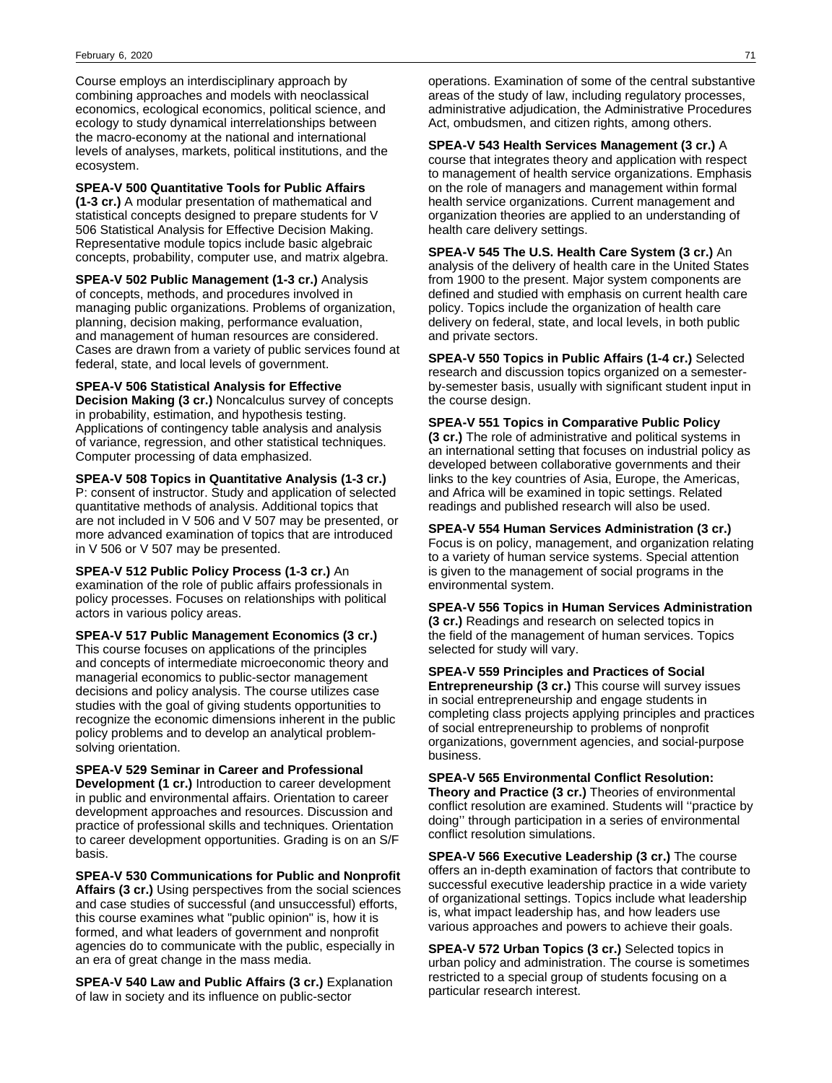Course employs an interdisciplinary approach by combining approaches and models with neoclassical economics, ecological economics, political science, and ecology to study dynamical interrelationships between the macro-economy at the national and international levels of analyses, markets, political institutions, and the ecosystem.

**SPEA-V 500 Quantitative Tools for Public Affairs (1-3 cr.)** A modular presentation of mathematical and statistical concepts designed to prepare students for V 506 Statistical Analysis for Effective Decision Making. Representative module topics include basic algebraic concepts, probability, computer use, and matrix algebra.

**SPEA-V 502 Public Management (1-3 cr.)** Analysis of concepts, methods, and procedures involved in managing public organizations. Problems of organization, planning, decision making, performance evaluation, and management of human resources are considered. Cases are drawn from a variety of public services found at federal, state, and local levels of government.

**SPEA-V 506 Statistical Analysis for Effective Decision Making (3 cr.)** Noncalculus survey of concepts in probability, estimation, and hypothesis testing. Applications of contingency table analysis and analysis of variance, regression, and other statistical techniques. Computer processing of data emphasized.

**SPEA-V 508 Topics in Quantitative Analysis (1-3 cr.)** P: consent of instructor. Study and application of selected quantitative methods of analysis. Additional topics that are not included in V 506 and V 507 may be presented, or more advanced examination of topics that are introduced in V 506 or V 507 may be presented.

**SPEA-V 512 Public Policy Process (1-3 cr.)** An examination of the role of public affairs professionals in policy processes. Focuses on relationships with political actors in various policy areas.

**SPEA-V 517 Public Management Economics (3 cr.)** This course focuses on applications of the principles and concepts of intermediate microeconomic theory and managerial economics to public-sector management decisions and policy analysis. The course utilizes case studies with the goal of giving students opportunities to recognize the economic dimensions inherent in the public policy problems and to develop an analytical problemsolving orientation.

**SPEA-V 529 Seminar in Career and Professional Development (1 cr.)** Introduction to career development in public and environmental affairs. Orientation to career development approaches and resources. Discussion and practice of professional skills and techniques. Orientation to career development opportunities. Grading is on an S/F basis.

**SPEA-V 530 Communications for Public and Nonprofit Affairs (3 cr.)** Using perspectives from the social sciences and case studies of successful (and unsuccessful) efforts, this course examines what "public opinion" is, how it is formed, and what leaders of government and nonprofit agencies do to communicate with the public, especially in an era of great change in the mass media.

**SPEA-V 540 Law and Public Affairs (3 cr.)** Explanation of law in society and its influence on public-sector

operations. Examination of some of the central substantive areas of the study of law, including regulatory processes, administrative adjudication, the Administrative Procedures Act, ombudsmen, and citizen rights, among others.

**SPEA-V 543 Health Services Management (3 cr.)** A course that integrates theory and application with respect to management of health service organizations. Emphasis on the role of managers and management within formal health service organizations. Current management and organization theories are applied to an understanding of health care delivery settings.

**SPEA-V 545 The U.S. Health Care System (3 cr.)** An analysis of the delivery of health care in the United States from 1900 to the present. Major system components are defined and studied with emphasis on current health care policy. Topics include the organization of health care delivery on federal, state, and local levels, in both public and private sectors.

**SPEA-V 550 Topics in Public Affairs (1-4 cr.)** Selected research and discussion topics organized on a semesterby-semester basis, usually with significant student input in the course design.

**SPEA-V 551 Topics in Comparative Public Policy**

**(3 cr.)** The role of administrative and political systems in an international setting that focuses on industrial policy as developed between collaborative governments and their links to the key countries of Asia, Europe, the Americas, and Africa will be examined in topic settings. Related readings and published research will also be used.

**SPEA-V 554 Human Services Administration (3 cr.)** Focus is on policy, management, and organization relating to a variety of human service systems. Special attention is given to the management of social programs in the environmental system.

**SPEA-V 556 Topics in Human Services Administration (3 cr.)** Readings and research on selected topics in the field of the management of human services. Topics selected for study will vary.

**SPEA-V 559 Principles and Practices of Social Entrepreneurship (3 cr.)** This course will survey issues in social entrepreneurship and engage students in completing class projects applying principles and practices of social entrepreneurship to problems of nonprofit organizations, government agencies, and social-purpose business.

**SPEA-V 565 Environmental Conflict Resolution: Theory and Practice (3 cr.)** Theories of environmental conflict resolution are examined. Students will ''practice by doing'' through participation in a series of environmental conflict resolution simulations.

**SPEA-V 566 Executive Leadership (3 cr.)** The course offers an in-depth examination of factors that contribute to successful executive leadership practice in a wide variety of organizational settings. Topics include what leadership is, what impact leadership has, and how leaders use various approaches and powers to achieve their goals.

**SPEA-V 572 Urban Topics (3 cr.)** Selected topics in urban policy and administration. The course is sometimes restricted to a special group of students focusing on a particular research interest.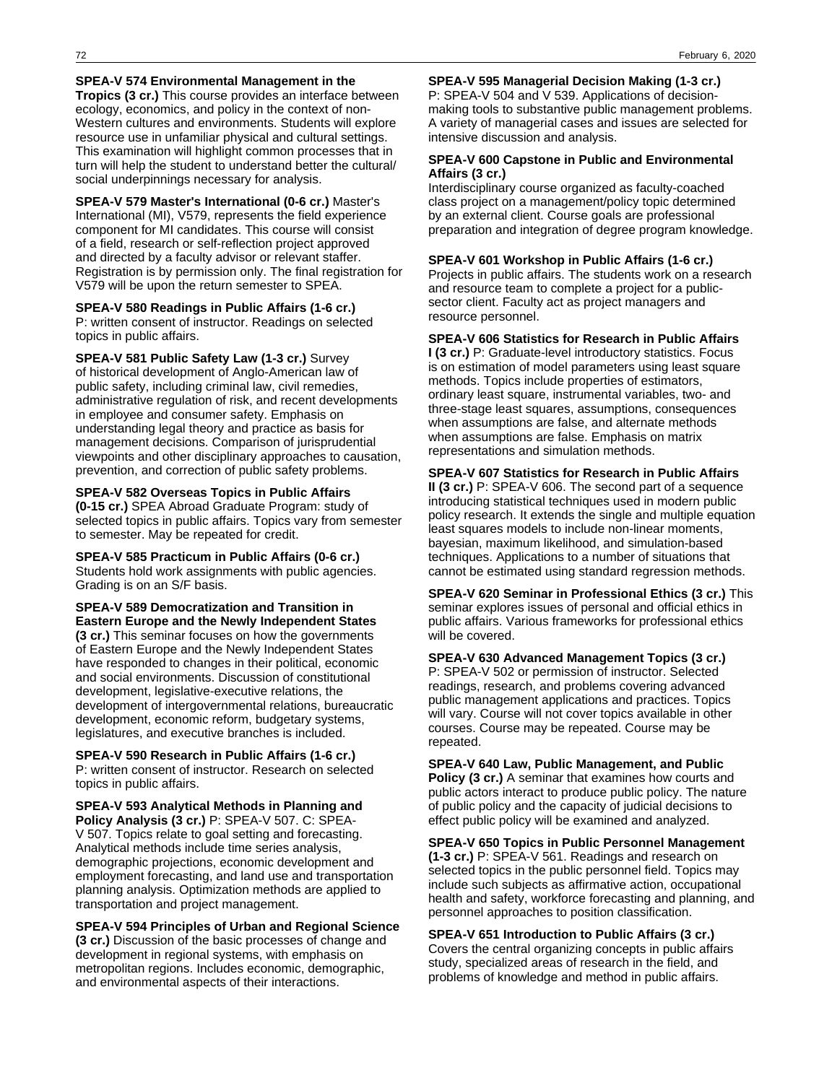### **SPEA-V 574 Environmental Management in the**

**Tropics (3 cr.)** This course provides an interface between ecology, economics, and policy in the context of non-Western cultures and environments. Students will explore resource use in unfamiliar physical and cultural settings. This examination will highlight common processes that in turn will help the student to understand better the cultural/ social underpinnings necessary for analysis.

**SPEA-V 579 Master's International (0-6 cr.)** Master's International (MI), V579, represents the field experience component for MI candidates. This course will consist of a field, research or self-reflection project approved and directed by a faculty advisor or relevant staffer. Registration is by permission only. The final registration for V579 will be upon the return semester to SPEA.

## **SPEA-V 580 Readings in Public Affairs (1-6 cr.)**

P: written consent of instructor. Readings on selected topics in public affairs.

**SPEA-V 581 Public Safety Law (1-3 cr.)** Survey of historical development of Anglo-American law of public safety, including criminal law, civil remedies, administrative regulation of risk, and recent developments in employee and consumer safety. Emphasis on understanding legal theory and practice as basis for management decisions. Comparison of jurisprudential viewpoints and other disciplinary approaches to causation, prevention, and correction of public safety problems.

#### **SPEA-V 582 Overseas Topics in Public Affairs**

**(0-15 cr.)** SPEA Abroad Graduate Program: study of selected topics in public affairs. Topics vary from semester to semester. May be repeated for credit.

**SPEA-V 585 Practicum in Public Affairs (0-6 cr.)** Students hold work assignments with public agencies. Grading is on an S/F basis.

**SPEA-V 589 Democratization and Transition in Eastern Europe and the Newly Independent States (3 cr.)** This seminar focuses on how the governments of Eastern Europe and the Newly Independent States have responded to changes in their political, economic and social environments. Discussion of constitutional development, legislative-executive relations, the development of intergovernmental relations, bureaucratic development, economic reform, budgetary systems, legislatures, and executive branches is included.

**SPEA-V 590 Research in Public Affairs (1-6 cr.)** P: written consent of instructor. Research on selected topics in public affairs.

**SPEA-V 593 Analytical Methods in Planning and Policy Analysis (3 cr.)** P: SPEA-V 507. C: SPEA-V 507. Topics relate to goal setting and forecasting. Analytical methods include time series analysis, demographic projections, economic development and employment forecasting, and land use and transportation planning analysis. Optimization methods are applied to transportation and project management.

**SPEA-V 594 Principles of Urban and Regional Science (3 cr.)** Discussion of the basic processes of change and development in regional systems, with emphasis on metropolitan regions. Includes economic, demographic, and environmental aspects of their interactions.

**SPEA-V 595 Managerial Decision Making (1-3 cr.)** P: SPEA-V 504 and V 539. Applications of decisionmaking tools to substantive public management problems. A variety of managerial cases and issues are selected for intensive discussion and analysis.

## **SPEA-V 600 Capstone in Public and Environmental Affairs (3 cr.)**

Interdisciplinary course organized as faculty-coached class project on a management/policy topic determined by an external client. Course goals are professional preparation and integration of degree program knowledge.

## **SPEA-V 601 Workshop in Public Affairs (1-6 cr.)**

Projects in public affairs. The students work on a research and resource team to complete a project for a publicsector client. Faculty act as project managers and resource personnel.

## **SPEA-V 606 Statistics for Research in Public Affairs**

**I (3 cr.)** P: Graduate-level introductory statistics. Focus is on estimation of model parameters using least square methods. Topics include properties of estimators, ordinary least square, instrumental variables, two- and three-stage least squares, assumptions, consequences when assumptions are false, and alternate methods when assumptions are false. Emphasis on matrix representations and simulation methods.

## **SPEA-V 607 Statistics for Research in Public Affairs II (3 cr.)** P: SPEA-V 606. The second part of a sequence introducing statistical techniques used in modern public policy research. It extends the single and multiple equation least squares models to include non-linear moments, bayesian, maximum likelihood, and simulation-based techniques. Applications to a number of situations that cannot be estimated using standard regression methods.

**SPEA-V 620 Seminar in Professional Ethics (3 cr.)** This seminar explores issues of personal and official ethics in public affairs. Various frameworks for professional ethics will be covered.

**SPEA-V 630 Advanced Management Topics (3 cr.)** P: SPEA-V 502 or permission of instructor. Selected readings, research, and problems covering advanced public management applications and practices. Topics will vary. Course will not cover topics available in other courses. Course may be repeated. Course may be repeated.

**SPEA-V 640 Law, Public Management, and Public Policy (3 cr.)** A seminar that examines how courts and public actors interact to produce public policy. The nature of public policy and the capacity of judicial decisions to effect public policy will be examined and analyzed.

**SPEA-V 650 Topics in Public Personnel Management (1-3 cr.)** P: SPEA-V 561. Readings and research on selected topics in the public personnel field. Topics may include such subjects as affirmative action, occupational health and safety, workforce forecasting and planning, and personnel approaches to position classification.

### **SPEA-V 651 Introduction to Public Affairs (3 cr.)** Covers the central organizing concepts in public affairs study, specialized areas of research in the field, and

problems of knowledge and method in public affairs.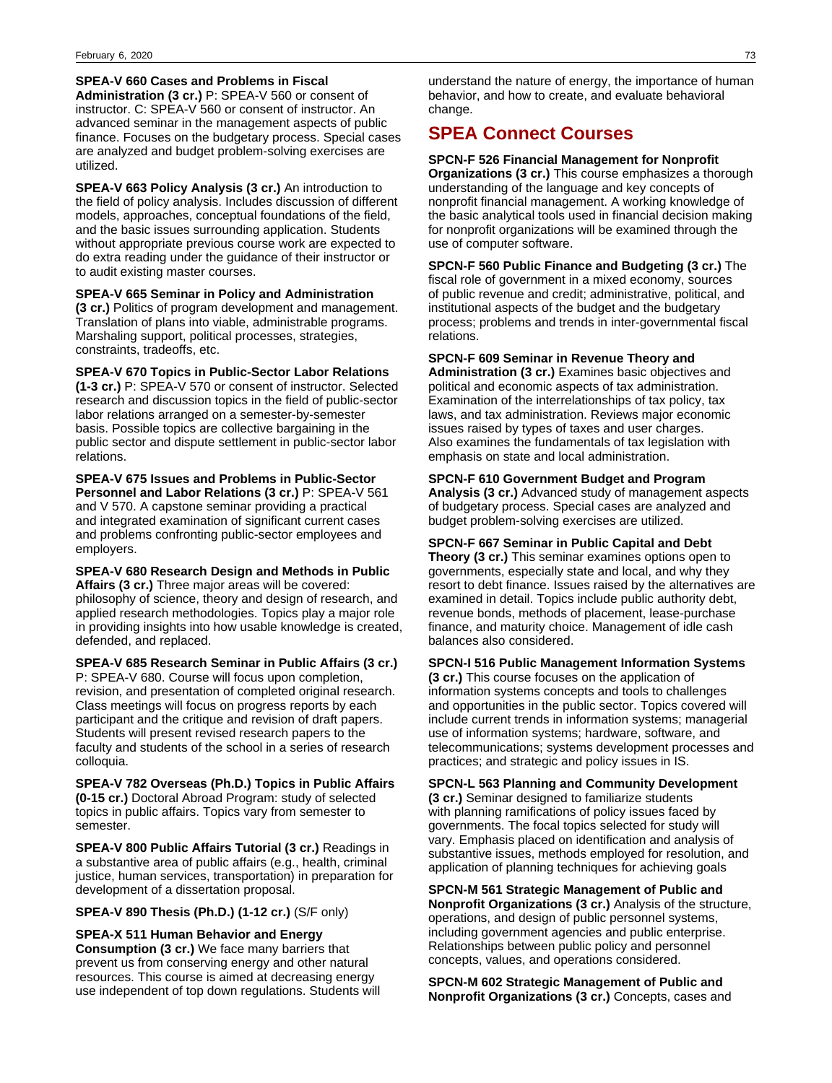#### **SPEA-V 660 Cases and Problems in Fiscal**

**Administration (3 cr.)** P: SPEA-V 560 or consent of instructor. C: SPEA-V 560 or consent of instructor. An advanced seminar in the management aspects of public finance. Focuses on the budgetary process. Special cases are analyzed and budget problem-solving exercises are utilized.

**SPEA-V 663 Policy Analysis (3 cr.)** An introduction to the field of policy analysis. Includes discussion of different models, approaches, conceptual foundations of the field, and the basic issues surrounding application. Students without appropriate previous course work are expected to do extra reading under the guidance of their instructor or to audit existing master courses.

**SPEA-V 665 Seminar in Policy and Administration**

**(3 cr.)** Politics of program development and management. Translation of plans into viable, administrable programs. Marshaling support, political processes, strategies, constraints, tradeoffs, etc.

**SPEA-V 670 Topics in Public-Sector Labor Relations**

**(1-3 cr.)** P: SPEA-V 570 or consent of instructor. Selected research and discussion topics in the field of public-sector labor relations arranged on a semester-by-semester basis. Possible topics are collective bargaining in the public sector and dispute settlement in public-sector labor relations.

**SPEA-V 675 Issues and Problems in Public-Sector Personnel and Labor Relations (3 cr.)** P: SPEA-V 561 and V 570. A capstone seminar providing a practical and integrated examination of significant current cases and problems confronting public-sector employees and employers.

**SPEA-V 680 Research Design and Methods in Public Affairs (3 cr.)** Three major areas will be covered: philosophy of science, theory and design of research, and applied research methodologies. Topics play a major role in providing insights into how usable knowledge is created, defended, and replaced.

**SPEA-V 685 Research Seminar in Public Affairs (3 cr.)** P: SPEA-V 680. Course will focus upon completion, revision, and presentation of completed original research. Class meetings will focus on progress reports by each participant and the critique and revision of draft papers. Students will present revised research papers to the faculty and students of the school in a series of research colloquia.

**SPEA-V 782 Overseas (Ph.D.) Topics in Public Affairs (0-15 cr.)** Doctoral Abroad Program: study of selected topics in public affairs. Topics vary from semester to semester.

**SPEA-V 800 Public Affairs Tutorial (3 cr.)** Readings in a substantive area of public affairs (e.g., health, criminal justice, human services, transportation) in preparation for development of a dissertation proposal.

**SPEA-V 890 Thesis (Ph.D.) (1-12 cr.)** (S/F only)

**SPEA-X 511 Human Behavior and Energy Consumption (3 cr.)** We face many barriers that prevent us from conserving energy and other natural resources. This course is aimed at decreasing energy use independent of top down regulations. Students will

understand the nature of energy, the importance of human behavior, and how to create, and evaluate behavioral change.

## **SPEA Connect Courses**

#### **SPCN-F 526 Financial Management for Nonprofit**

**Organizations (3 cr.)** This course emphasizes a thorough understanding of the language and key concepts of nonprofit financial management. A working knowledge of the basic analytical tools used in financial decision making for nonprofit organizations will be examined through the use of computer software.

**SPCN-F 560 Public Finance and Budgeting (3 cr.)** The fiscal role of government in a mixed economy, sources of public revenue and credit; administrative, political, and institutional aspects of the budget and the budgetary process; problems and trends in inter-governmental fiscal relations.

**SPCN-F 609 Seminar in Revenue Theory and Administration (3 cr.)** Examines basic objectives and political and economic aspects of tax administration. Examination of the interrelationships of tax policy, tax laws, and tax administration. Reviews major economic issues raised by types of taxes and user charges. Also examines the fundamentals of tax legislation with emphasis on state and local administration.

### **SPCN-F 610 Government Budget and Program**

**Analysis (3 cr.)** Advanced study of management aspects of budgetary process. Special cases are analyzed and budget problem-solving exercises are utilized.

**SPCN-F 667 Seminar in Public Capital and Debt**

**Theory (3 cr.)** This seminar examines options open to governments, especially state and local, and why they resort to debt finance. Issues raised by the alternatives are examined in detail. Topics include public authority debt, revenue bonds, methods of placement, lease-purchase finance, and maturity choice. Management of idle cash balances also considered.

#### **SPCN-I 516 Public Management Information Systems**

**(3 cr.)** This course focuses on the application of information systems concepts and tools to challenges and opportunities in the public sector. Topics covered will include current trends in information systems; managerial use of information systems; hardware, software, and telecommunications; systems development processes and practices; and strategic and policy issues in IS.

**SPCN-L 563 Planning and Community Development**

**(3 cr.)** Seminar designed to familiarize students with planning ramifications of policy issues faced by governments. The focal topics selected for study will vary. Emphasis placed on identification and analysis of substantive issues, methods employed for resolution, and application of planning techniques for achieving goals

**SPCN-M 561 Strategic Management of Public and Nonprofit Organizations (3 cr.)** Analysis of the structure, operations, and design of public personnel systems, including government agencies and public enterprise. Relationships between public policy and personnel concepts, values, and operations considered.

**SPCN-M 602 Strategic Management of Public and Nonprofit Organizations (3 cr.)** Concepts, cases and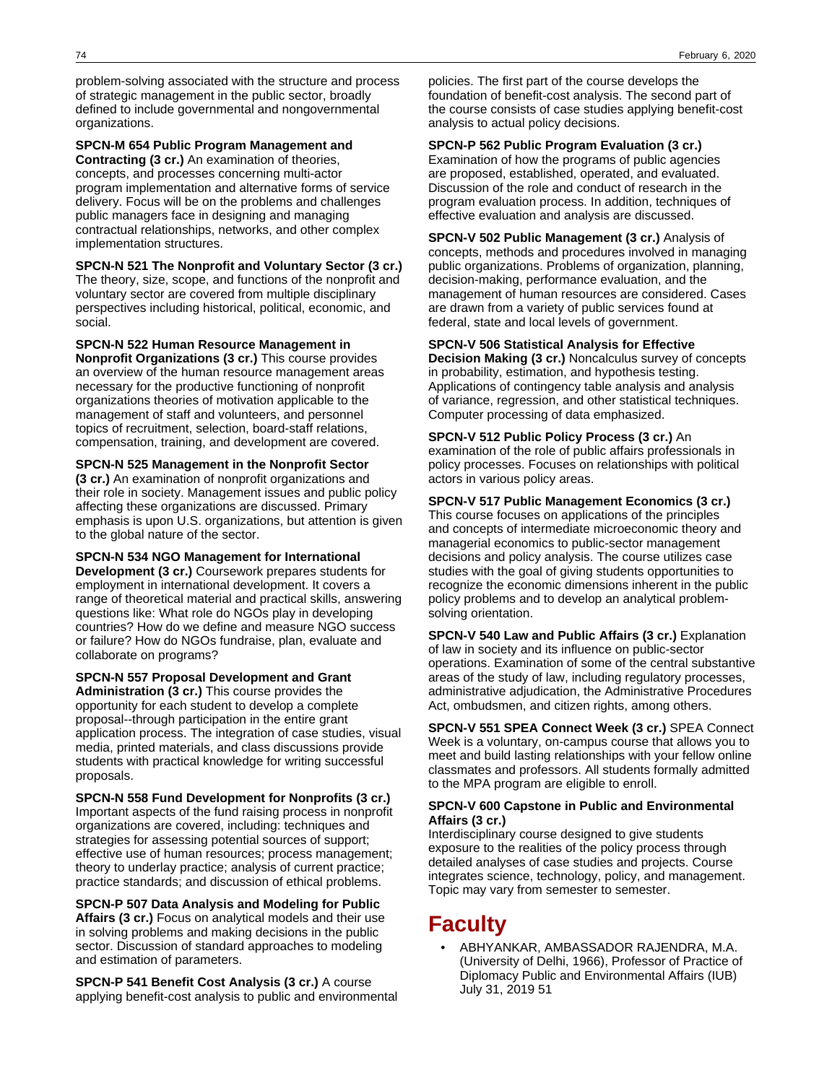problem-solving associated with the structure and process of strategic management in the public sector, broadly defined to include governmental and nongovernmental organizations.

**SPCN-M 654 Public Program Management and Contracting (3 cr.)** An examination of theories,

concepts, and processes concerning multi-actor program implementation and alternative forms of service delivery. Focus will be on the problems and challenges public managers face in designing and managing contractual relationships, networks, and other complex implementation structures.

**SPCN-N 521 The Nonprofit and Voluntary Sector (3 cr.)**

The theory, size, scope, and functions of the nonprofit and voluntary sector are covered from multiple disciplinary perspectives including historical, political, economic, and social.

**SPCN-N 522 Human Resource Management in Nonprofit Organizations (3 cr.)** This course provides an overview of the human resource management areas necessary for the productive functioning of nonprofit organizations theories of motivation applicable to the management of staff and volunteers, and personnel topics of recruitment, selection, board-staff relations, compensation, training, and development are covered.

**SPCN-N 525 Management in the Nonprofit Sector (3 cr.)** An examination of nonprofit organizations and their role in society. Management issues and public policy affecting these organizations are discussed. Primary emphasis is upon U.S. organizations, but attention is given to the global nature of the sector.

**SPCN-N 534 NGO Management for International Development (3 cr.)** Coursework prepares students for employment in international development. It covers a range of theoretical material and practical skills, answering questions like: What role do NGOs play in developing countries? How do we define and measure NGO success or failure? How do NGOs fundraise, plan, evaluate and collaborate on programs?

**SPCN-N 557 Proposal Development and Grant Administration (3 cr.)** This course provides the opportunity for each student to develop a complete proposal--through participation in the entire grant application process. The integration of case studies, visual media, printed materials, and class discussions provide students with practical knowledge for writing successful proposals.

**SPCN-N 558 Fund Development for Nonprofits (3 cr.)** Important aspects of the fund raising process in nonprofit organizations are covered, including: techniques and strategies for assessing potential sources of support; effective use of human resources; process management; theory to underlay practice; analysis of current practice; practice standards; and discussion of ethical problems.

**SPCN-P 507 Data Analysis and Modeling for Public Affairs (3 cr.)** Focus on analytical models and their use in solving problems and making decisions in the public sector. Discussion of standard approaches to modeling and estimation of parameters.

**SPCN-P 541 Benefit Cost Analysis (3 cr.)** A course applying benefit-cost analysis to public and environmental

policies. The first part of the course develops the foundation of benefit-cost analysis. The second part of the course consists of case studies applying benefit-cost analysis to actual policy decisions.

**SPCN-P 562 Public Program Evaluation (3 cr.)** Examination of how the programs of public agencies are proposed, established, operated, and evaluated. Discussion of the role and conduct of research in the program evaluation process. In addition, techniques of effective evaluation and analysis are discussed.

**SPCN-V 502 Public Management (3 cr.)** Analysis of concepts, methods and procedures involved in managing public organizations. Problems of organization, planning, decision-making, performance evaluation, and the management of human resources are considered. Cases are drawn from a variety of public services found at federal, state and local levels of government.

**SPCN-V 506 Statistical Analysis for Effective**

**Decision Making (3 cr.)** Noncalculus survey of concepts in probability, estimation, and hypothesis testing. Applications of contingency table analysis and analysis of variance, regression, and other statistical techniques. Computer processing of data emphasized.

**SPCN-V 512 Public Policy Process (3 cr.)** An examination of the role of public affairs professionals in policy processes. Focuses on relationships with political actors in various policy areas.

**SPCN-V 517 Public Management Economics (3 cr.)**

This course focuses on applications of the principles and concepts of intermediate microeconomic theory and managerial economics to public-sector management decisions and policy analysis. The course utilizes case studies with the goal of giving students opportunities to recognize the economic dimensions inherent in the public policy problems and to develop an analytical problemsolving orientation.

**SPCN-V 540 Law and Public Affairs (3 cr.)** Explanation of law in society and its influence on public-sector operations. Examination of some of the central substantive areas of the study of law, including regulatory processes, administrative adjudication, the Administrative Procedures Act, ombudsmen, and citizen rights, among others.

**SPCN-V 551 SPEA Connect Week (3 cr.)** SPEA Connect Week is a voluntary, on-campus course that allows you to meet and build lasting relationships with your fellow online classmates and professors. All students formally admitted to the MPA program are eligible to enroll.

#### **SPCN-V 600 Capstone in Public and Environmental Affairs (3 cr.)**

Interdisciplinary course designed to give students exposure to the realities of the policy process through detailed analyses of case studies and projects. Course integrates science, technology, policy, and management. Topic may vary from semester to semester.

# **Faculty**

• ABHYANKAR, AMBASSADOR RAJENDRA, M.A. (University of Delhi, 1966), Professor of Practice of Diplomacy Public and Environmental Affairs (IUB) July 31, 2019 51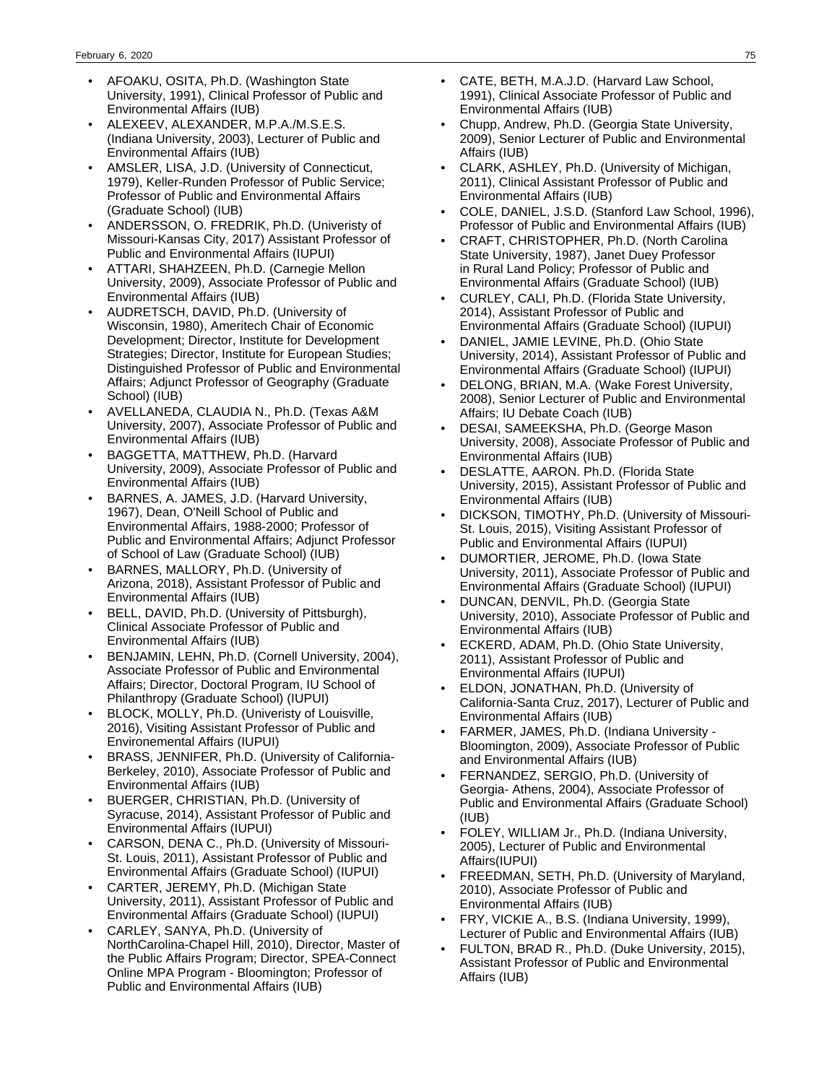- AFOAKU, OSITA, Ph.D. (Washington State University, 1991), Clinical Professor of Public and Environmental Affairs (IUB)
- ALEXEEV, ALEXANDER, M.P.A./M.S.E.S. (Indiana University, 2003), Lecturer of Public and Environmental Affairs (IUB)
- AMSLER, LISA, J.D. (University of Connecticut, 1979), Keller-Runden Professor of Public Service; Professor of Public and Environmental Affairs (Graduate School) (IUB)
- ANDERSSON, O. FREDRIK, Ph.D. (Univeristy of Missouri-Kansas City, 2017) Assistant Professor of Public and Environmental Affairs (IUPUI)
- ATTARI, SHAHZEEN, Ph.D. (Carnegie Mellon University, 2009), Associate Professor of Public and Environmental Affairs (IUB)
- AUDRETSCH, DAVID, Ph.D. (University of Wisconsin, 1980), Ameritech Chair of Economic Development; Director, Institute for Development Strategies; Director, Institute for European Studies; Distinguished Professor of Public and Environmental Affairs; Adjunct Professor of Geography (Graduate School) (IUB)
- AVELLANEDA, CLAUDIA N., Ph.D. (Texas A&M University, 2007), Associate Professor of Public and Environmental Affairs (IUB)
- BAGGETTA, MATTHEW, Ph.D. (Harvard University, 2009), Associate Professor of Public and Environmental Affairs (IUB)
- BARNES, A. JAMES, J.D. (Harvard University, 1967), Dean, O'Neill School of Public and Environmental Affairs, 1988-2000; Professor of Public and Environmental Affairs; Adjunct Professor of School of Law (Graduate School) (IUB)
- BARNES, MALLORY, Ph.D. (University of Arizona, 2018), Assistant Professor of Public and Environmental Affairs (IUB)
- BELL, DAVID, Ph.D. (University of Pittsburgh), Clinical Associate Professor of Public and Environmental Affairs (IUB)
- BENJAMIN, LEHN, Ph.D. (Cornell University, 2004), Associate Professor of Public and Environmental Affairs; Director, Doctoral Program, IU School of Philanthropy (Graduate School) (IUPUI)
- BLOCK, MOLLY, Ph.D. (Univeristy of Louisville, 2016), Visiting Assistant Professor of Public and Environemental Affairs (IUPUI)
- BRASS, JENNIFER, Ph.D. (University of California-Berkeley, 2010), Associate Professor of Public and Environmental Affairs (IUB)
- BUERGER, CHRISTIAN, Ph.D. (University of Syracuse, 2014), Assistant Professor of Public and Environmental Affairs (IUPUI)
- CARSON, DENA C., Ph.D. (University of Missouri-St. Louis, 2011), Assistant Professor of Public and Environmental Affairs (Graduate School) (IUPUI)
- CARTER, JEREMY, Ph.D. (Michigan State University, 2011), Assistant Professor of Public and Environmental Affairs (Graduate School) (IUPUI)
- CARLEY, SANYA, Ph.D. (University of NorthCarolina-Chapel Hill, 2010), Director, Master of the Public Affairs Program; Director, SPEA-Connect Online MPA Program - Bloomington; Professor of Public and Environmental Affairs (IUB)
- CATE, BETH, M.A.J.D. (Harvard Law School, 1991), Clinical Associate Professor of Public and Environmental Affairs (IUB)
- Chupp, Andrew, Ph.D. (Georgia State University, 2009), Senior Lecturer of Public and Environmental Affairs (IUB)
- CLARK, ASHLEY, Ph.D. (University of Michigan, 2011), Clinical Assistant Professor of Public and Environmental Affairs (IUB)
- COLE, DANIEL, J.S.D. (Stanford Law School, 1996), Professor of Public and Environmental Affairs (IUB)
- CRAFT, CHRISTOPHER, Ph.D. (North Carolina State University, 1987), Janet Duey Professor in Rural Land Policy; Professor of Public and Environmental Affairs (Graduate School) (IUB)
- CURLEY, CALI, Ph.D. (Florida State University, 2014), Assistant Professor of Public and Environmental Affairs (Graduate School) (IUPUI)
- DANIEL, JAMIE LEVINE, Ph.D. (Ohio State University, 2014), Assistant Professor of Public and Environmental Affairs (Graduate School) (IUPUI)
- DELONG, BRIAN, M.A. (Wake Forest University, 2008), Senior Lecturer of Public and Environmental Affairs; IU Debate Coach (IUB)
- DESAI, SAMEEKSHA, Ph.D. (George Mason University, 2008), Associate Professor of Public and Environmental Affairs (IUB)
- DESLATTE, AARON. Ph.D. (Florida State University, 2015), Assistant Professor of Public and Environmental Affairs (IUB)
- DICKSON, TIMOTHY, Ph.D. (University of Missouri-St. Louis, 2015), Visiting Assistant Professor of Public and Environmental Affairs (IUPUI)
- DUMORTIER, JEROME, Ph.D. (Iowa State University, 2011), Associate Professor of Public and Environmental Affairs (Graduate School) (IUPUI)
- DUNCAN, DENVIL, Ph.D. (Georgia State University, 2010), Associate Professor of Public and Environmental Affairs (IUB)
- ECKERD, ADAM, Ph.D. (Ohio State University, 2011), Assistant Professor of Public and Environmental Affairs (IUPUI)
- ELDON, JONATHAN, Ph.D. (University of California-Santa Cruz, 2017), Lecturer of Public and Environmental Affairs (IUB)
- FARMER, JAMES, Ph.D. (Indiana University Bloomington, 2009), Associate Professor of Public and Environmental Affairs (IUB)
- FERNANDEZ, SERGIO, Ph.D. (University of Georgia- Athens, 2004), Associate Professor of Public and Environmental Affairs (Graduate School) (IUB)
- FOLEY, WILLIAM Jr., Ph.D. (Indiana University, 2005), Lecturer of Public and Environmental Affairs(IUPUI)
- FREEDMAN, SETH, Ph.D. (University of Maryland, 2010), Associate Professor of Public and Environmental Affairs (IUB)
- FRY, VICKIE A., B.S. (Indiana University, 1999), Lecturer of Public and Environmental Affairs (IUB)
- FULTON, BRAD R., Ph.D. (Duke University, 2015), Assistant Professor of Public and Environmental Affairs (IUB)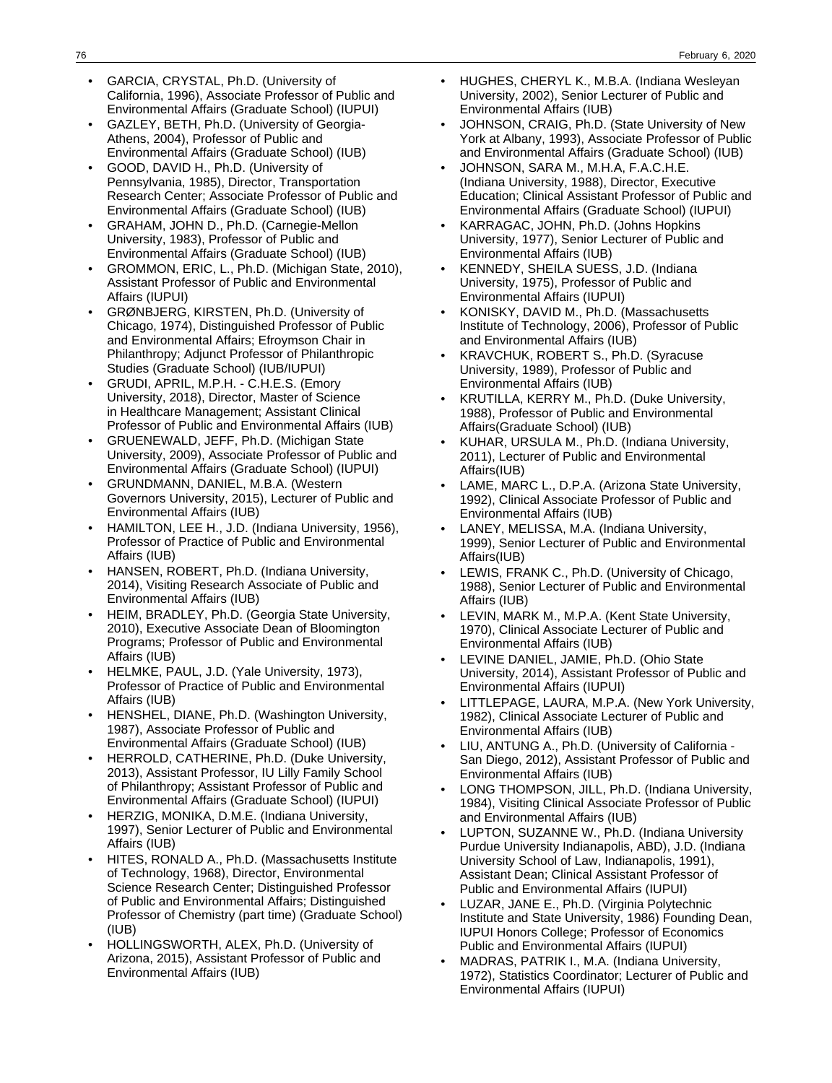- GARCIA, CRYSTAL, Ph.D. (University of California, 1996), Associate Professor of Public and Environmental Affairs (Graduate School) (IUPUI)
- GAZLEY, BETH, Ph.D. (University of Georgia-Athens, 2004), Professor of Public and Environmental Affairs (Graduate School) (IUB)
- GOOD, DAVID H., Ph.D. (University of Pennsylvania, 1985), Director, Transportation Research Center; Associate Professor of Public and Environmental Affairs (Graduate School) (IUB)
- GRAHAM, JOHN D., Ph.D. (Carnegie-Mellon University, 1983), Professor of Public and Environmental Affairs (Graduate School) (IUB)
- GROMMON, ERIC, L., Ph.D. (Michigan State, 2010), Assistant Professor of Public and Environmental Affairs (IUPUI)
- GRØNBJERG, KIRSTEN, Ph.D. (University of Chicago, 1974), Distinguished Professor of Public and Environmental Affairs; Efroymson Chair in Philanthropy; Adjunct Professor of Philanthropic Studies (Graduate School) (IUB/IUPUI)
- GRUDI, APRIL, M.P.H. C.H.E.S. (Emory University, 2018), Director, Master of Science in Healthcare Management; Assistant Clinical Professor of Public and Environmental Affairs (IUB)
- GRUENEWALD, JEFF, Ph.D. (Michigan State University, 2009), Associate Professor of Public and Environmental Affairs (Graduate School) (IUPUI)
- GRUNDMANN, DANIEL, M.B.A. (Western Governors University, 2015), Lecturer of Public and Environmental Affairs (IUB)
- HAMILTON, LEE H., J.D. (Indiana University, 1956), Professor of Practice of Public and Environmental Affairs (IUB)
- HANSEN, ROBERT, Ph.D. (Indiana University, 2014), Visiting Research Associate of Public and Environmental Affairs (IUB)
- HEIM, BRADLEY, Ph.D. (Georgia State University, 2010), Executive Associate Dean of Bloomington Programs; Professor of Public and Environmental Affairs (IUB)
- HELMKE, PAUL, J.D. (Yale University, 1973), Professor of Practice of Public and Environmental Affairs (IUB)
- HENSHEL, DIANE, Ph.D. (Washington University, 1987), Associate Professor of Public and Environmental Affairs (Graduate School) (IUB)
- HERROLD, CATHERINE, Ph.D. (Duke University, 2013), Assistant Professor, IU Lilly Family School of Philanthropy; Assistant Professor of Public and Environmental Affairs (Graduate School) (IUPUI)
- HERZIG, MONIKA, D.M.E. (Indiana University, 1997), Senior Lecturer of Public and Environmental Affairs (IUB)
- HITES, RONALD A., Ph.D. (Massachusetts Institute of Technology, 1968), Director, Environmental Science Research Center; Distinguished Professor of Public and Environmental Affairs; Distinguished Professor of Chemistry (part time) (Graduate School) (IUB)
- HOLLINGSWORTH, ALEX, Ph.D. (University of Arizona, 2015), Assistant Professor of Public and Environmental Affairs (IUB)
- HUGHES, CHERYL K., M.B.A. (Indiana Wesleyan University, 2002), Senior Lecturer of Public and Environmental Affairs (IUB)
- JOHNSON, CRAIG, Ph.D. (State University of New York at Albany, 1993), Associate Professor of Public and Environmental Affairs (Graduate School) (IUB)
- JOHNSON, SARA M., M.H.A, F.A.C.H.E. (Indiana University, 1988), Director, Executive Education; Clinical Assistant Professor of Public and Environmental Affairs (Graduate School) (IUPUI)
- KARRAGAC, JOHN, Ph.D. (Johns Hopkins University, 1977), Senior Lecturer of Public and Environmental Affairs (IUB)
- KENNEDY, SHEILA SUESS, J.D. (Indiana University, 1975), Professor of Public and Environmental Affairs (IUPUI)
- KONISKY, DAVID M., Ph.D. (Massachusetts Institute of Technology, 2006), Professor of Public and Environmental Affairs (IUB)
- KRAVCHUK, ROBERT S., Ph.D. (Syracuse University, 1989), Professor of Public and Environmental Affairs (IUB)
- KRUTILLA, KERRY M., Ph.D. (Duke University, 1988), Professor of Public and Environmental Affairs(Graduate School) (IUB)
- KUHAR, URSULA M., Ph.D. (Indiana University, 2011), Lecturer of Public and Environmental Affairs(IUB)
- LAME, MARC L., D.P.A. (Arizona State University, 1992), Clinical Associate Professor of Public and Environmental Affairs (IUB)
- LANEY, MELISSA, M.A. (Indiana University, 1999), Senior Lecturer of Public and Environmental Affairs(IUB)
- LEWIS, FRANK C., Ph.D. (University of Chicago, 1988), Senior Lecturer of Public and Environmental Affairs (IUB)
- LEVIN, MARK M., M.P.A. (Kent State University, 1970), Clinical Associate Lecturer of Public and Environmental Affairs (IUB)
- LEVINE DANIEL, JAMIE, Ph.D. (Ohio State University, 2014), Assistant Professor of Public and Environmental Affairs (IUPUI)
- LITTLEPAGE, LAURA, M.P.A. (New York University, 1982), Clinical Associate Lecturer of Public and Environmental Affairs (IUB)
- LIU, ANTUNG A., Ph.D. (University of California San Diego, 2012), Assistant Professor of Public and Environmental Affairs (IUB)
- LONG THOMPSON, JILL, Ph.D. (Indiana University, 1984), Visiting Clinical Associate Professor of Public and Environmental Affairs (IUB)
- LUPTON, SUZANNE W., Ph.D. (Indiana University Purdue University Indianapolis, ABD), J.D. (Indiana University School of Law, Indianapolis, 1991), Assistant Dean; Clinical Assistant Professor of Public and Environmental Affairs (IUPUI)
- LUZAR, JANE E., Ph.D. (Virginia Polytechnic Institute and State University, 1986) Founding Dean, IUPUI Honors College; Professor of Economics Public and Environmental Affairs (IUPUI)
- MADRAS, PATRIK I., M.A. (Indiana University, 1972), Statistics Coordinator; Lecturer of Public and Environmental Affairs (IUPUI)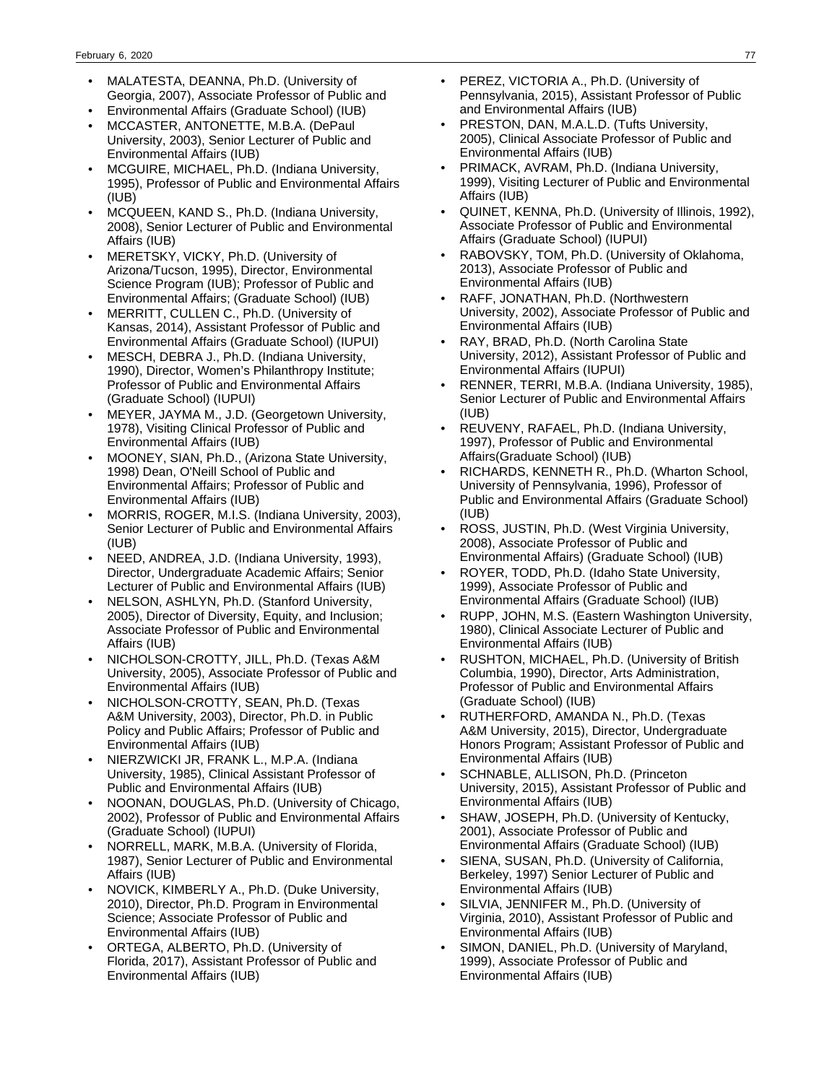- MALATESTA, DEANNA, Ph.D. (University of Georgia, 2007), Associate Professor of Public and
- Environmental Affairs (Graduate School) (IUB)
- MCCASTER, ANTONETTE, M.B.A. (DePaul University, 2003), Senior Lecturer of Public and Environmental Affairs (IUB)
- MCGUIRE, MICHAEL, Ph.D. (Indiana University, 1995), Professor of Public and Environmental Affairs (IUB)
- MCQUEEN, KAND S., Ph.D. (Indiana University, 2008), Senior Lecturer of Public and Environmental Affairs (IUB)
- MERETSKY, VICKY, Ph.D. (University of Arizona/Tucson, 1995), Director, Environmental Science Program (IUB); Professor of Public and Environmental Affairs; (Graduate School) (IUB)
- MERRITT, CULLEN C., Ph.D. (University of Kansas, 2014), Assistant Professor of Public and Environmental Affairs (Graduate School) (IUPUI)
- MESCH, DEBRA J., Ph.D. (Indiana University, 1990), Director, Women's Philanthropy Institute; Professor of Public and Environmental Affairs (Graduate School) (IUPUI)
- MEYER, JAYMA M., J.D. (Georgetown University, 1978), Visiting Clinical Professor of Public and Environmental Affairs (IUB)
- MOONEY, SIAN, Ph.D., (Arizona State University, 1998) Dean, O'Neill School of Public and Environmental Affairs; Professor of Public and Environmental Affairs (IUB)
- MORRIS, ROGER, M.I.S. (Indiana University, 2003), Senior Lecturer of Public and Environmental Affairs (IUB)
- NEED, ANDREA, J.D. (Indiana University, 1993), Director, Undergraduate Academic Affairs; Senior Lecturer of Public and Environmental Affairs (IUB)
- NELSON, ASHLYN, Ph.D. (Stanford University, 2005), Director of Diversity, Equity, and Inclusion; Associate Professor of Public and Environmental Affairs (IUB)
- NICHOLSON-CROTTY, JILL, Ph.D. (Texas A&M University, 2005), Associate Professor of Public and Environmental Affairs (IUB)
- NICHOLSON-CROTTY, SEAN, Ph.D. (Texas A&M University, 2003), Director, Ph.D. in Public Policy and Public Affairs; Professor of Public and Environmental Affairs (IUB)
- NIERZWICKI JR, FRANK L., M.P.A. (Indiana University, 1985), Clinical Assistant Professor of Public and Environmental Affairs (IUB)
- NOONAN, DOUGLAS, Ph.D. (University of Chicago, 2002), Professor of Public and Environmental Affairs (Graduate School) (IUPUI)
- NORRELL, MARK, M.B.A. (University of Florida, 1987), Senior Lecturer of Public and Environmental Affairs (IUB)
- NOVICK, KIMBERLY A., Ph.D. (Duke University, 2010), Director, Ph.D. Program in Environmental Science; Associate Professor of Public and Environmental Affairs (IUB)
- ORTEGA, ALBERTO, Ph.D. (University of Florida, 2017), Assistant Professor of Public and Environmental Affairs (IUB)
- PEREZ, VICTORIA A., Ph.D. (University of Pennsylvania, 2015), Assistant Professor of Public and Environmental Affairs (IUB)
- PRESTON, DAN, M.A.L.D. (Tufts University, 2005), Clinical Associate Professor of Public and Environmental Affairs (IUB)
- PRIMACK, AVRAM, Ph.D. (Indiana University, 1999), Visiting Lecturer of Public and Environmental Affairs (IUB)
- QUINET, KENNA, Ph.D. (University of Illinois, 1992), Associate Professor of Public and Environmental Affairs (Graduate School) (IUPUI)
- RABOVSKY, TOM, Ph.D. (University of Oklahoma, 2013), Associate Professor of Public and Environmental Affairs (IUB)
- RAFF, JONATHAN, Ph.D. (Northwestern University, 2002), Associate Professor of Public and Environmental Affairs (IUB)
- RAY, BRAD, Ph.D. (North Carolina State University, 2012), Assistant Professor of Public and Environmental Affairs (IUPUI)
- RENNER, TERRI, M.B.A. (Indiana University, 1985), Senior Lecturer of Public and Environmental Affairs (IUB)
- REUVENY, RAFAEL, Ph.D. (Indiana University, 1997), Professor of Public and Environmental Affairs(Graduate School) (IUB)
- RICHARDS, KENNETH R., Ph.D. (Wharton School, University of Pennsylvania, 1996), Professor of Public and Environmental Affairs (Graduate School) (IUB)
- ROSS, JUSTIN, Ph.D. (West Virginia University, 2008), Associate Professor of Public and Environmental Affairs) (Graduate School) (IUB)
- ROYER, TODD, Ph.D. (Idaho State University, 1999), Associate Professor of Public and Environmental Affairs (Graduate School) (IUB)
- RUPP, JOHN, M.S. (Eastern Washington University, 1980), Clinical Associate Lecturer of Public and Environmental Affairs (IUB)
- RUSHTON, MICHAEL, Ph.D. (University of British Columbia, 1990), Director, Arts Administration, Professor of Public and Environmental Affairs (Graduate School) (IUB)
- RUTHERFORD, AMANDA N., Ph.D. (Texas A&M University, 2015), Director, Undergraduate Honors Program; Assistant Professor of Public and Environmental Affairs (IUB)
- SCHNABLE, ALLISON, Ph.D. (Princeton University, 2015), Assistant Professor of Public and Environmental Affairs (IUB)
- SHAW, JOSEPH, Ph.D. (University of Kentucky, 2001), Associate Professor of Public and Environmental Affairs (Graduate School) (IUB)
- SIENA, SUSAN, Ph.D. (University of California, Berkeley, 1997) Senior Lecturer of Public and Environmental Affairs (IUB)
- SILVIA, JENNIFER M., Ph.D. (University of Virginia, 2010), Assistant Professor of Public and Environmental Affairs (IUB)
- SIMON, DANIEL, Ph.D. (University of Maryland, 1999), Associate Professor of Public and Environmental Affairs (IUB)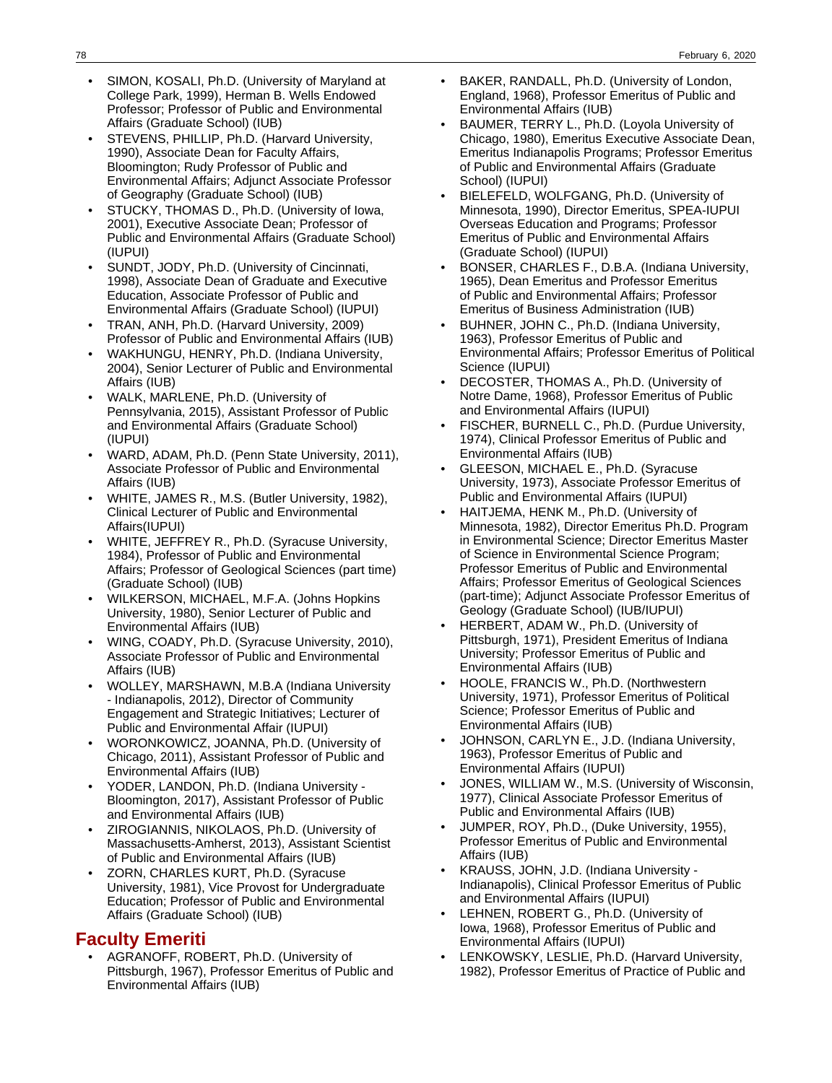- SIMON, KOSALI, Ph.D. (University of Maryland at College Park, 1999), Herman B. Wells Endowed Professor; Professor of Public and Environmental Affairs (Graduate School) (IUB)
- STEVENS, PHILLIP, Ph.D. (Harvard University, 1990), Associate Dean for Faculty Affairs, Bloomington; Rudy Professor of Public and Environmental Affairs; Adjunct Associate Professor of Geography (Graduate School) (IUB)
- STUCKY, THOMAS D., Ph.D. (University of Iowa, 2001), Executive Associate Dean; Professor of Public and Environmental Affairs (Graduate School) (IUPUI)
- SUNDT, JODY, Ph.D. (University of Cincinnati, 1998), Associate Dean of Graduate and Executive Education, Associate Professor of Public and Environmental Affairs (Graduate School) (IUPUI)
- TRAN, ANH, Ph.D. (Harvard University, 2009) Professor of Public and Environmental Affairs (IUB)
- WAKHUNGU, HENRY, Ph.D. (Indiana University, 2004), Senior Lecturer of Public and Environmental Affairs (IUB)
- WALK, MARLENE, Ph.D. (University of Pennsylvania, 2015), Assistant Professor of Public and Environmental Affairs (Graduate School) (IUPUI)
- WARD, ADAM, Ph.D. (Penn State University, 2011), Associate Professor of Public and Environmental Affairs (IUB)
- WHITE, JAMES R., M.S. (Butler University, 1982), Clinical Lecturer of Public and Environmental Affairs(IUPUI)
- WHITE, JEFFREY R., Ph.D. (Syracuse University, 1984), Professor of Public and Environmental Affairs; Professor of Geological Sciences (part time) (Graduate School) (IUB)
- WILKERSON, MICHAEL, M.F.A. (Johns Hopkins University, 1980), Senior Lecturer of Public and Environmental Affairs (IUB)
- WING, COADY, Ph.D. (Syracuse University, 2010), Associate Professor of Public and Environmental Affairs (IUB)
- WOLLEY, MARSHAWN, M.B.A (Indiana University - Indianapolis, 2012), Director of Community Engagement and Strategic Initiatives; Lecturer of Public and Environmental Affair (IUPUI)
- WORONKOWICZ, JOANNA, Ph.D. (University of Chicago, 2011), Assistant Professor of Public and Environmental Affairs (IUB)
- YODER, LANDON, Ph.D. (Indiana University Bloomington, 2017), Assistant Professor of Public and Environmental Affairs (IUB)
- ZIROGIANNIS, NIKOLAOS, Ph.D. (University of Massachusetts-Amherst, 2013), Assistant Scientist of Public and Environmental Affairs (IUB)
- ZORN, CHARLES KURT, Ph.D. (Syracuse University, 1981), Vice Provost for Undergraduate Education; Professor of Public and Environmental Affairs (Graduate School) (IUB)

## **Faculty Emeriti**

• AGRANOFF, ROBERT, Ph.D. (University of Pittsburgh, 1967), Professor Emeritus of Public and Environmental Affairs (IUB)

- BAKER, RANDALL, Ph.D. (University of London, England, 1968), Professor Emeritus of Public and Environmental Affairs (IUB)
- BAUMER, TERRY L., Ph.D. (Loyola University of Chicago, 1980), Emeritus Executive Associate Dean, Emeritus Indianapolis Programs; Professor Emeritus of Public and Environmental Affairs (Graduate School) (IUPUI)
- BIELEFELD, WOLFGANG, Ph.D. (University of Minnesota, 1990), Director Emeritus, SPEA-IUPUI Overseas Education and Programs; Professor Emeritus of Public and Environmental Affairs (Graduate School) (IUPUI)
- BONSER, CHARLES F., D.B.A. (Indiana University, 1965), Dean Emeritus and Professor Emeritus of Public and Environmental Affairs; Professor Emeritus of Business Administration (IUB)
- BUHNER, JOHN C., Ph.D. (Indiana University, 1963), Professor Emeritus of Public and Environmental Affairs; Professor Emeritus of Political Science (IUPUI)
- DECOSTER, THOMAS A., Ph.D. (University of Notre Dame, 1968), Professor Emeritus of Public and Environmental Affairs (IUPUI)
- FISCHER, BURNELL C., Ph.D. (Purdue University, 1974), Clinical Professor Emeritus of Public and Environmental Affairs (IUB)
- GLEESON, MICHAEL E., Ph.D. (Syracuse University, 1973), Associate Professor Emeritus of Public and Environmental Affairs (IUPUI)
- HAITJEMA, HENK M., Ph.D. (University of Minnesota, 1982), Director Emeritus Ph.D. Program in Environmental Science; Director Emeritus Master of Science in Environmental Science Program; Professor Emeritus of Public and Environmental Affairs; Professor Emeritus of Geological Sciences (part-time); Adjunct Associate Professor Emeritus of Geology (Graduate School) (IUB/IUPUI)
- HERBERT, ADAM W., Ph.D. (University of Pittsburgh, 1971), President Emeritus of Indiana University; Professor Emeritus of Public and Environmental Affairs (IUB)
- HOOLE, FRANCIS W., Ph.D. (Northwestern University, 1971), Professor Emeritus of Political Science; Professor Emeritus of Public and Environmental Affairs (IUB)
- JOHNSON, CARLYN E., J.D. (Indiana University, 1963), Professor Emeritus of Public and Environmental Affairs (IUPUI)
- JONES, WILLIAM W., M.S. (University of Wisconsin, 1977), Clinical Associate Professor Emeritus of Public and Environmental Affairs (IUB)
- JUMPER, ROY, Ph.D., (Duke University, 1955), Professor Emeritus of Public and Environmental Affairs (IUB)
- KRAUSS, JOHN, J.D. (Indiana University Indianapolis), Clinical Professor Emeritus of Public and Environmental Affairs (IUPUI)
- LEHNEN, ROBERT G., Ph.D. (University of Iowa, 1968), Professor Emeritus of Public and Environmental Affairs (IUPUI)
- LENKOWSKY, LESLIE, Ph.D. (Harvard University, 1982), Professor Emeritus of Practice of Public and